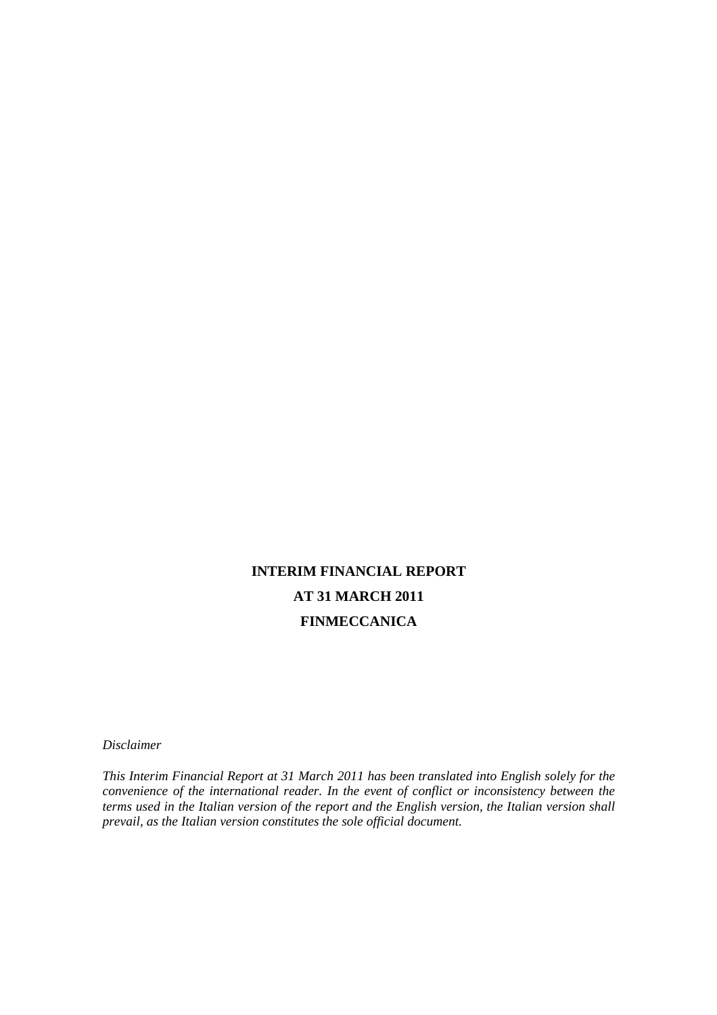# **INTERIM FINANCIAL REPORT AT 31 MARCH 2011 FINMECCANICA**

*Disclaimer* 

*This Interim Financial Report at 31 March 2011 has been translated into English solely for the convenience of the international reader. In the event of conflict or inconsistency between the terms used in the Italian version of the report and the English version, the Italian version shall prevail, as the Italian version constitutes the sole official document.*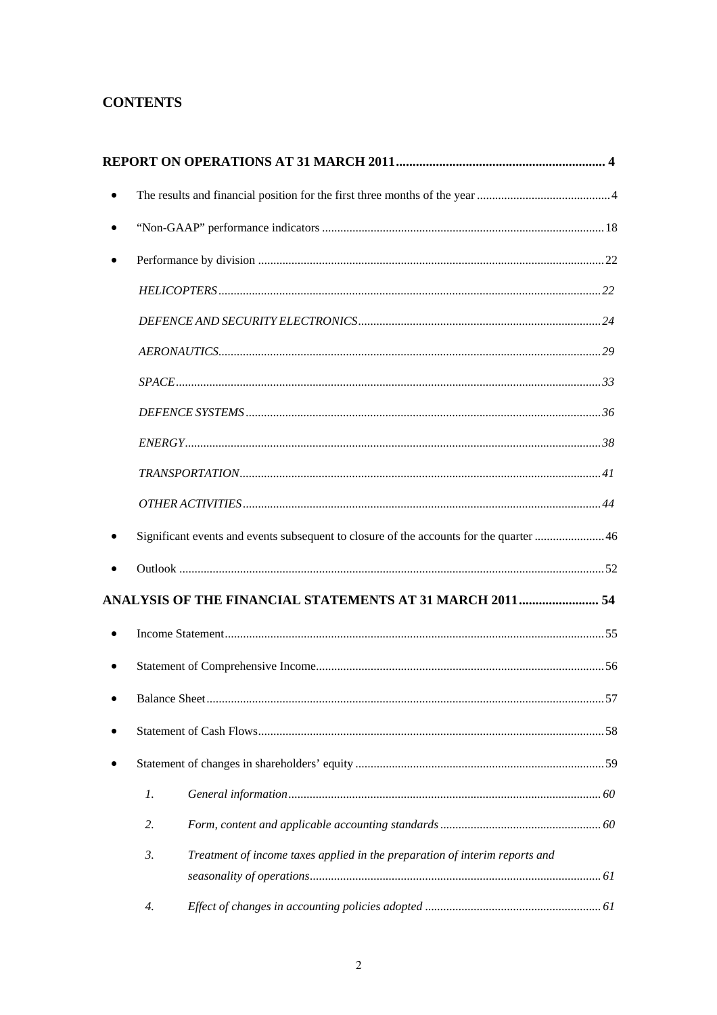# **CONTENTS**

| ٠ |                 |                                                                                        |  |
|---|-----------------|----------------------------------------------------------------------------------------|--|
|   |                 |                                                                                        |  |
|   |                 |                                                                                        |  |
|   |                 |                                                                                        |  |
|   |                 |                                                                                        |  |
|   |                 |                                                                                        |  |
|   |                 |                                                                                        |  |
|   |                 |                                                                                        |  |
|   |                 |                                                                                        |  |
|   |                 |                                                                                        |  |
|   |                 |                                                                                        |  |
|   |                 | Significant events and events subsequent to closure of the accounts for the quarter 46 |  |
|   |                 |                                                                                        |  |
|   |                 | <b>ANALYSIS OF THE FINANCIAL STATEMENTS AT 31 MARCH 2011 54</b>                        |  |
| ٠ |                 |                                                                                        |  |
|   |                 |                                                                                        |  |
|   |                 |                                                                                        |  |
|   |                 |                                                                                        |  |
|   |                 |                                                                                        |  |
|   |                 |                                                                                        |  |
|   | $\mathfrak{l}.$ |                                                                                        |  |
|   | 2.              |                                                                                        |  |
|   | 3.              | Treatment of income taxes applied in the preparation of interim reports and            |  |
|   |                 |                                                                                        |  |
|   | 4.              |                                                                                        |  |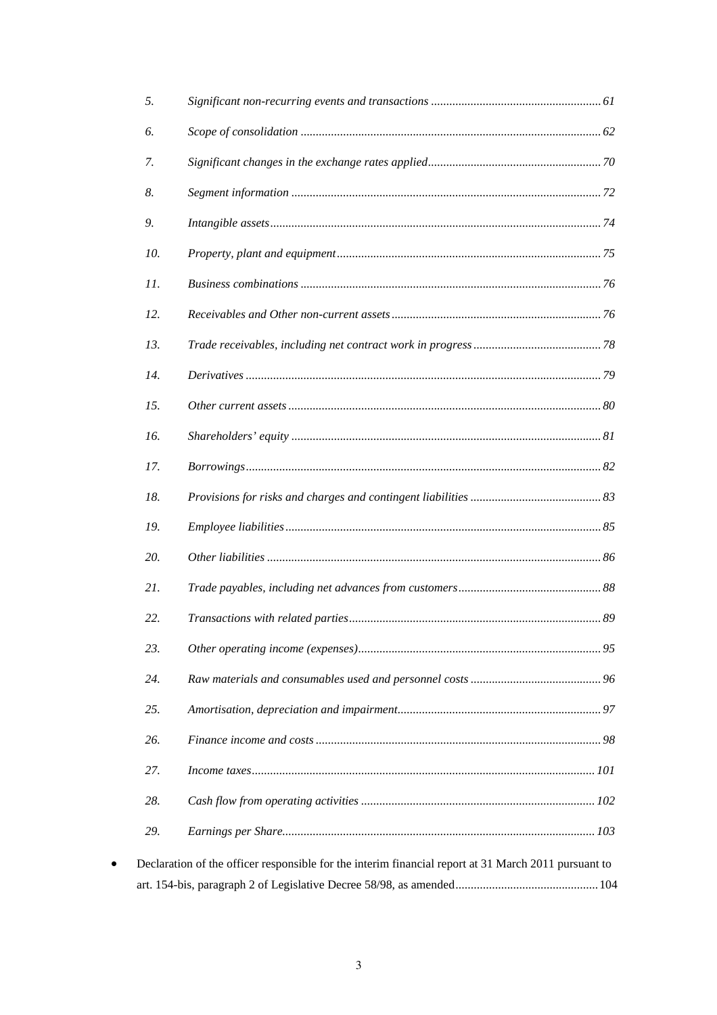| 5.  |                                                                                                      |  |
|-----|------------------------------------------------------------------------------------------------------|--|
| 6.  |                                                                                                      |  |
| 7.  |                                                                                                      |  |
| 8.  |                                                                                                      |  |
| 9.  |                                                                                                      |  |
| 10. |                                                                                                      |  |
| 11. |                                                                                                      |  |
| 12. |                                                                                                      |  |
| 13. |                                                                                                      |  |
| 14. |                                                                                                      |  |
| 15. |                                                                                                      |  |
| 16. |                                                                                                      |  |
| 17. |                                                                                                      |  |
| 18. |                                                                                                      |  |
| 19. |                                                                                                      |  |
| 20. |                                                                                                      |  |
| 21. |                                                                                                      |  |
| 22. |                                                                                                      |  |
| 23. |                                                                                                      |  |
| 24. |                                                                                                      |  |
| 25. |                                                                                                      |  |
| 26. |                                                                                                      |  |
| 27. |                                                                                                      |  |
| 28. |                                                                                                      |  |
| 29. |                                                                                                      |  |
|     | Declaration of the officer responsible for the interim financial report at 31 March 2011 pursuant to |  |
|     |                                                                                                      |  |

 $\bullet$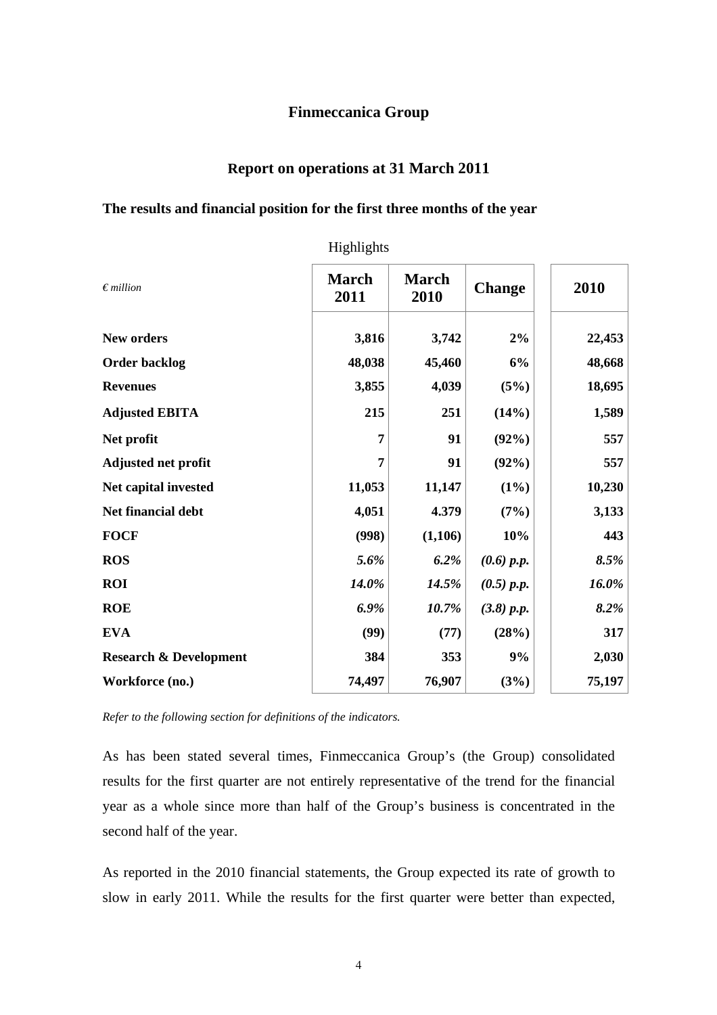## **Finmeccanica Group**

#### **Report on operations at 31 March 2011**

#### **The results and financial position for the first three months of the year**

| $\epsilon$ million                | <b>March</b><br>2011 | <b>March</b><br>2010 | <b>Change</b> | 2010    |
|-----------------------------------|----------------------|----------------------|---------------|---------|
| <b>New orders</b>                 | 3,816                | 3,742                | 2%            | 22,453  |
| <b>Order backlog</b>              | 48,038               | 45,460               | 6%            | 48,668  |
| <b>Revenues</b>                   | 3,855                | 4,039                | (5%)          | 18,695  |
| <b>Adjusted EBITA</b>             | 215                  | 251                  | (14%)         | 1,589   |
| Net profit                        | 7                    | 91                   | (92%)         | 557     |
| <b>Adjusted net profit</b>        | 7                    | 91                   | (92%)         | 557     |
| Net capital invested              | 11,053               | 11,147               | (1%)          | 10,230  |
| Net financial debt                | 4,051                | 4.379                | (7%)          | 3,133   |
| <b>FOCF</b>                       | (998)                | (1,106)              | 10%           | 443     |
| <b>ROS</b>                        | 5.6%                 | 6.2%                 | $(0.6)$ p.p.  | 8.5%    |
| <b>ROI</b>                        | 14.0%                | 14.5%                | (0.5) p.p.    | 16.0%   |
| <b>ROE</b>                        | 6.9%                 | 10.7%                | (3.8) p.p.    | $8.2\%$ |
| <b>EVA</b>                        | (99)                 | (77)                 | (28%)         | 317     |
| <b>Research &amp; Development</b> | 384                  | 353                  | 9%            | 2,030   |
| Workforce (no.)                   | 74,497               | 76,907               | (3%)          | 75,197  |

Highlights

*Refer to the following section for definitions of the indicators.* 

As has been stated several times, Finmeccanica Group's (the Group) consolidated results for the first quarter are not entirely representative of the trend for the financial year as a whole since more than half of the Group's business is concentrated in the second half of the year.

As reported in the 2010 financial statements, the Group expected its rate of growth to slow in early 2011. While the results for the first quarter were better than expected,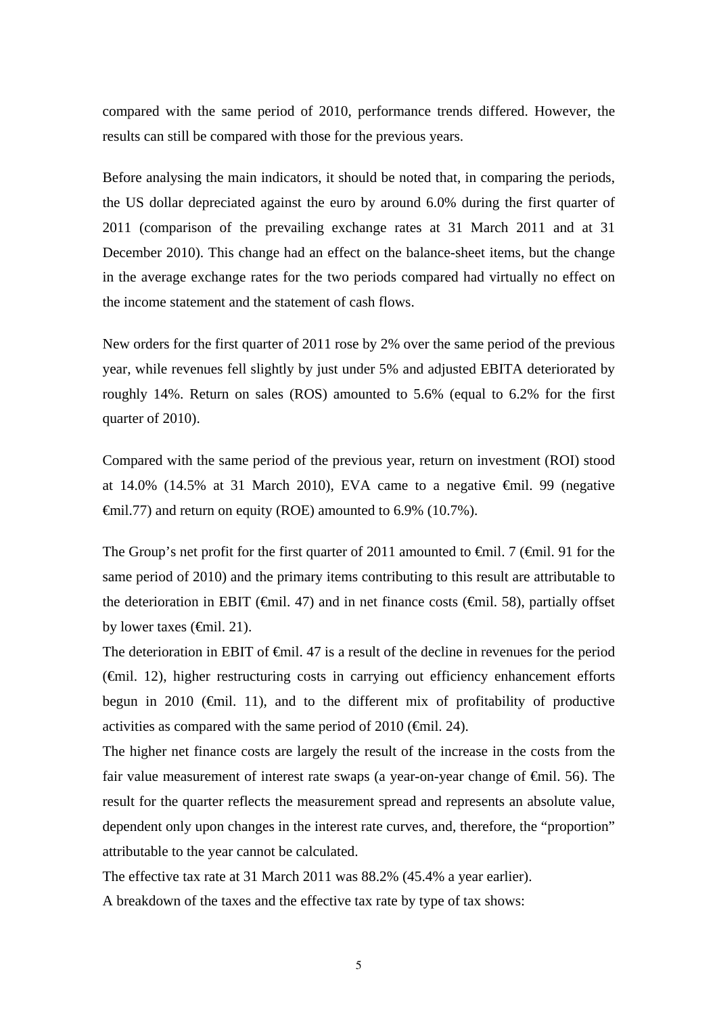compared with the same period of 2010, performance trends differed. However, the results can still be compared with those for the previous years.

Before analysing the main indicators, it should be noted that, in comparing the periods, the US dollar depreciated against the euro by around 6.0% during the first quarter of 2011 (comparison of the prevailing exchange rates at 31 March 2011 and at 31 December 2010). This change had an effect on the balance-sheet items, but the change in the average exchange rates for the two periods compared had virtually no effect on the income statement and the statement of cash flows.

New orders for the first quarter of 2011 rose by 2% over the same period of the previous year, while revenues fell slightly by just under 5% and adjusted EBITA deteriorated by roughly 14%. Return on sales (ROS) amounted to 5.6% (equal to 6.2% for the first quarter of 2010).

Compared with the same period of the previous year, return on investment (ROI) stood at 14.0% (14.5% at 31 March 2010), EVA came to a negative  $\epsilon$ mil. 99 (negative €mil.77) and return on equity (ROE) amounted to 6.9% (10.7%).

The Group's net profit for the first quarter of 2011 amounted to  $\epsilon$ mil. 7 ( $\epsilon$ mil. 91 for the same period of 2010) and the primary items contributing to this result are attributable to the deterioration in EBIT ( $\epsilon$ mil. 47) and in net finance costs ( $\epsilon$ mil. 58), partially offset by lower taxes  $(\text{6cm} 1, 21)$ .

The deterioration in EBIT of  $\epsilon$ mil. 47 is a result of the decline in revenues for the period (€mil. 12), higher restructuring costs in carrying out efficiency enhancement efforts begun in 2010 ( $\epsilon$ mil. 11), and to the different mix of profitability of productive activities as compared with the same period of  $2010$  ( $\epsilon$ mil. 24).

The higher net finance costs are largely the result of the increase in the costs from the fair value measurement of interest rate swaps (a year-on-year change of  $\epsilon$ mil. 56). The result for the quarter reflects the measurement spread and represents an absolute value, dependent only upon changes in the interest rate curves, and, therefore, the "proportion" attributable to the year cannot be calculated.

The effective tax rate at 31 March 2011 was 88.2% (45.4% a year earlier).

A breakdown of the taxes and the effective tax rate by type of tax shows: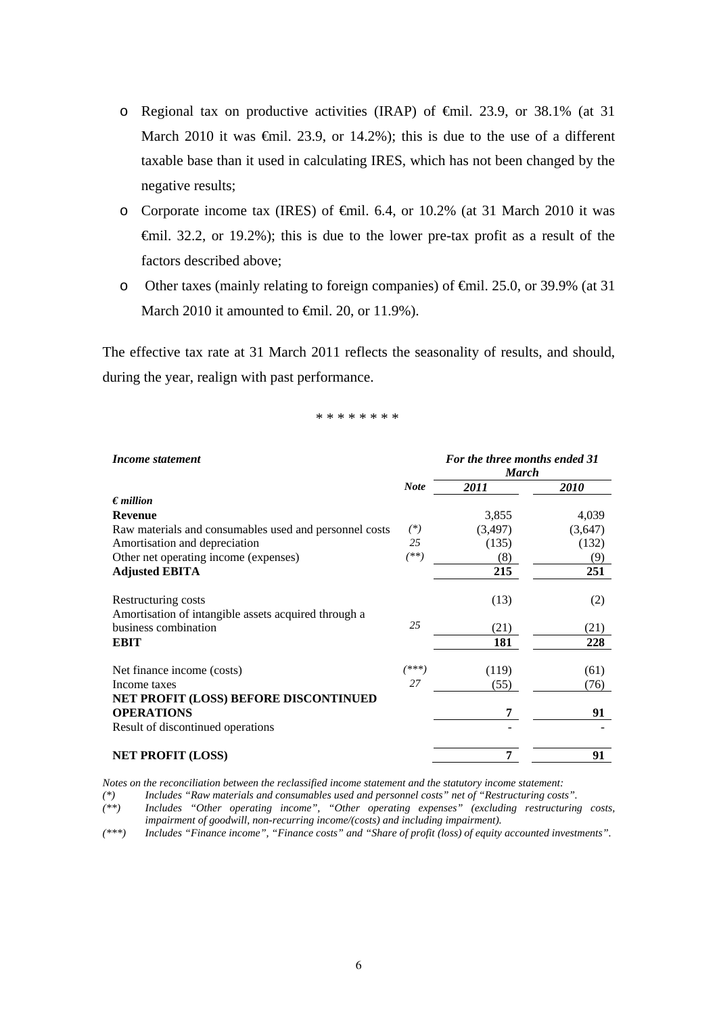- o Regional tax on productive activities (IRAP) of €mil. 23.9, or 38.1% (at 31 March 2010 it was  $\epsilon$ mil. 23.9, or 14.2%); this is due to the use of a different taxable base than it used in calculating IRES, which has not been changed by the negative results;
- o Corporate income tax (IRES) of €mil. 6.4, or 10.2% (at 31 March 2010 it was €mil. 32.2, or 19.2%); this is due to the lower pre-tax profit as a result of the factors described above;
- o Other taxes (mainly relating to foreign companies) of €mil. 25.0, or 39.9% (at 31 March 2010 it amounted to  $\theta$ mil. 20, or 11.9%).

The effective tax rate at 31 March 2011 reflects the seasonality of results, and should, during the year, realign with past performance.

\* \* \* \* \* \* \* \*

| Income statement                                                            |             | For the three months ended 31<br><b>March</b> |             |  |
|-----------------------------------------------------------------------------|-------------|-----------------------------------------------|-------------|--|
|                                                                             | <b>Note</b> | 2011                                          | <i>2010</i> |  |
| $\epsilon$ <i>million</i>                                                   |             |                                               |             |  |
| <b>Revenue</b>                                                              |             | 3,855                                         | 4,039       |  |
| Raw materials and consumables used and personnel costs                      | $(*)$       | (3,497)                                       | (3,647)     |  |
| Amortisation and depreciation                                               | 25          | (135)                                         | (132)       |  |
| Other net operating income (expenses)                                       | $^{(**)}$   | (8)                                           | (9)         |  |
| <b>Adjusted EBITA</b>                                                       |             | 215                                           | 251         |  |
| Restructuring costs<br>Amortisation of intangible assets acquired through a |             | (13)                                          | (2)         |  |
| business combination                                                        | 25          | (21)                                          | (21)        |  |
| <b>EBIT</b>                                                                 |             | 181                                           | 228         |  |
| Net finance income (costs)                                                  | /***        | (119)                                         | (61)        |  |
| Income taxes                                                                | 27          | (55)                                          | (76)        |  |
| NET PROFIT (LOSS) BEFORE DISCONTINUED                                       |             |                                               |             |  |
| <b>OPERATIONS</b>                                                           |             | 7                                             | 91          |  |
| Result of discontinued operations                                           |             |                                               |             |  |
| <b>NET PROFIT (LOSS)</b>                                                    |             | 7                                             | 91          |  |

*Notes on the reconciliation between the reclassified income statement and the statutory income statement:* 

*(\*) Includes "Raw materials and consumables used and personnel costs" net of "Restructuring costs".* 

*(\*\*) Includes "Other operating income", "Other operating expenses" (excluding restructuring costs, impairment of goodwill, non-recurring income/(costs) and including impairment).* 

*(\*\*\*) Includes "Finance income", "Finance costs" and "Share of profit (loss) of equity accounted investments".*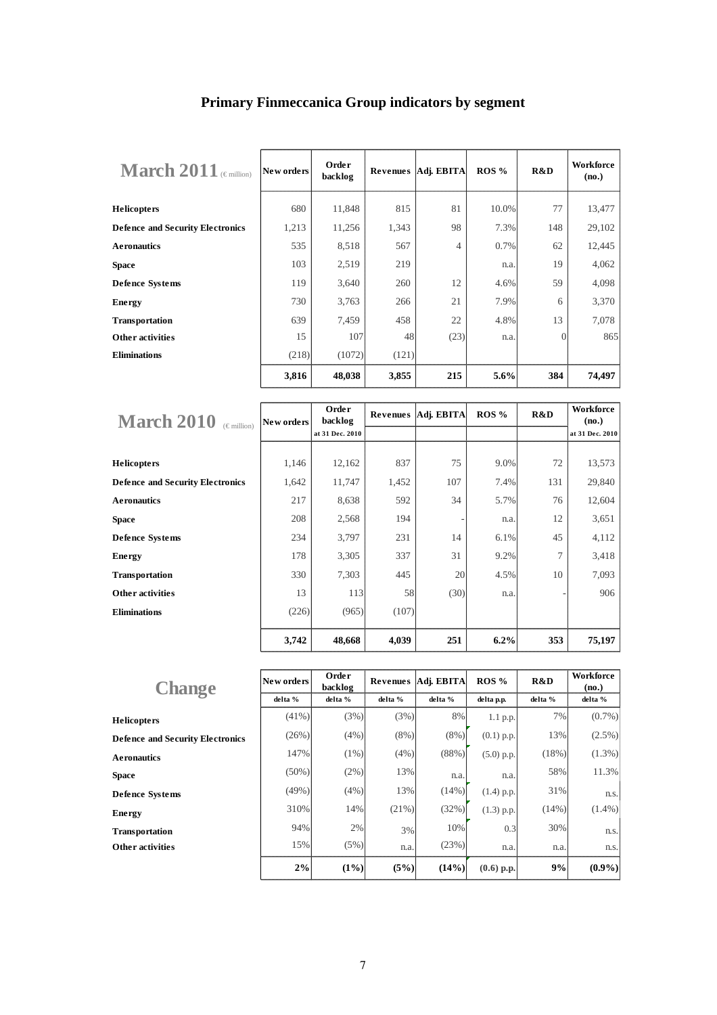| March $2011$ (Emillion)                 | New orders | Order<br>backlog |       | Revenues   Adj. EBITA | ROS%  | R&D      | Workforce<br>(no.) |
|-----------------------------------------|------------|------------------|-------|-----------------------|-------|----------|--------------------|
| <b>Helicopters</b>                      | 680        | 11,848           | 815   | 81                    | 10.0% | 77       | 13,477             |
| <b>Defence and Security Electronics</b> | 1,213      | 11,256           | 1,343 | 98                    | 7.3%  | 148      | 29,102             |
| <b>Aeronautics</b>                      | 535        | 8,518            | 567   | $\overline{4}$        | 0.7%  | 62       | 12,445             |
| <b>Space</b>                            | 103        | 2,519            | 219   |                       | n.a.  | 19       | 4,062              |
| <b>Defence Systems</b>                  | 119        | 3,640            | 260   | 12                    | 4.6%  | 59       | 4,098              |
| <b>Energy</b>                           | 730        | 3,763            | 266   | 21                    | 7.9%  | 6        | 3,370              |
| <b>Transportation</b>                   | 639        | 7,459            | 458   | 22                    | 4.8%  | 13       | 7,078              |
| Other activities                        | 15         | 107              | 48    | (23)                  | n.a.  | $\Omega$ | 865                |
| <b>Eliminations</b>                     | (218)      | (1072)           | (121) |                       |       |          |                    |
|                                         | 3,816      | 48,038           | 3,855 | 215                   | 5.6%  | 384      | 74,497             |

|                                         | Order<br>backlog<br>New orders |                 | Revenues   Adj. EBITA | ROS % | R&D  | Workforce |                 |
|-----------------------------------------|--------------------------------|-----------------|-----------------------|-------|------|-----------|-----------------|
| <b>March 2010</b><br>$(\infty)$         |                                |                 |                       |       |      |           | (no.)           |
|                                         |                                | at 31 Dec. 2010 |                       |       |      |           | at 31 Dec. 2010 |
|                                         |                                |                 |                       |       |      |           |                 |
| <b>Helicopters</b>                      | 1,146                          | 12,162          | 837                   | 75    | 9.0% | 72        | 13,573          |
| <b>Defence and Security Electronics</b> | 1,642                          | 11,747          | 1,452                 | 107   | 7.4% | 131       | 29,840          |
| <b>Aeronautics</b>                      | 217                            | 8,638           | 592                   | 34    | 5.7% | 76        | 12,604          |
| <b>Space</b>                            | 208                            | 2,568           | 194                   |       | n.a. | 12        | 3,651           |
| <b>Defence Systems</b>                  | 234                            | 3,797           | 231                   | 14    | 6.1% | 45        | 4,112           |
| <b>Energy</b>                           | 178                            | 3,305           | 337                   | 31    | 9.2% | 7         | 3,418           |
| <b>Transportation</b>                   | 330                            | 7,303           | 445                   | 20    | 4.5% | 10        | 7,093           |
| Other activities                        | 13                             | 113             | 58                    | (30)  | n.a. |           | 906             |
| <b>Eliminations</b>                     | (226)                          | (965)           | (107)                 |       |      |           |                 |
|                                         | 3,742                          | 48,668          | 4,039                 | 251   | 6.2% | 353       | 75,197          |

| <b>Change</b>                           | New orders | Order<br>backlog | Revenues | Adj. EBITA | ROS%         | R&D     | Workforce<br>(no.) |
|-----------------------------------------|------------|------------------|----------|------------|--------------|---------|--------------------|
|                                         | delta %    | delta %          | delta %  | delta %    | delta p.p.   | delta % | delta %            |
| <b>Helicopters</b>                      | (41%)      | (3%)             | (3%)     | 8%         | 1.1 p.p.     | 7%      | $(0.7\%)$          |
| <b>Defence and Security Electronics</b> | (26%)      | (4%)             | $(8\%)$  | $(8\%)$    | $(0.1)$ p.p. | 13%     | $(2.5\%)$          |
| <b>Aeronautics</b>                      | 147%       | $(1\%)$          | (4% )    | (88%)      | $(5.0)$ p.p. | (18%)   | $(1.3\%)$          |
| <b>Space</b>                            | $(50\%)$   | (2%)             | 13%      | n.a.       | n.a.         | 58%     | 11.3%              |
| <b>Defence Systems</b>                  | (49%)      | (4%)             | 13%      | (14%)      | $(1.4)$ p.p. | 31%     | n.s.               |
| <b>Energy</b>                           | 310%       | 14%              | $(21\%)$ | (32%)      | $(1.3)$ p.p. | (14%)   | $(1.4\%)$          |
| <b>Transportation</b>                   | 94%        | 2%               | 3%       | 10%        | 0.3          | 30%     | n.s.               |
| Other activities                        | 15%        | (5%)             | n.a.     | (23%)      | n.a.         | n.a.    | n.s.               |
|                                         | 2%         | $(1\%)$          | (5%)     | $(14\%)$   | $(0.6)$ p.p. | 9%      | $(0.9\%)$          |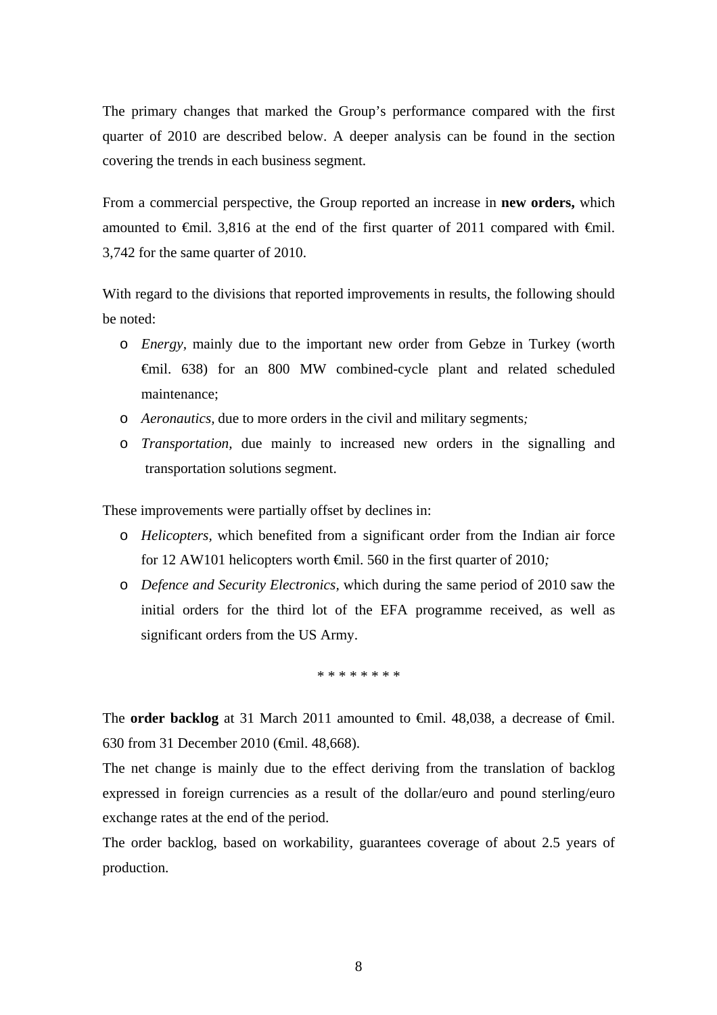The primary changes that marked the Group's performance compared with the first quarter of 2010 are described below. A deeper analysis can be found in the section covering the trends in each business segment*.*

From a commercial perspective, the Group reported an increase in **new orders,** which amounted to  $\epsilon$ mil. 3,816 at the end of the first quarter of 2011 compared with  $\epsilon$ mil. 3,742 for the same quarter of 2010.

With regard to the divisions that reported improvements in results, the following should be noted:

- o *Energy,* mainly due to the important new order from Gebze in Turkey (worth €mil. 638) for an 800 MW combined-cycle plant and related scheduled maintenance;
- o *Aeronautics,* due to more orders in the civil and military segments*;*
- o *Transportation,* due mainly to increased new orders in the signalling and transportation solutions segment.

These improvements were partially offset by declines in:

- o *Helicopters,* which benefited from a significant order from the Indian air force for 12 AW101 helicopters worth €mil. 560 in the first quarter of 2010*;*
- o *Defence and Security Electronics,* which during the same period of 2010 saw the initial orders for the third lot of the EFA programme received, as well as significant orders from the US Army.

\* \* \* \* \* \* \* \*

The **order backlog** at 31 March 2011 amounted to  $\oplus$ mil. 48,038, a decrease of  $\oplus$ mil. 630 from 31 December 2010 (€mil. 48,668).

The net change is mainly due to the effect deriving from the translation of backlog expressed in foreign currencies as a result of the dollar/euro and pound sterling/euro exchange rates at the end of the period.

The order backlog, based on workability, guarantees coverage of about 2.5 years of production.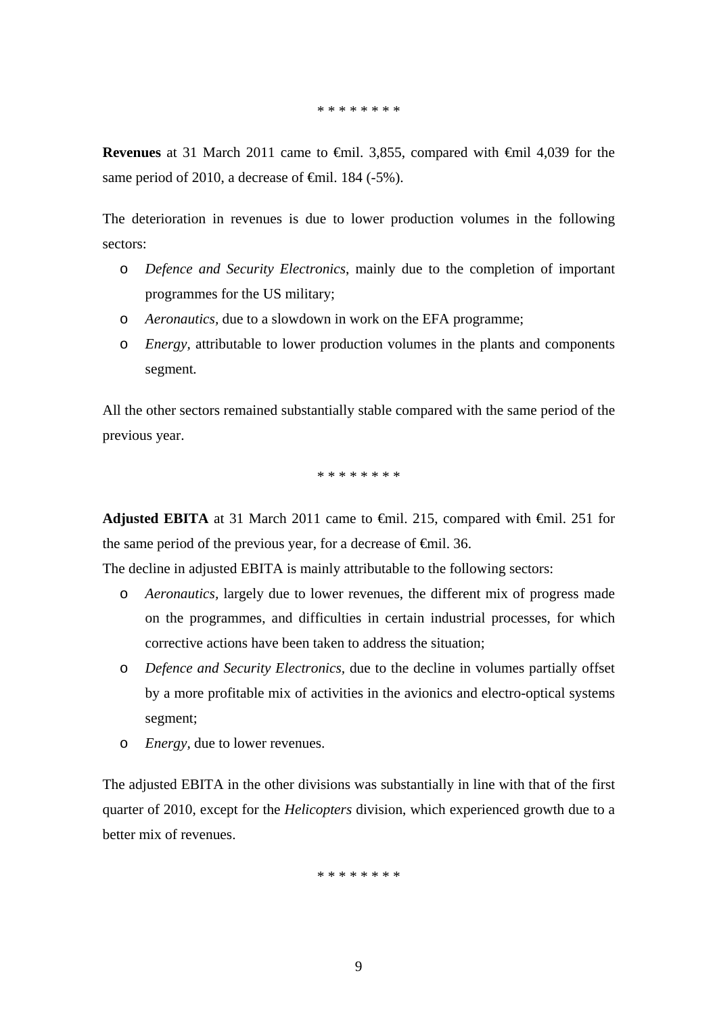\* \* \* \* \* \* \* \*

**Revenues** at 31 March 2011 came to €mil. 3,855, compared with €mil 4,039 for the same period of 2010, a decrease of <del>€mil</del>. 184 (-5%).

The deterioration in revenues is due to lower production volumes in the following sectors:

- o *Defence and Security Electronics*, mainly due to the completion of important programmes for the US military;
- o *Aeronautics,* due to a slowdown in work on the EFA programme;
- o *Energy,* attributable to lower production volumes in the plants and components segment*.*

All the other sectors remained substantially stable compared with the same period of the previous year.

\* \* \* \* \* \* \* \*

**Adjusted EBITA** at 31 March 2011 came to €mil. 215, compared with €mil. 251 for the same period of the previous year, for a decrease of  $\epsilon$ mil. 36.

The decline in adjusted EBITA is mainly attributable to the following sectors:

- o *Aeronautics,* largely due to lower revenues, the different mix of progress made on the programmes, and difficulties in certain industrial processes, for which corrective actions have been taken to address the situation;
- o *Defence and Security Electronics,* due to the decline in volumes partially offset by a more profitable mix of activities in the avionics and electro-optical systems segment;
- o *Energy,* due to lower revenues.

The adjusted EBITA in the other divisions was substantially in line with that of the first quarter of 2010, except for the *Helicopters* division, which experienced growth due to a better mix of revenues.

\* \* \* \* \* \* \* \*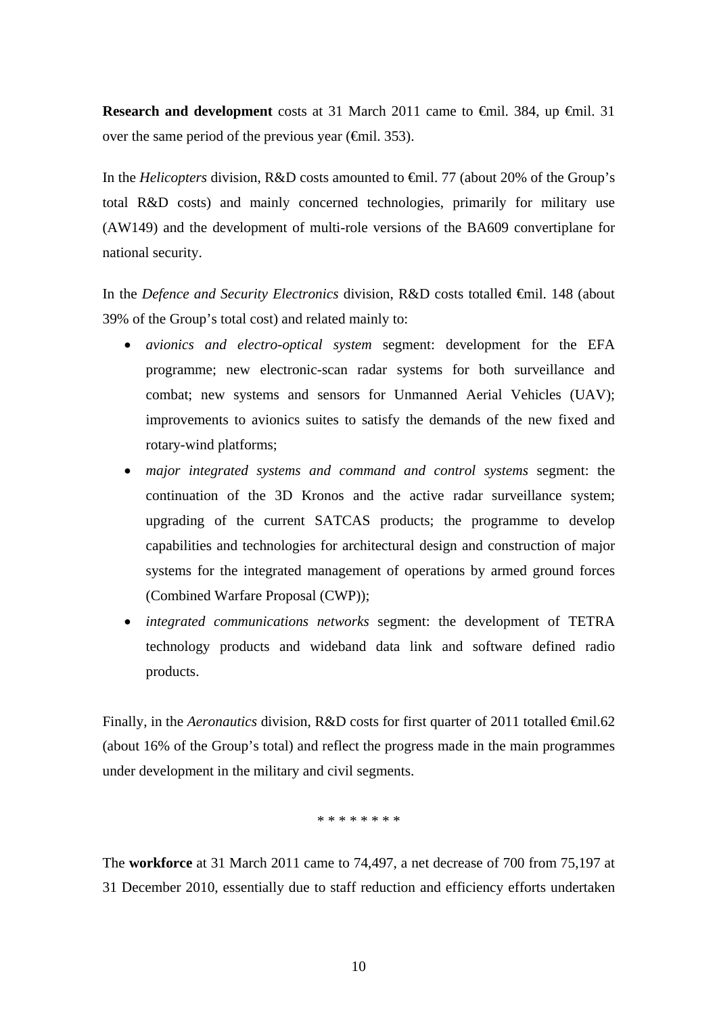**Research and development** costs at 31 March 2011 came to €mil. 384, up €mil. 31 over the same period of the previous year ( $\epsilon$ mil. 353).

In the *Helicopters* division, R&D costs amounted to €mil. 77 (about 20% of the Group's total R&D costs) and mainly concerned technologies, primarily for military use (AW149) and the development of multi-role versions of the BA609 convertiplane for national security.

In the *Defence and Security Electronics* division, R&D costs totalled €mil. 148 (about 39% of the Group's total cost) and related mainly to:

- *avionics and electro-optical system* segment: development for the EFA programme; new electronic-scan radar systems for both surveillance and combat; new systems and sensors for Unmanned Aerial Vehicles (UAV); improvements to avionics suites to satisfy the demands of the new fixed and rotary-wind platforms;
- *major integrated systems and command and control systems* segment: the continuation of the 3D Kronos and the active radar surveillance system; upgrading of the current SATCAS products; the programme to develop capabilities and technologies for architectural design and construction of major systems for the integrated management of operations by armed ground forces (Combined Warfare Proposal (CWP));
- *integrated communications networks* segment: the development of TETRA technology products and wideband data link and software defined radio products.

Finally, in the *Aeronautics* division, R&D costs for first quarter of 2011 totalled <del>€</del>mil.62 (about 16% of the Group's total) and reflect the progress made in the main programmes under development in the military and civil segments.

\* \* \* \* \* \* \* \*

The **workforce** at 31 March 2011 came to 74,497, a net decrease of 700 from 75,197 at 31 December 2010, essentially due to staff reduction and efficiency efforts undertaken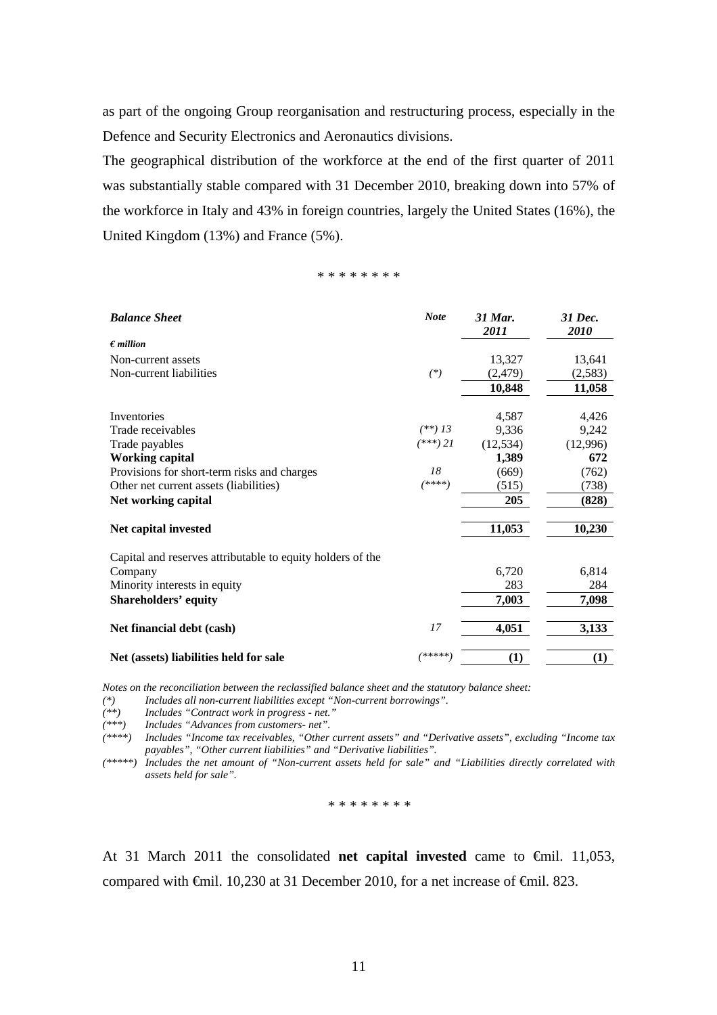as part of the ongoing Group reorganisation and restructuring process, especially in the Defence and Security Electronics and Aeronautics divisions.

The geographical distribution of the workforce at the end of the first quarter of 2011 was substantially stable compared with 31 December 2010, breaking down into 57% of the workforce in Italy and 43% in foreign countries, largely the United States (16%), the United Kingdom (13%) and France (5%).

#### \* \* \* \* \* \* \* \*

| <b>Balance Sheet</b>                                       | <b>Note</b> | 31 Mar.<br>2011  | 31 Dec.<br>2010 |
|------------------------------------------------------------|-------------|------------------|-----------------|
| $\epsilon$ <i>million</i>                                  |             |                  |                 |
| Non-current assets                                         |             | 13,327           | 13,641          |
| Non-current liabilities                                    | $(*)$       | (2, 479)         | (2,583)         |
|                                                            |             | 10,848           | 11,058          |
| Inventories                                                |             | 4,587            | 4,426           |
| Trade receivables                                          | $(**)$ 13   | 9,336            | 9,242           |
| Trade payables                                             | $(***)$ 21  | (12, 534)        | (12,996)        |
| <b>Working capital</b>                                     |             | 1,389            | 672             |
| Provisions for short-term risks and charges                | 18          | (669)            | (762)           |
| Other net current assets (liabilities)                     | $(***)$     | (515)            | (738)           |
| Net working capital                                        |             | 205              | (828)           |
| Net capital invested                                       |             | 11,053           | 10,230          |
| Capital and reserves attributable to equity holders of the |             |                  |                 |
| Company                                                    |             | 6,720            | 6,814           |
| Minority interests in equity                               |             | 283              | 284             |
| <b>Shareholders' equity</b>                                |             | 7,003            | 7,098           |
| Net financial debt (cash)                                  | 17          | 4,051            | 3,133           |
| Net (assets) liabilities held for sale                     | /*****)     | $\left(1\right)$ | (1)             |

*Notes on the reconciliation between the reclassified balance sheet and the statutory balance sheet:* 

*(\*) Includes all non-current liabilities except "Non-current borrowings".* 

*(\*\*) Includes "Contract work in progress - net."* 

*(\*\*\*) Includes "Advances from customers- net".* 

*(\*\*\*\*) Includes "Income tax receivables, "Other current assets" and "Derivative assets", excluding "Income tax payables", "Other current liabilities" and "Derivative liabilities".* 

*(\*\*\*\*\*) Includes the net amount of "Non-current assets held for sale" and "Liabilities directly correlated with assets held for sale".* 

\* \* \* \* \* \* \* \*

At 31 March 2011 the consolidated **net capital invested** came to €mil. 11,053, compared with  $\epsilon$ mil. 10,230 at 31 December 2010, for a net increase of  $\epsilon$ mil. 823.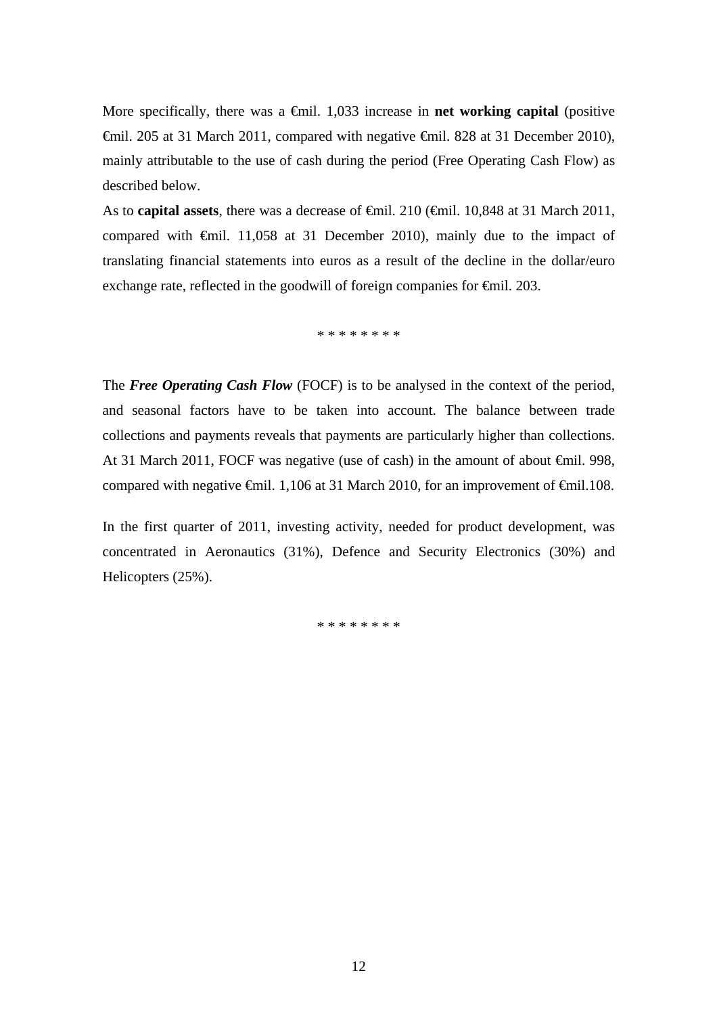More specifically, there was a €mil. 1,033 increase in **net working capital** (positive €mil. 205 at 31 March 2011, compared with negative €mil. 828 at 31 December 2010), mainly attributable to the use of cash during the period (Free Operating Cash Flow) as described below.

As to **capital assets**, there was a decrease of <del>€mil</del>. 210 (€mil. 10,848 at 31 March 2011, compared with €mil. 11,058 at 31 December 2010), mainly due to the impact of translating financial statements into euros as a result of the decline in the dollar/euro exchange rate, reflected in the goodwill of foreign companies for <del>€</del>mil. 203.

\* \* \* \* \* \* \* \*

The *Free Operating Cash Flow* (FOCF) is to be analysed in the context of the period, and seasonal factors have to be taken into account. The balance between trade collections and payments reveals that payments are particularly higher than collections. At 31 March 2011, FOCF was negative (use of cash) in the amount of about €mil. 998, compared with negative  $\epsilon$ mil. 1,106 at 31 March 2010, for an improvement of  $\epsilon$ mil.108.

In the first quarter of 2011, investing activity, needed for product development, was concentrated in Aeronautics (31%), Defence and Security Electronics (30%) and Helicopters (25%).

\* \* \* \* \* \* \* \*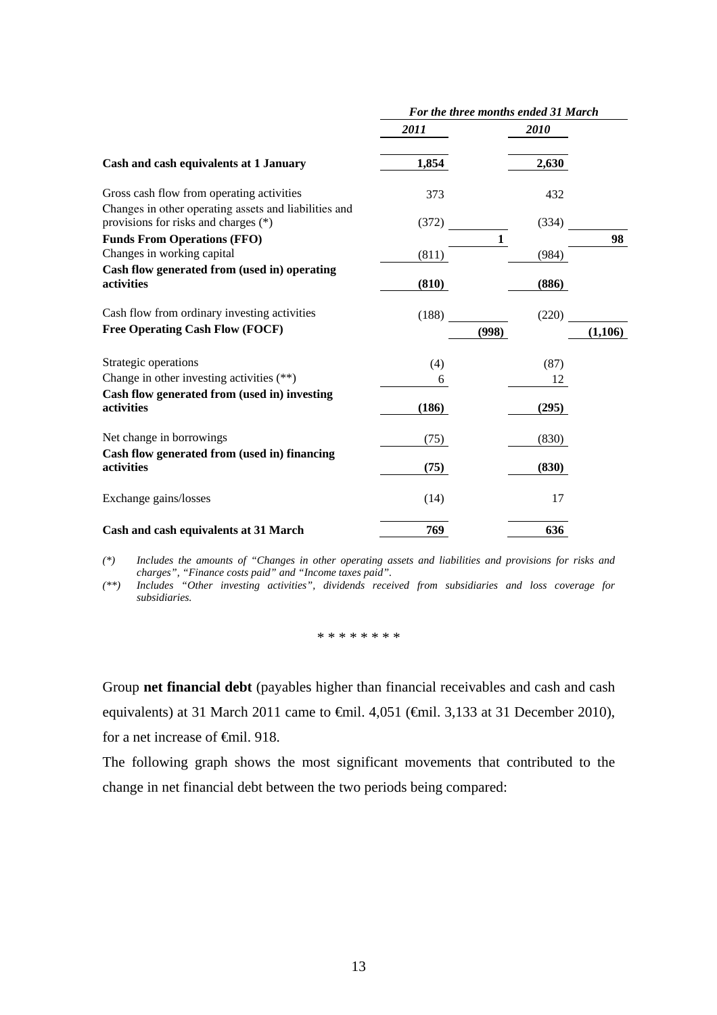|                                                                                               | For the three months ended 31 March |              |         |  |
|-----------------------------------------------------------------------------------------------|-------------------------------------|--------------|---------|--|
|                                                                                               | 2011                                | 2010         |         |  |
| Cash and cash equivalents at 1 January                                                        | 1,854                               | 2,630        |         |  |
| Gross cash flow from operating activities                                                     | 373                                 | 432          |         |  |
| Changes in other operating assets and liabilities and<br>provisions for risks and charges (*) | (372)                               | (334)        |         |  |
| <b>Funds From Operations (FFO)</b>                                                            |                                     | $\mathbf{1}$ | 98      |  |
| Changes in working capital                                                                    | (811)                               | (984)        |         |  |
| Cash flow generated from (used in) operating                                                  |                                     |              |         |  |
| activities                                                                                    | (810)                               | (886)        |         |  |
| Cash flow from ordinary investing activities                                                  | (188)                               | (220)        |         |  |
| <b>Free Operating Cash Flow (FOCF)</b>                                                        |                                     | (998)        | (1,106) |  |
| Strategic operations                                                                          | (4)                                 | (87)         |         |  |
| Change in other investing activities (**)                                                     | 6                                   | 12           |         |  |
| Cash flow generated from (used in) investing<br>activities                                    | (186)                               | (295)        |         |  |
| Net change in borrowings                                                                      | (75)                                | (830)        |         |  |
| Cash flow generated from (used in) financing<br>activities                                    | (75)                                | (830)        |         |  |
| Exchange gains/losses                                                                         | (14)                                | 17           |         |  |
| Cash and cash equivalents at 31 March                                                         | 769                                 | 636          |         |  |

*(\*) Includes the amounts of "Changes in other operating assets and liabilities and provisions for risks and charges", "Finance costs paid" and "Income taxes paid".* 

*(\*\*) Includes "Other investing activities", dividends received from subsidiaries and loss coverage for subsidiaries.* 

#### \* \* \* \* \* \* \* \*

Group **net financial debt** (payables higher than financial receivables and cash and cash equivalents) at 31 March 2011 came to <del>€</del>mil. 4,051 (€mil. 3,133 at 31 December 2010), for a net increase of <del>€mil</del>. 918.

The following graph shows the most significant movements that contributed to the change in net financial debt between the two periods being compared: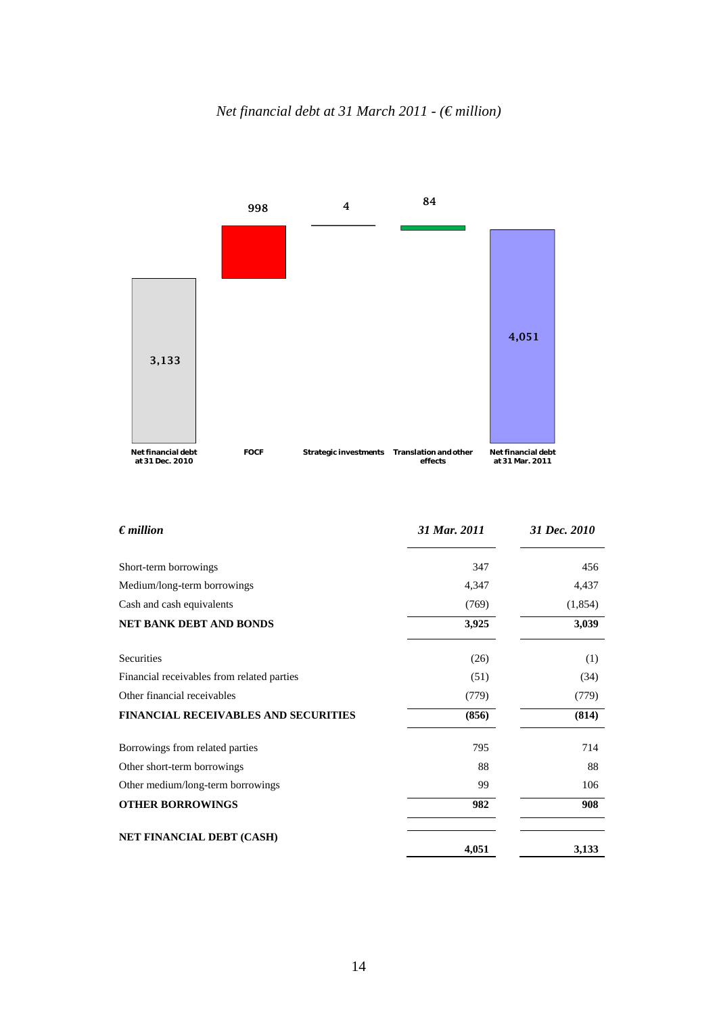



| $\epsilon$ <i>million</i>                   | 31 Mar. 2011 | 31 Dec. 2010 |
|---------------------------------------------|--------------|--------------|
| Short-term borrowings                       | 347          | 456          |
| Medium/long-term borrowings                 | 4,347        | 4,437        |
| Cash and cash equivalents                   | (769)        | (1,854)      |
| <b>NET BANK DEBT AND BONDS</b>              | 3,925        | 3,039        |
| Securities                                  | (26)         | (1)          |
| Financial receivables from related parties  | (51)         | (34)         |
| Other financial receivables                 | (779)        | (779)        |
| <b>FINANCIAL RECEIVABLES AND SECURITIES</b> | (856)        | (814)        |
| Borrowings from related parties             | 795          | 714          |
| Other short-term borrowings                 | 88           | 88           |
| Other medium/long-term borrowings           | 99           | 106          |
| <b>OTHER BORROWINGS</b>                     | 982          | 908          |
| NET FINANCIAL DEBT (CASH)                   | 4,051        | 3,133        |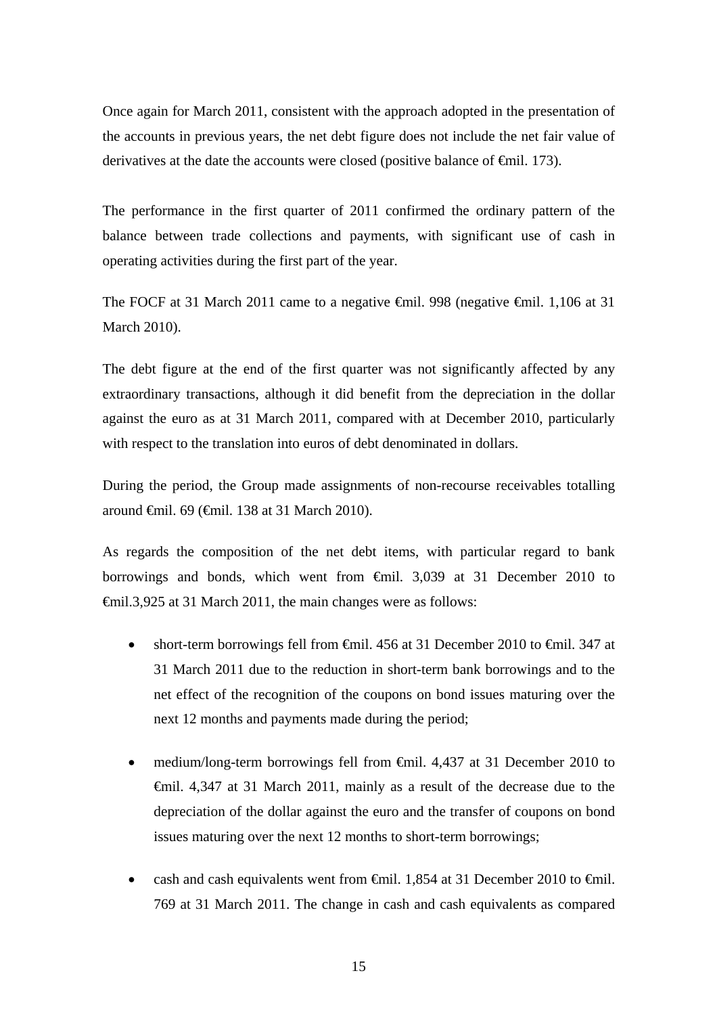Once again for March 2011, consistent with the approach adopted in the presentation of the accounts in previous years, the net debt figure does not include the net fair value of derivatives at the date the accounts were closed (positive balance of <del>€</del>mil. 173).

The performance in the first quarter of 2011 confirmed the ordinary pattern of the balance between trade collections and payments, with significant use of cash in operating activities during the first part of the year.

The FOCF at 31 March 2011 came to a negative €mil. 998 (negative €mil. 1,106 at 31 March 2010).

The debt figure at the end of the first quarter was not significantly affected by any extraordinary transactions, although it did benefit from the depreciation in the dollar against the euro as at 31 March 2011, compared with at December 2010, particularly with respect to the translation into euros of debt denominated in dollars.

During the period, the Group made assignments of non-recourse receivables totalling around €mil. 69 (€mil. 138 at 31 March 2010).

As regards the composition of the net debt items, with particular regard to bank borrowings and bonds, which went from €mil. 3,039 at 31 December 2010 to €mil.3,925 at 31 March 2011, the main changes were as follows:

- short-term borrowings fell from <del>C</del>mil. 456 at 31 December 2010 to <del>C</del>mil. 347 at 31 March 2011 due to the reduction in short-term bank borrowings and to the net effect of the recognition of the coupons on bond issues maturing over the next 12 months and payments made during the period;
- medium/long-term borrowings fell from €mil. 4,437 at 31 December 2010 to €mil. 4,347 at 31 March 2011, mainly as a result of the decrease due to the depreciation of the dollar against the euro and the transfer of coupons on bond issues maturing over the next 12 months to short-term borrowings;
- cash and cash equivalents went from  $\oplus$  iii. 1,854 at 31 December 2010 to  $\oplus$  iii. 769 at 31 March 2011. The change in cash and cash equivalents as compared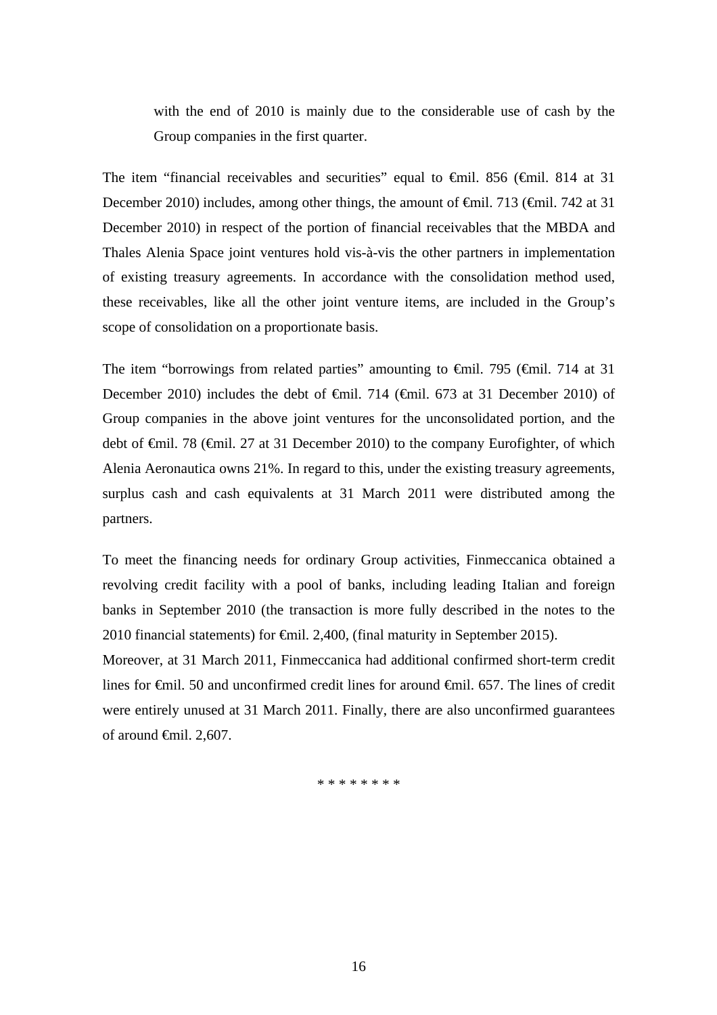with the end of 2010 is mainly due to the considerable use of cash by the Group companies in the first quarter.

The item "financial receivables and securities" equal to €mil. 856 (€mil. 814 at 31 December 2010) includes, among other things, the amount of <del>€</del>mil. 713 (€mil. 742 at 31 December 2010) in respect of the portion of financial receivables that the MBDA and Thales Alenia Space joint ventures hold vis-à-vis the other partners in implementation of existing treasury agreements. In accordance with the consolidation method used, these receivables, like all the other joint venture items, are included in the Group's scope of consolidation on a proportionate basis.

The item "borrowings from related parties" amounting to  $\theta$ mil. 795 ( $\theta$ mil. 714 at 31 December 2010) includes the debt of <del>€mil.</del> 714 (€mil. 673 at 31 December 2010) of Group companies in the above joint ventures for the unconsolidated portion, and the debt of €mil. 78 (€mil. 27 at 31 December 2010) to the company Eurofighter, of which Alenia Aeronautica owns 21%. In regard to this, under the existing treasury agreements, surplus cash and cash equivalents at 31 March 2011 were distributed among the partners.

To meet the financing needs for ordinary Group activities, Finmeccanica obtained a revolving credit facility with a pool of banks, including leading Italian and foreign banks in September 2010 (the transaction is more fully described in the notes to the 2010 financial statements) for €mil. 2,400, (final maturity in September 2015).

Moreover, at 31 March 2011, Finmeccanica had additional confirmed short-term credit lines for €mil. 50 and unconfirmed credit lines for around €mil. 657. The lines of credit were entirely unused at 31 March 2011. Finally, there are also unconfirmed guarantees of around  $\bigoplus$  finil. 2,607.

\* \* \* \* \* \* \* \*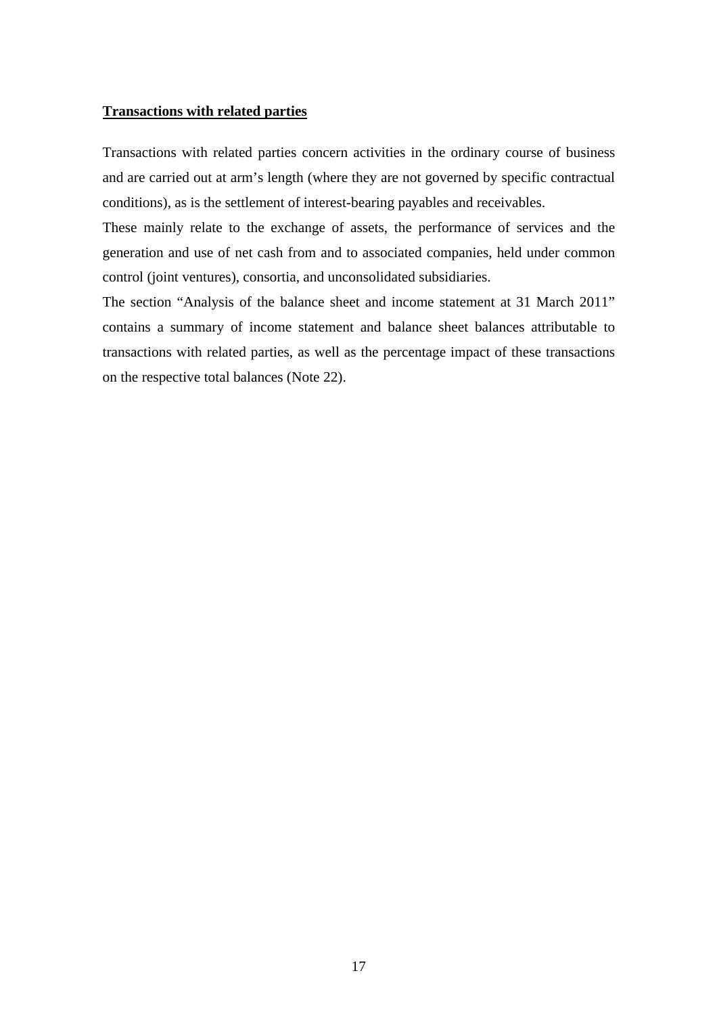#### **Transactions with related parties**

Transactions with related parties concern activities in the ordinary course of business and are carried out at arm's length (where they are not governed by specific contractual conditions), as is the settlement of interest-bearing payables and receivables.

These mainly relate to the exchange of assets, the performance of services and the generation and use of net cash from and to associated companies, held under common control (joint ventures), consortia, and unconsolidated subsidiaries.

The section "Analysis of the balance sheet and income statement at 31 March 2011" contains a summary of income statement and balance sheet balances attributable to transactions with related parties, as well as the percentage impact of these transactions on the respective total balances (Note 22).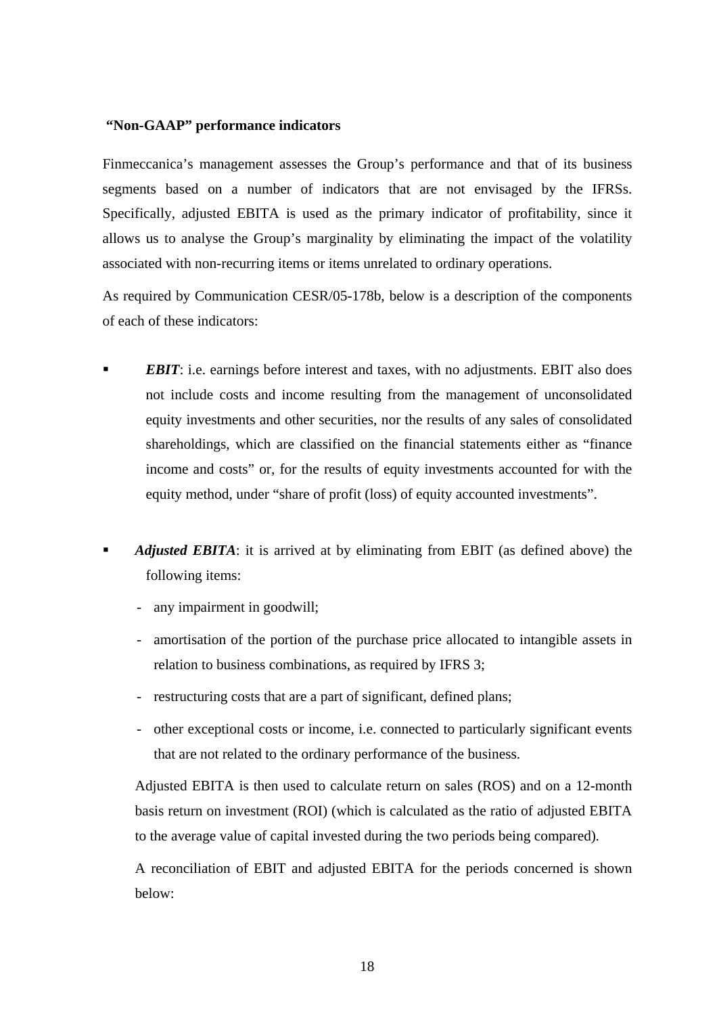#### **"Non-GAAP" performance indicators**

Finmeccanica's management assesses the Group's performance and that of its business segments based on a number of indicators that are not envisaged by the IFRSs. Specifically, adjusted EBITA is used as the primary indicator of profitability, since it allows us to analyse the Group's marginality by eliminating the impact of the volatility associated with non-recurring items or items unrelated to ordinary operations.

As required by Communication CESR/05-178b, below is a description of the components of each of these indicators:

- *EBIT*: i.e. earnings before interest and taxes, with no adjustments. EBIT also does not include costs and income resulting from the management of unconsolidated equity investments and other securities, nor the results of any sales of consolidated shareholdings, which are classified on the financial statements either as "finance income and costs" or, for the results of equity investments accounted for with the equity method, under "share of profit (loss) of equity accounted investments".
- *Adjusted EBITA*: it is arrived at by eliminating from EBIT (as defined above) the following items:
	- any impairment in goodwill;
	- amortisation of the portion of the purchase price allocated to intangible assets in relation to business combinations, as required by IFRS 3;
	- restructuring costs that are a part of significant, defined plans;
	- other exceptional costs or income, i.e. connected to particularly significant events that are not related to the ordinary performance of the business.

Adjusted EBITA is then used to calculate return on sales (ROS) and on a 12-month basis return on investment (ROI) (which is calculated as the ratio of adjusted EBITA to the average value of capital invested during the two periods being compared)*.*

A reconciliation of EBIT and adjusted EBITA for the periods concerned is shown below: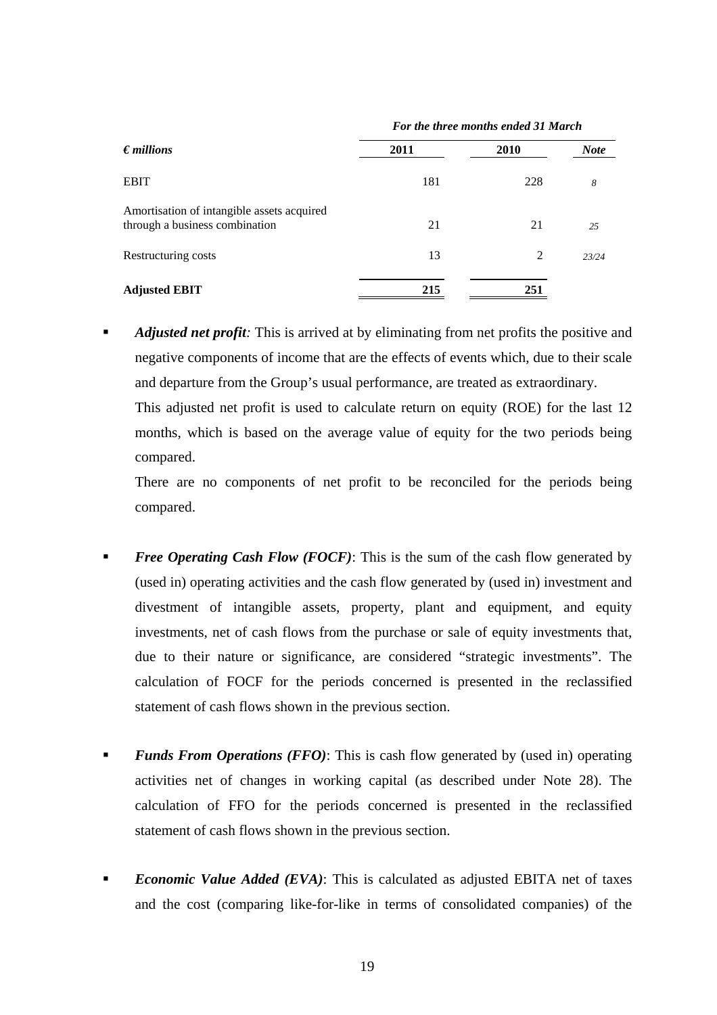|                                                                              | For the three months ended 31 March |      |             |  |  |  |
|------------------------------------------------------------------------------|-------------------------------------|------|-------------|--|--|--|
| $\epsilon$ <i>millions</i>                                                   | 2011                                | 2010 | <b>Note</b> |  |  |  |
| <b>EBIT</b>                                                                  | 181                                 | 228  | 8           |  |  |  |
| Amortisation of intangible assets acquired<br>through a business combination | 21                                  | 21   | 25          |  |  |  |
| Restructuring costs                                                          | 13                                  | 2    | 23/24       |  |  |  |
| <b>Adjusted EBIT</b>                                                         | 215                                 | 251  |             |  |  |  |

 *Adjusted net profit:* This is arrived at by eliminating from net profits the positive and negative components of income that are the effects of events which, due to their scale

and departure from the Group's usual performance, are treated as extraordinary.

This adjusted net profit is used to calculate return on equity (ROE) for the last 12 months, which is based on the average value of equity for the two periods being compared.

There are no components of net profit to be reconciled for the periods being compared.

- **Figure 1** Figure *Free Operating Cash Flow (FOCF)*: This is the sum of the cash flow generated by (used in) operating activities and the cash flow generated by (used in) investment and divestment of intangible assets, property, plant and equipment, and equity investments, net of cash flows from the purchase or sale of equity investments that, due to their nature or significance, are considered "strategic investments". The calculation of FOCF for the periods concerned is presented in the reclassified statement of cash flows shown in the previous section.
- *Funds From Operations (FFO)*: This is cash flow generated by (used in) operating activities net of changes in working capital (as described under Note 28). The calculation of FFO for the periods concerned is presented in the reclassified statement of cash flows shown in the previous section.
- *Economic Value Added (EVA)*: This is calculated as adjusted EBITA net of taxes and the cost (comparing like-for-like in terms of consolidated companies) of the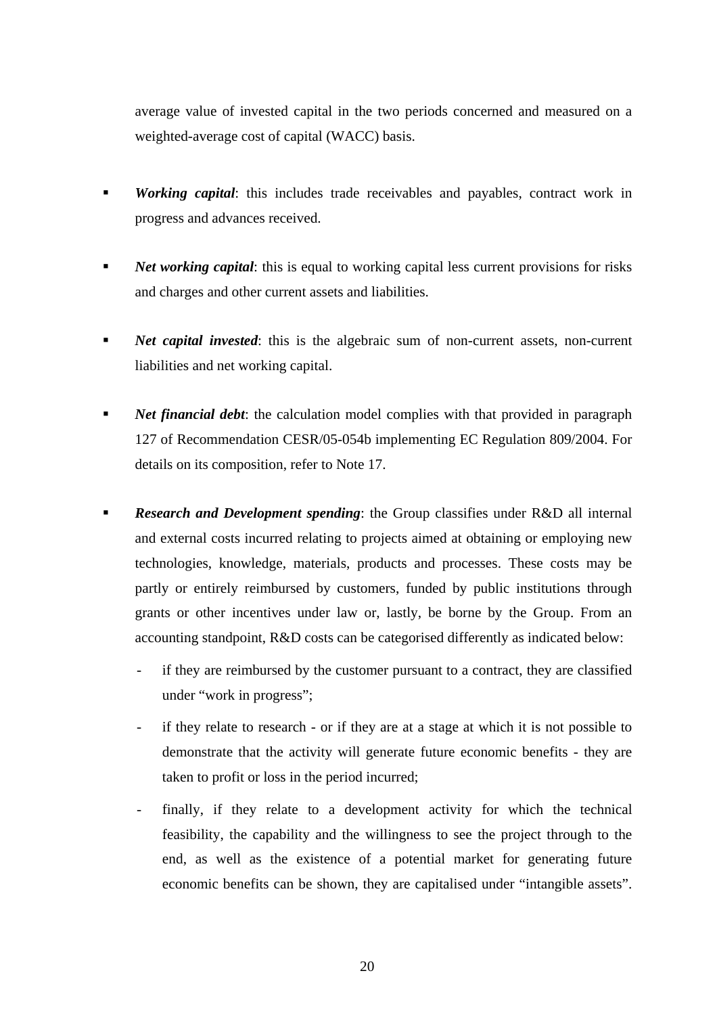average value of invested capital in the two periods concerned and measured on a weighted-average cost of capital (WACC) basis.

- *Working capital*: this includes trade receivables and payables, contract work in progress and advances received.
- **Net working capital:** this is equal to working capital less current provisions for risks and charges and other current assets and liabilities.
- **Net capital invested:** this is the algebraic sum of non-current assets, non-current liabilities and net working capital.
- *Net financial debt*: the calculation model complies with that provided in paragraph 127 of Recommendation CESR/05-054b implementing EC Regulation 809/2004. For details on its composition, refer to Note 17.
- **Research and Development spending:** the Group classifies under R&D all internal and external costs incurred relating to projects aimed at obtaining or employing new technologies, knowledge, materials, products and processes. These costs may be partly or entirely reimbursed by customers, funded by public institutions through grants or other incentives under law or, lastly, be borne by the Group. From an accounting standpoint, R&D costs can be categorised differently as indicated below:
	- if they are reimbursed by the customer pursuant to a contract, they are classified under "work in progress";
	- if they relate to research or if they are at a stage at which it is not possible to demonstrate that the activity will generate future economic benefits - they are taken to profit or loss in the period incurred;
	- finally, if they relate to a development activity for which the technical feasibility, the capability and the willingness to see the project through to the end, as well as the existence of a potential market for generating future economic benefits can be shown, they are capitalised under "intangible assets".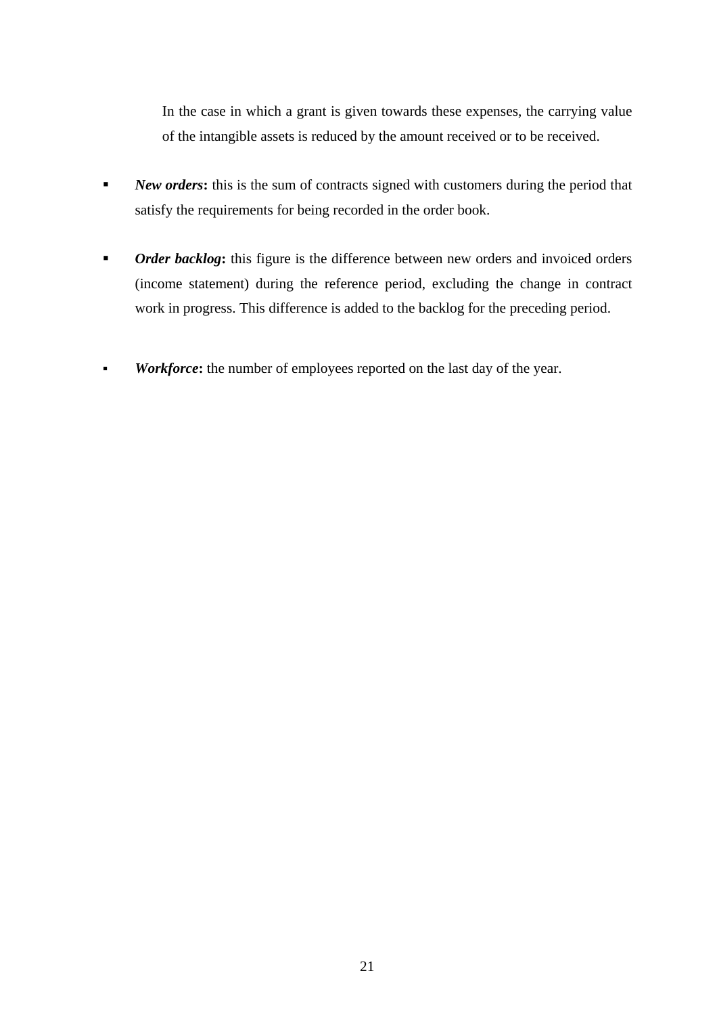In the case in which a grant is given towards these expenses, the carrying value of the intangible assets is reduced by the amount received or to be received.

- **New orders:** this is the sum of contracts signed with customers during the period that satisfy the requirements for being recorded in the order book.
- *Order backlog*: this figure is the difference between new orders and invoiced orders (income statement) during the reference period, excluding the change in contract work in progress. This difference is added to the backlog for the preceding period.
- **Workforce:** the number of employees reported on the last day of the year.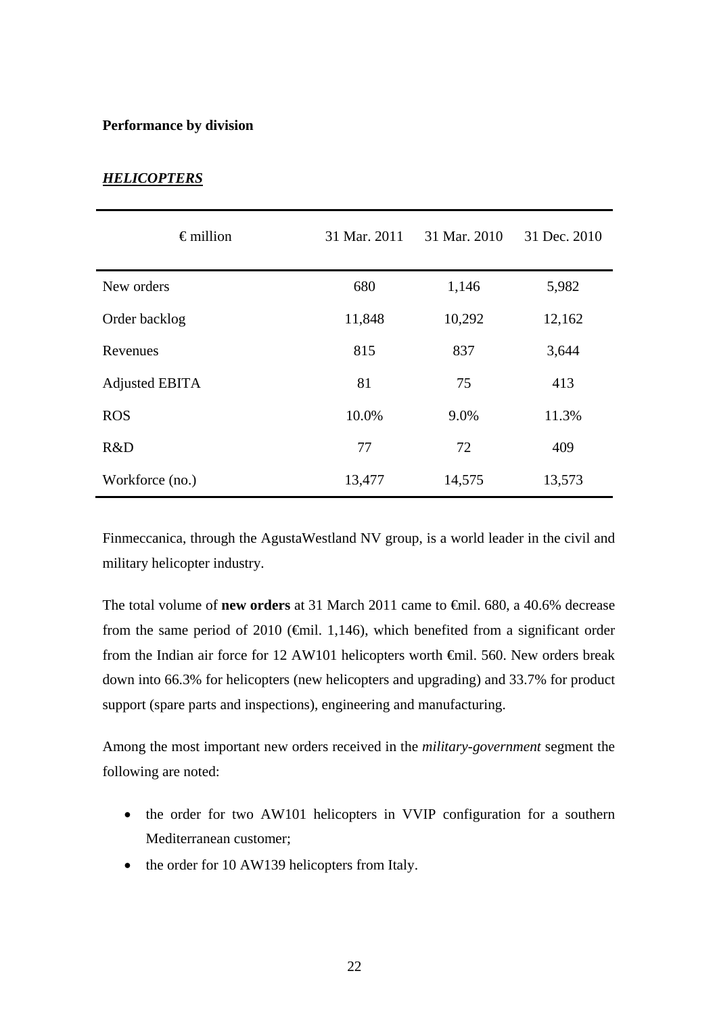### **Performance by division**

| $\epsilon$ million    | 31 Mar. 2011 | 31 Mar. 2010 | 31 Dec. 2010 |
|-----------------------|--------------|--------------|--------------|
| New orders            | 680          | 1,146        | 5,982        |
| Order backlog         | 11,848       | 10,292       | 12,162       |
| Revenues              | 815          | 837          | 3,644        |
| <b>Adjusted EBITA</b> | 81           | 75           | 413          |
| <b>ROS</b>            | 10.0%        | 9.0%         | 11.3%        |
| R&D                   | 77           | 72           | 409          |
| Workforce (no.)       | 13,477       | 14,575       | 13,573       |

## *HELICOPTERS*

Finmeccanica, through the AgustaWestland NV group, is a world leader in the civil and military helicopter industry.

The total volume of **new orders** at 31 March 2011 came to €mil. 680, a 40.6% decrease from the same period of 2010 ( $\bigoplus$ nil. 1,146), which benefited from a significant order from the Indian air force for 12 AW101 helicopters worth €mil. 560. New orders break down into 66.3% for helicopters (new helicopters and upgrading) and 33.7% for product support (spare parts and inspections), engineering and manufacturing.

Among the most important new orders received in the *military-government* segment the following are noted:

- the order for two AW101 helicopters in VVIP configuration for a southern Mediterranean customer;
- the order for 10 AW139 helicopters from Italy.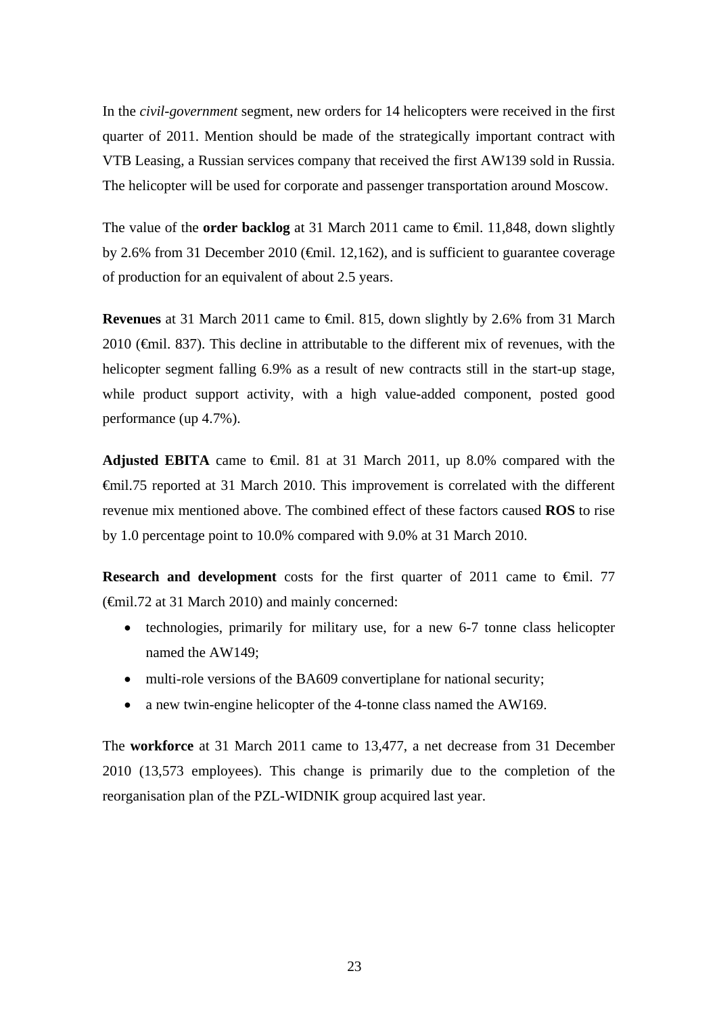In the *civil-government* segment, new orders for 14 helicopters were received in the first quarter of 2011. Mention should be made of the strategically important contract with VTB Leasing, a Russian services company that received the first AW139 sold in Russia. The helicopter will be used for corporate and passenger transportation around Moscow.

The value of the **order backlog** at 31 March 2011 came to €mil. 11,848, down slightly by 2.6% from 31 December 2010 (€mil. 12,162), and is sufficient to guarantee coverage of production for an equivalent of about 2.5 years.

**Revenues** at 31 March 2011 came to €mil. 815, down slightly by 2.6% from 31 March 2010 (€mil. 837). This decline in attributable to the different mix of revenues, with the helicopter segment falling 6.9% as a result of new contracts still in the start-up stage, while product support activity, with a high value-added component, posted good performance (up 4.7%).

**Adjusted EBITA** came to €mil. 81 at 31 March 2011, up 8.0% compared with the €mil.75 reported at 31 March 2010. This improvement is correlated with the different revenue mix mentioned above. The combined effect of these factors caused **ROS** to rise by 1.0 percentage point to 10.0% compared with 9.0% at 31 March 2010.

**Research and development** costs for the first quarter of 2011 came to €mil. 77 (€mil.72 at 31 March 2010) and mainly concerned:

- technologies, primarily for military use, for a new 6-7 tonne class helicopter named the AW149;
- multi-role versions of the BA609 convertiplane for national security;
- a new twin-engine helicopter of the 4-tonne class named the AW169.

The **workforce** at 31 March 2011 came to 13,477, a net decrease from 31 December 2010 (13,573 employees). This change is primarily due to the completion of the reorganisation plan of the PZL-WIDNIK group acquired last year.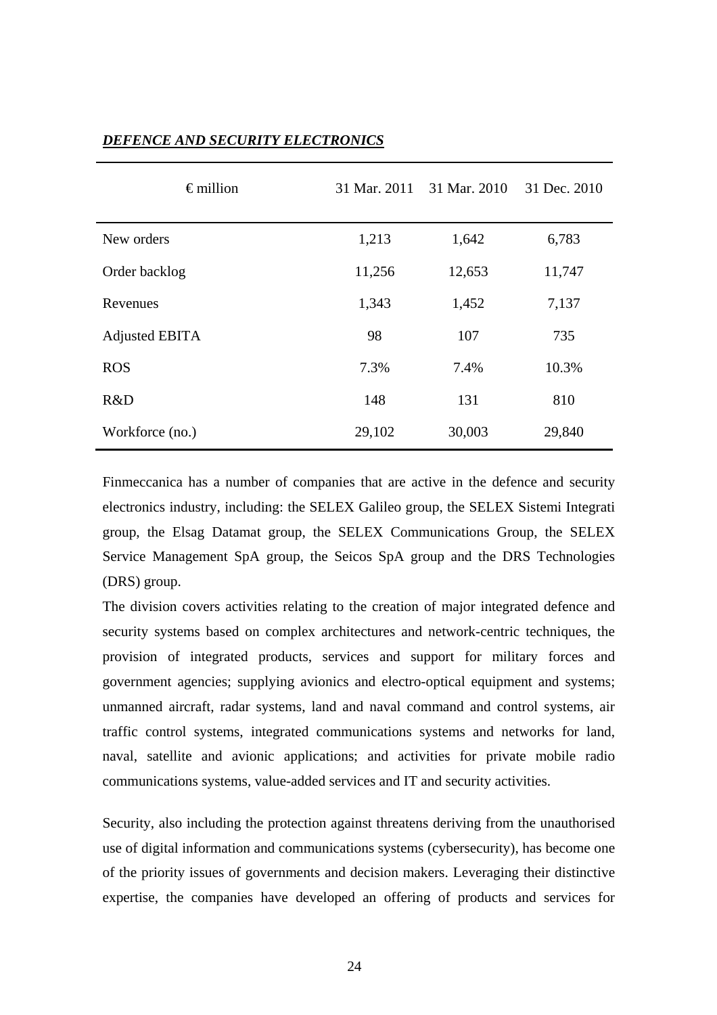| $\epsilon$ million    | 31 Mar. 2011 | 31 Mar. 2010 | 31 Dec. 2010 |
|-----------------------|--------------|--------------|--------------|
| New orders            | 1,213        | 1,642        | 6,783        |
| Order backlog         | 11,256       | 12,653       | 11,747       |
| Revenues              | 1,343        | 1,452        | 7,137        |
| <b>Adjusted EBITA</b> | 98           | 107          | 735          |
| <b>ROS</b>            | 7.3%         | 7.4%         | 10.3%        |
| R&D                   | 148          | 131          | 810          |
| Workforce (no.)       | 29,102       | 30,003       | 29,840       |

# *DEFENCE AND SECURITY ELECTRONICS*

Finmeccanica has a number of companies that are active in the defence and security electronics industry, including: the SELEX Galileo group, the SELEX Sistemi Integrati group, the Elsag Datamat group, the SELEX Communications Group, the SELEX Service Management SpA group, the Seicos SpA group and the DRS Technologies (DRS) group.

The division covers activities relating to the creation of major integrated defence and security systems based on complex architectures and network-centric techniques, the provision of integrated products, services and support for military forces and government agencies; supplying avionics and electro-optical equipment and systems; unmanned aircraft, radar systems, land and naval command and control systems, air traffic control systems, integrated communications systems and networks for land, naval, satellite and avionic applications; and activities for private mobile radio communications systems, value-added services and IT and security activities.

Security, also including the protection against threatens deriving from the unauthorised use of digital information and communications systems (cybersecurity), has become one of the priority issues of governments and decision makers. Leveraging their distinctive expertise, the companies have developed an offering of products and services for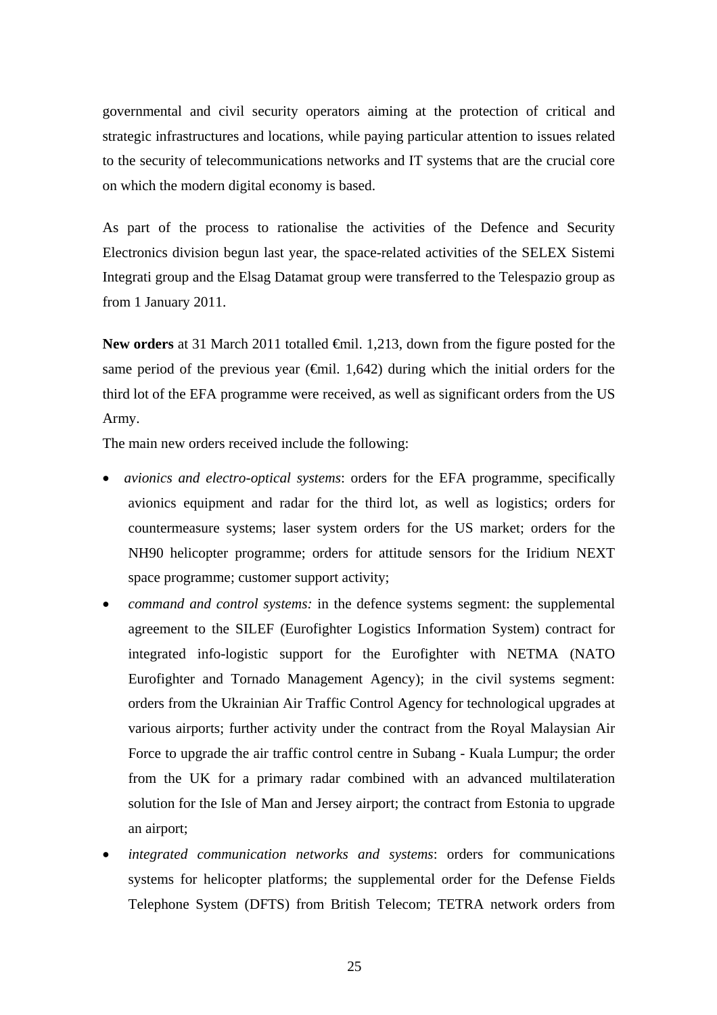governmental and civil security operators aiming at the protection of critical and strategic infrastructures and locations, while paying particular attention to issues related to the security of telecommunications networks and IT systems that are the crucial core on which the modern digital economy is based.

As part of the process to rationalise the activities of the Defence and Security Electronics division begun last year, the space-related activities of the SELEX Sistemi Integrati group and the Elsag Datamat group were transferred to the Telespazio group as from 1 January 2011.

New orders at 31 March 2011 totalled <del>€</del>mil. 1,213, down from the figure posted for the same period of the previous year ( $\epsilon$ mil. 1,642) during which the initial orders for the third lot of the EFA programme were received, as well as significant orders from the US Army.

The main new orders received include the following:

- *avionics and electro-optical systems*: orders for the EFA programme, specifically avionics equipment and radar for the third lot, as well as logistics; orders for countermeasure systems; laser system orders for the US market; orders for the NH90 helicopter programme; orders for attitude sensors for the Iridium NEXT space programme; customer support activity;
- *command and control systems:* in the defence systems segment: the supplemental agreement to the SILEF (Eurofighter Logistics Information System) contract for integrated info-logistic support for the Eurofighter with NETMA (NATO Eurofighter and Tornado Management Agency); in the civil systems segment: orders from the Ukrainian Air Traffic Control Agency for technological upgrades at various airports; further activity under the contract from the Royal Malaysian Air Force to upgrade the air traffic control centre in Subang - Kuala Lumpur; the order from the UK for a primary radar combined with an advanced multilateration solution for the Isle of Man and Jersey airport; the contract from Estonia to upgrade an airport;
- *integrated communication networks and systems*: orders for communications systems for helicopter platforms; the supplemental order for the Defense Fields Telephone System (DFTS) from British Telecom; TETRA network orders from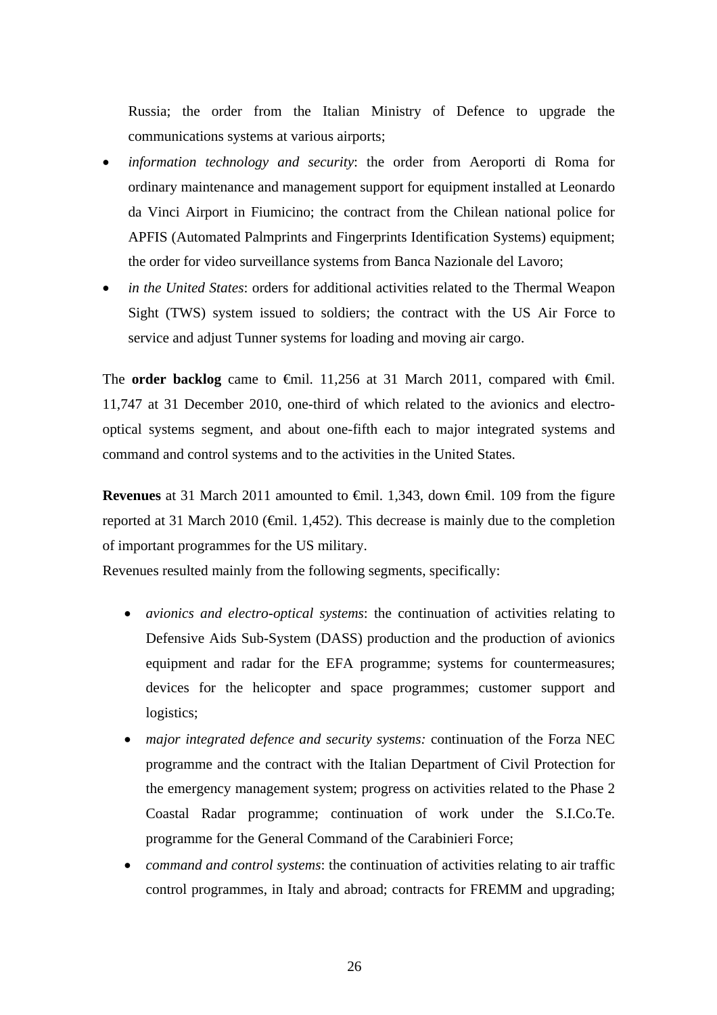Russia; the order from the Italian Ministry of Defence to upgrade the communications systems at various airports;

- *information technology and security*: the order from Aeroporti di Roma for ordinary maintenance and management support for equipment installed at Leonardo da Vinci Airport in Fiumicino; the contract from the Chilean national police for APFIS (Automated Palmprints and Fingerprints Identification Systems) equipment; the order for video surveillance systems from Banca Nazionale del Lavoro;
- *in the United States*: orders for additional activities related to the Thermal Weapon Sight (TWS) system issued to soldiers; the contract with the US Air Force to service and adjust Tunner systems for loading and moving air cargo.

The **order backlog** came to  $\theta$ mil. 11,256 at 31 March 2011, compared with  $\theta$ mil. 11,747 at 31 December 2010, one-third of which related to the avionics and electrooptical systems segment, and about one-fifth each to major integrated systems and command and control systems and to the activities in the United States.

**Revenues** at 31 March 2011 amounted to €mil. 1,343, down €mil. 109 from the figure reported at 31 March 2010 (€mil. 1,452). This decrease is mainly due to the completion of important programmes for the US military.

Revenues resulted mainly from the following segments, specifically:

- *avionics and electro-optical systems*: the continuation of activities relating to Defensive Aids Sub-System (DASS) production and the production of avionics equipment and radar for the EFA programme; systems for countermeasures; devices for the helicopter and space programmes; customer support and logistics;
- *major integrated defence and security systems:* continuation of the Forza NEC programme and the contract with the Italian Department of Civil Protection for the emergency management system; progress on activities related to the Phase 2 Coastal Radar programme; continuation of work under the S.I.Co.Te. programme for the General Command of the Carabinieri Force;
- *command and control systems*: the continuation of activities relating to air traffic control programmes, in Italy and abroad; contracts for FREMM and upgrading;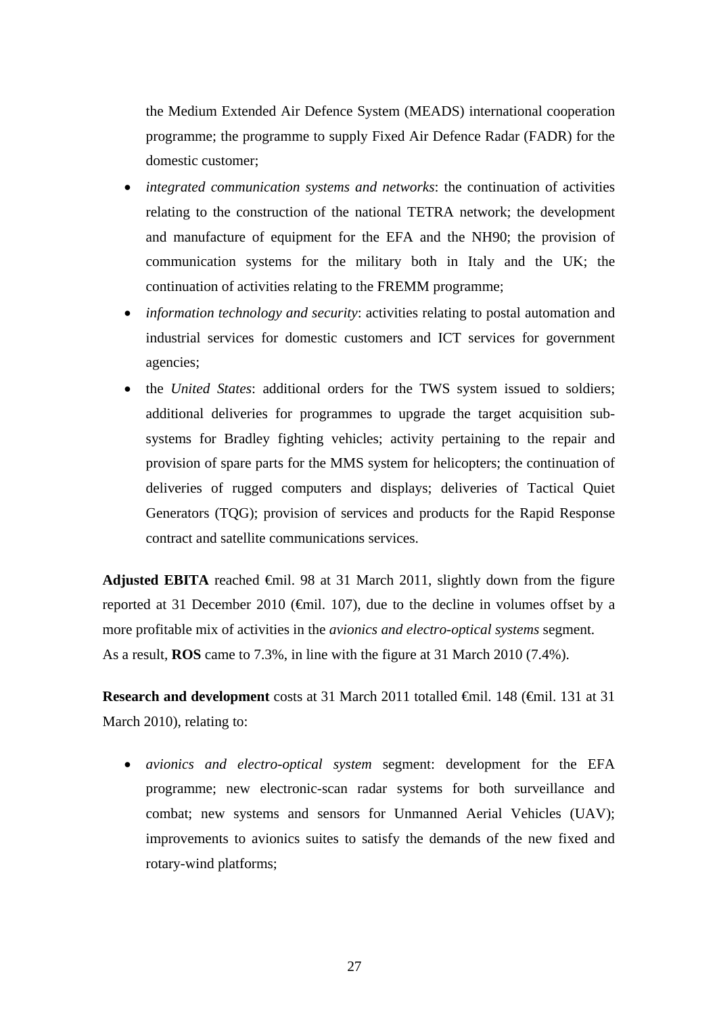the Medium Extended Air Defence System (MEADS) international cooperation programme; the programme to supply Fixed Air Defence Radar (FADR) for the domestic customer;

- *integrated communication systems and networks*: the continuation of activities relating to the construction of the national TETRA network; the development and manufacture of equipment for the EFA and the NH90; the provision of communication systems for the military both in Italy and the UK; the continuation of activities relating to the FREMM programme;
- *information technology and security*: activities relating to postal automation and industrial services for domestic customers and ICT services for government agencies;
- the *United States*: additional orders for the TWS system issued to soldiers; additional deliveries for programmes to upgrade the target acquisition subsystems for Bradley fighting vehicles; activity pertaining to the repair and provision of spare parts for the MMS system for helicopters; the continuation of deliveries of rugged computers and displays; deliveries of Tactical Quiet Generators (TQG); provision of services and products for the Rapid Response contract and satellite communications services.

Adjusted EBITA reached <del>€</del>mil. 98 at 31 March 2011, slightly down from the figure reported at 31 December 2010 ( $\epsilon$ mil. 107), due to the decline in volumes offset by a more profitable mix of activities in the *avionics and electro-optical systems* segment. As a result, **ROS** came to 7.3%, in line with the figure at 31 March 2010 (7.4%).

**Research and development** costs at 31 March 2011 totalled <del>C</del>mil. 148 (<del>C</del>mil. 131 at 31 March 2010), relating to:

 *avionics and electro-optical system* segment: development for the EFA programme; new electronic-scan radar systems for both surveillance and combat; new systems and sensors for Unmanned Aerial Vehicles (UAV); improvements to avionics suites to satisfy the demands of the new fixed and rotary-wind platforms;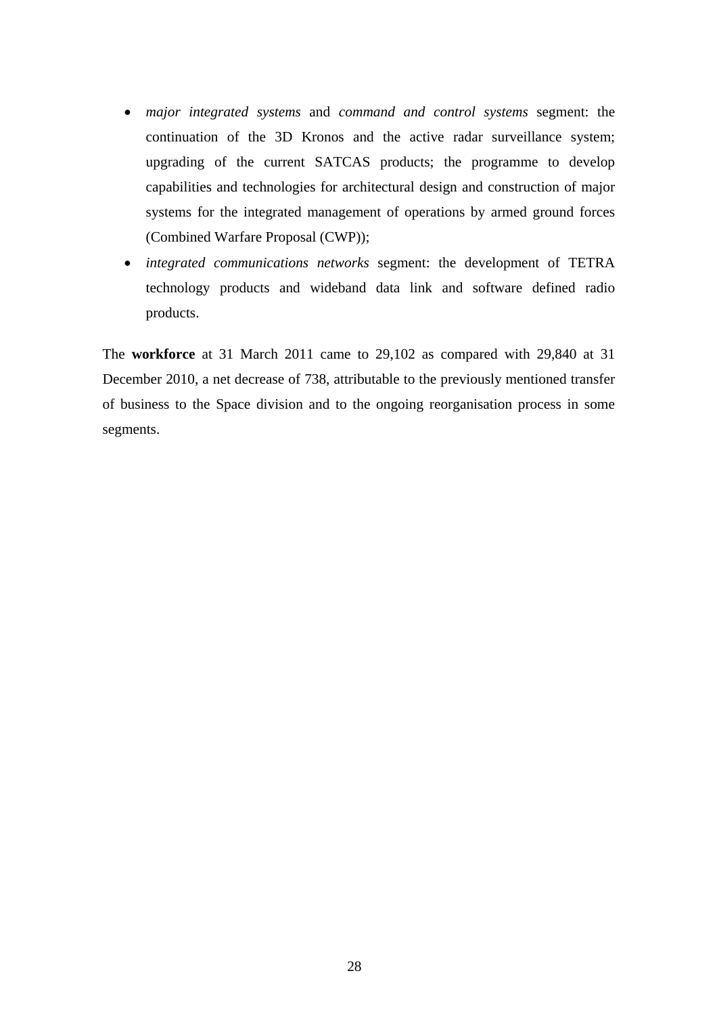- *major integrated systems* and *command and control systems* segment: the continuation of the 3D Kronos and the active radar surveillance system; upgrading of the current SATCAS products; the programme to develop capabilities and technologies for architectural design and construction of major systems for the integrated management of operations by armed ground forces (Combined Warfare Proposal (CWP));
- *integrated communications networks* segment: the development of TETRA technology products and wideband data link and software defined radio products.

The **workforce** at 31 March 2011 came to 29,102 as compared with 29,840 at 31 December 2010, a net decrease of 738, attributable to the previously mentioned transfer of business to the Space division and to the ongoing reorganisation process in some segments.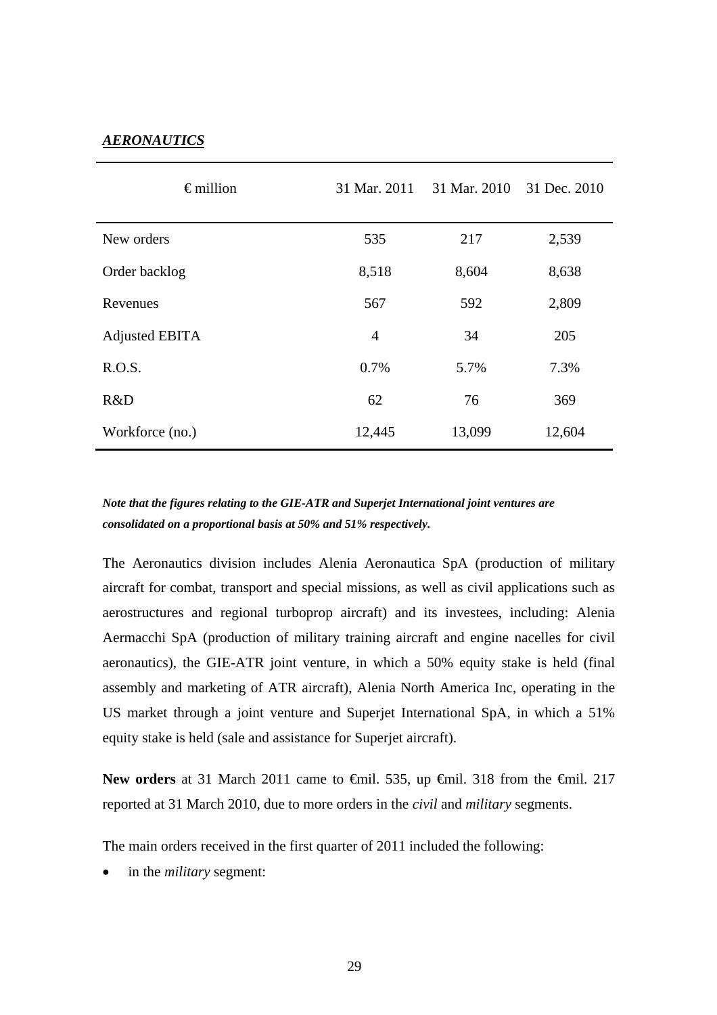#### *AERONAUTICS*

| $\epsilon$ million    | 31 Mar. 2011   | 31 Mar. 2010 | 31 Dec. 2010 |
|-----------------------|----------------|--------------|--------------|
| New orders            | 535            | 217          | 2,539        |
| Order backlog         | 8,518          | 8,604        | 8,638        |
| Revenues              | 567            | 592          | 2,809        |
| <b>Adjusted EBITA</b> | $\overline{4}$ | 34           | 205          |
| R.O.S.                | 0.7%           | 5.7%         | 7.3%         |
| R&D                   | 62             | 76           | 369          |
| Workforce (no.)       | 12,445         | 13,099       | 12,604       |

# *Note that the figures relating to the GIE-ATR and Superjet International joint ventures are consolidated on a proportional basis at 50% and 51% respectively.*

The Aeronautics division includes Alenia Aeronautica SpA (production of military aircraft for combat, transport and special missions, as well as civil applications such as aerostructures and regional turboprop aircraft) and its investees, including: Alenia Aermacchi SpA (production of military training aircraft and engine nacelles for civil aeronautics), the GIE-ATR joint venture, in which a 50% equity stake is held (final assembly and marketing of ATR aircraft), Alenia North America Inc, operating in the US market through a joint venture and Superjet International SpA, in which a 51% equity stake is held (sale and assistance for Superjet aircraft).

New orders at 31 March 2011 came to <del>€mil.</del> 535, up <del>€mil.</del> 318 from the <del>€mil.</del> 217 reported at 31 March 2010, due to more orders in the *civil* and *military* segments.

The main orders received in the first quarter of 2011 included the following:

in the *military* segment: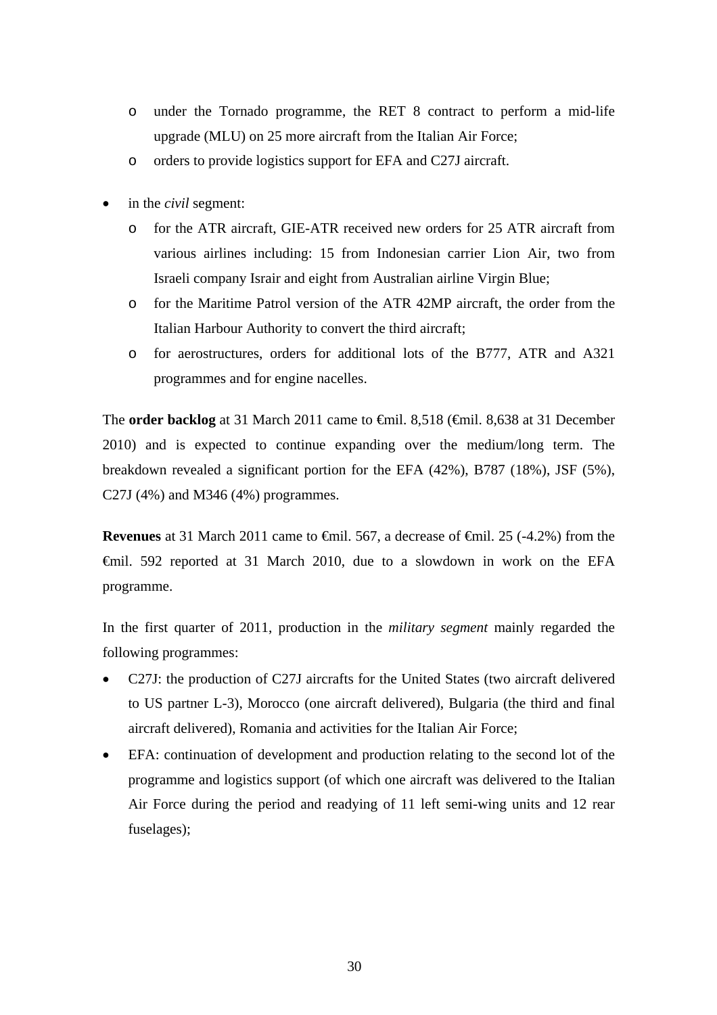- o under the Tornado programme, the RET 8 contract to perform a mid-life upgrade (MLU) on 25 more aircraft from the Italian Air Force;
- o orders to provide logistics support for EFA and C27J aircraft.
- in the *civil* segment:
	- o for the ATR aircraft, GIE-ATR received new orders for 25 ATR aircraft from various airlines including: 15 from Indonesian carrier Lion Air, two from Israeli company Israir and eight from Australian airline Virgin Blue;
	- o for the Maritime Patrol version of the ATR 42MP aircraft, the order from the Italian Harbour Authority to convert the third aircraft;
	- o for aerostructures, orders for additional lots of the B777, ATR and A321 programmes and for engine nacelles.

The **order backlog** at 31 March 2011 came to <del>€</del>mil. 8,518 (€mil. 8,638 at 31 December 2010) and is expected to continue expanding over the medium/long term. The breakdown revealed a significant portion for the EFA (42%), B787 (18%), JSF (5%), C27J (4%) and M346 (4%) programmes.

**Revenues** at 31 March 2011 came to €mil. 567, a decrease of €mil. 25 (-4.2%) from the €mil. 592 reported at 31 March 2010, due to a slowdown in work on the EFA programme.

In the first quarter of 2011, production in the *military segment* mainly regarded the following programmes:

- C27J: the production of C27J aircrafts for the United States (two aircraft delivered to US partner L-3), Morocco (one aircraft delivered), Bulgaria (the third and final aircraft delivered), Romania and activities for the Italian Air Force;
- EFA: continuation of development and production relating to the second lot of the programme and logistics support (of which one aircraft was delivered to the Italian Air Force during the period and readying of 11 left semi-wing units and 12 rear fuselages);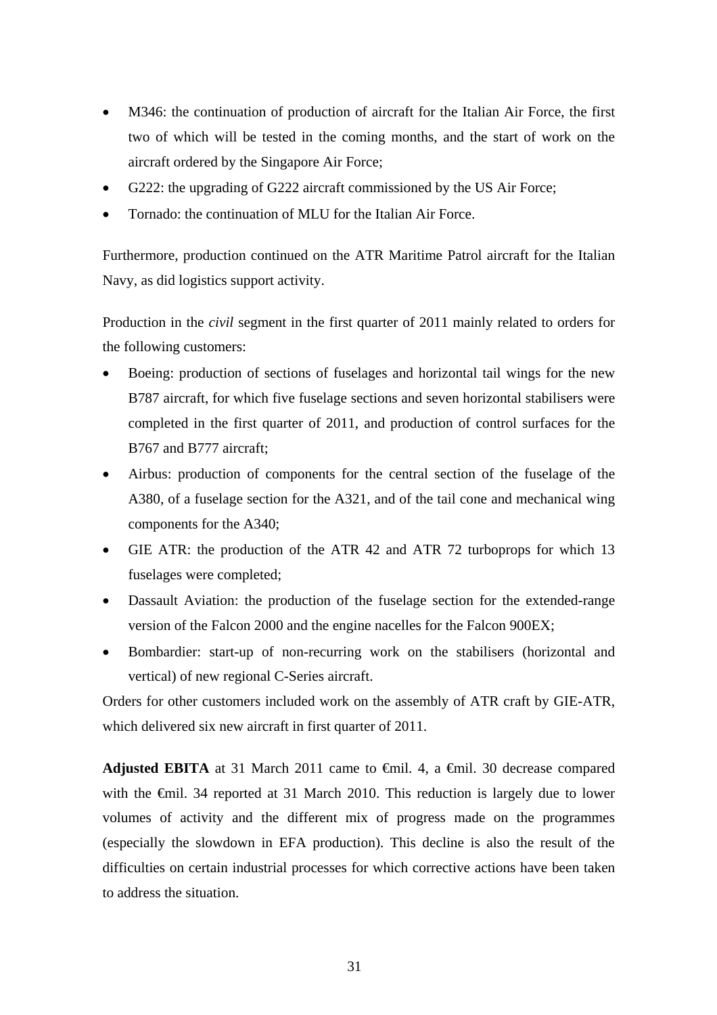- M346: the continuation of production of aircraft for the Italian Air Force, the first two of which will be tested in the coming months, and the start of work on the aircraft ordered by the Singapore Air Force;
- G222: the upgrading of G222 aircraft commissioned by the US Air Force;
- Tornado: the continuation of MLU for the Italian Air Force.

Furthermore, production continued on the ATR Maritime Patrol aircraft for the Italian Navy, as did logistics support activity.

Production in the *civil* segment in the first quarter of 2011 mainly related to orders for the following customers:

- Boeing: production of sections of fuselages and horizontal tail wings for the new B787 aircraft, for which five fuselage sections and seven horizontal stabilisers were completed in the first quarter of 2011, and production of control surfaces for the B767 and B777 aircraft;
- Airbus: production of components for the central section of the fuselage of the A380, of a fuselage section for the A321, and of the tail cone and mechanical wing components for the A340;
- GIE ATR: the production of the ATR 42 and ATR 72 turboprops for which 13 fuselages were completed;
- Dassault Aviation: the production of the fuselage section for the extended-range version of the Falcon 2000 and the engine nacelles for the Falcon 900EX;
- Bombardier: start-up of non-recurring work on the stabilisers (horizontal and vertical) of new regional C-Series aircraft.

Orders for other customers included work on the assembly of ATR craft by GIE-ATR, which delivered six new aircraft in first quarter of 2011.

Adjusted EBITA at 31 March 2011 came to <del>€</del>mil. 4, a €mil. 30 decrease compared with the €mil. 34 reported at 31 March 2010. This reduction is largely due to lower volumes of activity and the different mix of progress made on the programmes (especially the slowdown in EFA production). This decline is also the result of the difficulties on certain industrial processes for which corrective actions have been taken to address the situation.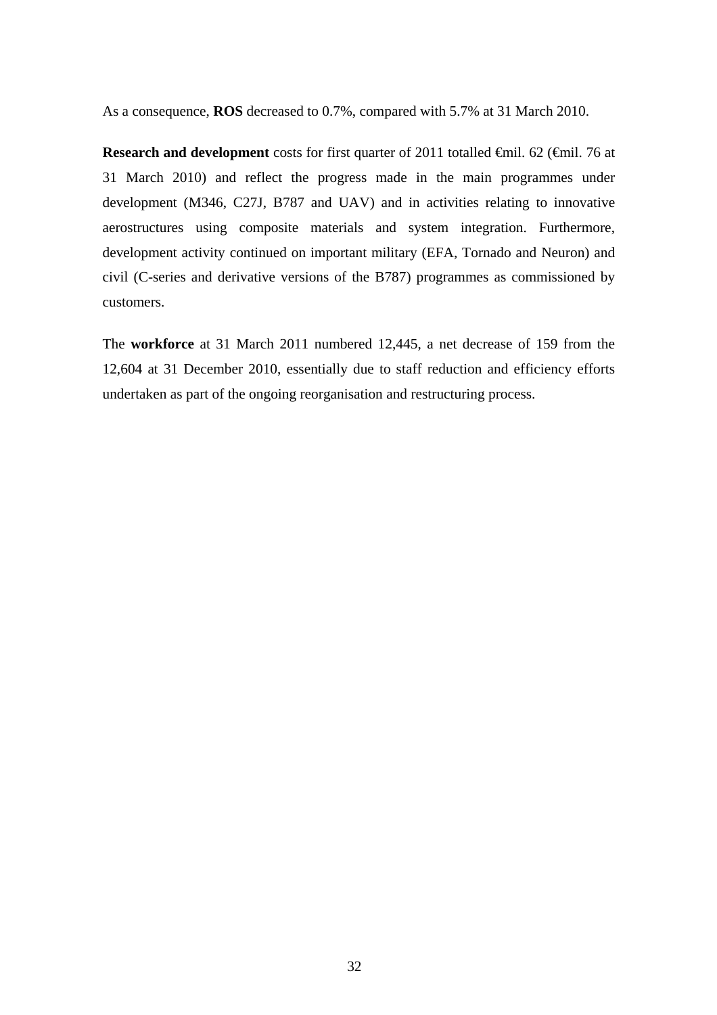As a consequence, **ROS** decreased to 0.7%, compared with 5.7% at 31 March 2010.

**Research and development** costs for first quarter of 2011 totalled €mil. 62 (€mil. 76 at 31 March 2010) and reflect the progress made in the main programmes under development (M346, C27J, B787 and UAV) and in activities relating to innovative aerostructures using composite materials and system integration. Furthermore, development activity continued on important military (EFA, Tornado and Neuron) and civil (C-series and derivative versions of the B787) programmes as commissioned by customers.

The **workforce** at 31 March 2011 numbered 12,445, a net decrease of 159 from the 12,604 at 31 December 2010, essentially due to staff reduction and efficiency efforts undertaken as part of the ongoing reorganisation and restructuring process.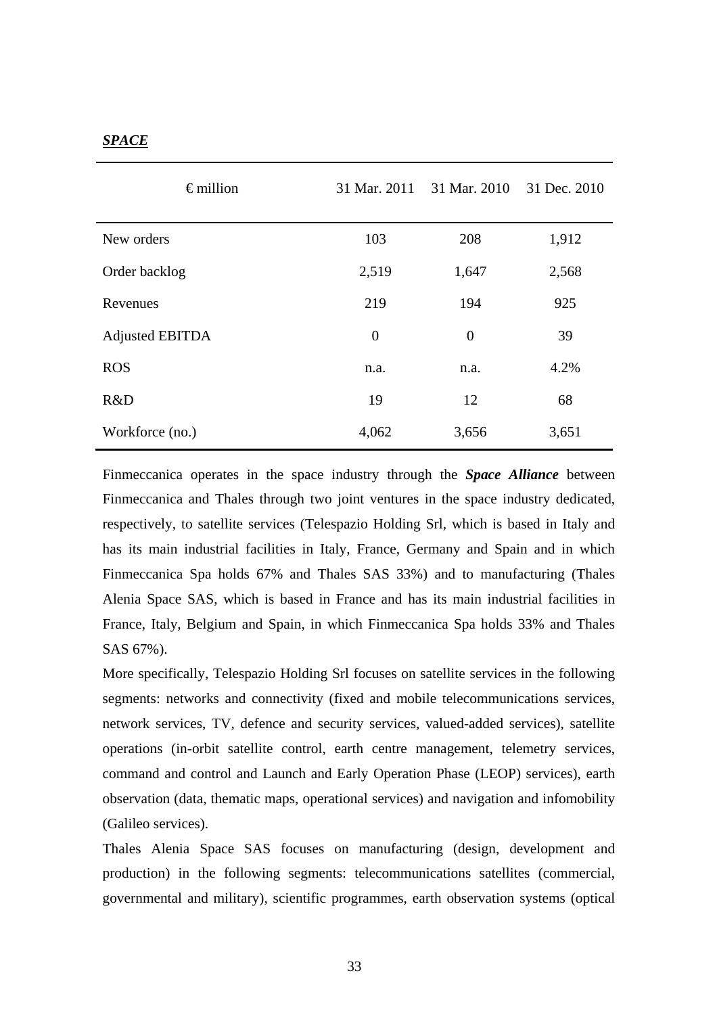| $\epsilon$ million     | 31 Mar. 2011   | 31 Mar. 2010   | 31 Dec. 2010 |
|------------------------|----------------|----------------|--------------|
| New orders             | 103            | 208            | 1,912        |
| Order backlog          | 2,519          | 1,647          | 2,568        |
| Revenues               | 219            | 194            | 925          |
| <b>Adjusted EBITDA</b> | $\overline{0}$ | $\overline{0}$ | 39           |
| <b>ROS</b>             | n.a.           | n.a.           | 4.2%         |
| R&D                    | 19             | 12             | 68           |
| Workforce (no.)        | 4,062          | 3,656          | 3,651        |

Finmeccanica operates in the space industry through the *Space Alliance* between Finmeccanica and Thales through two joint ventures in the space industry dedicated, respectively, to satellite services (Telespazio Holding Srl, which is based in Italy and has its main industrial facilities in Italy, France, Germany and Spain and in which Finmeccanica Spa holds 67% and Thales SAS 33%) and to manufacturing (Thales Alenia Space SAS, which is based in France and has its main industrial facilities in France, Italy, Belgium and Spain, in which Finmeccanica Spa holds 33% and Thales SAS 67%).

More specifically, Telespazio Holding Srl focuses on satellite services in the following segments: networks and connectivity (fixed and mobile telecommunications services, network services, TV, defence and security services, valued-added services), satellite operations (in-orbit satellite control, earth centre management, telemetry services, command and control and Launch and Early Operation Phase (LEOP) services), earth observation (data, thematic maps, operational services) and navigation and infomobility (Galileo services).

Thales Alenia Space SAS focuses on manufacturing (design, development and production) in the following segments: telecommunications satellites (commercial, governmental and military), scientific programmes, earth observation systems (optical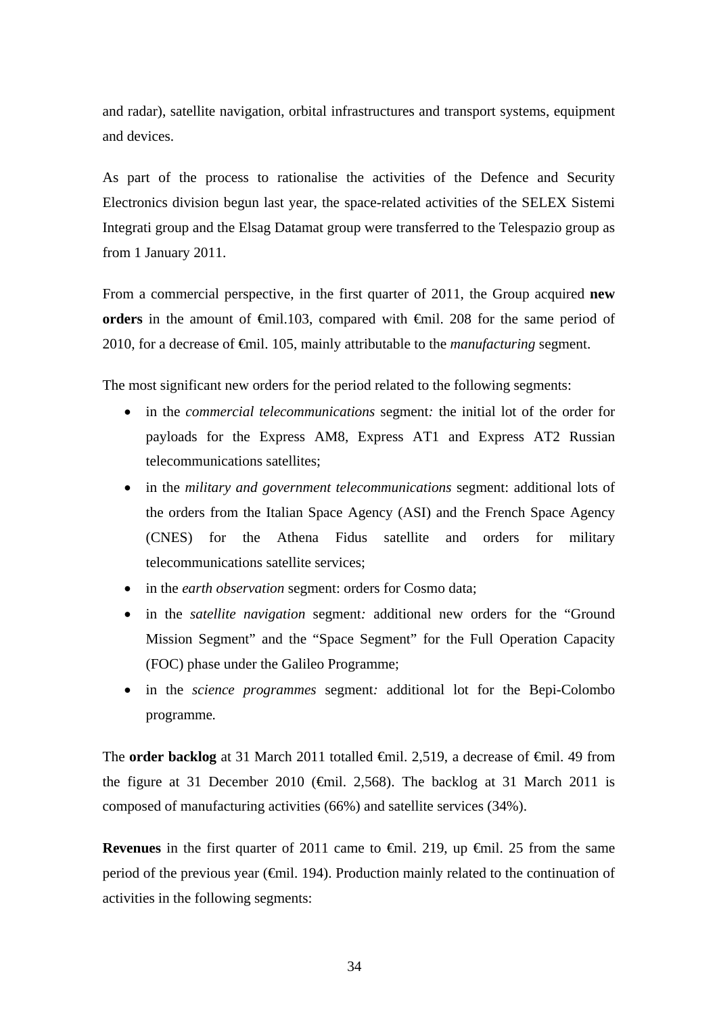and radar), satellite navigation, orbital infrastructures and transport systems, equipment and devices.

As part of the process to rationalise the activities of the Defence and Security Electronics division begun last year, the space-related activities of the SELEX Sistemi Integrati group and the Elsag Datamat group were transferred to the Telespazio group as from 1 January 2011.

From a commercial perspective, in the first quarter of 2011, the Group acquired **new orders** in the amount of  $\theta$ mil.103, compared with  $\theta$ mil. 208 for the same period of 2010, for a decrease of <del>€mil</del>. 105, mainly attributable to the *manufacturing* segment.

The most significant new orders for the period related to the following segments:

- in the *commercial telecommunications* segment*:* the initial lot of the order for payloads for the Express AM8, Express AT1 and Express AT2 Russian telecommunications satellites;
- in the *military and government telecommunications* segment: additional lots of the orders from the Italian Space Agency (ASI) and the French Space Agency (CNES) for the Athena Fidus satellite and orders for military telecommunications satellite services;
- in the *earth observation* segment: orders for Cosmo data;
- in the *satellite navigation* segment*:* additional new orders for the "Ground Mission Segment" and the "Space Segment" for the Full Operation Capacity (FOC) phase under the Galileo Programme;
- in the *science programmes* segment*:* additional lot for the Bepi-Colombo programme*.*

The **order backlog** at 31 March 2011 totalled €mil. 2,519, a decrease of €mil. 49 from the figure at 31 December 2010 ( $\epsilon$ mil. 2,568). The backlog at 31 March 2011 is composed of manufacturing activities (66%) and satellite services (34%).

**Revenues** in the first quarter of 2011 came to  $\theta$ il. 219, up  $\theta$ il. 25 from the same period of the previous year ( $\epsilon$ mil. 194). Production mainly related to the continuation of activities in the following segments: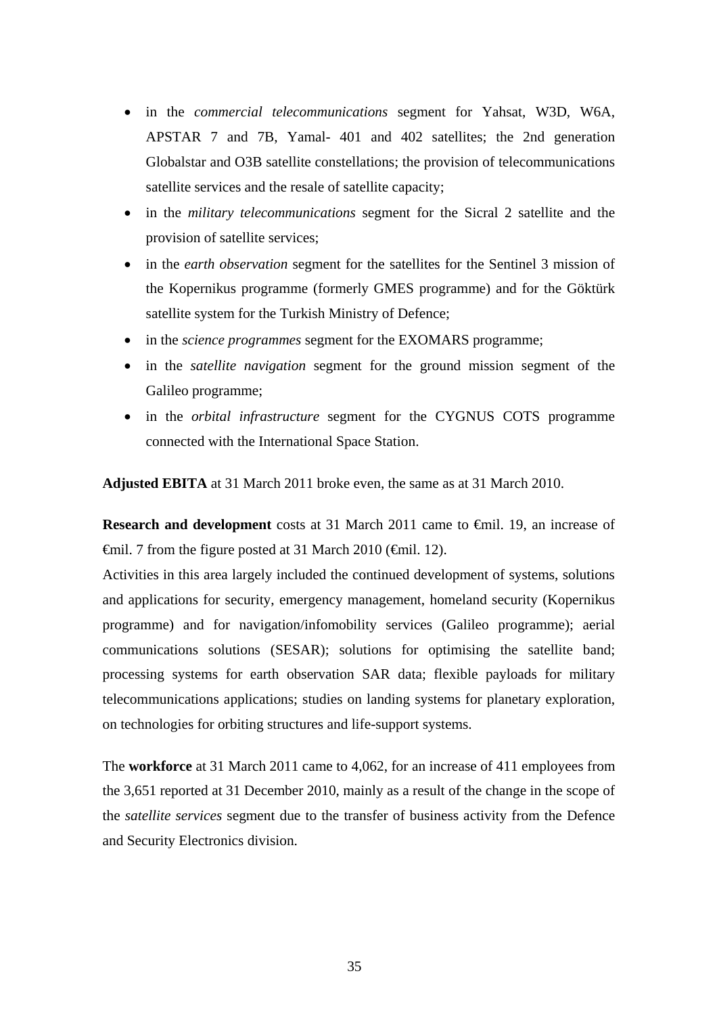- in the *commercial telecommunications* segment for Yahsat, W3D, W6A, APSTAR 7 and 7B, Yamal- 401 and 402 satellites; the 2nd generation Globalstar and O3B satellite constellations; the provision of telecommunications satellite services and the resale of satellite capacity;
- in the *military telecommunications* segment for the Sicral 2 satellite and the provision of satellite services;
- in the *earth observation* segment for the satellites for the Sentinel 3 mission of the Kopernikus programme (formerly GMES programme) and for the Göktürk satellite system for the Turkish Ministry of Defence;
- in the *science programmes* segment for the EXOMARS programme;
- in the *satellite navigation* segment for the ground mission segment of the Galileo programme;
- in the *orbital infrastructure* segment for the CYGNUS COTS programme connected with the International Space Station.

**Adjusted EBITA** at 31 March 2011 broke even, the same as at 31 March 2010.

**Research and development** costs at 31 March 2011 came to €mil. 19, an increase of  $\theta$  finil. 7 from the figure posted at 31 March 2010 ( $\theta$ mil. 12).

Activities in this area largely included the continued development of systems, solutions and applications for security, emergency management, homeland security (Kopernikus programme) and for navigation/infomobility services (Galileo programme); aerial communications solutions (SESAR); solutions for optimising the satellite band; processing systems for earth observation SAR data; flexible payloads for military telecommunications applications; studies on landing systems for planetary exploration, on technologies for orbiting structures and life-support systems.

The **workforce** at 31 March 2011 came to 4,062, for an increase of 411 employees from the 3,651 reported at 31 December 2010, mainly as a result of the change in the scope of the *satellite services* segment due to the transfer of business activity from the Defence and Security Electronics division.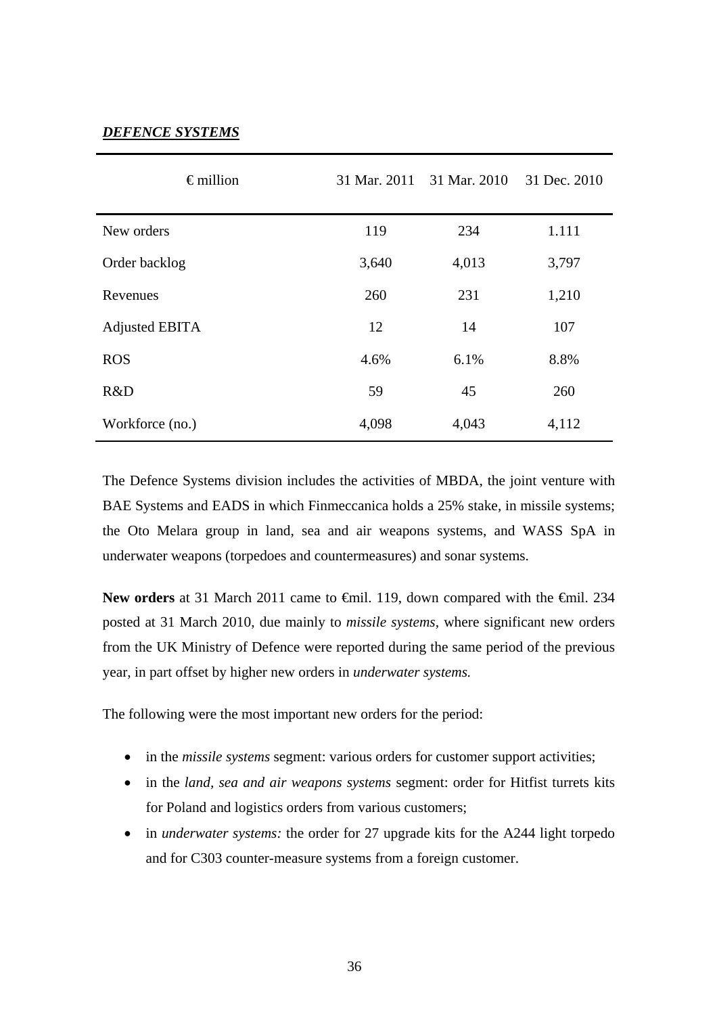### *DEFENCE SYSTEMS*

| $\epsilon$ million |       | 31 Mar. 2011 31 Mar. 2010 | 31 Dec. 2010 |
|--------------------|-------|---------------------------|--------------|
| New orders         | 119   | 234                       | 1.111        |
| Order backlog      | 3,640 | 4,013                     | 3,797        |
| Revenues           | 260   | 231                       | 1,210        |
| Adjusted EBITA     | 12    | 14                        | 107          |
| <b>ROS</b>         | 4.6%  | 6.1%                      | 8.8%         |
| R&D                | 59    | 45                        | 260          |
| Workforce (no.)    | 4,098 | 4,043                     | 4,112        |

The Defence Systems division includes the activities of MBDA, the joint venture with BAE Systems and EADS in which Finmeccanica holds a 25% stake, in missile systems; the Oto Melara group in land, sea and air weapons systems, and WASS SpA in underwater weapons (torpedoes and countermeasures) and sonar systems.

New orders at 31 March 2011 came to <del>€mil.</del> 119, down compared with the €mil. 234 posted at 31 March 2010, due mainly to *missile systems*, where significant new orders from the UK Ministry of Defence were reported during the same period of the previous year, in part offset by higher new orders in *underwater systems.*

The following were the most important new orders for the period:

- in the *missile systems* segment: various orders for customer support activities;
- in the *land, sea and air weapons systems* segment: order for Hitfist turrets kits for Poland and logistics orders from various customers;
- in *underwater systems:* the order for 27 upgrade kits for the A244 light torpedo and for C303 counter-measure systems from a foreign customer.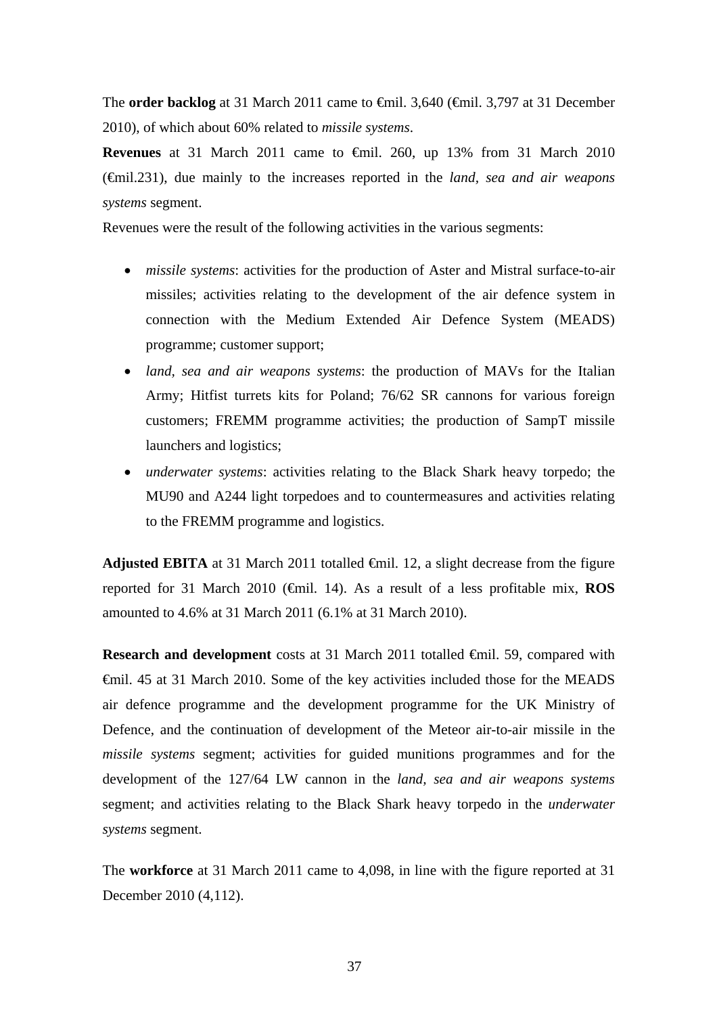The **order backlog** at 31 March 2011 came to <del>€</del>mil. 3,640 (€mil. 3,797 at 31 December 2010), of which about 60% related to *missile systems*.

**Revenues** at 31 March 2011 came to €mil. 260, up 13% from 31 March 2010 (€mil.231), due mainly to the increases reported in the *land, sea and air weapons systems* segment.

Revenues were the result of the following activities in the various segments:

- *missile systems*: activities for the production of Aster and Mistral surface-to-air missiles; activities relating to the development of the air defence system in connection with the Medium Extended Air Defence System (MEADS) programme; customer support;
- *land, sea and air weapons systems*: the production of MAVs for the Italian Army; Hitfist turrets kits for Poland; 76/62 SR cannons for various foreign customers; FREMM programme activities; the production of SampT missile launchers and logistics;
- *underwater systems*: activities relating to the Black Shark heavy torpedo; the MU90 and A244 light torpedoes and to countermeasures and activities relating to the FREMM programme and logistics.

**Adjusted EBITA** at 31 March 2011 totalled  $\oplus$  mil. 12, a slight decrease from the figure reported for 31 March 2010 (€mil. 14). As a result of a less profitable mix, **ROS** amounted to 4.6% at 31 March 2011 (6.1% at 31 March 2010).

**Research and development** costs at 31 March 2011 totalled €mil. 59, compared with €mil. 45 at 31 March 2010. Some of the key activities included those for the MEADS air defence programme and the development programme for the UK Ministry of Defence, and the continuation of development of the Meteor air-to-air missile in the *missile systems* segment; activities for guided munitions programmes and for the development of the 127/64 LW cannon in the *land, sea and air weapons systems*  segment; and activities relating to the Black Shark heavy torpedo in the *underwater systems* segment.

The **workforce** at 31 March 2011 came to 4,098, in line with the figure reported at 31 December 2010 (4,112).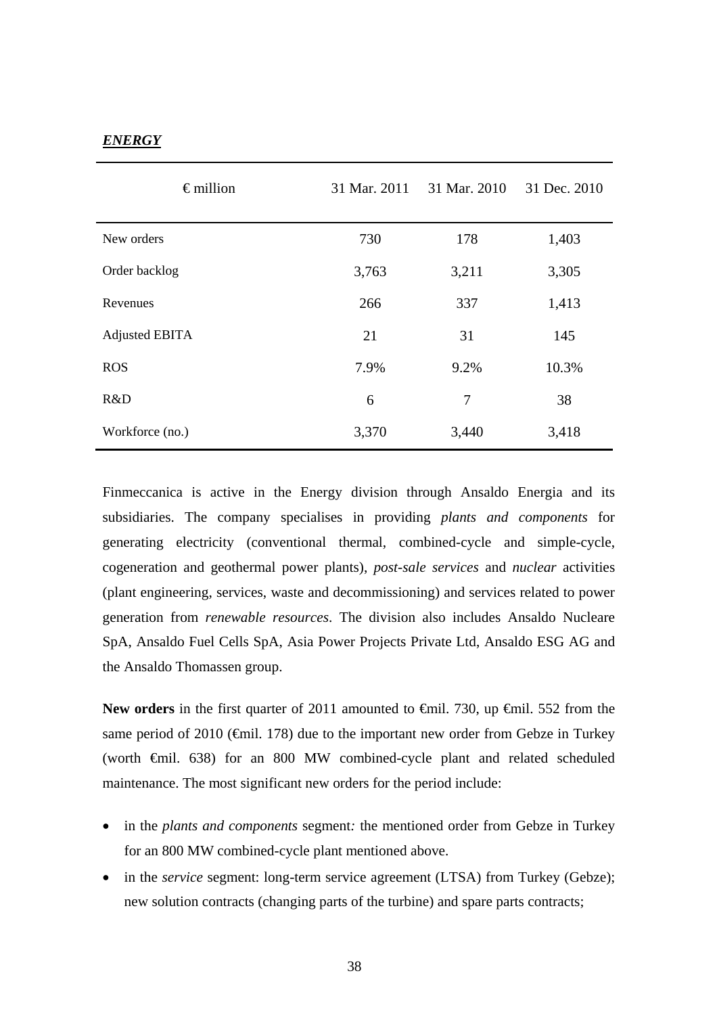## *ENERGY*

| $\epsilon$ million    | 31 Mar. 2011 | 31 Mar. 2010   | 31 Dec. 2010 |
|-----------------------|--------------|----------------|--------------|
| New orders            | 730          | 178            | 1,403        |
| Order backlog         | 3,763        | 3,211          | 3,305        |
| Revenues              | 266          | 337            | 1,413        |
| <b>Adjusted EBITA</b> | 21           | 31             | 145          |
| <b>ROS</b>            | 7.9%         | 9.2%           | 10.3%        |
| R&D                   | 6            | $\overline{7}$ | 38           |
| Workforce (no.)       | 3,370        | 3,440          | 3,418        |

Finmeccanica is active in the Energy division through Ansaldo Energia and its subsidiaries. The company specialises in providing *plants and components* for generating electricity (conventional thermal, combined-cycle and simple-cycle, cogeneration and geothermal power plants), *post-sale services* and *nuclear* activities (plant engineering, services, waste and decommissioning) and services related to power generation from *renewable resources*. The division also includes Ansaldo Nucleare SpA, Ansaldo Fuel Cells SpA, Asia Power Projects Private Ltd, Ansaldo ESG AG and the Ansaldo Thomassen group.

New orders in the first quarter of 2011 amounted to <del>€mil.</del> 730, up <del>€mil.</del> 552 from the same period of 2010 ( $\epsilon$ mil. 178) due to the important new order from Gebze in Turkey (worth €mil. 638) for an 800 MW combined-cycle plant and related scheduled maintenance. The most significant new orders for the period include:

- in the *plants and components* segment: the mentioned order from Gebze in Turkey for an 800 MW combined-cycle plant mentioned above.
- in the *service* segment: long-term service agreement (LTSA) from Turkey (Gebze); new solution contracts (changing parts of the turbine) and spare parts contracts;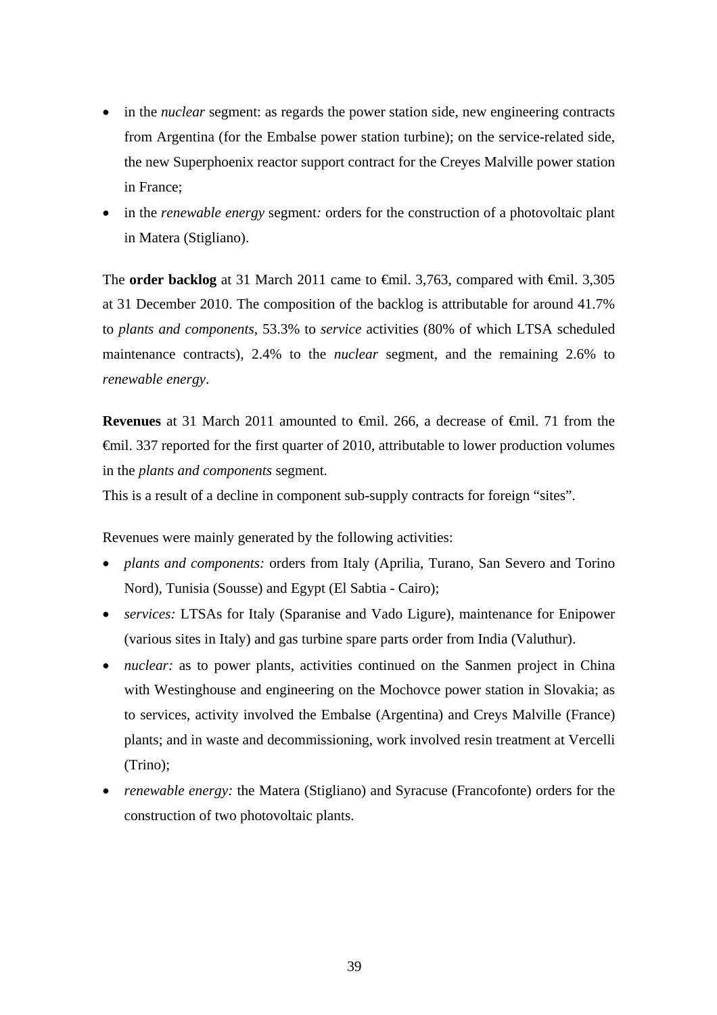- in the *nuclear* segment: as regards the power station side, new engineering contracts from Argentina (for the Embalse power station turbine); on the service-related side, the new Superphoenix reactor support contract for the Creyes Malville power station in France;
- in the *renewable energy* segment*:* orders for the construction of a photovoltaic plant in Matera (Stigliano).

The **order backlog** at 31 March 2011 came to <del>€mil.</del> 3,763, compared with <del>€mil.</del> 3,305 at 31 December 2010. The composition of the backlog is attributable for around 41.7% to *plants and components*, 53.3% to *service* activities (80% of which LTSA scheduled maintenance contracts), 2.4% to the *nuclear* segment, and the remaining 2.6% to *renewable energy*.

**Revenues** at 31 March 2011 amounted to <del>€</del>mil. 266, a decrease of <del>€</del>mil. 71 from the €mil. 337 reported for the first quarter of 2010, attributable to lower production volumes in the *plants and components* segment.

This is a result of a decline in component sub-supply contracts for foreign "sites".

Revenues were mainly generated by the following activities:

- *plants and components:* orders from Italy (Aprilia, Turano, San Severo and Torino Nord), Tunisia (Sousse) and Egypt (El Sabtia - Cairo);
- *services:* LTSAs for Italy (Sparanise and Vado Ligure), maintenance for Enipower (various sites in Italy) and gas turbine spare parts order from India (Valuthur).
- *nuclear:* as to power plants, activities continued on the Sanmen project in China with Westinghouse and engineering on the Mochovce power station in Slovakia; as to services, activity involved the Embalse (Argentina) and Creys Malville (France) plants; and in waste and decommissioning, work involved resin treatment at Vercelli (Trino);
- *renewable energy:* the Matera (Stigliano) and Syracuse (Francofonte) orders for the construction of two photovoltaic plants.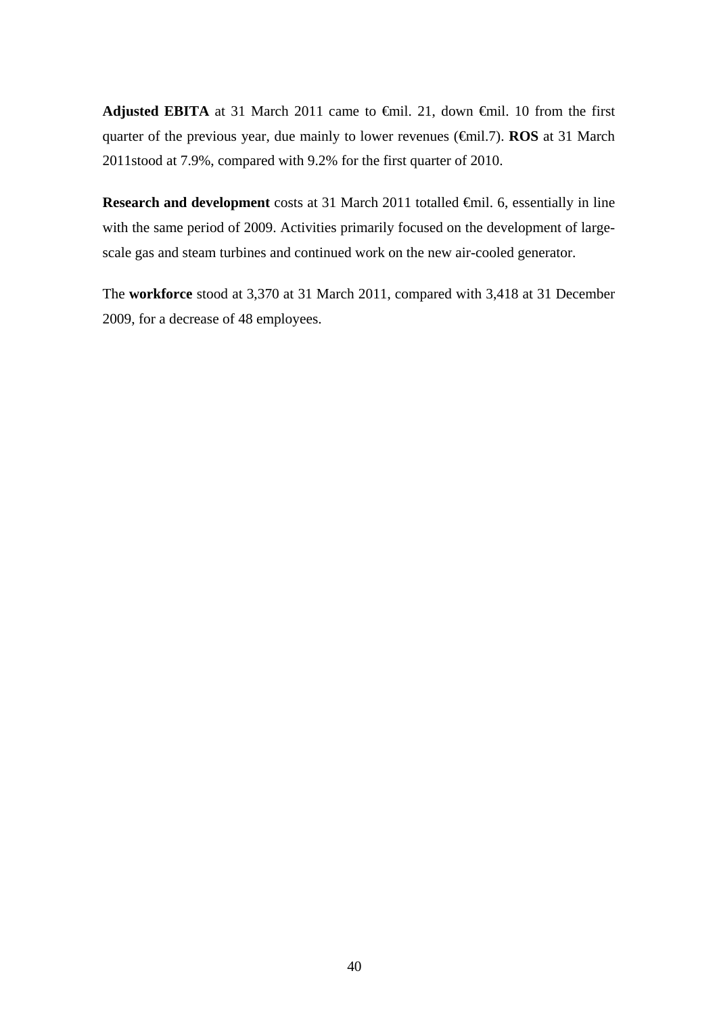**Adjusted EBITA** at 31 March 2011 came to €mil. 21, down €mil. 10 from the first quarter of the previous year, due mainly to lower revenues (€mil.7). **ROS** at 31 March 2011stood at 7.9%, compared with 9.2% for the first quarter of 2010.

**Research and development** costs at 31 March 2011 totalled €mil. 6, essentially in line with the same period of 2009. Activities primarily focused on the development of largescale gas and steam turbines and continued work on the new air-cooled generator.

The **workforce** stood at 3,370 at 31 March 2011, compared with 3,418 at 31 December 2009, for a decrease of 48 employees.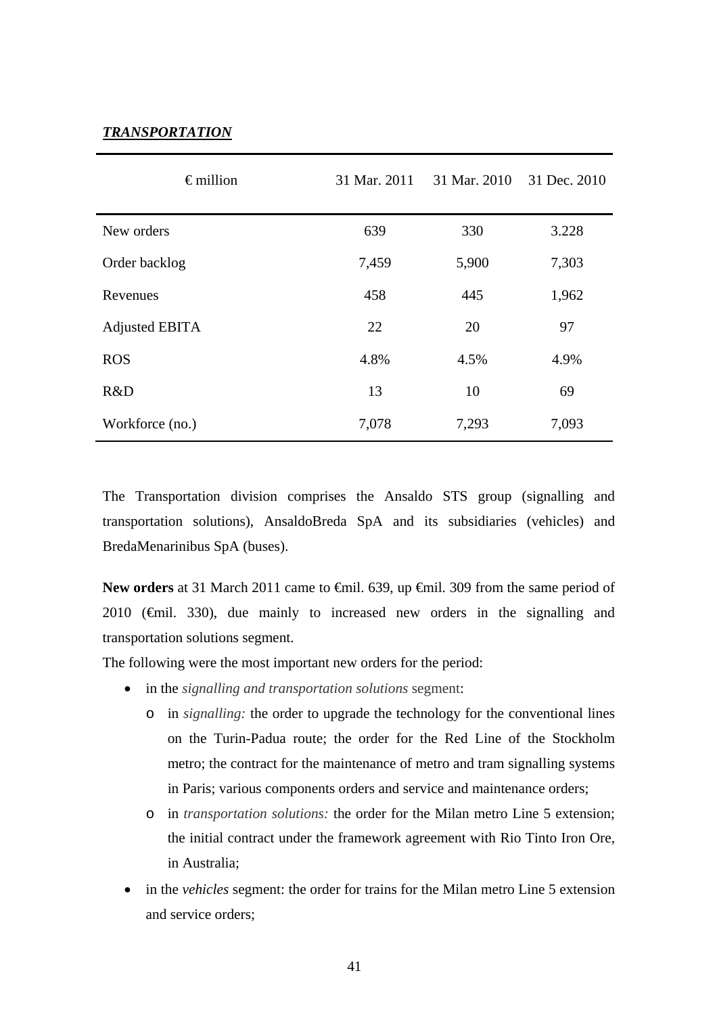## *TRANSPORTATION*

| $\epsilon$ million    | 31 Mar. 2011 | 31 Mar. 2010 | 31 Dec. 2010 |
|-----------------------|--------------|--------------|--------------|
| New orders            | 639          | 330          | 3.228        |
| Order backlog         | 7,459        | 5,900        | 7,303        |
| Revenues              | 458          | 445          | 1,962        |
| <b>Adjusted EBITA</b> | 22           | 20           | 97           |
| <b>ROS</b>            | 4.8%         | 4.5%         | 4.9%         |
| R&D                   | 13           | 10           | 69           |
| Workforce (no.)       | 7,078        | 7,293        | 7,093        |

The Transportation division comprises the Ansaldo STS group (signalling and transportation solutions), AnsaldoBreda SpA and its subsidiaries (vehicles) and BredaMenarinibus SpA (buses).

**New orders** at 31 March 2011 came to <del>€mil. 639, up €mil.</del> 309 from the same period of 2010 (€mil. 330), due mainly to increased new orders in the signalling and transportation solutions segment.

The following were the most important new orders for the period:

- in the *signalling and transportation solutions* segment:
	- o in *signalling:* the order to upgrade the technology for the conventional lines on the Turin-Padua route; the order for the Red Line of the Stockholm metro; the contract for the maintenance of metro and tram signalling systems in Paris; various components orders and service and maintenance orders;
	- o in *transportation solutions:* the order for the Milan metro Line 5 extension; the initial contract under the framework agreement with Rio Tinto Iron Ore, in Australia;
- in the *vehicles* segment: the order for trains for the Milan metro Line 5 extension and service orders;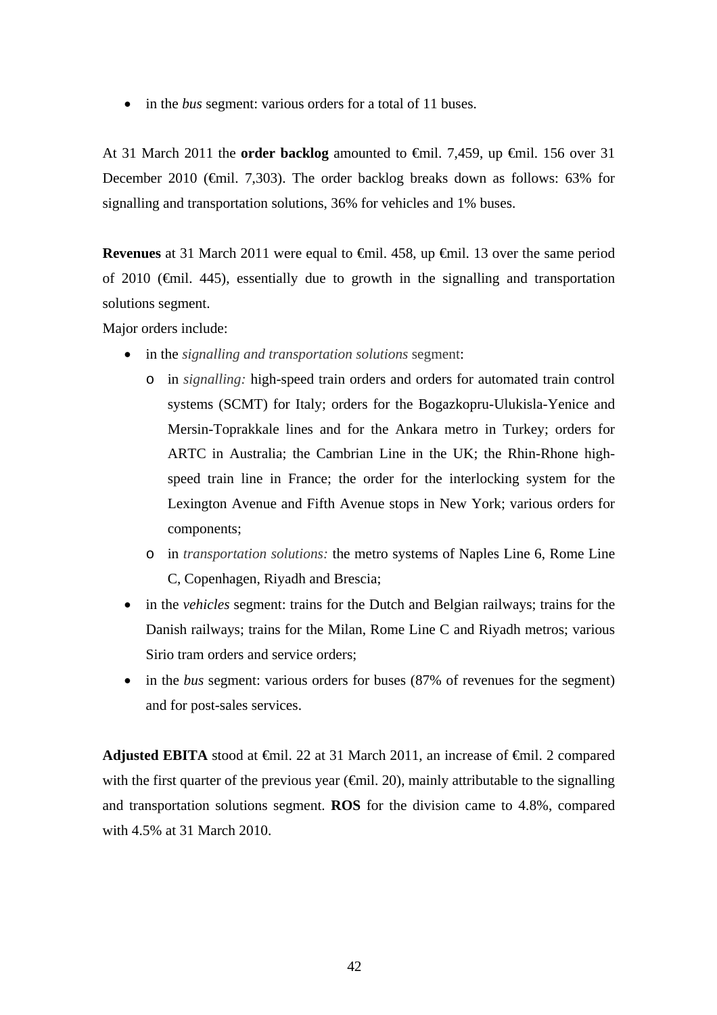• in the *bus* segment: various orders for a total of 11 buses.

At 31 March 2011 the **order backlog** amounted to €mil. 7,459, up €mil. 156 over 31 December 2010 ( $\epsilon$ mil. 7,303). The order backlog breaks down as follows: 63% for signalling and transportation solutions, 36% for vehicles and 1% buses.

**Revenues** at 31 March 2011 were equal to €mil. 458, up €mil. 13 over the same period of 2010 (€mil. 445), essentially due to growth in the signalling and transportation solutions segment.

Major orders include:

- in the *signalling and transportation solutions* segment:
	- o in *signalling:* high-speed train orders and orders for automated train control systems (SCMT) for Italy; orders for the Bogazkopru-Ulukisla-Yenice and Mersin-Toprakkale lines and for the Ankara metro in Turkey; orders for ARTC in Australia; the Cambrian Line in the UK; the Rhin-Rhone highspeed train line in France; the order for the interlocking system for the Lexington Avenue and Fifth Avenue stops in New York; various orders for components;
	- o in *transportation solutions:* the metro systems of Naples Line 6, Rome Line C, Copenhagen, Riyadh and Brescia;
- in the *vehicles* segment: trains for the Dutch and Belgian railways; trains for the Danish railways; trains for the Milan, Rome Line C and Riyadh metros; various Sirio tram orders and service orders;
- in the *bus* segment: various orders for buses (87% of revenues for the segment) and for post-sales services.

**Adjusted EBITA** stood at €mil. 22 at 31 March 2011, an increase of €mil. 2 compared with the first quarter of the previous year ( $\bigoplus$ mil. 20), mainly attributable to the signalling and transportation solutions segment. **ROS** for the division came to 4.8%, compared with 4.5% at 31 March 2010.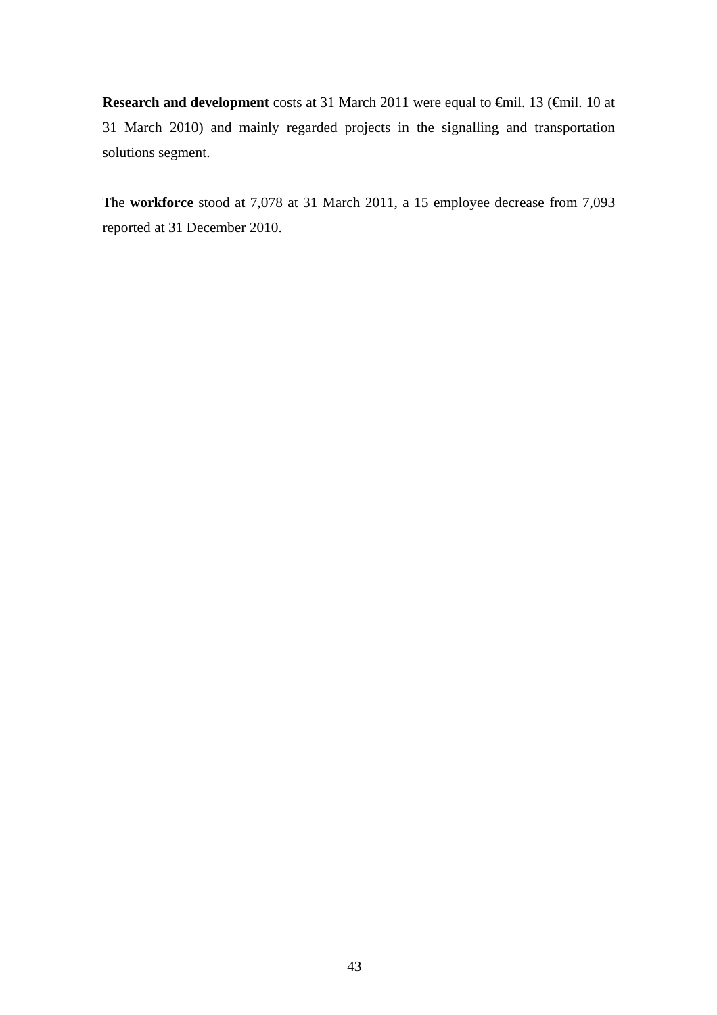**Research and development** costs at 31 March 2011 were equal to €mil. 13 (€mil. 10 at 31 March 2010) and mainly regarded projects in the signalling and transportation solutions segment.

The **workforce** stood at 7,078 at 31 March 2011, a 15 employee decrease from 7,093 reported at 31 December 2010.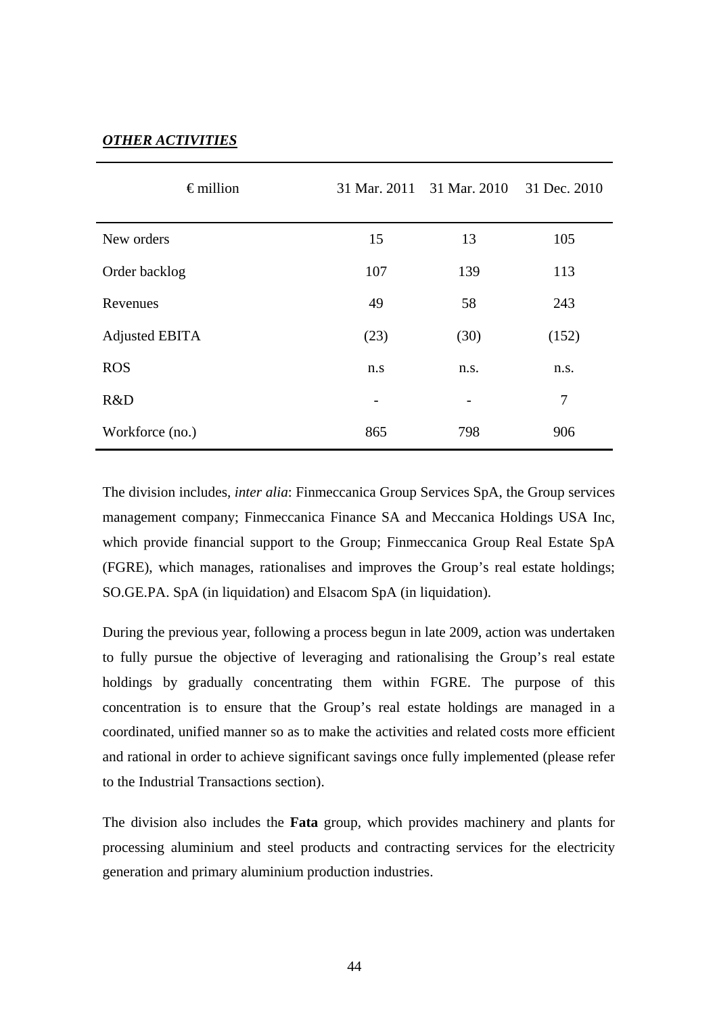# *OTHER ACTIVITIES*

| $\epsilon$ million    | 31 Mar. 2011 | 31 Mar. 2010 | 31 Dec. 2010   |
|-----------------------|--------------|--------------|----------------|
| New orders            | 15           | 13           | 105            |
| Order backlog         | 107          | 139          | 113            |
| Revenues              | 49           | 58           | 243            |
| <b>Adjusted EBITA</b> | (23)         | (30)         | (152)          |
| <b>ROS</b>            | n.s          | n.s.         | n.s.           |
| R&D                   |              |              | $\overline{7}$ |
| Workforce (no.)       | 865          | 798          | 906            |

The division includes, *inter alia*: Finmeccanica Group Services SpA, the Group services management company; Finmeccanica Finance SA and Meccanica Holdings USA Inc, which provide financial support to the Group; Finmeccanica Group Real Estate SpA (FGRE), which manages, rationalises and improves the Group's real estate holdings; SO.GE.PA. SpA (in liquidation) and Elsacom SpA (in liquidation).

During the previous year, following a process begun in late 2009, action was undertaken to fully pursue the objective of leveraging and rationalising the Group's real estate holdings by gradually concentrating them within FGRE. The purpose of this concentration is to ensure that the Group's real estate holdings are managed in a coordinated, unified manner so as to make the activities and related costs more efficient and rational in order to achieve significant savings once fully implemented (please refer to the Industrial Transactions section).

The division also includes the **Fata** group, which provides machinery and plants for processing aluminium and steel products and contracting services for the electricity generation and primary aluminium production industries.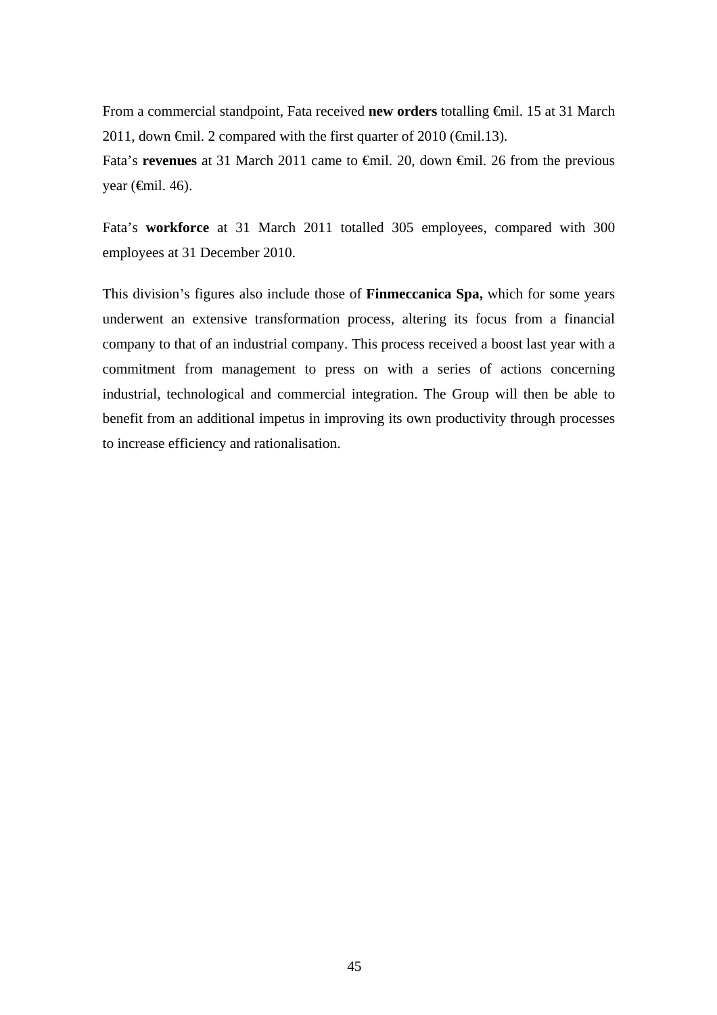From a commercial standpoint, Fata received **new orders** totalling €mil. 15 at 31 March 2011, down  $\epsilon$ mil. 2 compared with the first quarter of 2010 ( $\epsilon$ mil.13).

Fata's **revenues** at 31 March 2011 came to €mil. 20, down €mil. 26 from the previous year  $(\text{6cm} 1.46)$ .

Fata's **workforce** at 31 March 2011 totalled 305 employees, compared with 300 employees at 31 December 2010.

This division's figures also include those of **Finmeccanica Spa,** which for some years underwent an extensive transformation process, altering its focus from a financial company to that of an industrial company. This process received a boost last year with a commitment from management to press on with a series of actions concerning industrial, technological and commercial integration. The Group will then be able to benefit from an additional impetus in improving its own productivity through processes to increase efficiency and rationalisation.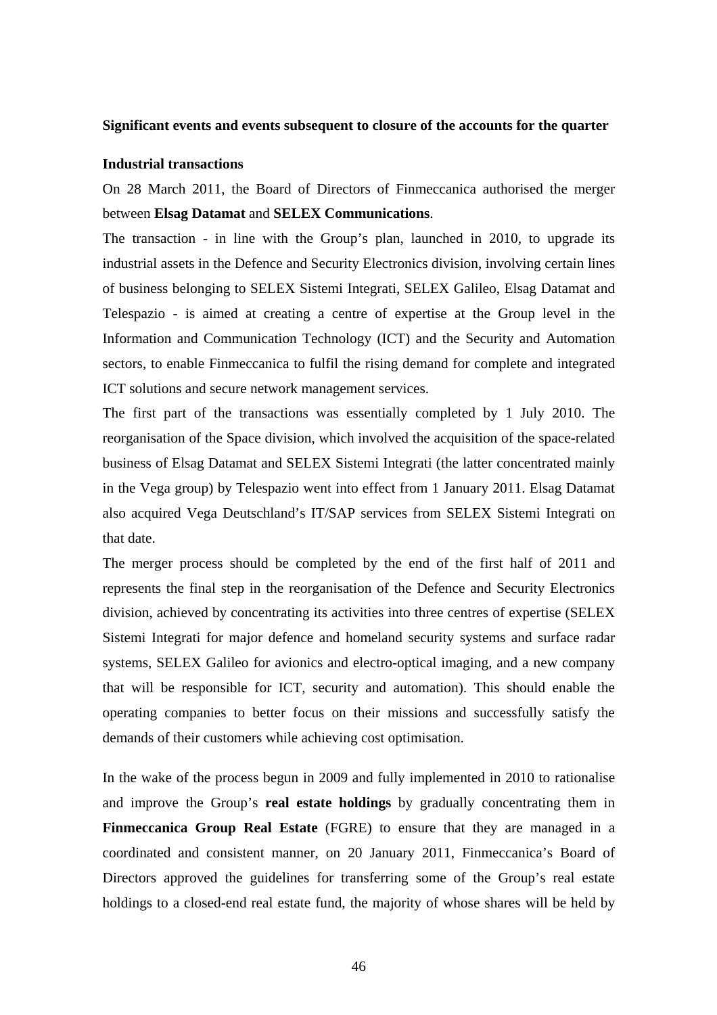#### **Significant events and events subsequent to closure of the accounts for the quarter**

#### **Industrial transactions**

On 28 March 2011, the Board of Directors of Finmeccanica authorised the merger between **Elsag Datamat** and **SELEX Communications**.

The transaction - in line with the Group's plan, launched in 2010, to upgrade its industrial assets in the Defence and Security Electronics division, involving certain lines of business belonging to SELEX Sistemi Integrati, SELEX Galileo, Elsag Datamat and Telespazio - is aimed at creating a centre of expertise at the Group level in the Information and Communication Technology (ICT) and the Security and Automation sectors, to enable Finmeccanica to fulfil the rising demand for complete and integrated ICT solutions and secure network management services.

The first part of the transactions was essentially completed by 1 July 2010. The reorganisation of the Space division, which involved the acquisition of the space-related business of Elsag Datamat and SELEX Sistemi Integrati (the latter concentrated mainly in the Vega group) by Telespazio went into effect from 1 January 2011. Elsag Datamat also acquired Vega Deutschland's IT/SAP services from SELEX Sistemi Integrati on that date.

The merger process should be completed by the end of the first half of 2011 and represents the final step in the reorganisation of the Defence and Security Electronics division, achieved by concentrating its activities into three centres of expertise (SELEX Sistemi Integrati for major defence and homeland security systems and surface radar systems, SELEX Galileo for avionics and electro-optical imaging, and a new company that will be responsible for ICT, security and automation). This should enable the operating companies to better focus on their missions and successfully satisfy the demands of their customers while achieving cost optimisation.

In the wake of the process begun in 2009 and fully implemented in 2010 to rationalise and improve the Group's **real estate holdings** by gradually concentrating them in **Finmeccanica Group Real Estate** (FGRE) to ensure that they are managed in a coordinated and consistent manner, on 20 January 2011, Finmeccanica's Board of Directors approved the guidelines for transferring some of the Group's real estate holdings to a closed-end real estate fund, the majority of whose shares will be held by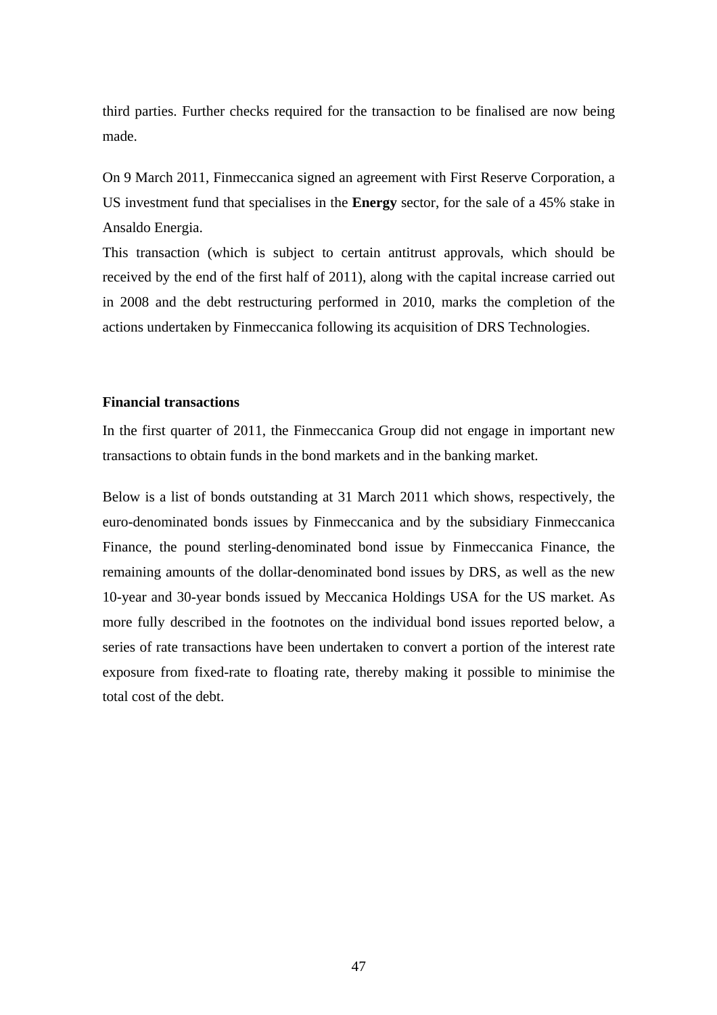third parties. Further checks required for the transaction to be finalised are now being made.

On 9 March 2011, Finmeccanica signed an agreement with First Reserve Corporation, a US investment fund that specialises in the **Energy** sector, for the sale of a 45% stake in Ansaldo Energia.

This transaction (which is subject to certain antitrust approvals, which should be received by the end of the first half of 2011), along with the capital increase carried out in 2008 and the debt restructuring performed in 2010, marks the completion of the actions undertaken by Finmeccanica following its acquisition of DRS Technologies.

## **Financial transactions**

In the first quarter of 2011, the Finmeccanica Group did not engage in important new transactions to obtain funds in the bond markets and in the banking market.

Below is a list of bonds outstanding at 31 March 2011 which shows, respectively, the euro-denominated bonds issues by Finmeccanica and by the subsidiary Finmeccanica Finance, the pound sterling-denominated bond issue by Finmeccanica Finance, the remaining amounts of the dollar-denominated bond issues by DRS, as well as the new 10-year and 30-year bonds issued by Meccanica Holdings USA for the US market. As more fully described in the footnotes on the individual bond issues reported below, a series of rate transactions have been undertaken to convert a portion of the interest rate exposure from fixed-rate to floating rate, thereby making it possible to minimise the total cost of the debt.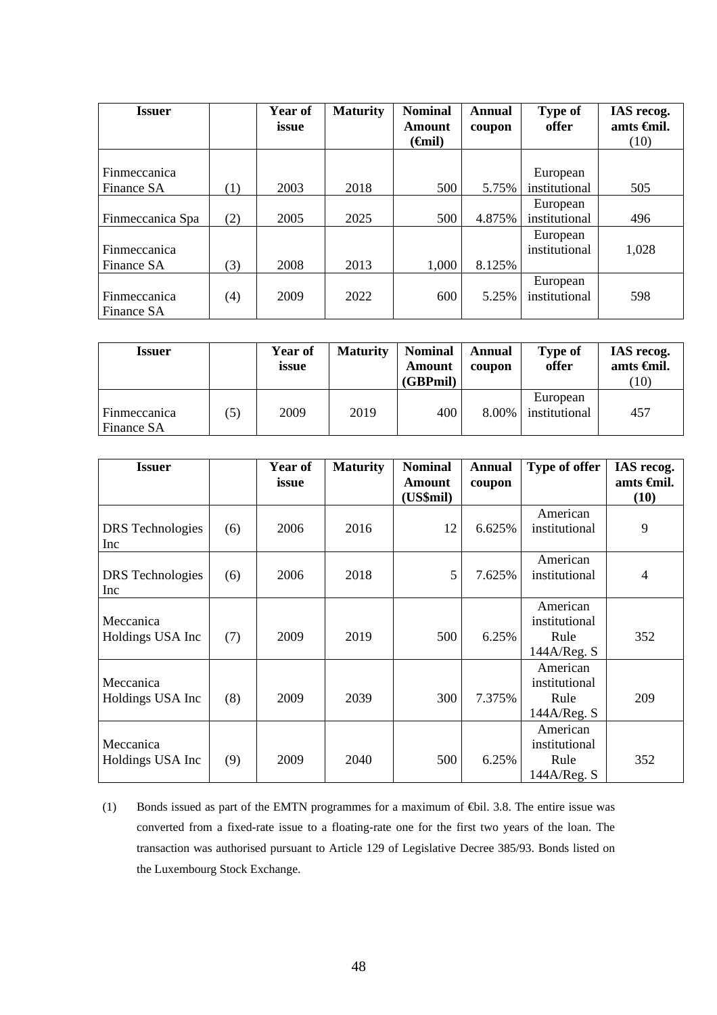| <b>Issuer</b>              |                  | Year of | <b>Maturity</b> | <b>Nominal</b>      | Annual | <b>Type of</b>            | IAS recog.              |
|----------------------------|------------------|---------|-----------------|---------------------|--------|---------------------------|-------------------------|
|                            |                  | issue   |                 | Amount              | coupon | offer                     | amts <del>C</del> inil. |
|                            |                  |         |                 | ( <del>G</del> nil) |        |                           | (10)                    |
| <b>Finmeccanica</b>        |                  |         |                 |                     |        | European                  |                         |
| Finance SA                 | $\left(1\right)$ | 2003    | 2018            | 500                 | 5.75%  | institutional             | 505                     |
|                            |                  |         |                 |                     |        | European                  |                         |
| Finmeccanica Spa           | (2)              | 2005    | 2025            | 500                 | 4.875% | institutional             | 496                     |
|                            |                  |         |                 |                     |        | European                  |                         |
| Finmeccanica               |                  |         |                 |                     |        | institutional             | 1,028                   |
| Finance SA                 | (3)              | 2008    | 2013            | 1,000               | 8.125% |                           |                         |
| Finmeccanica<br>Finance SA | (4)              | 2009    | 2022            | 600                 | 5.25%  | European<br>institutional | 598                     |

| Issuer                     |     | <b>Year of</b><br>issue | <b>Maturity</b> | <b>Nominal</b><br>Amount<br>(GBPmil) | Annual<br>coupon | <b>Type of</b><br>offer   | IAS recog.<br>amts <del>C</del> inil.<br>(10) |
|----------------------------|-----|-------------------------|-----------------|--------------------------------------|------------------|---------------------------|-----------------------------------------------|
| Finmeccanica<br>Finance SA | (5) | 2009                    | 2019            | 400                                  | 8.00%            | European<br>institutional | 457                                           |

| <b>Issuer</b>                  |     | Year of<br>issue | <b>Maturity</b> | <b>Nominal</b><br>Amount | <b>Annual</b><br>coupon | <b>Type of offer</b>                             | IAS recog.<br>amts <del>C</del> inil. |
|--------------------------------|-----|------------------|-----------------|--------------------------|-------------------------|--------------------------------------------------|---------------------------------------|
|                                |     |                  |                 | (US\$mil)                |                         |                                                  | (10)                                  |
| <b>DRS</b> Technologies<br>Inc | (6) | 2006             | 2016            | 12                       | 6.625%                  | American<br>institutional                        | 9                                     |
| <b>DRS</b> Technologies<br>Inc | (6) | 2006             | 2018            | 5                        | 7.625%                  | American<br>institutional                        | $\overline{4}$                        |
| Meccanica<br>Holdings USA Inc  | (7) | 2009             | 2019            | 500                      | 6.25%                   | American<br>institutional<br>Rule<br>144A/Reg. S | 352                                   |
| Meccanica<br>Holdings USA Inc  | (8) | 2009             | 2039            | 300                      | 7.375%                  | American<br>institutional<br>Rule<br>144A/Reg. S | 209                                   |
| Meccanica<br>Holdings USA Inc  | (9) | 2009             | 2040            | 500                      | 6.25%                   | American<br>institutional<br>Rule<br>144A/Reg. S | 352                                   |

(1) Bonds issued as part of the EMTN programmes for a maximum of €bil. 3.8. The entire issue was converted from a fixed-rate issue to a floating-rate one for the first two years of the loan. The transaction was authorised pursuant to Article 129 of Legislative Decree 385/93. Bonds listed on the Luxembourg Stock Exchange.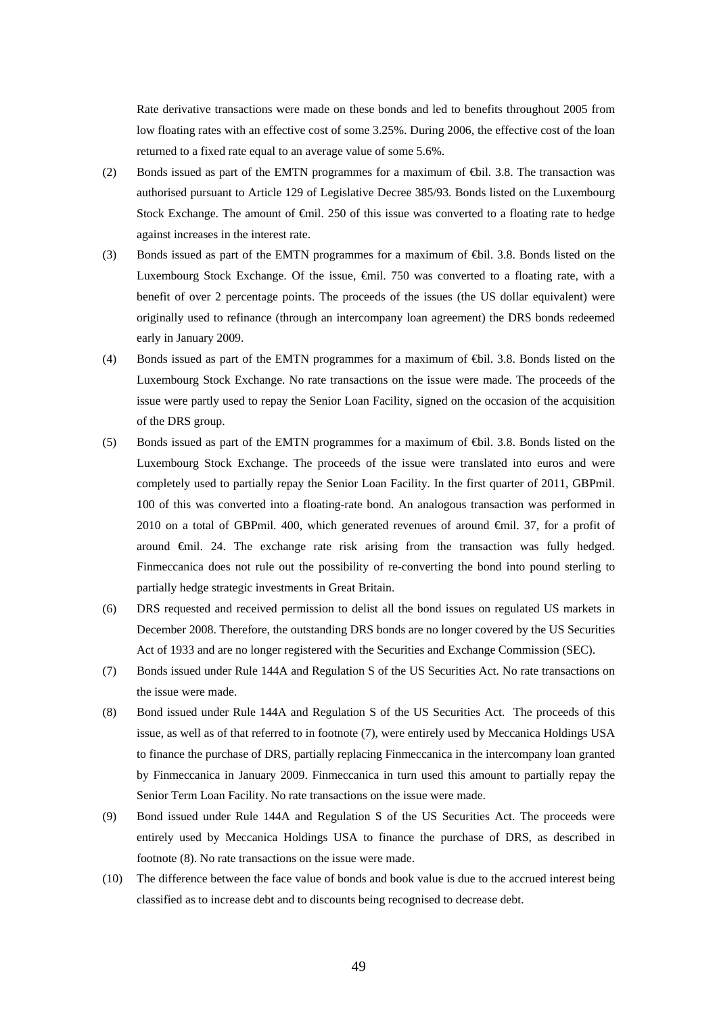Rate derivative transactions were made on these bonds and led to benefits throughout 2005 from low floating rates with an effective cost of some 3.25%. During 2006, the effective cost of the loan returned to a fixed rate equal to an average value of some 5.6%.

- (2) Bonds issued as part of the EMTN programmes for a maximum of €bil. 3.8. The transaction was authorised pursuant to Article 129 of Legislative Decree 385/93. Bonds listed on the Luxembourg Stock Exchange. The amount of €mil. 250 of this issue was converted to a floating rate to hedge against increases in the interest rate.
- (3) Bonds issued as part of the EMTN programmes for a maximum of €bil. 3.8. Bonds listed on the Luxembourg Stock Exchange. Of the issue, €mil. 750 was converted to a floating rate, with a benefit of over 2 percentage points. The proceeds of the issues (the US dollar equivalent) were originally used to refinance (through an intercompany loan agreement) the DRS bonds redeemed early in January 2009.
- (4) Bonds issued as part of the EMTN programmes for a maximum of €bil. 3.8. Bonds listed on the Luxembourg Stock Exchange. No rate transactions on the issue were made. The proceeds of the issue were partly used to repay the Senior Loan Facility, signed on the occasion of the acquisition of the DRS group.
- (5) Bonds issued as part of the EMTN programmes for a maximum of €bil. 3.8. Bonds listed on the Luxembourg Stock Exchange. The proceeds of the issue were translated into euros and were completely used to partially repay the Senior Loan Facility. In the first quarter of 2011, GBPmil. 100 of this was converted into a floating-rate bond. An analogous transaction was performed in 2010 on a total of GBPmil. 400, which generated revenues of around €mil. 37, for a profit of around €mil. 24. The exchange rate risk arising from the transaction was fully hedged. Finmeccanica does not rule out the possibility of re-converting the bond into pound sterling to partially hedge strategic investments in Great Britain.
- (6) DRS requested and received permission to delist all the bond issues on regulated US markets in December 2008. Therefore, the outstanding DRS bonds are no longer covered by the US Securities Act of 1933 and are no longer registered with the Securities and Exchange Commission (SEC).
- (7) Bonds issued under Rule 144A and Regulation S of the US Securities Act. No rate transactions on the issue were made.
- (8) Bond issued under Rule 144A and Regulation S of the US Securities Act. The proceeds of this issue, as well as of that referred to in footnote (7), were entirely used by Meccanica Holdings USA to finance the purchase of DRS, partially replacing Finmeccanica in the intercompany loan granted by Finmeccanica in January 2009. Finmeccanica in turn used this amount to partially repay the Senior Term Loan Facility. No rate transactions on the issue were made.
- (9) Bond issued under Rule 144A and Regulation S of the US Securities Act. The proceeds were entirely used by Meccanica Holdings USA to finance the purchase of DRS, as described in footnote (8). No rate transactions on the issue were made.
- (10) The difference between the face value of bonds and book value is due to the accrued interest being classified as to increase debt and to discounts being recognised to decrease debt.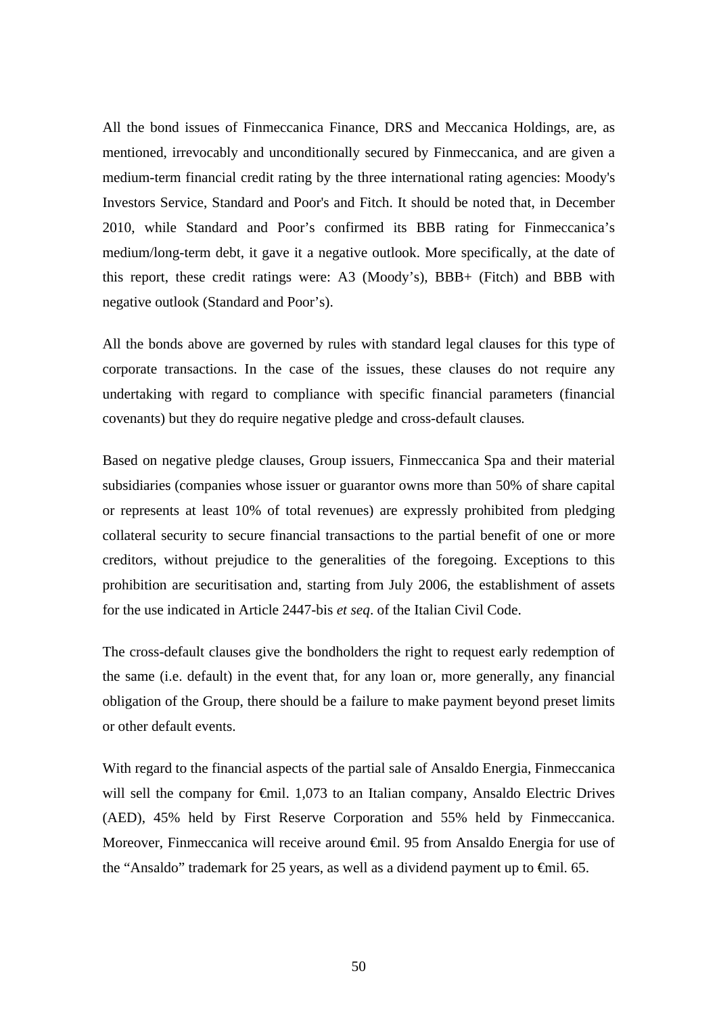All the bond issues of Finmeccanica Finance, DRS and Meccanica Holdings, are, as mentioned, irrevocably and unconditionally secured by Finmeccanica, and are given a medium-term financial credit rating by the three international rating agencies: Moody's Investors Service, Standard and Poor's and Fitch. It should be noted that, in December 2010, while Standard and Poor's confirmed its BBB rating for Finmeccanica's medium/long-term debt, it gave it a negative outlook. More specifically, at the date of this report, these credit ratings were: A3 (Moody's), BBB+ (Fitch) and BBB with negative outlook (Standard and Poor's).

All the bonds above are governed by rules with standard legal clauses for this type of corporate transactions. In the case of the issues, these clauses do not require any undertaking with regard to compliance with specific financial parameters (financial covenants) but they do require negative pledge and cross-default clauses*.*

Based on negative pledge clauses, Group issuers, Finmeccanica Spa and their material subsidiaries (companies whose issuer or guarantor owns more than 50% of share capital or represents at least 10% of total revenues) are expressly prohibited from pledging collateral security to secure financial transactions to the partial benefit of one or more creditors, without prejudice to the generalities of the foregoing. Exceptions to this prohibition are securitisation and, starting from July 2006, the establishment of assets for the use indicated in Article 2447-bis *et seq*. of the Italian Civil Code.

The cross-default clauses give the bondholders the right to request early redemption of the same (i.e. default) in the event that, for any loan or, more generally, any financial obligation of the Group, there should be a failure to make payment beyond preset limits or other default events.

With regard to the financial aspects of the partial sale of Ansaldo Energia, Finmeccanica will sell the company for <del>€mil.</del> 1,073 to an Italian company, Ansaldo Electric Drives (AED), 45% held by First Reserve Corporation and 55% held by Finmeccanica. Moreover, Finmeccanica will receive around €mil. 95 from Ansaldo Energia for use of the "Ansaldo" trademark for 25 years, as well as a dividend payment up to  $\epsilon$ mil. 65.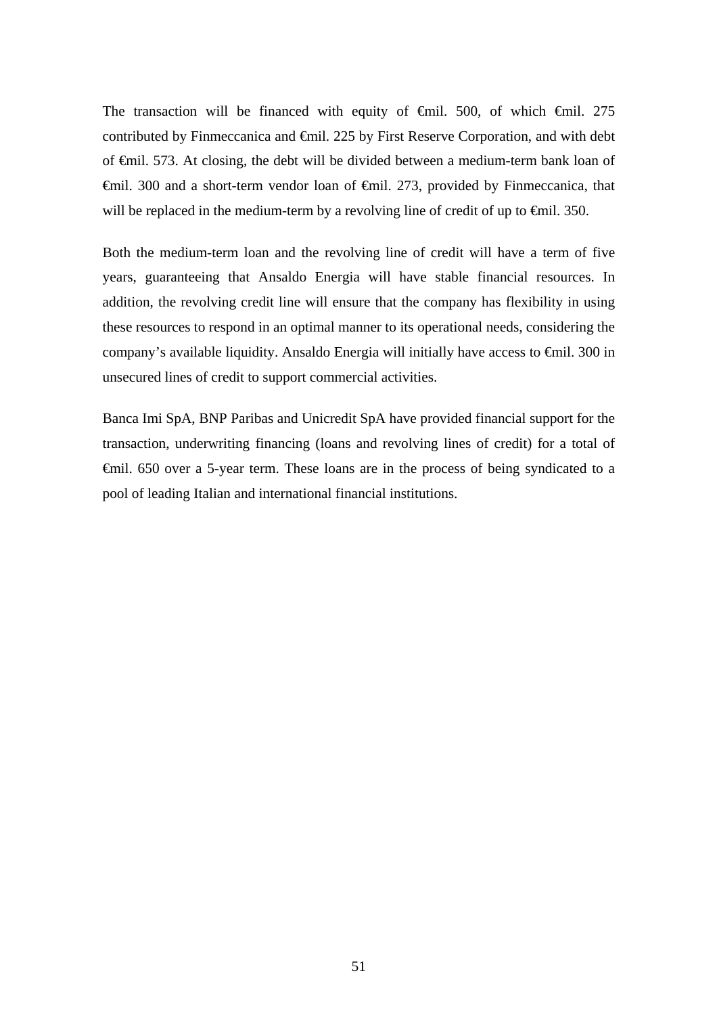The transaction will be financed with equity of €mil. 500, of which €mil. 275 contributed by Finmeccanica and €mil. 225 by First Reserve Corporation, and with debt of €mil. 573. At closing, the debt will be divided between a medium-term bank loan of €mil. 300 and a short-term vendor loan of €mil. 273, provided by Finmeccanica, that will be replaced in the medium-term by a revolving line of credit of up to  $\epsilon$ mil. 350.

Both the medium-term loan and the revolving line of credit will have a term of five years, guaranteeing that Ansaldo Energia will have stable financial resources. In addition, the revolving credit line will ensure that the company has flexibility in using these resources to respond in an optimal manner to its operational needs, considering the company's available liquidity. Ansaldo Energia will initially have access to €mil. 300 in unsecured lines of credit to support commercial activities.

Banca Imi SpA, BNP Paribas and Unicredit SpA have provided financial support for the transaction, underwriting financing (loans and revolving lines of credit) for a total of €mil. 650 over a 5-year term. These loans are in the process of being syndicated to a pool of leading Italian and international financial institutions.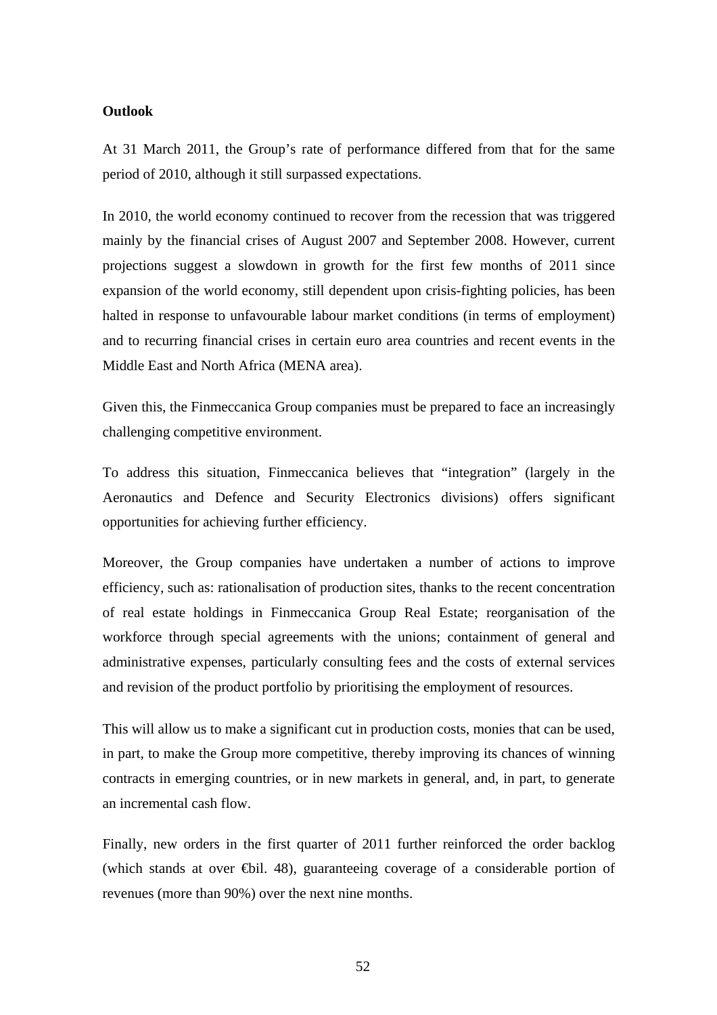#### **Outlook**

At 31 March 2011, the Group's rate of performance differed from that for the same period of 2010, although it still surpassed expectations.

In 2010, the world economy continued to recover from the recession that was triggered mainly by the financial crises of August 2007 and September 2008. However, current projections suggest a slowdown in growth for the first few months of 2011 since expansion of the world economy, still dependent upon crisis-fighting policies, has been halted in response to unfavourable labour market conditions (in terms of employment) and to recurring financial crises in certain euro area countries and recent events in the Middle East and North Africa (MENA area).

Given this, the Finmeccanica Group companies must be prepared to face an increasingly challenging competitive environment.

To address this situation, Finmeccanica believes that "integration" (largely in the Aeronautics and Defence and Security Electronics divisions) offers significant opportunities for achieving further efficiency.

Moreover, the Group companies have undertaken a number of actions to improve efficiency, such as: rationalisation of production sites, thanks to the recent concentration of real estate holdings in Finmeccanica Group Real Estate; reorganisation of the workforce through special agreements with the unions; containment of general and administrative expenses, particularly consulting fees and the costs of external services and revision of the product portfolio by prioritising the employment of resources.

This will allow us to make a significant cut in production costs, monies that can be used, in part, to make the Group more competitive, thereby improving its chances of winning contracts in emerging countries, or in new markets in general, and, in part, to generate an incremental cash flow.

Finally, new orders in the first quarter of 2011 further reinforced the order backlog (which stands at over €bil. 48), guaranteeing coverage of a considerable portion of revenues (more than 90%) over the next nine months.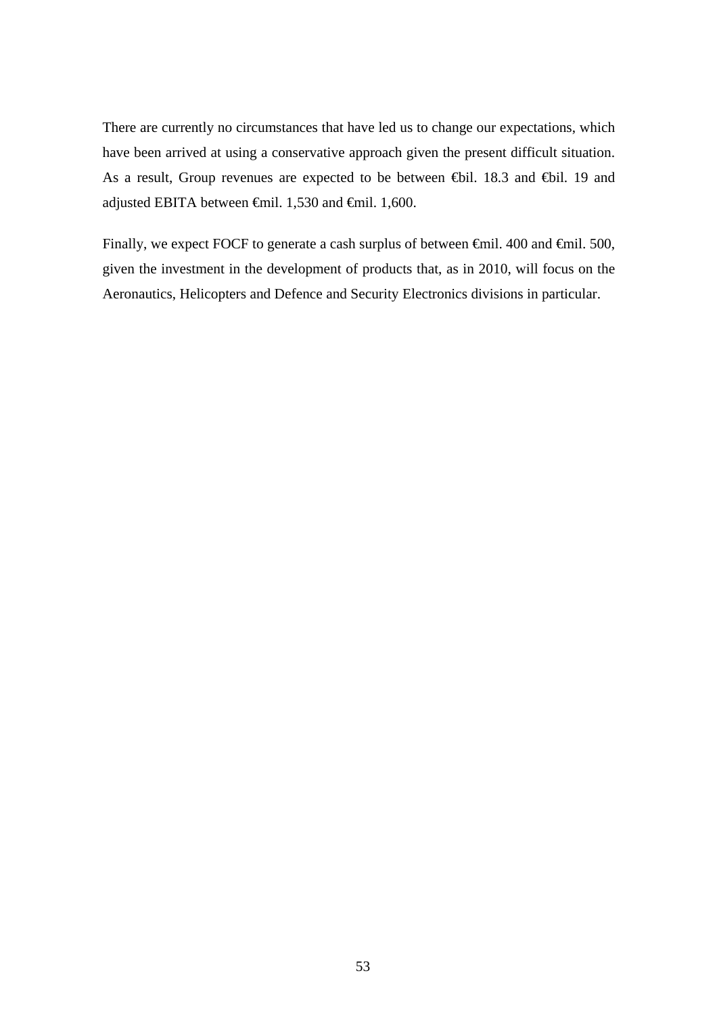There are currently no circumstances that have led us to change our expectations, which have been arrived at using a conservative approach given the present difficult situation. As a result, Group revenues are expected to be between €bil. 18.3 and €bil. 19 and adjusted EBITA between €mil. 1,530 and €mil. 1,600.

Finally, we expect FOCF to generate a cash surplus of between  $\epsilon$ mil. 400 and  $\epsilon$ mil. 500, given the investment in the development of products that, as in 2010, will focus on the Aeronautics, Helicopters and Defence and Security Electronics divisions in particular.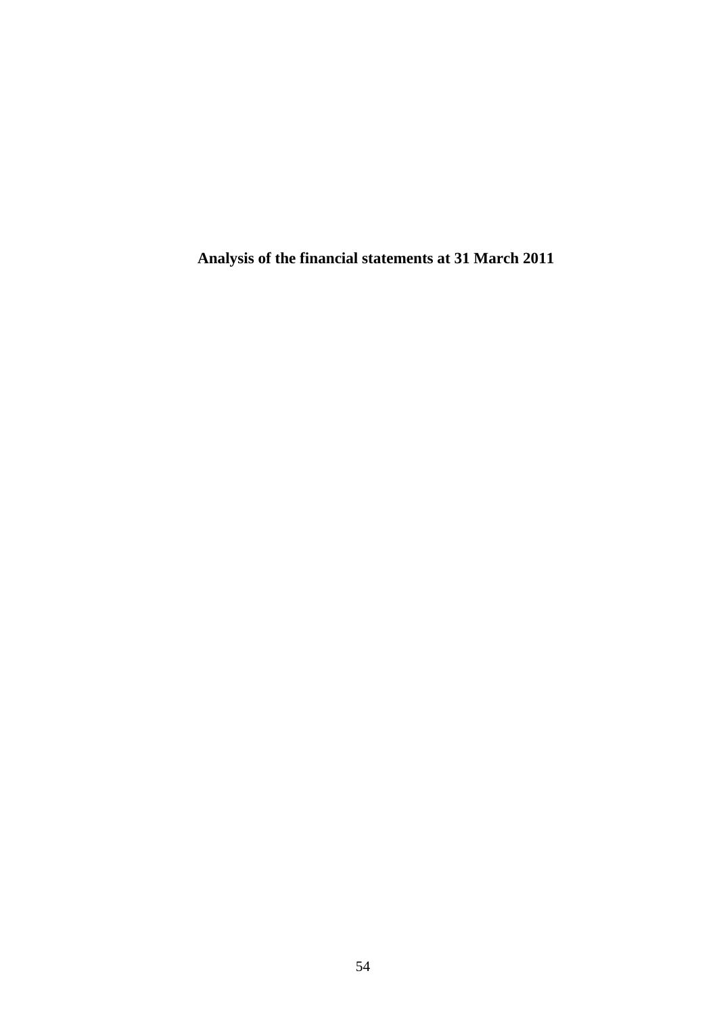**Analysis of the financial statements at 31 March 2011**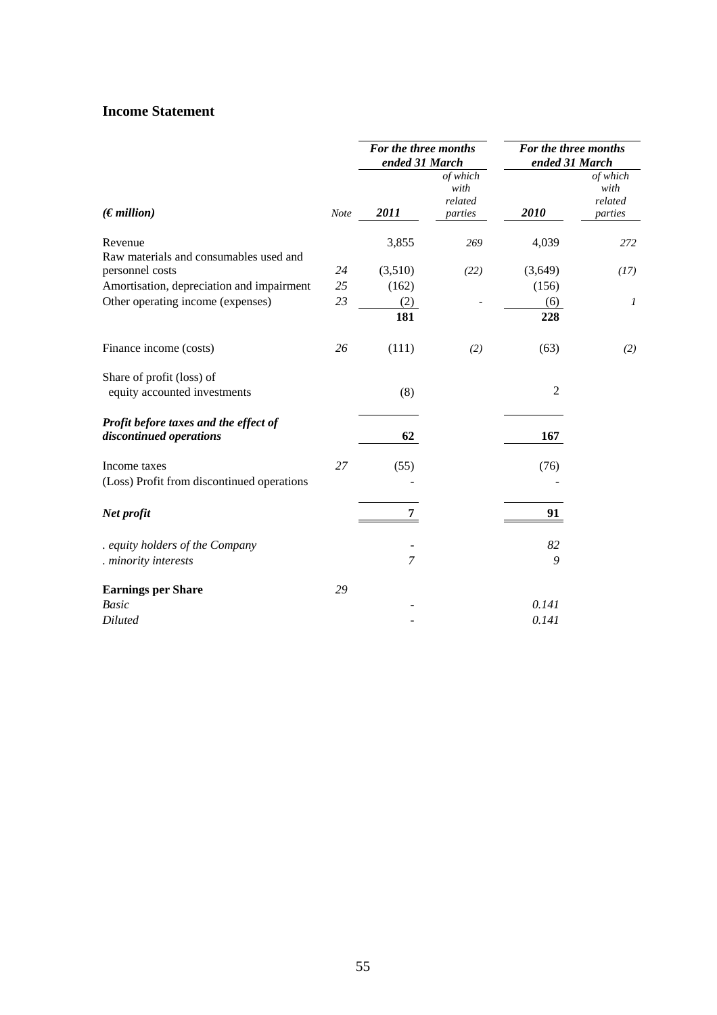# **Income Statement**

|                                                                  |             | For the three months<br>ended 31 March |                                        | For the three months<br>ended 31 March |                                        |
|------------------------------------------------------------------|-------------|----------------------------------------|----------------------------------------|----------------------------------------|----------------------------------------|
| (Emillion)                                                       | <b>Note</b> | 2011                                   | of which<br>with<br>related<br>parties | 2010                                   | of which<br>with<br>related<br>parties |
| Revenue<br>Raw materials and consumables used and                |             | 3,855                                  | 269                                    | 4,039                                  | 272                                    |
| personnel costs                                                  | 24          | (3,510)                                | (22)                                   | (3,649)                                | (17)                                   |
| Amortisation, depreciation and impairment                        | 25          | (162)                                  |                                        | (156)                                  |                                        |
| Other operating income (expenses)                                | 23          | (2)                                    |                                        | (6)                                    | 1                                      |
|                                                                  |             | 181                                    |                                        | 228                                    |                                        |
| Finance income (costs)                                           | 26          | (111)                                  | (2)                                    | (63)                                   | (2)                                    |
| Share of profit (loss) of<br>equity accounted investments        |             | (8)                                    |                                        | $\overline{2}$                         |                                        |
| Profit before taxes and the effect of<br>discontinued operations |             | 62                                     |                                        | 167                                    |                                        |
| Income taxes<br>(Loss) Profit from discontinued operations       | 27          | (55)                                   |                                        | (76)                                   |                                        |
| Net profit                                                       |             | 7                                      |                                        | 91                                     |                                        |
| . equity holders of the Company                                  |             |                                        |                                        | 82                                     |                                        |
| . minority interests                                             |             | 7                                      |                                        | 9                                      |                                        |
| <b>Earnings per Share</b>                                        | 29          |                                        |                                        |                                        |                                        |
| <b>Basic</b>                                                     |             |                                        |                                        | 0.141                                  |                                        |
| <b>Diluted</b>                                                   |             |                                        |                                        | 0.141                                  |                                        |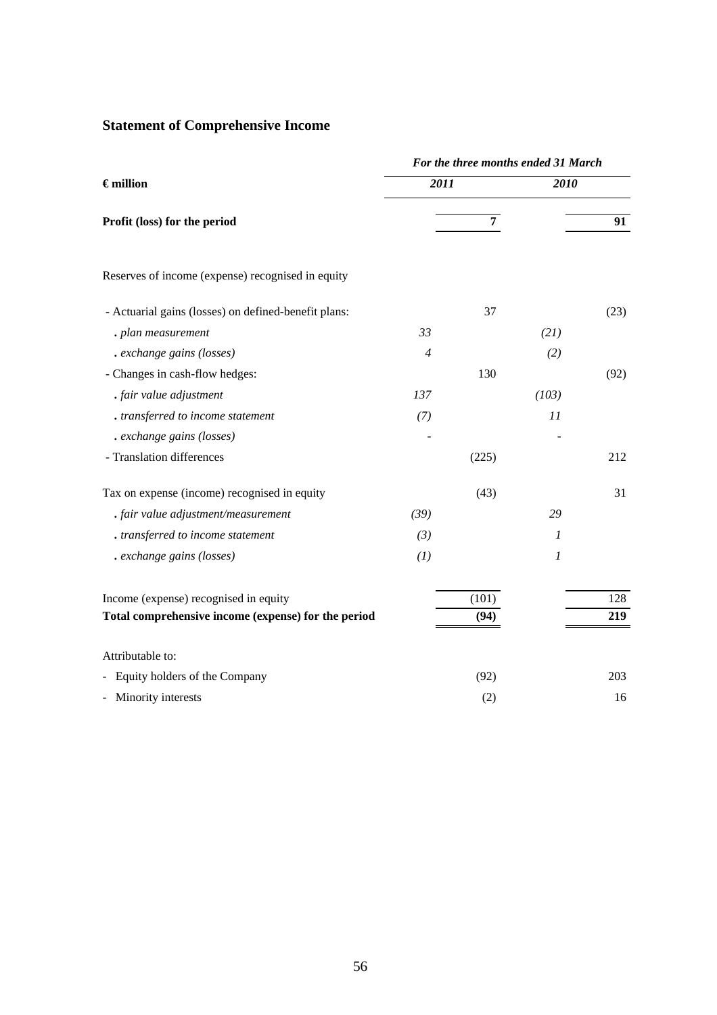# **Statement of Comprehensive Income**

|                                                      |                |                | For the three months ended 31 March |      |
|------------------------------------------------------|----------------|----------------|-------------------------------------|------|
| $\epsilon$ million                                   | 2011           |                | 2010                                |      |
| Profit (loss) for the period                         |                | $\overline{7}$ |                                     | 91   |
| Reserves of income (expense) recognised in equity    |                |                |                                     |      |
| - Actuarial gains (losses) on defined-benefit plans: |                | 37             |                                     | (23) |
| . plan measurement                                   | 33             |                | (21)                                |      |
| . exchange gains (losses)                            | $\overline{4}$ |                | (2)                                 |      |
| - Changes in cash-flow hedges:                       |                | 130            |                                     | (92) |
| . fair value adjustment                              | 137            |                | (103)                               |      |
| . transferred to income statement                    | (7)            |                | 11                                  |      |
| . exchange gains (losses)                            |                |                |                                     |      |
| - Translation differences                            |                | (225)          |                                     | 212  |
| Tax on expense (income) recognised in equity         |                | (43)           |                                     | 31   |
| . fair value adjustment/measurement                  | (39)           |                | 29                                  |      |
| . transferred to income statement                    | (3)            |                | 1                                   |      |
| . exchange gains (losses)                            | (1)            |                | 1                                   |      |
| Income (expense) recognised in equity                |                | (101)          |                                     | 128  |
| Total comprehensive income (expense) for the period  |                | (94)           |                                     | 219  |
| Attributable to:                                     |                |                |                                     |      |
| Equity holders of the Company<br>$\frac{1}{2}$       |                | (92)           |                                     | 203  |
| - Minority interests                                 |                | (2)            |                                     | 16   |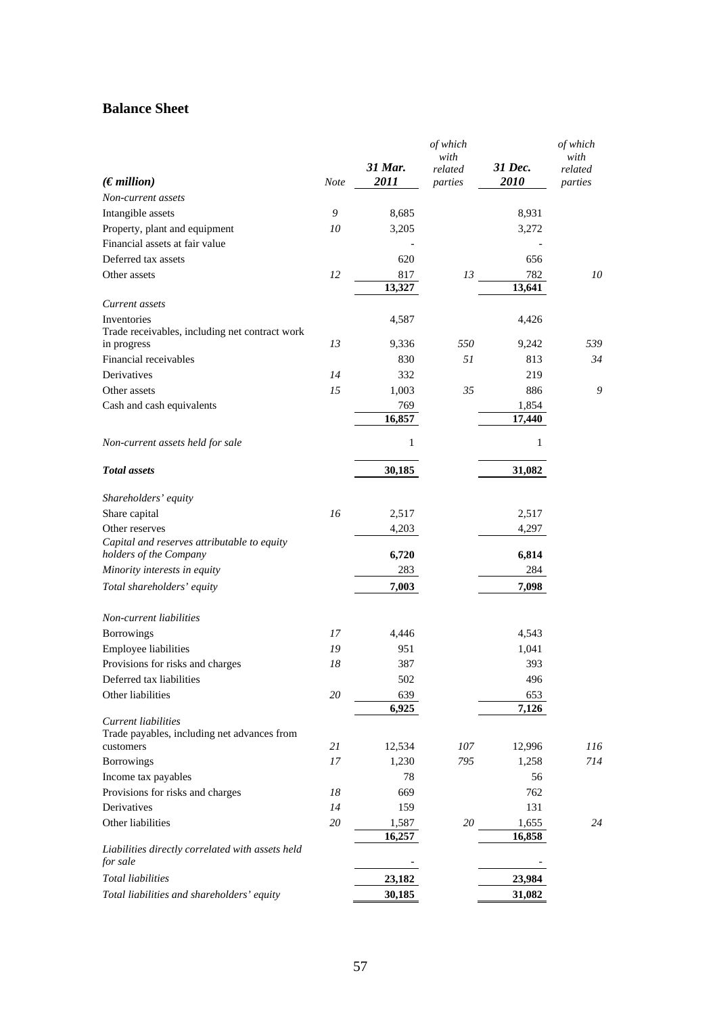# **Balance Sheet**

|                                                          |             |         | of which           |         | of which           |
|----------------------------------------------------------|-------------|---------|--------------------|---------|--------------------|
|                                                          |             | 31 Mar. | with               | 31 Dec. | with               |
| (Emillion)                                               | <b>Note</b> | 2011    | related<br>parties | 2010    | related<br>parties |
| Non-current assets                                       |             |         |                    |         |                    |
| Intangible assets                                        | 9           | 8,685   |                    | 8,931   |                    |
| Property, plant and equipment                            | 10          | 3,205   |                    | 3,272   |                    |
| Financial assets at fair value                           |             |         |                    |         |                    |
| Deferred tax assets                                      |             | 620     |                    | 656     |                    |
| Other assets                                             | 12          | 817     | 13                 | 782     | 10                 |
|                                                          |             | 13,327  |                    | 13,641  |                    |
| Current assets                                           |             |         |                    |         |                    |
| Inventories                                              |             | 4,587   |                    | 4,426   |                    |
| Trade receivables, including net contract work           |             |         |                    |         |                    |
| in progress                                              | 13          | 9,336   | 550                | 9,242   | 539                |
| Financial receivables                                    |             | 830     | 51                 | 813     | 34                 |
| Derivatives                                              | 14          | 332     |                    | 219     |                    |
| Other assets                                             | 15          | 1,003   | 35                 | 886     | 9                  |
| Cash and cash equivalents                                |             | 769     |                    | 1,854   |                    |
|                                                          |             | 16,857  |                    | 17,440  |                    |
| Non-current assets held for sale                         |             | 1       |                    | 1       |                    |
| <b>Total</b> assets                                      |             | 30,185  |                    | 31,082  |                    |
|                                                          |             |         |                    |         |                    |
| Shareholders' equity                                     |             |         |                    |         |                    |
| Share capital                                            | 16          | 2,517   |                    | 2,517   |                    |
| Other reserves                                           |             | 4,203   |                    | 4,297   |                    |
| Capital and reserves attributable to equity              |             |         |                    |         |                    |
| holders of the Company                                   |             | 6,720   |                    | 6,814   |                    |
| Minority interests in equity                             |             | 283     |                    | 284     |                    |
| Total shareholders' equity                               |             | 7,003   |                    | 7,098   |                    |
| Non-current liabilities                                  |             |         |                    |         |                    |
| <b>Borrowings</b>                                        | 17          | 4,446   |                    | 4,543   |                    |
| Employee liabilities                                     | 19          | 951     |                    | 1,041   |                    |
| Provisions for risks and charges                         | 18          | 387     |                    | 393     |                    |
| Deferred tax liabilities                                 |             | 502     |                    | 496     |                    |
| Other liabilities                                        | 20          | 639     |                    | 653     |                    |
|                                                          |             | 6,925   |                    | 7,126   |                    |
| Current liabilities                                      |             |         |                    |         |                    |
| Trade payables, including net advances from<br>customers | 21          | 12,534  | 107                | 12,996  | 116                |
| <b>Borrowings</b>                                        | 17          | 1,230   | 795                | 1,258   | 714                |
| Income tax payables                                      |             | 78      |                    | 56      |                    |
| Provisions for risks and charges                         | 18          | 669     |                    | 762     |                    |
| Derivatives                                              | 14          | 159     |                    | 131     |                    |
| Other liabilities                                        | 20          | 1,587   | 20                 | 1,655   | 24                 |
|                                                          |             | 16,257  |                    | 16,858  |                    |
| Liabilities directly correlated with assets held         |             |         |                    |         |                    |
| for sale                                                 |             |         |                    |         |                    |
| <b>Total liabilities</b>                                 |             | 23,182  |                    | 23,984  |                    |
| Total liabilities and shareholders' equity               |             | 30,185  |                    | 31,082  |                    |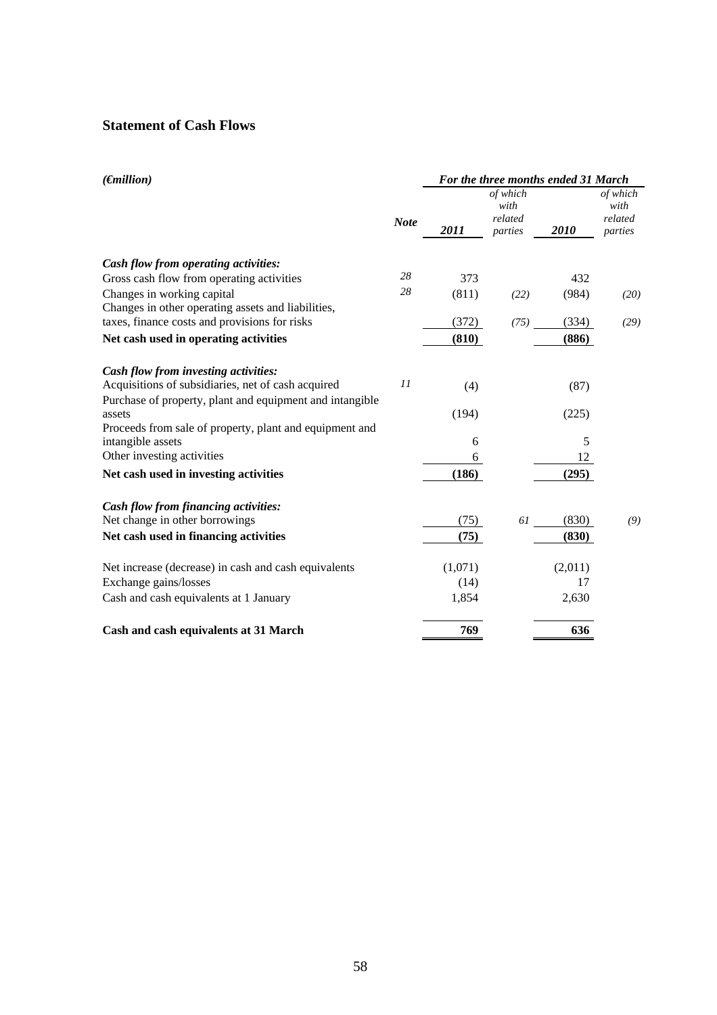# **Statement of Cash Flows**

| $(\epsilon$ <i>nillion</i> )                                                     |             | For the three months ended 31 March |                                        |         |                                        |  |
|----------------------------------------------------------------------------------|-------------|-------------------------------------|----------------------------------------|---------|----------------------------------------|--|
|                                                                                  | <b>Note</b> | 2011                                | of which<br>with<br>related<br>parties | 2010    | of which<br>with<br>related<br>parties |  |
| Cash flow from operating activities:                                             |             |                                     |                                        |         |                                        |  |
| Gross cash flow from operating activities                                        | 28          | 373                                 |                                        | 432     |                                        |  |
| Changes in working capital<br>Changes in other operating assets and liabilities, | 28          | (811)                               | (22)                                   | (984)   | (20)                                   |  |
| taxes, finance costs and provisions for risks                                    |             | (372)                               | (75)                                   | (334)   | (29)                                   |  |
| Net cash used in operating activities                                            |             | (810)                               |                                        | (886)   |                                        |  |
| Cash flow from investing activities:                                             |             |                                     |                                        |         |                                        |  |
| Acquisitions of subsidiaries, net of cash acquired                               | 11          | (4)                                 |                                        | (87)    |                                        |  |
| Purchase of property, plant and equipment and intangible<br>assets               |             | (194)                               |                                        | (225)   |                                        |  |
| Proceeds from sale of property, plant and equipment and<br>intangible assets     |             | 6                                   |                                        | 5       |                                        |  |
| Other investing activities                                                       |             | 6                                   |                                        | 12      |                                        |  |
| Net cash used in investing activities                                            |             | (186)                               |                                        | (295)   |                                        |  |
| Cash flow from financing activities:                                             |             |                                     |                                        |         |                                        |  |
| Net change in other borrowings                                                   |             | (75)                                | 61                                     | (830)   | (9)                                    |  |
| Net cash used in financing activities                                            |             | (75)                                |                                        | (830)   |                                        |  |
| Net increase (decrease) in cash and cash equivalents                             |             | (1,071)                             |                                        | (2,011) |                                        |  |
| Exchange gains/losses                                                            |             | (14)                                |                                        | 17      |                                        |  |
| Cash and cash equivalents at 1 January                                           |             | 1,854                               |                                        | 2,630   |                                        |  |
| Cash and cash equivalents at 31 March                                            |             | 769                                 |                                        | 636     |                                        |  |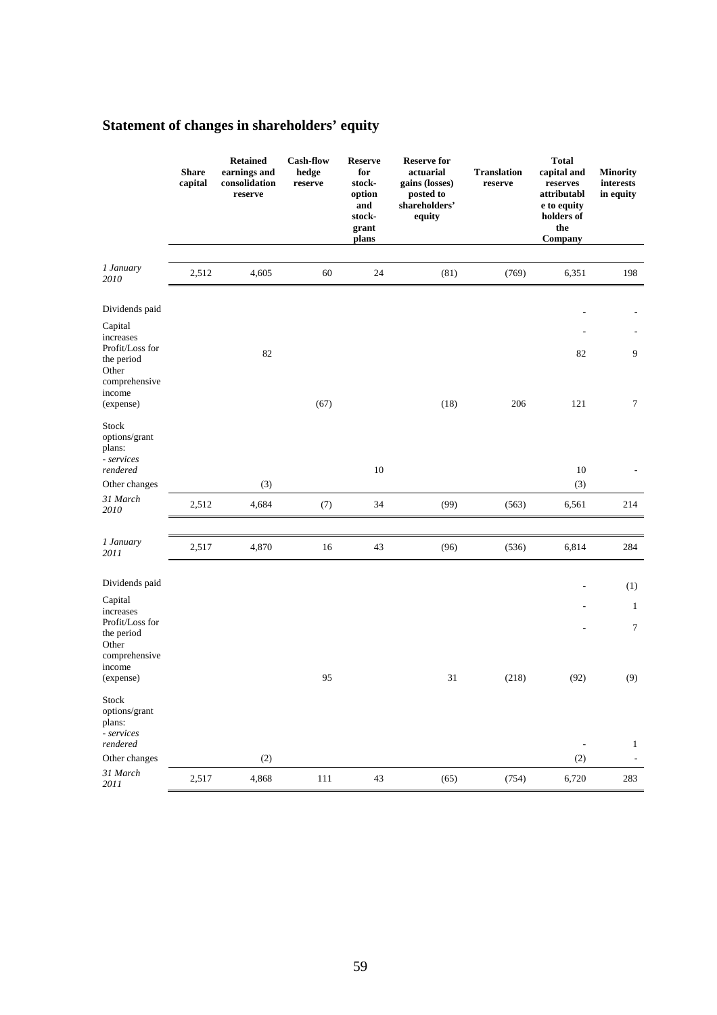|  |  | Statement of changes in shareholders' equity |  |
|--|--|----------------------------------------------|--|
|  |  |                                              |  |

|                                                                                                        | <b>Share</b><br>capital | <b>Retained</b><br>earnings and<br>consolidation<br>reserve | <b>Cash-flow</b><br>hedge<br>reserve | <b>Reserve</b><br>for<br>stock-<br>option<br>and<br>stock-<br>grant<br>plans | <b>Reserve for</b><br>actuarial<br>gains (losses)<br>posted to<br>shareholders'<br>equity | <b>Translation</b><br>reserve | <b>Total</b><br>capital and<br>reserves<br>attributabl<br>e to equity<br>holders of<br>the<br>Company | <b>Minority</b><br>interests<br>in equity |
|--------------------------------------------------------------------------------------------------------|-------------------------|-------------------------------------------------------------|--------------------------------------|------------------------------------------------------------------------------|-------------------------------------------------------------------------------------------|-------------------------------|-------------------------------------------------------------------------------------------------------|-------------------------------------------|
| 1 January<br>2010                                                                                      | 2,512                   | 4,605                                                       | 60                                   | 24                                                                           | (81)                                                                                      | (769)                         | 6,351                                                                                                 | 198                                       |
| Dividends paid                                                                                         |                         |                                                             |                                      |                                                                              |                                                                                           |                               |                                                                                                       |                                           |
| Capital<br>increases<br>Profit/Loss for<br>the period<br>Other<br>comprehensive<br>income<br>(expense) |                         | 82                                                          | (67)                                 |                                                                              | (18)                                                                                      | 206                           | 82<br>121                                                                                             | $\overline{9}$<br>$\tau$                  |
| Stock<br>options/grant<br>plans:<br>- services<br>rendered                                             |                         |                                                             |                                      | $10\,$                                                                       |                                                                                           |                               | $10\,$                                                                                                |                                           |
| Other changes                                                                                          |                         | (3)                                                         |                                      |                                                                              |                                                                                           |                               | (3)                                                                                                   |                                           |
| 31 March<br>2010                                                                                       | 2,512                   | 4,684                                                       | (7)                                  | 34                                                                           | (99)                                                                                      | (563)                         | 6,561                                                                                                 | 214                                       |
| 1 January<br>2011                                                                                      | 2,517                   | 4,870                                                       | 16                                   | 43                                                                           | (96)                                                                                      | (536)                         | 6,814                                                                                                 | 284                                       |
| Dividends paid                                                                                         |                         |                                                             |                                      |                                                                              |                                                                                           |                               |                                                                                                       | (1)                                       |
| Capital<br>increases<br>Profit/Loss for<br>the period<br>Other<br>comprehensive<br>income<br>(expense) |                         |                                                             | 95                                   |                                                                              | 31                                                                                        | (218)                         | (92)                                                                                                  | $\mathbf{1}$<br>$\tau$<br>(9)             |
| Stock<br>options/grant<br>plans:<br>- services<br>rendered                                             |                         |                                                             |                                      |                                                                              |                                                                                           |                               | $\overline{\phantom{0}}$                                                                              | $\mathbf{1}$                              |
| Other changes                                                                                          |                         | (2)                                                         |                                      |                                                                              |                                                                                           |                               | (2)                                                                                                   | $\overline{\phantom{a}}$                  |
| 31 March<br>2011                                                                                       | 2,517                   | 4,868                                                       | 111                                  | $43\,$                                                                       | (65)                                                                                      | (754)                         | 6,720                                                                                                 | 283                                       |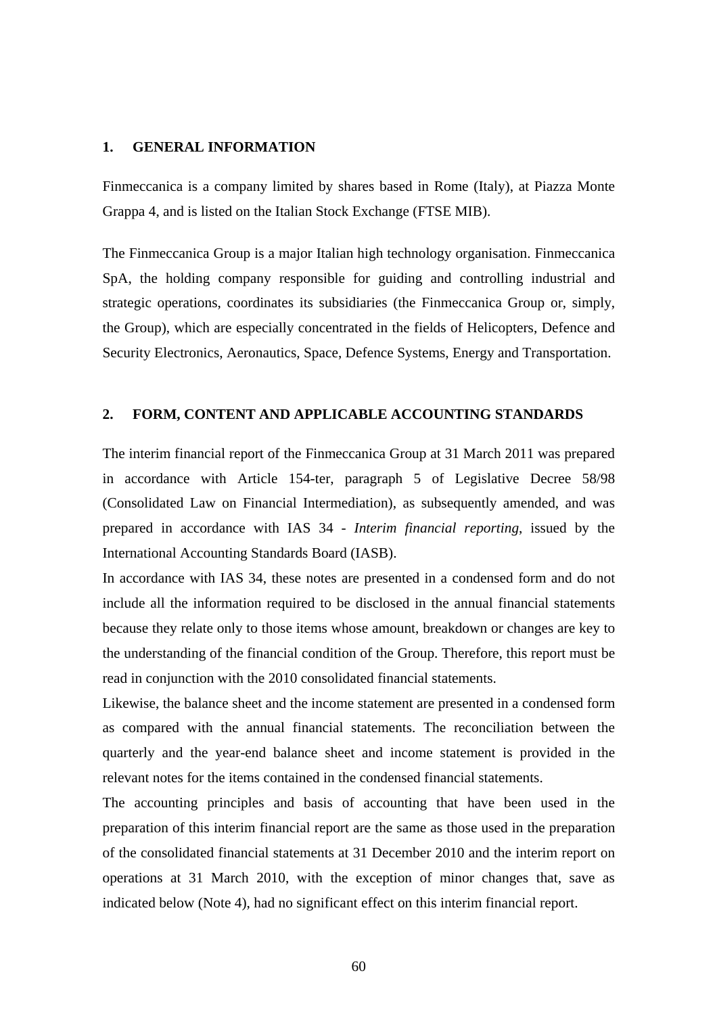#### **1. GENERAL INFORMATION**

Finmeccanica is a company limited by shares based in Rome (Italy), at Piazza Monte Grappa 4, and is listed on the Italian Stock Exchange (FTSE MIB).

The Finmeccanica Group is a major Italian high technology organisation. Finmeccanica SpA, the holding company responsible for guiding and controlling industrial and strategic operations, coordinates its subsidiaries (the Finmeccanica Group or, simply, the Group), which are especially concentrated in the fields of Helicopters, Defence and Security Electronics, Aeronautics, Space, Defence Systems, Energy and Transportation.

#### **2. FORM, CONTENT AND APPLICABLE ACCOUNTING STANDARDS**

The interim financial report of the Finmeccanica Group at 31 March 2011 was prepared in accordance with Article 154-ter, paragraph 5 of Legislative Decree 58/98 (Consolidated Law on Financial Intermediation), as subsequently amended, and was prepared in accordance with IAS 34 - *Interim financial reporting*, issued by the International Accounting Standards Board (IASB).

In accordance with IAS 34, these notes are presented in a condensed form and do not include all the information required to be disclosed in the annual financial statements because they relate only to those items whose amount, breakdown or changes are key to the understanding of the financial condition of the Group. Therefore, this report must be read in conjunction with the 2010 consolidated financial statements.

Likewise, the balance sheet and the income statement are presented in a condensed form as compared with the annual financial statements. The reconciliation between the quarterly and the year-end balance sheet and income statement is provided in the relevant notes for the items contained in the condensed financial statements.

The accounting principles and basis of accounting that have been used in the preparation of this interim financial report are the same as those used in the preparation of the consolidated financial statements at 31 December 2010 and the interim report on operations at 31 March 2010, with the exception of minor changes that, save as indicated below (Note 4), had no significant effect on this interim financial report.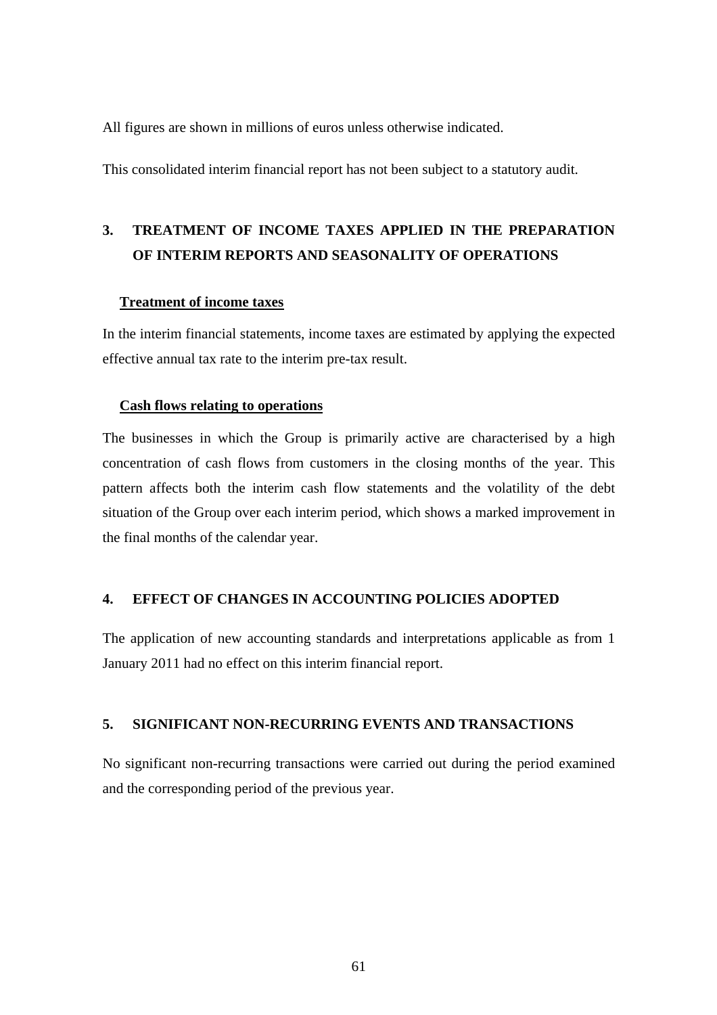All figures are shown in millions of euros unless otherwise indicated.

This consolidated interim financial report has not been subject to a statutory audit.

# **3. TREATMENT OF INCOME TAXES APPLIED IN THE PREPARATION OF INTERIM REPORTS AND SEASONALITY OF OPERATIONS**

# **Treatment of income taxes**

In the interim financial statements, income taxes are estimated by applying the expected effective annual tax rate to the interim pre-tax result.

#### **Cash flows relating to operations**

The businesses in which the Group is primarily active are characterised by a high concentration of cash flows from customers in the closing months of the year. This pattern affects both the interim cash flow statements and the volatility of the debt situation of the Group over each interim period, which shows a marked improvement in the final months of the calendar year.

# **4. EFFECT OF CHANGES IN ACCOUNTING POLICIES ADOPTED**

The application of new accounting standards and interpretations applicable as from 1 January 2011 had no effect on this interim financial report.

## **5. SIGNIFICANT NON-RECURRING EVENTS AND TRANSACTIONS**

No significant non-recurring transactions were carried out during the period examined and the corresponding period of the previous year.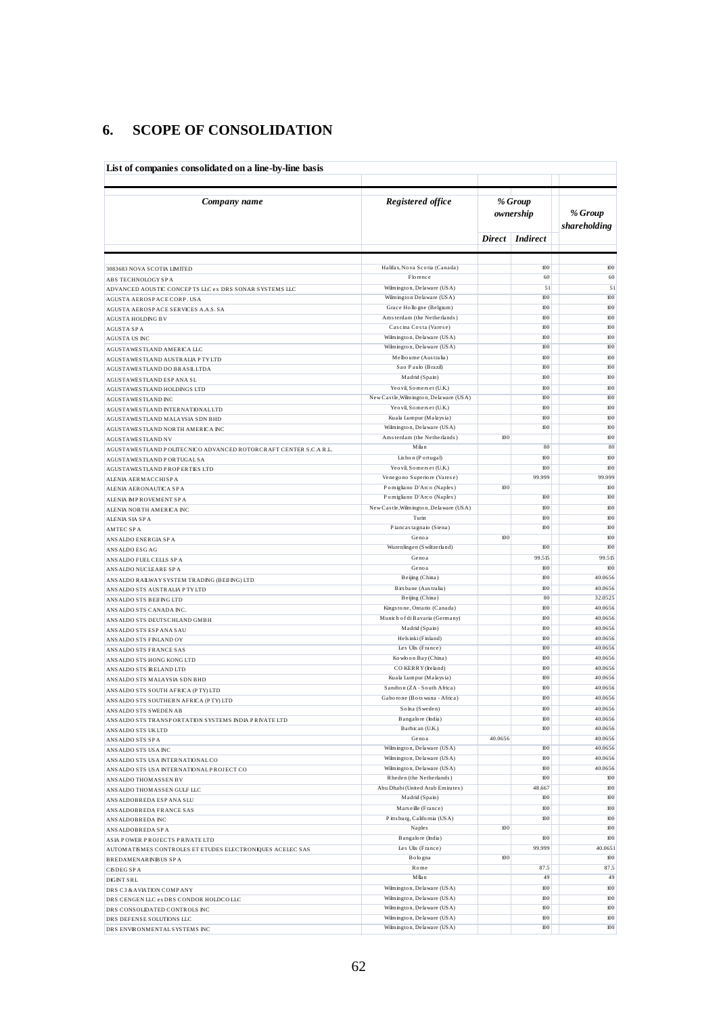# **6. SCOPE OF CONSOLIDATION**

| List of companies consolidated on a line-by-line basis                       |                                                                    |         |                      |                         |
|------------------------------------------------------------------------------|--------------------------------------------------------------------|---------|----------------------|-------------------------|
|                                                                              |                                                                    |         |                      |                         |
| Company name                                                                 | Registered office                                                  |         | % Group<br>ownership | % Group<br>shareholding |
|                                                                              |                                                                    |         | Direct Indirect      |                         |
|                                                                              | Halifax, Nova Scotia (Canada)                                      |         | $100$                | 100                     |
| 3083683 NOVA SCOTIA LIMITED                                                  | Florence                                                           |         | 60                   | 60                      |
| ABS TECHNOLOGY SPA<br>ADVANCED AOUSTIC CONCEPTS LLC ex DRS SONAR SYSTEMS LLC | Wilmington, De la ware (USA)                                       |         | 51                   | 51                      |
| AGUSTA AEROSP ACE CORP. USA                                                  | Wilmington Delaware (USA)                                          |         | 100                  | 100                     |
| AGUSTA AEROSP ACE SERVICES A.A.S. SA                                         | Grace Hollogne (Belgium)                                           |         | $100$                | 100                     |
| <b>AGUSTA HOLDING BV</b>                                                     | Amsterdam (the Netherlands)                                        |         | $100$                | 100                     |
| <b>AGUSTA SPA</b>                                                            | Cascina Costa (Varese)                                             |         | 100                  | 100                     |
| <b>AGUSTA US INC</b>                                                         | Wilmington, Delaware (USA)                                         |         | $100$                | 100                     |
| AGUSTAWESTLAND AMERICA LLC                                                   | Wilmington, Delaware (USA)                                         |         | 100                  | 100                     |
| AGUSTAWESTLAND AUSTRALIA PTY LTD                                             | Melbourne (Australia)                                              |         | 100                  | 100                     |
| AGUSTAWESTLAND DO BRASILLTDA                                                 | Sao Paulo (Brazil)                                                 |         | 100                  | 100                     |
| AGUSTAWESTLAND ESP ANA SL                                                    | Madrid (Spain)                                                     |         | 100                  | 100                     |
| AGUSTAWESTLAND HOLDINGS LTD                                                  | Yeovil, Somers et (U.K.)                                           |         | 100<br>$100$         | 100<br>100              |
| AGUSTAWESTLAND INC                                                           | New Castle, Wilmington, Delaware (USA)<br>Yeovil, Somers et (U.K.) |         | 100                  | 100                     |
| AGUSTAWESTLAND INTERNATIONAL LTD                                             | Kuala Lumpur (Malaysia)                                            |         | 100                  | 100                     |
| AGUSTAWESTLAND MALAYSIA SDN BHD<br>AGUSTAWESTLAND NORTH AMERICA INC          | Wilmington, Delaware (USA)                                         |         | 100                  | 100                     |
| <b>AGUSTAWESTLAND NV</b>                                                     | Amsterdam (the Netherlands)                                        | 100     |                      | 100                     |
| AGUSTAWESTLAND POLITECNICO ADVANCED ROTORCRAFT CENTER S.C.A R.L.             | Milan                                                              |         | 80                   | 80                      |
| AGUSTAWESTLAND PORTUGAL SA                                                   | Lisbon (Portugal)                                                  |         | 100                  | 100                     |
| AGUSTAWESTLAND PROPERTIES LTD                                                | Yeovil, Somers et (U.K.)                                           |         | 100                  | 100                     |
| ALENIA AERMACCHISPA                                                          | Venegono Superiore (Varese)                                        |         | 99.999               | 99.999                  |
| ALENIA AERONAUTICA SPA                                                       | Pomigliano D'Arco (Naples)                                         | 100     |                      | 100                     |
| ALENIA IMPROVEMENT SPA                                                       | Pomigliano D'Arco (Naples)                                         |         | 100                  | 100                     |
| ALENIA NORTH AMERICA INC                                                     | New Cas tle, Wilmington, Delaware (USA)                            |         | 100                  | 100                     |
| ALENIA SIA SPA                                                               | Turin                                                              |         | 100                  | 100                     |
| <b>AMTEC SPA</b>                                                             | Piancas tagnaio (Siena)                                            |         | 100                  | 100                     |
| ANS ALDO ENERGIA SPA                                                         | Genoa<br>Wurenlingen (Swiltzerland)                                | 100     | 100                  | 100<br>100              |
| ANS ALDO ESG AG                                                              | Genoa                                                              |         | 99.515               | 99.515                  |
| ANS ALDO FUEL CELLS SPA                                                      | Genoa                                                              |         | $100$                | 100                     |
| ANS ALDO NUCLEARE SPA<br>ANS ALDO RAILWAY SYSTEM TRADING (BEIJING) LTD       | Beijing (China)                                                    |         | 100                  | 40.0656                 |
| ANS ALDO STS AUSTRALIA PTYLTD                                                | Birs bane (Australia)                                              |         | 100                  | 40.0656                 |
| ANS ALDO STS BEIJ NG LTD                                                     | Beijing (China)                                                    |         | 80                   | 32.0525                 |
| ANSALDO STS CANADA INC.                                                      | Kingstone, Ontario (Canada)                                        |         | 100                  | 40.0656                 |
| ANS ALDO STS DEUTS CHLAND GMBH                                               | Munich of di Bavaria (Germany)                                     |         | 100                  | 40.0656                 |
| ANSALDO STS ESP ANA SAU                                                      | Madrid (Spain)                                                     |         | $100$                | 40.0656                 |
| ANSALDO STS FINLAND OY                                                       | Helsinki (Finland)                                                 |         | $100$                | 40.0656                 |
| ANSALDO STS FRANCE SAS                                                       | Les Ulis (France)                                                  |         | 100                  | 40.0656                 |
| ANSALDO STS HONG KONG LTD                                                    | Ko wlo on Bay (China)                                              |         | $100$                | 40.0656                 |
| ANSALDO STS IRELAND LTD                                                      | CO KERRY (Ireland)                                                 |         | 100                  | 40.0656                 |
| ANSALDO STS MALAYSIA SDN BHD                                                 | Kuala Lumpur (Malaysia)                                            |         | 100                  | 40.0656                 |
| ANSALDO STS SOUTH AFRICA (PTY) LTD                                           | Sandton (ZA - South Africa)                                        |         | 100                  | 40.0656                 |
| ANS ALDO STS SOUTHERN AFRICA (PTY) LTD                                       | Gaborone (Bots wana - Africa)                                      |         | 100<br>$100$         | 40.0656<br>40.0656      |
| ANSALDO STS SWEDEN AB                                                        | Solna (Sweden)<br>Bangalore (India)                                |         | 100                  | 40.0656                 |
| ANS ALDO STS TRANSPORTATION SYSTEMS INDIA PRIVATE LTD                        | Barbican (U.K.)                                                    |         | 100                  | 40.0656                 |
| ANSALDO STS UKLTD<br>ANSALDO STS SPA                                         | Genoa                                                              | 40.0656 |                      | 40.0656                 |
| ANSALDO STS USA INC                                                          | Wilmington, Delaware (USA)                                         |         | 100                  | 40.0656                 |
| ANS ALDO STS USA INTERNATIONAL CO                                            | Wilmington, Delaware (USA)                                         |         | 100                  | 40.0656                 |
| ANSALDO STS USA INTERNATIONAL PROJECT CO                                     | Wilmington, Delaware (USA)                                         |         | 100                  | 40.0656                 |
| ANSALDO THOMASSEN BV                                                         | Rheden (the Netherlands)                                           |         | 100                  | $100\,$                 |
| ANS ALDO THOMASSEN GULF LLC                                                  | Abu Dhabi (United Arab Emirates)                                   |         | 48.667               | 100                     |
| ANS ALDOBREDA ESP ANA SLU                                                    | Madrid (Spain)                                                     |         | 100                  | 100                     |
| ANS ALDOBREDA FRANCE SAS                                                     | Mars eille (France)                                                |         | $100$                | 100                     |
| ANS ALDOBREDA INC                                                            | Pitts burg, California (USA)                                       |         | 100                  | $100\,$                 |
| ANS ALDOBREDA SPA                                                            | Naples                                                             | $100$   |                      | $100\,$                 |
| ASIA POWER PROJECTS PRIVATE LTD                                              | Bangalore (India)                                                  |         | 100                  | $100\,$                 |
| AUTOMATISMES CONTROLES ET ETUDES ELECTRONIQUES ACELEC SAS                    | Les Ulis (France)                                                  | 100     | 99.999               | 40.0651                 |
| <b>BREDAMENARINIBUS SPA</b>                                                  | Bologna<br>Rome                                                    |         | 87.5                 | 100<br>87.5             |
| CISDEG SPA                                                                   | Mllan                                                              |         | 49                   | 49                      |
| <b>DIGINT SRL</b>                                                            | Wilmington, Delaware (USA)                                         |         | 100                  | 100                     |
| DRS C3 & AVIATION COMP ANY<br>DRS CENGEN LLC ex DRS CONDOR HOLDCO LLC        | Wilmington, Delaware (USA)                                         |         | 100                  | 100                     |
| DRS CONSOLIDATED CONTROLS INC                                                | Wilmington, Delaware (USA)                                         |         | 100                  | 100                     |
| DRS DEFENSE SOLUTIONS LLC                                                    | Wilmington, Delaware (USA)                                         |         | 100                  | $100\,$                 |
| DRS ENVIRONMENTAL SYSTEMS INC                                                | Wilmington, De laware (USA)                                        |         | $100\,$              | 100                     |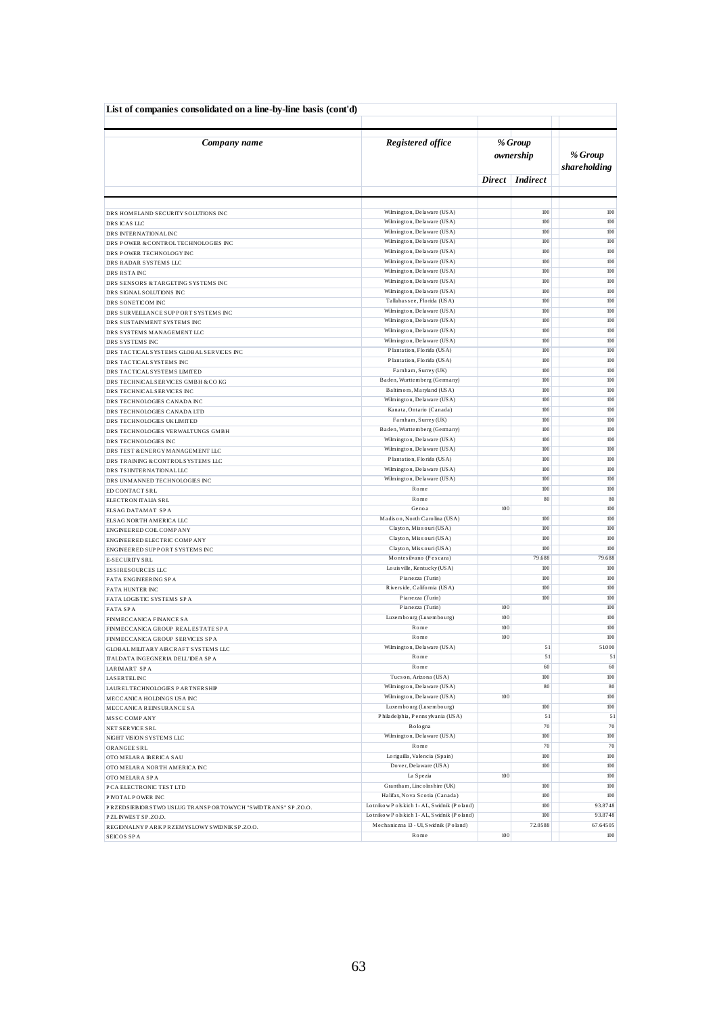| List of companies consolidated on a line-by-line basis (cont'd)   |                                                                                                        |       |                      |                         |
|-------------------------------------------------------------------|--------------------------------------------------------------------------------------------------------|-------|----------------------|-------------------------|
| Company name                                                      | Registered office                                                                                      |       | % Group<br>ownership | % Group<br>shareholding |
|                                                                   |                                                                                                        |       | Direct   Indirect    |                         |
|                                                                   |                                                                                                        |       |                      |                         |
| DRS HOMELAND SECURITY SOLUTIONS INC                               | Wilmington, Delaware (USA)                                                                             |       | 100                  | 100                     |
| DRS ICAS LLC                                                      | Wilmington, Delaware (USA)                                                                             |       | 100                  | 100                     |
| DRS INTERNATIONAL INC                                             | Wilmington, Delaware (USA)                                                                             |       | 100                  | 100                     |
| DRS POWER & CONTROLTECHNOLOGIES INC                               | Wilmington, Delaware (USA)                                                                             |       | 100                  | 100                     |
| DRS POWER TECHNOLOGY INC                                          | Wilmington, Delaware (USA)                                                                             |       | 100<br>100           | 100<br>100              |
| DRS RADAR SYSTEMS LLC                                             | Wilmington, Delaware (USA)<br>Wilmington, Delaware (USA)                                               |       | 100                  | 100                     |
| DRS RSTA INC                                                      | Wilmington, Delaware (USA)                                                                             |       | $100$                | 100                     |
| DRS SENSORS & TARGETING SYSTEMS INC<br>DRS SIGNAL SOLUTIONS INC   | Wilmington, Delaware (USA)                                                                             |       | 100                  | 100                     |
| DRS SONETICOM INC                                                 | Tallahassee, Florida (USA)                                                                             |       | 100                  | 100                     |
| DRS SURVEILLANCE SUPPORT SYSTEMS INC                              | Wilmington, Delaware (USA)                                                                             |       | 100                  | 100                     |
| DRS SUSTAINMENT SYSTEMS INC                                       | Wilmington, Delaware (USA)                                                                             |       | 100                  | 100                     |
| DRS SYSTEMS MANAGEMENT LLC                                        | Wilmington, Delaware (USA)                                                                             |       | $100$                | 100                     |
| DRS SYSTEMS INC                                                   | Wilmington, Delaware (USA)                                                                             |       | 100                  | 100                     |
| DRS TACTICAL SYSTEMS GLOBAL SERVICES INC                          | Plantation, Florida (USA)                                                                              |       | 100                  | 100                     |
| DRS TACTICAL SYSTEMS INC                                          | Plantation, Florida (USA)                                                                              |       | 100                  | 100                     |
| DRS TACTICAL SYSTEMS LIMITED                                      | Farnham, Surrey (UK)<br>Baden, Wurttemberg (Germany)                                                   |       | 100<br>100           | 100<br>100              |
| DRS TECHNICAL SERVICES GMBH & COKG<br>DRS TECHNICAL SERVICES INC  | Baltimora, Maryland (USA)                                                                              |       | 100                  | 100                     |
| DRS TECHNOLOGIES CANADA INC                                       | Wilmington, Delaware (USA)                                                                             |       | 100                  | 100                     |
| DRS TECHNOLOGIES CANADA LTD                                       | Kanata, Ontario (Canada)                                                                               |       | $100$                | 100                     |
| DRS TECHNOLOGIES UK LIMITED                                       | Farnham, Surrey (UK)                                                                                   |       | 100                  | 100                     |
| DRS TECHNOLOGIES VERWALTUNGS GMBH                                 | Baden, Wurttemberg (Germany)                                                                           |       | 100                  | 100                     |
| DRS TECHNOLOGIES INC                                              | Wilmington, Delaware (USA)                                                                             |       | 100                  | 100                     |
| DRS TEST & ENERGY MANAGEMENT LLC                                  | Wilmington, Delaware (USA)                                                                             |       | $100$                | 100                     |
| DRS TRAINING & CONTROLS YSTEMS LLC                                | Plantation, Florida (USA)                                                                              |       | 100                  | 100                     |
| DRS TSINTERNATIONAL LLC                                           | Wilmington, Delaware (USA)<br>Wilmington, Delaware (USA)                                               |       | $100$<br>100         | 100<br>100              |
| DRS UNMANNED TECHNOLOGIES INC                                     | Rome                                                                                                   |       | 100                  | 100                     |
| ED CONTACT SRL<br>ELECTRON ITALIA SRL                             | Rome                                                                                                   |       | 80                   | 80                      |
| ELSAG DATAMAT SPA                                                 | Genoa                                                                                                  | 100   |                      | 100                     |
| ELSAG NORTH AMERICA LLC                                           | Madison, North Carolina (USA)                                                                          |       | 100                  | 100                     |
| ENGINEERED COIL COMPANY                                           | Clayton, Missouri (USA)                                                                                |       | 100                  | 100                     |
| ENGINEERED ELECTRIC COMPANY                                       | Clayton, Missouri (USA)                                                                                |       | 100                  | 100                     |
| ENGINEERED SUPPORT SYSTEMS INC                                    | Clayton, Missouri (USA)                                                                                |       | 100                  | 100                     |
| <b>E-SECURITY SRL</b>                                             | Montes ilvano (Pescara)                                                                                |       | 79.688               | 79.688                  |
| <b>ESSIRESOURCES LLC</b>                                          | Louis ville, Kentucky (USA)                                                                            |       | 100                  | 100                     |
| FATA ENGINEERING SPA                                              | Pianezza (Turin)<br>Rivers ide, California (USA)                                                       |       | 100                  | 100<br>100              |
| <b>FATAHUNTER INC</b>                                             | Pianezza (Turin)                                                                                       |       | 100<br>100           | 100                     |
| FATA LOGISTIC SYSTEMS SPA                                         | Pianezza (Turin)                                                                                       | 100   |                      | 100                     |
| <b>FATASPA</b><br>FINMECCANICA FINANCE SA                         | Luxembourg (Luxembourg)                                                                                | 100   |                      | 100                     |
| FINMECCANICA GROUP REALESTATE SPA                                 | Rome                                                                                                   | 100   |                      | 100                     |
| <b>FINMECCANICA GROUP SERVICES SPA</b>                            | Rome                                                                                                   | 100   |                      | 100                     |
| GLOBAL MILITARY AIRCRAFT SYSTEMS LLC                              | Wilmington, Delaware (USA)                                                                             |       | 51                   | 51000                   |
| ITALDATA INGEGNERIA DELL'IDEA SPA                                 | Rome                                                                                                   |       | 51                   | 51                      |
| LARMART SPA                                                       | Rome                                                                                                   |       | 60                   | 60                      |
| <b>LASERTEL INC</b>                                               | Tucson, Arizona (USA)                                                                                  |       | 100                  | 100                     |
| LAUREL TECHNOLOGIES PARTNERSHIP                                   | Wilmington, De la ware (USA)<br>Wilmington, Delaware (USA)                                             | $100$ | 80                   | 80<br>100               |
| MECCANICA HOLDINGS USA INC<br>MECCANICA REINSURANCE SA            | Luxembourg (Luxembourg)                                                                                |       | 100                  | 100                     |
| MSSC COMPANY                                                      | Philadelphia, Penns ylvania (USA)                                                                      |       | 51                   | 51                      |
| NET SERVICE SRL                                                   | Bologna                                                                                                |       | 70                   | 70                      |
| NIGHT VISION SYSTEMS LLC                                          | Wilmington, De laware (USA)                                                                            |       | 100                  | 100                     |
| ORANGEE SRL                                                       | Rome                                                                                                   |       | 70                   | 70                      |
| OTO MELARA BERICA SAU                                             | Lo riguilla, Valencia (Spain)                                                                          |       | 100                  | 100                     |
| OTO MELARA NORTH AMERICA INC                                      | Do ver, De la ware (USA)                                                                               |       | 100                  | 100                     |
| OTO MELARA SPA                                                    | La Spezia                                                                                              | 100   |                      | 100                     |
| P CA ELECTRONIC TEST LTD                                          | Grantham, Lincolnshire (UK)                                                                            |       | 100                  | 100                     |
| P IVOTAL POWER INC                                                | Halifax, Nova Scotia (Canada)                                                                          |       | 100                  | $100$                   |
| PRZEDSIEBIORSTWO USLUG TRANSPORTOWYCH "SWIDTRANS" SP.ZO.O.        | Lotniko w P o ls kich 1 - AL, S widnik (P o land)<br>Lotniko w P o ls kich 1 - AL, S widnik (P o land) |       | 100                  | 93.8748                 |
| PZL INWEST SP ZO.O.                                               | Mechaniczna 13 - Ul, Swidnik (Poland)                                                                  |       | 100<br>72.0588       | 93.8748<br>67.64505     |
| REGIONALNY PARK PRZEMYSLOWY SWIDNIK SP.ZO.O.<br><b>SEICOS SPA</b> | Rome                                                                                                   | 100   |                      | 100                     |
|                                                                   |                                                                                                        |       |                      |                         |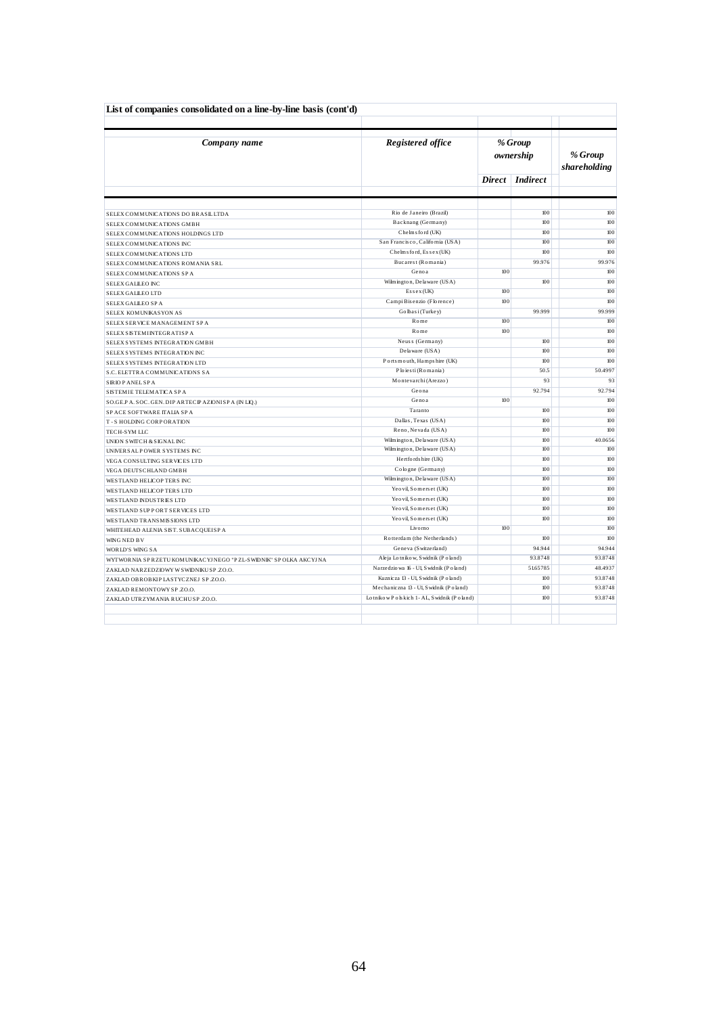| % Group<br>Company name<br>Registered office<br>% Group<br>ownership<br>shareholding<br>Direct Indirect<br>Rio de Janeiro (Brazil)<br>100<br>100<br>SELEX COMMUNICATIONS DO BRASILLTDA<br>Backnang (Germany)<br>100<br>100<br>SELEX COMMUNICATIONS GMBH<br>Chelms ford (UK)<br>100<br>100<br>SELEX COMMUNICATIONS HOLDINGS LTD<br>San Francisco, California (USA)<br>100<br>100<br>SELEX COMMUNICATIONS INC<br>Chelms ford, Essex (UK)<br>100<br>100<br>SELEX COMMUNICATIONS LTD<br>Bucarest (Romania)<br>99.976<br>99.976<br>SELEX COMMUNICATIONS ROMANIA SRL<br>Genoa<br>100<br>100<br>Wilmington, Delaware (USA)<br>100<br>100<br>SELEX GALLEO INC<br>Essex(UK)<br>100<br>100<br>SELEX GALLEO LTD<br>Campi Bisenzio (Florence)<br>100<br>100<br>SELEX GALLEO SPA<br>Golbasi (Turkey)<br>99.999<br>99.999<br>Rome<br>100<br>100<br>Rome<br>100<br>100<br>Neus s (Germany)<br>100<br>Delaware (USA)<br>100<br>Ports mouth, Hampshire (UK)<br>100<br>Ploiesti (Romania)<br>50.5<br>Monte varchi (Are zzo)<br>93<br>Geona<br>92.794<br>Genoa<br>100<br>Taranto<br>100<br>Dallas, Texas (USA)<br>100<br>Reno, Nevada (USA)<br>100<br>Wilmington, Delaware (USA)<br>100<br>Wilmington, Delaware (USA)<br>100<br>Hertfords hire (UK)<br>100<br>Cologne (Germany)<br>100<br>Wilmington, Delaware (USA)<br>100<br>WESTLAND HELICOP TERS INC<br>Yeovil, Somers et (UK)<br>100<br>WESTLAND HELICOP TERS LTD<br>Yeovil, Somers et (UK)<br>100<br>WESTLAND INDUSTRIES LTD<br>Yeovil, Somers et (UK)<br>$100$<br>WESTLAND SUPPORT SERVICES LTD<br>Yeo vil, So mers et (UK)<br>100<br>WESTLAND TRANSMISSIONS LTD<br>Livo mo<br>100<br>WHITEHEAD ALENIA SIST. SUBACQUEISPA<br>Rotterdam (the Netherlands)<br>100<br>WING NED BV<br>94.944<br>Geneva (Switzerland)<br>WORLD'S WING SA<br>Aleja Lotnikow, Swidnik (Poland)<br>93.8748<br>WYTWORNIA SPRZETU KOMUNIKACYJ NEGO "PZL-SWIDNIK" SPOLKA AKCYJ NA<br>5165785<br>Narzedzio wa 16 - Ul, Swidnik (Poland)<br>ZAKLAD NARZEDZIOWY W SWIDNIKU SP.ZO.O.<br>Kuznicza 13 - Ul, Swidnik (Poland)<br>100<br>ZAKLAD OBROBKIP LASTYCZNEJ SP.ZO.O.<br>Mechaniczna 13 - Ul, Swidnik (Poland)<br>100<br>ZAKLAD REMONTOWY SP ZO.O.<br>Lotniko w P o lskich 1 - AL, S widnik (P o land)<br>100<br>ZAKLAD UTRZYMANIA RUCHU SP.ZO.O. | List of companies consolidated on a line-by-line basis (cont'd) |  |         |
|-----------------------------------------------------------------------------------------------------------------------------------------------------------------------------------------------------------------------------------------------------------------------------------------------------------------------------------------------------------------------------------------------------------------------------------------------------------------------------------------------------------------------------------------------------------------------------------------------------------------------------------------------------------------------------------------------------------------------------------------------------------------------------------------------------------------------------------------------------------------------------------------------------------------------------------------------------------------------------------------------------------------------------------------------------------------------------------------------------------------------------------------------------------------------------------------------------------------------------------------------------------------------------------------------------------------------------------------------------------------------------------------------------------------------------------------------------------------------------------------------------------------------------------------------------------------------------------------------------------------------------------------------------------------------------------------------------------------------------------------------------------------------------------------------------------------------------------------------------------------------------------------------------------------------------------------------------------------------------------------------------------------------------------------------------------------------------------------------------------------------------------------------------------------------------------------------------------------------------------------------------------|-----------------------------------------------------------------|--|---------|
|                                                                                                                                                                                                                                                                                                                                                                                                                                                                                                                                                                                                                                                                                                                                                                                                                                                                                                                                                                                                                                                                                                                                                                                                                                                                                                                                                                                                                                                                                                                                                                                                                                                                                                                                                                                                                                                                                                                                                                                                                                                                                                                                                                                                                                                           |                                                                 |  |         |
|                                                                                                                                                                                                                                                                                                                                                                                                                                                                                                                                                                                                                                                                                                                                                                                                                                                                                                                                                                                                                                                                                                                                                                                                                                                                                                                                                                                                                                                                                                                                                                                                                                                                                                                                                                                                                                                                                                                                                                                                                                                                                                                                                                                                                                                           |                                                                 |  |         |
|                                                                                                                                                                                                                                                                                                                                                                                                                                                                                                                                                                                                                                                                                                                                                                                                                                                                                                                                                                                                                                                                                                                                                                                                                                                                                                                                                                                                                                                                                                                                                                                                                                                                                                                                                                                                                                                                                                                                                                                                                                                                                                                                                                                                                                                           |                                                                 |  |         |
|                                                                                                                                                                                                                                                                                                                                                                                                                                                                                                                                                                                                                                                                                                                                                                                                                                                                                                                                                                                                                                                                                                                                                                                                                                                                                                                                                                                                                                                                                                                                                                                                                                                                                                                                                                                                                                                                                                                                                                                                                                                                                                                                                                                                                                                           |                                                                 |  |         |
|                                                                                                                                                                                                                                                                                                                                                                                                                                                                                                                                                                                                                                                                                                                                                                                                                                                                                                                                                                                                                                                                                                                                                                                                                                                                                                                                                                                                                                                                                                                                                                                                                                                                                                                                                                                                                                                                                                                                                                                                                                                                                                                                                                                                                                                           |                                                                 |  |         |
|                                                                                                                                                                                                                                                                                                                                                                                                                                                                                                                                                                                                                                                                                                                                                                                                                                                                                                                                                                                                                                                                                                                                                                                                                                                                                                                                                                                                                                                                                                                                                                                                                                                                                                                                                                                                                                                                                                                                                                                                                                                                                                                                                                                                                                                           |                                                                 |  |         |
|                                                                                                                                                                                                                                                                                                                                                                                                                                                                                                                                                                                                                                                                                                                                                                                                                                                                                                                                                                                                                                                                                                                                                                                                                                                                                                                                                                                                                                                                                                                                                                                                                                                                                                                                                                                                                                                                                                                                                                                                                                                                                                                                                                                                                                                           |                                                                 |  |         |
|                                                                                                                                                                                                                                                                                                                                                                                                                                                                                                                                                                                                                                                                                                                                                                                                                                                                                                                                                                                                                                                                                                                                                                                                                                                                                                                                                                                                                                                                                                                                                                                                                                                                                                                                                                                                                                                                                                                                                                                                                                                                                                                                                                                                                                                           |                                                                 |  |         |
|                                                                                                                                                                                                                                                                                                                                                                                                                                                                                                                                                                                                                                                                                                                                                                                                                                                                                                                                                                                                                                                                                                                                                                                                                                                                                                                                                                                                                                                                                                                                                                                                                                                                                                                                                                                                                                                                                                                                                                                                                                                                                                                                                                                                                                                           |                                                                 |  |         |
|                                                                                                                                                                                                                                                                                                                                                                                                                                                                                                                                                                                                                                                                                                                                                                                                                                                                                                                                                                                                                                                                                                                                                                                                                                                                                                                                                                                                                                                                                                                                                                                                                                                                                                                                                                                                                                                                                                                                                                                                                                                                                                                                                                                                                                                           | SELEX COMMUNICATIONS SPA                                        |  |         |
|                                                                                                                                                                                                                                                                                                                                                                                                                                                                                                                                                                                                                                                                                                                                                                                                                                                                                                                                                                                                                                                                                                                                                                                                                                                                                                                                                                                                                                                                                                                                                                                                                                                                                                                                                                                                                                                                                                                                                                                                                                                                                                                                                                                                                                                           |                                                                 |  |         |
|                                                                                                                                                                                                                                                                                                                                                                                                                                                                                                                                                                                                                                                                                                                                                                                                                                                                                                                                                                                                                                                                                                                                                                                                                                                                                                                                                                                                                                                                                                                                                                                                                                                                                                                                                                                                                                                                                                                                                                                                                                                                                                                                                                                                                                                           |                                                                 |  |         |
|                                                                                                                                                                                                                                                                                                                                                                                                                                                                                                                                                                                                                                                                                                                                                                                                                                                                                                                                                                                                                                                                                                                                                                                                                                                                                                                                                                                                                                                                                                                                                                                                                                                                                                                                                                                                                                                                                                                                                                                                                                                                                                                                                                                                                                                           |                                                                 |  |         |
|                                                                                                                                                                                                                                                                                                                                                                                                                                                                                                                                                                                                                                                                                                                                                                                                                                                                                                                                                                                                                                                                                                                                                                                                                                                                                                                                                                                                                                                                                                                                                                                                                                                                                                                                                                                                                                                                                                                                                                                                                                                                                                                                                                                                                                                           | SELEX KOMUNIKASYON AS                                           |  |         |
|                                                                                                                                                                                                                                                                                                                                                                                                                                                                                                                                                                                                                                                                                                                                                                                                                                                                                                                                                                                                                                                                                                                                                                                                                                                                                                                                                                                                                                                                                                                                                                                                                                                                                                                                                                                                                                                                                                                                                                                                                                                                                                                                                                                                                                                           | SELEX SERVICE MANAGEMENT SPA                                    |  |         |
|                                                                                                                                                                                                                                                                                                                                                                                                                                                                                                                                                                                                                                                                                                                                                                                                                                                                                                                                                                                                                                                                                                                                                                                                                                                                                                                                                                                                                                                                                                                                                                                                                                                                                                                                                                                                                                                                                                                                                                                                                                                                                                                                                                                                                                                           | SELEX SISTEMINTEGRATISP A                                       |  |         |
|                                                                                                                                                                                                                                                                                                                                                                                                                                                                                                                                                                                                                                                                                                                                                                                                                                                                                                                                                                                                                                                                                                                                                                                                                                                                                                                                                                                                                                                                                                                                                                                                                                                                                                                                                                                                                                                                                                                                                                                                                                                                                                                                                                                                                                                           | SELEX SYSTEMS INTEGRATION GMBH                                  |  | 100     |
|                                                                                                                                                                                                                                                                                                                                                                                                                                                                                                                                                                                                                                                                                                                                                                                                                                                                                                                                                                                                                                                                                                                                                                                                                                                                                                                                                                                                                                                                                                                                                                                                                                                                                                                                                                                                                                                                                                                                                                                                                                                                                                                                                                                                                                                           | SELEX SYSTEMS INTEGRATION INC                                   |  | 100     |
|                                                                                                                                                                                                                                                                                                                                                                                                                                                                                                                                                                                                                                                                                                                                                                                                                                                                                                                                                                                                                                                                                                                                                                                                                                                                                                                                                                                                                                                                                                                                                                                                                                                                                                                                                                                                                                                                                                                                                                                                                                                                                                                                                                                                                                                           | SELEX SYSTEMS INTEGRATION LTD                                   |  | 100     |
|                                                                                                                                                                                                                                                                                                                                                                                                                                                                                                                                                                                                                                                                                                                                                                                                                                                                                                                                                                                                                                                                                                                                                                                                                                                                                                                                                                                                                                                                                                                                                                                                                                                                                                                                                                                                                                                                                                                                                                                                                                                                                                                                                                                                                                                           | S.C. ELETTRA COMMUNICATIONS SA                                  |  | 50.4997 |
|                                                                                                                                                                                                                                                                                                                                                                                                                                                                                                                                                                                                                                                                                                                                                                                                                                                                                                                                                                                                                                                                                                                                                                                                                                                                                                                                                                                                                                                                                                                                                                                                                                                                                                                                                                                                                                                                                                                                                                                                                                                                                                                                                                                                                                                           | <b>SIRIO PANEL SPA</b>                                          |  | 93      |
|                                                                                                                                                                                                                                                                                                                                                                                                                                                                                                                                                                                                                                                                                                                                                                                                                                                                                                                                                                                                                                                                                                                                                                                                                                                                                                                                                                                                                                                                                                                                                                                                                                                                                                                                                                                                                                                                                                                                                                                                                                                                                                                                                                                                                                                           | SISTEMIE TELEMATICA SPA                                         |  | 92.794  |
|                                                                                                                                                                                                                                                                                                                                                                                                                                                                                                                                                                                                                                                                                                                                                                                                                                                                                                                                                                                                                                                                                                                                                                                                                                                                                                                                                                                                                                                                                                                                                                                                                                                                                                                                                                                                                                                                                                                                                                                                                                                                                                                                                                                                                                                           | SO.GE.P A. SOC. GEN. DIP ARTEC P AZIONISP A (IN LIQ.)           |  | 100     |
|                                                                                                                                                                                                                                                                                                                                                                                                                                                                                                                                                                                                                                                                                                                                                                                                                                                                                                                                                                                                                                                                                                                                                                                                                                                                                                                                                                                                                                                                                                                                                                                                                                                                                                                                                                                                                                                                                                                                                                                                                                                                                                                                                                                                                                                           | SPACE SOFTWARE ITALIA SPA                                       |  | 100     |
|                                                                                                                                                                                                                                                                                                                                                                                                                                                                                                                                                                                                                                                                                                                                                                                                                                                                                                                                                                                                                                                                                                                                                                                                                                                                                                                                                                                                                                                                                                                                                                                                                                                                                                                                                                                                                                                                                                                                                                                                                                                                                                                                                                                                                                                           | T-S HOLDING CORPORATION                                         |  | 100     |
|                                                                                                                                                                                                                                                                                                                                                                                                                                                                                                                                                                                                                                                                                                                                                                                                                                                                                                                                                                                                                                                                                                                                                                                                                                                                                                                                                                                                                                                                                                                                                                                                                                                                                                                                                                                                                                                                                                                                                                                                                                                                                                                                                                                                                                                           | TECH-SYM LLC                                                    |  | 100     |
|                                                                                                                                                                                                                                                                                                                                                                                                                                                                                                                                                                                                                                                                                                                                                                                                                                                                                                                                                                                                                                                                                                                                                                                                                                                                                                                                                                                                                                                                                                                                                                                                                                                                                                                                                                                                                                                                                                                                                                                                                                                                                                                                                                                                                                                           | UNION SWITCH & SIGNAL INC                                       |  | 40.0656 |
|                                                                                                                                                                                                                                                                                                                                                                                                                                                                                                                                                                                                                                                                                                                                                                                                                                                                                                                                                                                                                                                                                                                                                                                                                                                                                                                                                                                                                                                                                                                                                                                                                                                                                                                                                                                                                                                                                                                                                                                                                                                                                                                                                                                                                                                           | UNIVER SALP OWER SYSTEMS INC                                    |  | 100     |
|                                                                                                                                                                                                                                                                                                                                                                                                                                                                                                                                                                                                                                                                                                                                                                                                                                                                                                                                                                                                                                                                                                                                                                                                                                                                                                                                                                                                                                                                                                                                                                                                                                                                                                                                                                                                                                                                                                                                                                                                                                                                                                                                                                                                                                                           | VEGA CONSULTING SERVICES LTD                                    |  | 100     |
|                                                                                                                                                                                                                                                                                                                                                                                                                                                                                                                                                                                                                                                                                                                                                                                                                                                                                                                                                                                                                                                                                                                                                                                                                                                                                                                                                                                                                                                                                                                                                                                                                                                                                                                                                                                                                                                                                                                                                                                                                                                                                                                                                                                                                                                           | VEGA DEUTS CHLAND GMBH                                          |  | 100     |
|                                                                                                                                                                                                                                                                                                                                                                                                                                                                                                                                                                                                                                                                                                                                                                                                                                                                                                                                                                                                                                                                                                                                                                                                                                                                                                                                                                                                                                                                                                                                                                                                                                                                                                                                                                                                                                                                                                                                                                                                                                                                                                                                                                                                                                                           |                                                                 |  | 100     |
|                                                                                                                                                                                                                                                                                                                                                                                                                                                                                                                                                                                                                                                                                                                                                                                                                                                                                                                                                                                                                                                                                                                                                                                                                                                                                                                                                                                                                                                                                                                                                                                                                                                                                                                                                                                                                                                                                                                                                                                                                                                                                                                                                                                                                                                           |                                                                 |  | 100     |
|                                                                                                                                                                                                                                                                                                                                                                                                                                                                                                                                                                                                                                                                                                                                                                                                                                                                                                                                                                                                                                                                                                                                                                                                                                                                                                                                                                                                                                                                                                                                                                                                                                                                                                                                                                                                                                                                                                                                                                                                                                                                                                                                                                                                                                                           |                                                                 |  | 100     |
|                                                                                                                                                                                                                                                                                                                                                                                                                                                                                                                                                                                                                                                                                                                                                                                                                                                                                                                                                                                                                                                                                                                                                                                                                                                                                                                                                                                                                                                                                                                                                                                                                                                                                                                                                                                                                                                                                                                                                                                                                                                                                                                                                                                                                                                           |                                                                 |  | 100     |
|                                                                                                                                                                                                                                                                                                                                                                                                                                                                                                                                                                                                                                                                                                                                                                                                                                                                                                                                                                                                                                                                                                                                                                                                                                                                                                                                                                                                                                                                                                                                                                                                                                                                                                                                                                                                                                                                                                                                                                                                                                                                                                                                                                                                                                                           |                                                                 |  | 100     |
|                                                                                                                                                                                                                                                                                                                                                                                                                                                                                                                                                                                                                                                                                                                                                                                                                                                                                                                                                                                                                                                                                                                                                                                                                                                                                                                                                                                                                                                                                                                                                                                                                                                                                                                                                                                                                                                                                                                                                                                                                                                                                                                                                                                                                                                           |                                                                 |  | 100     |
|                                                                                                                                                                                                                                                                                                                                                                                                                                                                                                                                                                                                                                                                                                                                                                                                                                                                                                                                                                                                                                                                                                                                                                                                                                                                                                                                                                                                                                                                                                                                                                                                                                                                                                                                                                                                                                                                                                                                                                                                                                                                                                                                                                                                                                                           |                                                                 |  | 100     |
|                                                                                                                                                                                                                                                                                                                                                                                                                                                                                                                                                                                                                                                                                                                                                                                                                                                                                                                                                                                                                                                                                                                                                                                                                                                                                                                                                                                                                                                                                                                                                                                                                                                                                                                                                                                                                                                                                                                                                                                                                                                                                                                                                                                                                                                           |                                                                 |  | 94.944  |
|                                                                                                                                                                                                                                                                                                                                                                                                                                                                                                                                                                                                                                                                                                                                                                                                                                                                                                                                                                                                                                                                                                                                                                                                                                                                                                                                                                                                                                                                                                                                                                                                                                                                                                                                                                                                                                                                                                                                                                                                                                                                                                                                                                                                                                                           |                                                                 |  | 93.8748 |
|                                                                                                                                                                                                                                                                                                                                                                                                                                                                                                                                                                                                                                                                                                                                                                                                                                                                                                                                                                                                                                                                                                                                                                                                                                                                                                                                                                                                                                                                                                                                                                                                                                                                                                                                                                                                                                                                                                                                                                                                                                                                                                                                                                                                                                                           |                                                                 |  | 48.4937 |
|                                                                                                                                                                                                                                                                                                                                                                                                                                                                                                                                                                                                                                                                                                                                                                                                                                                                                                                                                                                                                                                                                                                                                                                                                                                                                                                                                                                                                                                                                                                                                                                                                                                                                                                                                                                                                                                                                                                                                                                                                                                                                                                                                                                                                                                           |                                                                 |  | 93.8748 |
|                                                                                                                                                                                                                                                                                                                                                                                                                                                                                                                                                                                                                                                                                                                                                                                                                                                                                                                                                                                                                                                                                                                                                                                                                                                                                                                                                                                                                                                                                                                                                                                                                                                                                                                                                                                                                                                                                                                                                                                                                                                                                                                                                                                                                                                           |                                                                 |  | 93.8748 |
|                                                                                                                                                                                                                                                                                                                                                                                                                                                                                                                                                                                                                                                                                                                                                                                                                                                                                                                                                                                                                                                                                                                                                                                                                                                                                                                                                                                                                                                                                                                                                                                                                                                                                                                                                                                                                                                                                                                                                                                                                                                                                                                                                                                                                                                           |                                                                 |  | 93.8748 |
|                                                                                                                                                                                                                                                                                                                                                                                                                                                                                                                                                                                                                                                                                                                                                                                                                                                                                                                                                                                                                                                                                                                                                                                                                                                                                                                                                                                                                                                                                                                                                                                                                                                                                                                                                                                                                                                                                                                                                                                                                                                                                                                                                                                                                                                           |                                                                 |  |         |
|                                                                                                                                                                                                                                                                                                                                                                                                                                                                                                                                                                                                                                                                                                                                                                                                                                                                                                                                                                                                                                                                                                                                                                                                                                                                                                                                                                                                                                                                                                                                                                                                                                                                                                                                                                                                                                                                                                                                                                                                                                                                                                                                                                                                                                                           |                                                                 |  |         |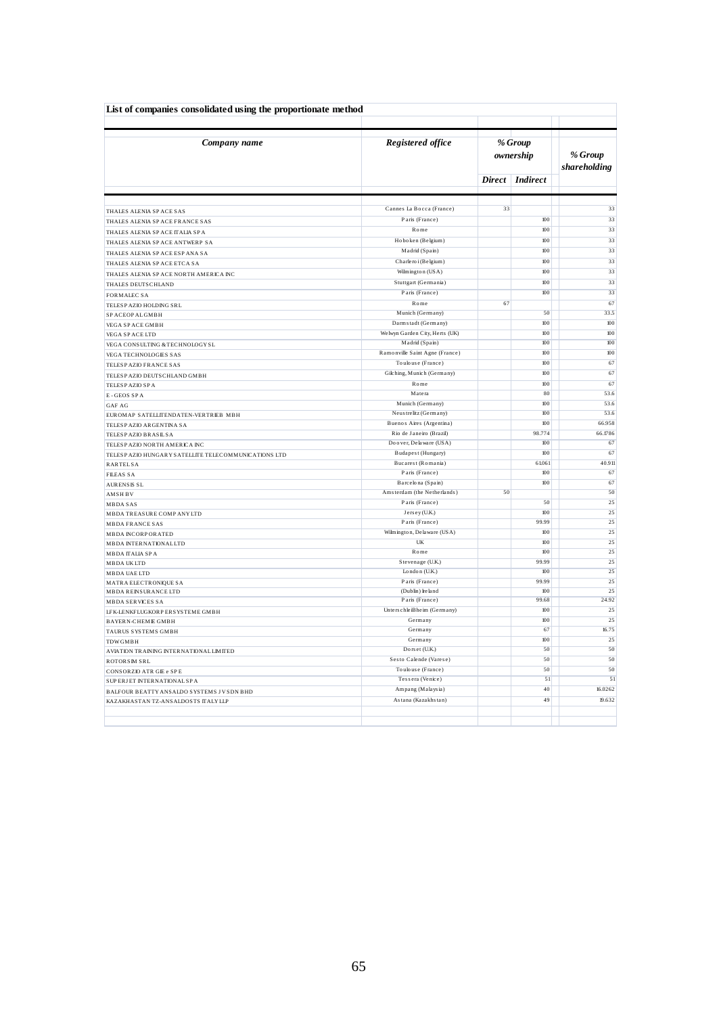| List of companies consolidated using the proportionate method |                                                     |               |                         |                         |  |
|---------------------------------------------------------------|-----------------------------------------------------|---------------|-------------------------|-------------------------|--|
| Company name                                                  | Registered office                                   |               | % Group<br>ownership    | % Group<br>shareholding |  |
|                                                               |                                                     | <b>Direct</b> | Indirect                |                         |  |
|                                                               | Cannes La Bocca (France)                            | 33            |                         | 33                      |  |
| THAIES ALENIA SPACE SAS                                       | Paris (France)                                      |               | 100                     | 33                      |  |
| THALES ALENIA SP ACE FRANCE SAS                               | Rome                                                |               | $\overline{100}$        | 33                      |  |
| THALES ALENIA SP ACE ITALIA SP A                              | Hoboken (Belgium)                                   |               | $\overline{100}$        | 33                      |  |
| THALES ALENIA SP ACE ANTWERP SA                               |                                                     |               | 100                     |                         |  |
| THALES ALENIA SP ACE ESP ANA SA                               | Madrid (Spain)                                      |               |                         | 33                      |  |
| THALES ALENIA SP ACE ETCA SA                                  | Charlero i (Belgium)                                |               | 100                     | 33                      |  |
| THALES ALENIA SP ACE NORTH AMERICA INC                        | Wilmington (USA)                                    |               | 100                     | 33                      |  |
| THALES DEUTS CHLAND                                           | Stuttgart (Germania)                                |               | 100                     | 33                      |  |
| FORMALEC SA                                                   | Paris (France)                                      |               | 100                     | 33                      |  |
| TELESP AZIO HOLDING SRL                                       | Rome                                                | 67            |                         | 67                      |  |
| SP ACEOP AL GMBH                                              | Munich (Germany)                                    |               | 50                      | 33.5                    |  |
| VEGA SP ACE GMBH                                              | Darmstadt (Germany)                                 |               | $\overline{100}$        | 100                     |  |
| VEGA SP ACE LTD                                               | Welwyn Garden City, Herts (UK)                      |               | 100                     | 100                     |  |
| VEGA CONSULTING & TECHNOLOGY SL                               | Madrid (Spain)                                      |               | 100                     | 100                     |  |
| <b>VEGA TECHNOLOGIES SAS</b>                                  | Ramonville Saint Agne (France)                      |               | 100                     | 100                     |  |
| TELESPAZIO FRANCE SAS                                         | Toulouse (France)                                   |               | 100                     | 67                      |  |
| TELESP AZIO DEUTS CHLAND GMBH                                 | Gilching, Munich (Germany)                          |               | 100                     | 67                      |  |
| TELESPAZIO SPA                                                | Rome                                                |               | 100                     | 67                      |  |
| E-GEOS SPA                                                    | Matera                                              |               | 80                      | 53.6                    |  |
| <b>GAF AG</b>                                                 | Munich (Germany)                                    |               | 100                     | 53.6                    |  |
| EUROMAP SATELLITENDATEN-VERTRIEB MBH                          | Neus trelitz (Germany)                              |               | 100<br>$\overline{100}$ | 53.6<br>66.958          |  |
| TELESPAZIO ARGENTINA SA                                       | Buenos Aires (Argentina)<br>Rio de Janeiro (Brazil) |               | 98.774                  | 66.1786                 |  |
| TELESPAZIO BRASILSA                                           | Doover, Delaware (USA)                              |               | 100                     | 67                      |  |
| TELESPAZIO NORTH AMERICA INC                                  | Budapest (Hungary)                                  |               | 100                     |                         |  |
| TELESP AZIO HUNGARY SATELLITE TELECOMMUNICATIONS LTD          | Bucarest (Romania)                                  |               | 61.061                  | 67<br>40.911            |  |
| <b>RARTELSA</b>                                               | Paris (France)                                      |               | 100                     | 67                      |  |
| <b>FILEAS SA</b>                                              | Barcelona (Spain)                                   |               | 100                     | 67                      |  |
| <b>AURENSIS SL</b>                                            | Amsterdam (the Netherlands)                         | 50            |                         | 50                      |  |
| <b>AMSHBV</b><br><b>MBDASAS</b>                               | Paris (France)                                      |               | 50                      | 25                      |  |
| MBDA TREASURE COMP ANY LTD                                    | Jersey (U.K.)                                       |               | $\overline{100}$        | 25                      |  |
| <b>MBDA FRANCE SAS</b>                                        | Paris (France)                                      |               | 99.99                   | 25                      |  |
| <b>MBDA INCORPORATED</b>                                      | Wilmington, Delaware (USA)                          |               | 100                     | 2.5                     |  |
| <b>MBDA INTERNATIONAL LTD</b>                                 | <b>UK</b>                                           |               | 100                     | 2.5                     |  |
| MBDA ITALIA SPA                                               | Rome                                                |               | 100                     | 25                      |  |
| <b>MBDA UKLTD</b>                                             | Stevenage (U.K.)                                    |               | 99.99                   | 25                      |  |
| MBDA UAE LTD                                                  | London (U.K.)                                       |               | 100                     | 25                      |  |
| MATRA ELECTRONIQUE SA                                         | Paris (France)                                      |               | 99.99                   | 25                      |  |
| MBDA REINSURANCE LTD                                          | (Dublin) Ireland                                    |               | 100                     | 25                      |  |
| <b>MBDA SERVICES SA</b>                                       | Paris (France)                                      |               | 99.68                   | 24.92                   |  |
| LFK-LENKFLUGKORP ERSYSTEME GMBH                               | Unters chleiBheim (Germany)                         |               | 100                     | 25                      |  |
| <b>BAYERN-CHEMIE GMBH</b>                                     | Germany                                             |               | 100                     | 25                      |  |
| TAURUS SYSTEMS GMBH                                           | Germany                                             |               | 67                      | 16.75                   |  |
| <b>TDWGMBH</b>                                                | Germany                                             |               | 100                     | 25                      |  |
| AVIATION TRAINING INTERNATIONAL LIMITED                       | Dorset (U.K.)                                       |               | 50                      | 50                      |  |
| ROTORSM SRL                                                   | Sesto Calende (Varese)                              |               | 50                      | 50                      |  |
| CONSORZIO ATR GIE e SPE                                       | Toulouse (France)                                   |               | 50                      | 50                      |  |
| SUPERJET INTERNATIONAL SPA                                    | Tessera (Venice)                                    |               | 51                      | 51                      |  |
| BALFOUR BEATTY ANS ALDO SYSTEMS JV SDN BHD                    | Ampang (Malaysia)                                   |               | 40                      | 16.0262                 |  |
| KAZAKHASTAN TZ-ANSALDOSTS ITALY LLP                           | Astana (Kazakhstan)                                 |               | 49                      | 19.632                  |  |
|                                                               |                                                     |               |                         |                         |  |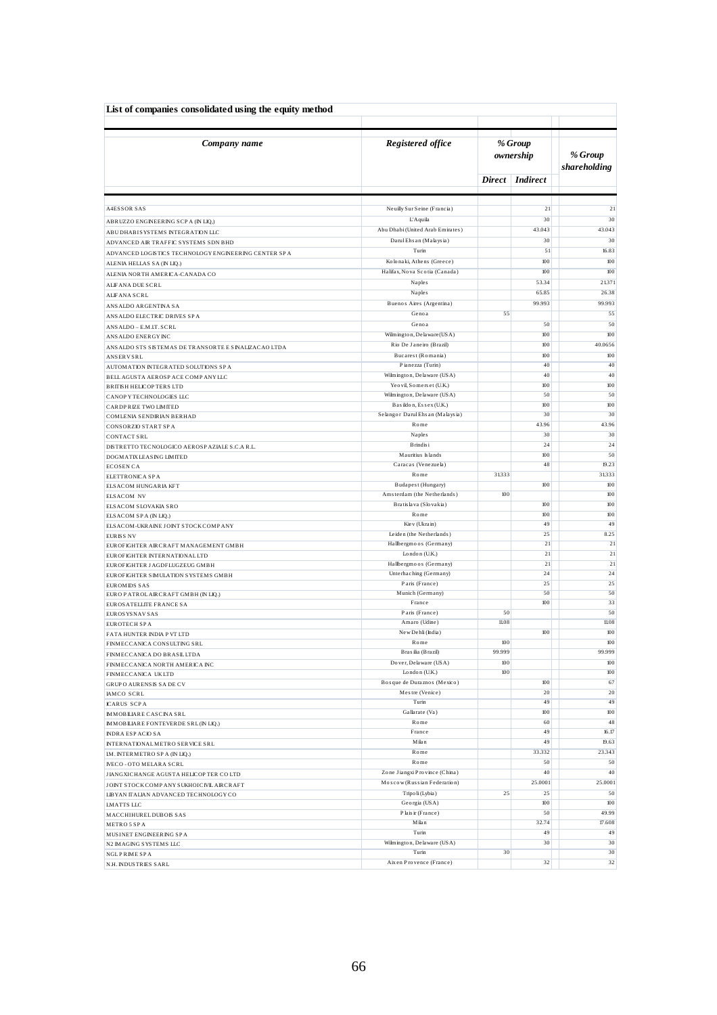| List of companies consolidated using the equity method          |                                                        |               |                      |                         |
|-----------------------------------------------------------------|--------------------------------------------------------|---------------|----------------------|-------------------------|
| Company name                                                    | Registered office                                      |               | % Group<br>ownership | % Group<br>shareholding |
|                                                                 |                                                        |               | Direct   Indirect    |                         |
| <b>A4ESSOR SAS</b>                                              | Neuilly Sur Seine (Francia)                            |               | 21                   | 21                      |
| ABRUZZO ENGINEERING SCPA (IN LIQ.)                              | L'Aquila                                               |               | 30                   | 30                      |
| ABUDHABISYSTEMS INTEGRATION LLC                                 | Abu Dhabi (United Arab Emirates)                       |               | 43.043               | 43.043                  |
| ADVANCED AIR TRAFFIC SYSTEMS SDN BHD                            | Darul Ehsan (Malaysia)                                 |               | 30                   | 30                      |
| ADVANCED LOGISTICS TECHNOLOGY ENGINEERING CENTER SP A           | Turin                                                  |               | 51                   | 16.83                   |
| ALENIA HELLAS SA (IN LIQ.)                                      | Kolonaki, Athens (Greece)                              |               | 100                  | 100                     |
| ALENIA NORTH AMERICA-CANADA CO                                  | Halifax, Nova Scotia (Canada)<br>Naples                |               | 100<br>53.34         | 100<br>21.371           |
| ALIFANA DUE SCRL                                                | Naples                                                 |               | 65.85                | 26.38                   |
| ALIFANA SCRL                                                    | Buenos Aires (Argentina)                               |               | 99.993               | 99.993                  |
| ANSALDO ARGENTINA SA<br>ANSALDO ELECTRIC DRIVES SPA             | Genoa                                                  | 55            |                      | 55                      |
| ANSALDO - E.M.IT. SCRL                                          | Genoa                                                  |               | 50                   | 50                      |
| ANS ALDO ENERGY INC                                             | Wilmington, Delaware (USA)                             |               | 100                  | 100                     |
| ANS ALDO STS SISTEMAS DE TRANSORTE E SINALIZACAO LTDA           | Rio De Janeiro (Brazil)                                |               | 100                  | 40.0656                 |
| <b>ANSERVSRL</b>                                                | Bucarest (Romania)                                     |               | 100                  | 100                     |
| AUTOMATION INTEGRATED SOLUTIONS SPA                             | Pianezza (Turin)                                       |               | 40                   | 40                      |
| BELLAGUSTA AEROSPACE COMPANYLLC                                 | Wilmington, Delaware (USA)                             |               | 40                   | 40                      |
| <b>BRITSH HELICOPTERS LTD</b>                                   | Yeovil, Somers et (U.K.)<br>Wilmington, Delaware (USA) |               | 100                  | 100                     |
| CANOP Y TECHNOLOGIES LLC<br>CARDPRIZE TWO LIMITED               | Basildon, Essex (U.K.)                                 |               | 50<br>100            | 50<br>100               |
| COMLENIA SENDIRIAN BERHAD                                       | Selangor Darul Ehs an (Malaysia)                       |               | 30                   | 30                      |
| CONSORZIO START SPA                                             | Rome                                                   |               | 43.96                | 43.96                   |
| CONTACT SRL                                                     | Naples                                                 |               | 30                   | 30                      |
| DISTRETTO TECNOLOGICO AEROSP AZIALE S.C.A R.L.                  | Brindis i                                              |               | 24                   | 24                      |
| DOGMATIX LEASING LIMITED                                        | Mauritius Islands                                      |               | 100                  | 50                      |
| <b>ECOSEN CA</b>                                                | Caracas (Venezuela)                                    |               | 48                   | 19.23                   |
| ELETTRONICA SPA                                                 | Rome                                                   | 31.333        | 100                  | 31333<br>100            |
| ELSACOM HUNGARIA KFT                                            | Budapest (Hungary)<br>Amsterdam (the Netherlands)      | 100           |                      | 100                     |
| ELSACOM NV<br>ELSACOM SLOVAKIA SRO                              | Bratislava (Slovakia)                                  |               | $100$                | 100                     |
| ELSACOM SPA (IN LIQ.)                                           | Rome                                                   |               | 100                  | 100                     |
| ELSACOM-UKRAINE JOINT STOCK COMPANY                             | Kie v (Ukrain)                                         |               | 49                   | 49                      |
| <b>EURISS NV</b>                                                | Leiden (the Netherlands)                               |               | 25                   | 8.25                    |
| EUROFIGHTER AIRCRAFT MANAGEMENT GMBH                            | Hallbergmoos (Germany)                                 |               | 21                   | 21                      |
| EUROFIGHTER INTERNATIONAL LTD                                   | London (U.K.)                                          |               | 21                   | 21                      |
| EUROFIGHTER JAGDFLUGZEUG GMBH                                   | Hallbergmoos (Germany)<br>Unterhaching (Germany)       |               | 21<br>24             | 21<br>2.4               |
| EUROFIGHTER SIMULATION SYSTEMS GMBH<br><b>EUROMIDS SAS</b>      | Paris (France)                                         |               | 25                   | 25                      |
| EURO PATROLAIRCRAFT GMBH (IN LIQ.)                              | Munich (Germany)                                       |               | 50                   | 50                      |
| EUROS ATELLITE FRANCE SA                                        | France                                                 |               | 100                  | 33                      |
| EUROS YS NAV SAS                                                | Paris (France)                                         | 50            |                      | 50                      |
| EUROTECH SPA                                                    | Amaro (Udine)                                          | 11.08         |                      | 11.08                   |
| FATA HUNTER INDIA P VT LTD                                      | New Dehli (India)                                      |               | 100                  | 100                     |
| FINMECCANICA CONSULTING SRL                                     | Rome<br>Brasilia (Brazil)                              | 100<br>99.999 |                      | 100<br>99.999           |
| FINMECCANICA DO BRASILLTDA<br>FINMECCANICA NORTH AMERICA INC    | Do ver, De laware (USA)                                | 100           |                      | $100$                   |
| FINMECCANICA UKLTD                                              | London (U.K.)                                          | 100           |                      | 100                     |
| <b>GRUPO AURENSIS SADE CV</b>                                   | Bosque de Duraznos (Mexico)                            |               | 100                  | 67                      |
| <b>IAMCO SCRL</b>                                               | Mestre (Venice)                                        |               | 20                   | 20                      |
| <b>ICARUS SCPA</b>                                              | Turin                                                  |               | 49                   | 49                      |
| <b>MMOBILIARE CASCINA SRL</b>                                   | Gallarate (Va)                                         |               | 100                  | 100                     |
| <b>IMMOBILIARE FONTEVERDE SRL (IN LIQ.)</b>                     | Rome<br>France                                         |               | 60<br>49             | 48<br>16.17             |
| <b>INDRAESPACIO SA</b>                                          | Milan                                                  |               | 49                   | 19.63                   |
| INTERNATIONAL METRO SERVICE SRL<br>IM. INTERMETRO SPA (IN LIQ.) | Rome                                                   |               | 33.332               | 23.343                  |
| IVECO - OTO MELARA SCRL                                         | Rome                                                   |               | 50                   | 50                      |
| JIANGXICHANGE AGUSTA HELICOPTER COLTD                           | Zone Jiangxi Province (China)                          |               | 40                   | 40                      |
| JOINT STOCK COMPANY SUKHOICIVILAIRCRAFT                         | Moscow (Russian Federation)                            |               | 25.0001              | 25.0001                 |
| LIBYAN ITALIAN ADVANCED TECHNOLOGY CO                           | Tripo li (Lybia)                                       | 25            | 25                   | 50                      |
| <b>LMATTS LLC</b>                                               | Georgia (USA)                                          |               | 100                  | 100                     |
| MACCHIHURELDUBOIS SAS                                           | Plais ir (France)                                      |               | 50                   | 49.99                   |
| METRO 5 SPA                                                     | Milan                                                  |               | 32.74                | 17.608                  |
| MUSINET ENGINEERING SPA                                         | Turin                                                  |               | 49                   | 49                      |
| N2 IMAGING SYSTEMS LLC                                          | Wilmington, Delaware (USA)<br>Turin                    | 30            | 30                   | 30<br>30                |
| <b>NGLPRIME SPA</b><br><b>N.H. INDUSTRIES SARL</b>              | Aixen Provence (France)                                |               | 32                   | 32                      |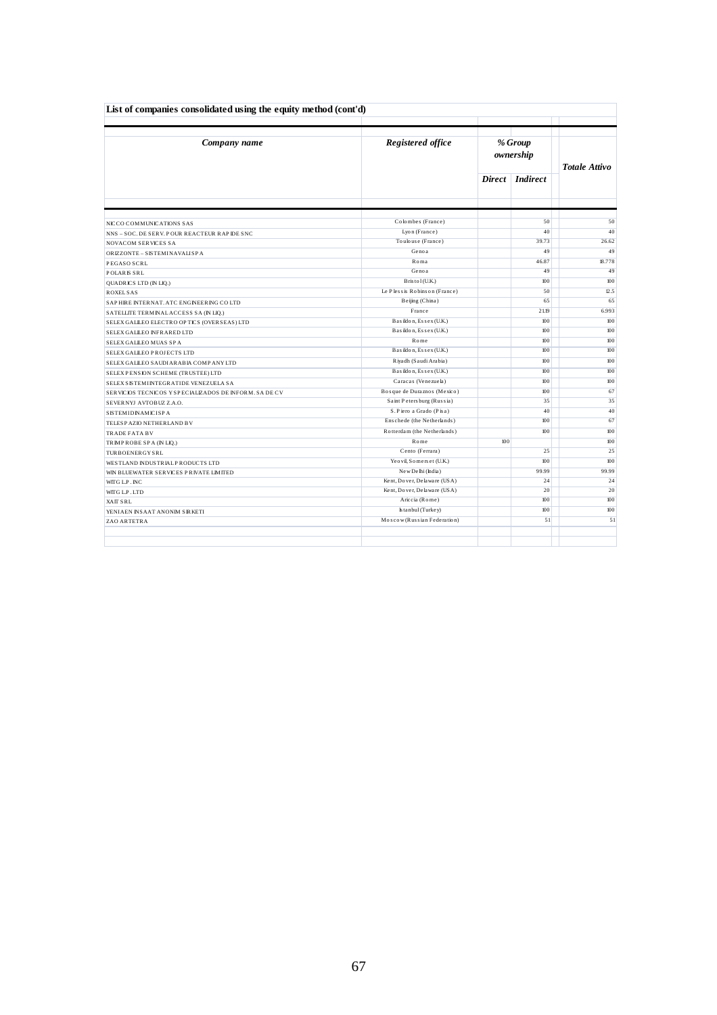| List of companies consolidated using the equity method (cont'd) |                              |     |                      |                      |  |  |  |
|-----------------------------------------------------------------|------------------------------|-----|----------------------|----------------------|--|--|--|
| Company name                                                    | Registered office            |     | % Group<br>ownership | <b>Totale Attivo</b> |  |  |  |
|                                                                 |                              |     | Direct Indirect      |                      |  |  |  |
|                                                                 |                              |     |                      |                      |  |  |  |
| NICCO COMMUNICATIONS SAS                                        | Colombes (France)            |     | 50                   | 50                   |  |  |  |
| NNS - SOC. DE SERV. POUR REACTEUR RAP IDE SNC                   | Lyon (France)                |     | 40                   | 40                   |  |  |  |
| NOVACOM SERVICES SA                                             | Toulouse (France)            |     | 39.73                | 26.62                |  |  |  |
| ORIZZONTE - SISTEMINAVALISPA                                    | Genoa                        |     | 49                   | 49                   |  |  |  |
| PEGASO SCRL                                                     | Roma                         |     | 46.87                | 18.778               |  |  |  |
| <b>POLARIS SRL</b>                                              | Genoa                        |     | 49                   | 49                   |  |  |  |
| QUADRICS LTD (IN LIQ.)                                          | Bristol (U.K.)               |     | 100                  | 100                  |  |  |  |
| <b>ROXEL SAS</b>                                                | Le Plessis Robinson (France) |     | 50                   | 12.5                 |  |  |  |
| SAPHIRE INTERNAT, ATC ENGINEERING COLTD                         | Beijing (China)              |     | 65                   | 65                   |  |  |  |
| SATELLITE TERMINAL ACCESS SA (IN LIQ.)                          | France                       |     | 21.19                | 6.993                |  |  |  |
| SELEX GALLEO ELECTRO OPTICS (OVERSEAS) LTD                      | Basildon, Essex (U.K.)       |     | 100                  | 100                  |  |  |  |
| SELEX GALLEO INFRARED LTD                                       | Basildon, Essex (U.K.)       |     | 100                  | 100                  |  |  |  |
| SELEX GALLEO MUAS SPA                                           | Rome                         |     | 100                  | 100                  |  |  |  |
| SELEX GALLEO PROJECTS LTD                                       | Basildon, Essex (U.K.)       |     | 100                  | 100                  |  |  |  |
| SELEX GALLEO SAUDIARABIA COMPANYLTD                             | Riyadh (Saudi Arabia)        |     | 100                  | 100                  |  |  |  |
| SELEXPENSION SCHEME (TRUSTEE) LTD                               | Basildon, Essex (U.K.)       |     | 100                  | 100                  |  |  |  |
| SELEX SISTEMINTEGRATIDE VENEZUELA SA                            | Caracas (Venezuela)          |     | 100                  | 100                  |  |  |  |
| SERVICIOS TECNICOS Y SPECIALIZADOS DE INFORM. SA DE CV          | Bosque de Duraznos (Mexico)  |     | 100                  | 67                   |  |  |  |
| SEVERNYJ AVTOBUZ Z.A.O.                                         | Saint Petersburg (Russia)    |     | 35                   | 35                   |  |  |  |
| <b>SISTEMIDINAMICISPA</b>                                       | S. Piero a Grado (Pisa)      |     | 40                   | 40                   |  |  |  |
| TELESP AZIO NETHERLAND BV                                       | Enschede (the Netherlands)   |     | 100                  | 67                   |  |  |  |
| TRADE FATA BV                                                   | Rotterdam (the Netherlands)  |     | $100$                | 100                  |  |  |  |
| TRIMPROBE SPA (IN LIQ.)                                         | Rome                         | 100 |                      | 100                  |  |  |  |
| TURBOENERGYSRL                                                  | Cento (Ferrara)              |     | 25                   | 25                   |  |  |  |
| WESTLAND INDUSTRIAL PRODUCTS LTD                                | Yeovil, Somers et (U.K.)     |     | $100$                | 100                  |  |  |  |
| WIN BLUEWATER SERVICES PRIVATE LIMITED                          | New Delhi (India)            |     | 99.99                | 99.99                |  |  |  |
| WITG L.P. INC                                                   | Kent, Dover, Delaware (USA)  |     | 24                   | 24                   |  |  |  |
| WITG LP LTD                                                     | Kent, Dover, Delaware (USA)  |     | 20                   | 20                   |  |  |  |
| XAIT SRL                                                        | Ariccia (Rome)               |     | 100                  | 100                  |  |  |  |
| YENIAEN INSAAT ANONIM SIRKETI                                   | Istanbul (Turkey)            |     | 100                  | 100                  |  |  |  |
| ZAO ARTETRA                                                     | Moscow (Russian Federation)  |     | 51                   | 51                   |  |  |  |
|                                                                 |                              |     |                      |                      |  |  |  |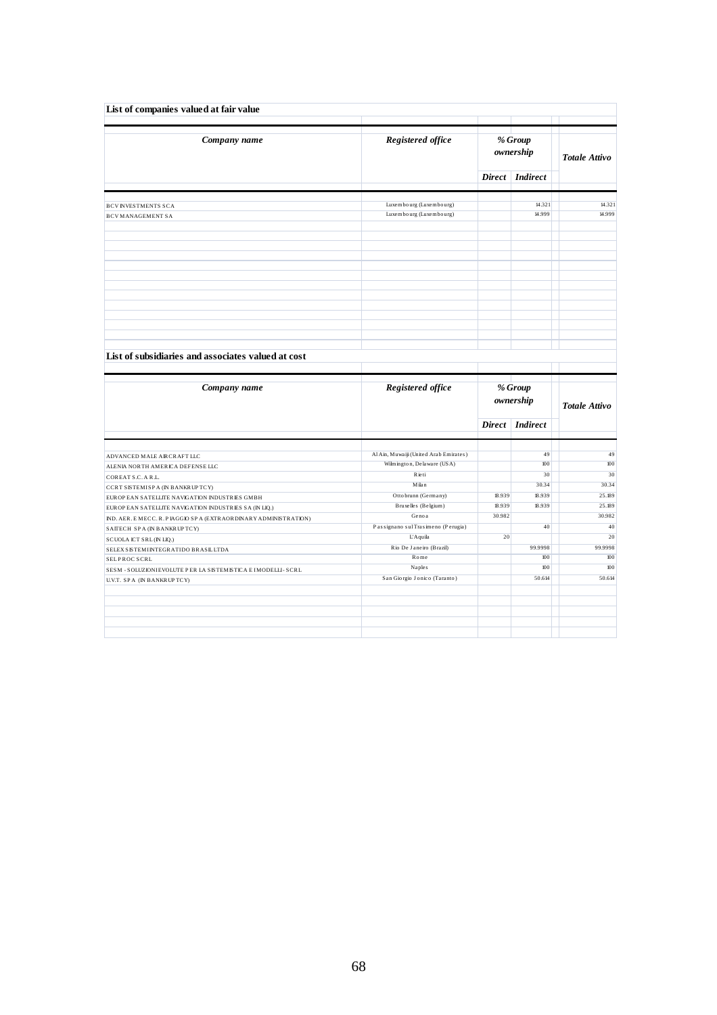| Company name                                                                                                                                                                                                                                         | Registered office                      |        | % Group<br>ownership | <b>Totale Attivo</b>              |
|------------------------------------------------------------------------------------------------------------------------------------------------------------------------------------------------------------------------------------------------------|----------------------------------------|--------|----------------------|-----------------------------------|
|                                                                                                                                                                                                                                                      |                                        |        | Direct   Indirect    |                                   |
| <b>BCVINVESTMENTS SCA</b>                                                                                                                                                                                                                            | Luxembourg (Luxembourg)                |        | 14.321               | 14.321                            |
| BCVMANAGEMENT SA                                                                                                                                                                                                                                     | Luxembourg (Luxembourg)                |        | 14.999               | 14.999                            |
|                                                                                                                                                                                                                                                      |                                        |        |                      |                                   |
| List of subsidiaries and associates valued at cost                                                                                                                                                                                                   |                                        |        |                      |                                   |
| Company name                                                                                                                                                                                                                                         | Registered office                      |        | % Group<br>ownership |                                   |
|                                                                                                                                                                                                                                                      |                                        |        | Direct   Indirect    | <b>Totale Attivo</b>              |
|                                                                                                                                                                                                                                                      |                                        |        |                      |                                   |
|                                                                                                                                                                                                                                                      | Al Ain, Muwaiji (United Arab Emirates) |        | 49                   | 49                                |
|                                                                                                                                                                                                                                                      | Wilmington, Delaware (USA)             |        | 100                  | 100                               |
|                                                                                                                                                                                                                                                      | Rieti                                  |        | 30                   | 30                                |
|                                                                                                                                                                                                                                                      | Milan                                  |        | 30.34                | 30.34                             |
|                                                                                                                                                                                                                                                      | Otto brunn (Germany)                   | 18.939 | 18.939               |                                   |
| ADVANCED MALE AIRCRAFT LLC<br>ALENIA NORTH AMERICA DEFENSE LLC<br>COREAT S.C. A R.L.<br>CCRT SISTEMISP A (IN BANKRUPTCY)<br>EUROPEAN SATELLITE NAVIGATION INDUSTRIES GMBH<br>EUROPEAN SATELLITE NAVIGATION INDUSTRIES SA (IN LIQ.)                   | Bruxelles (Belgium)                    | 18.939 | 18.939               | 25.189<br>25.189                  |
|                                                                                                                                                                                                                                                      | Genoa                                  | 30.982 |                      | 30.982                            |
|                                                                                                                                                                                                                                                      | Passignano sul Trasimeno (Perugia)     |        | 40                   |                                   |
|                                                                                                                                                                                                                                                      | <b>L'Aquila</b>                        | 20     |                      |                                   |
|                                                                                                                                                                                                                                                      | Rio De Janeiro (Brazil)                |        | 99.9998              |                                   |
| IND. AER. E MECC. R. P IAGGIO SP A (EXTRAORDINARY ADMINISTRATION)<br>SAITECH SPA (IN BANKRUPTCY)<br>SCUOLA ICT SRL (IN LIQ.)<br>SELEX SISTEMINTEGRATIDO BRASILLTDA<br>SELPROC SCRL<br>SESM - SOLUZIONIEVOLUTE P ER LA SISTEMISTICA E IMODELLI - SCRL | Rome<br>Naples                         |        | $100$<br>100         | 40<br>20<br>99.9998<br>100<br>100 |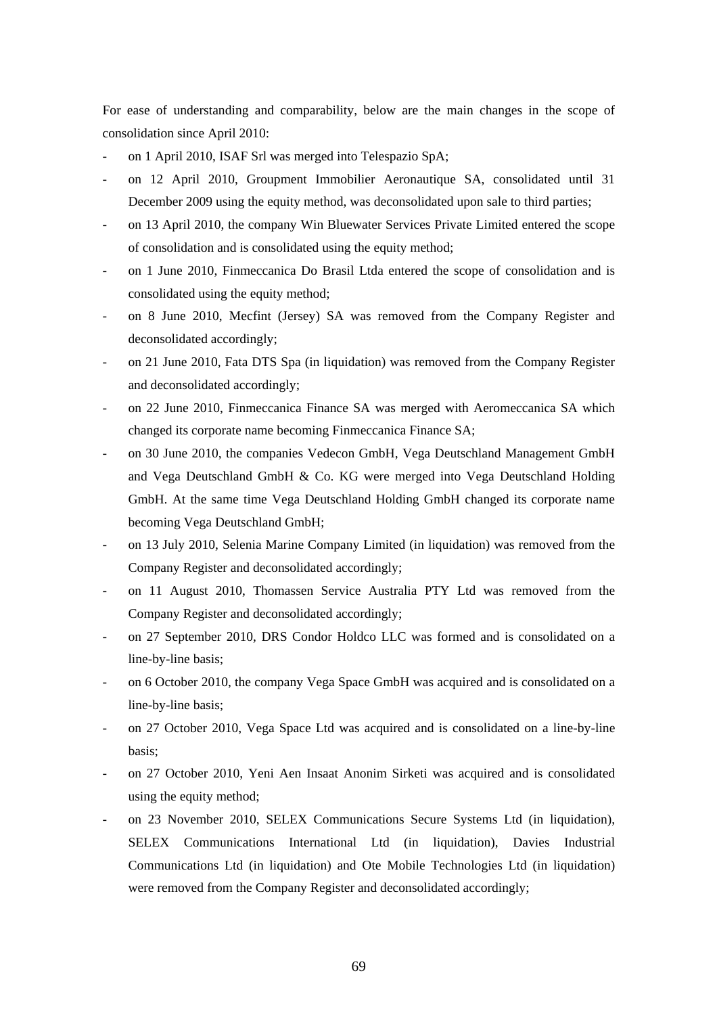For ease of understanding and comparability, below are the main changes in the scope of consolidation since April 2010:

- on 1 April 2010, ISAF Srl was merged into Telespazio SpA;
- on 12 April 2010, Groupment Immobilier Aeronautique SA, consolidated until 31 December 2009 using the equity method, was deconsolidated upon sale to third parties;
- on 13 April 2010, the company Win Bluewater Services Private Limited entered the scope of consolidation and is consolidated using the equity method;
- on 1 June 2010, Finmeccanica Do Brasil Ltda entered the scope of consolidation and is consolidated using the equity method;
- on 8 June 2010, Mecfint (Jersey) SA was removed from the Company Register and deconsolidated accordingly;
- on 21 June 2010, Fata DTS Spa (in liquidation) was removed from the Company Register and deconsolidated accordingly;
- on 22 June 2010, Finmeccanica Finance SA was merged with Aeromeccanica SA which changed its corporate name becoming Finmeccanica Finance SA;
- on 30 June 2010, the companies Vedecon GmbH, Vega Deutschland Management GmbH and Vega Deutschland GmbH & Co. KG were merged into Vega Deutschland Holding GmbH. At the same time Vega Deutschland Holding GmbH changed its corporate name becoming Vega Deutschland GmbH;
- on 13 July 2010, Selenia Marine Company Limited (in liquidation) was removed from the Company Register and deconsolidated accordingly;
- on 11 August 2010, Thomassen Service Australia PTY Ltd was removed from the Company Register and deconsolidated accordingly;
- on 27 September 2010, DRS Condor Holdco LLC was formed and is consolidated on a line-by-line basis;
- on 6 October 2010, the company Vega Space GmbH was acquired and is consolidated on a line-by-line basis;
- on 27 October 2010, Vega Space Ltd was acquired and is consolidated on a line-by-line basis;
- on 27 October 2010, Yeni Aen Insaat Anonim Sirketi was acquired and is consolidated using the equity method;
- on 23 November 2010, SELEX Communications Secure Systems Ltd (in liquidation), SELEX Communications International Ltd (in liquidation), Davies Industrial Communications Ltd (in liquidation) and Ote Mobile Technologies Ltd (in liquidation) were removed from the Company Register and deconsolidated accordingly;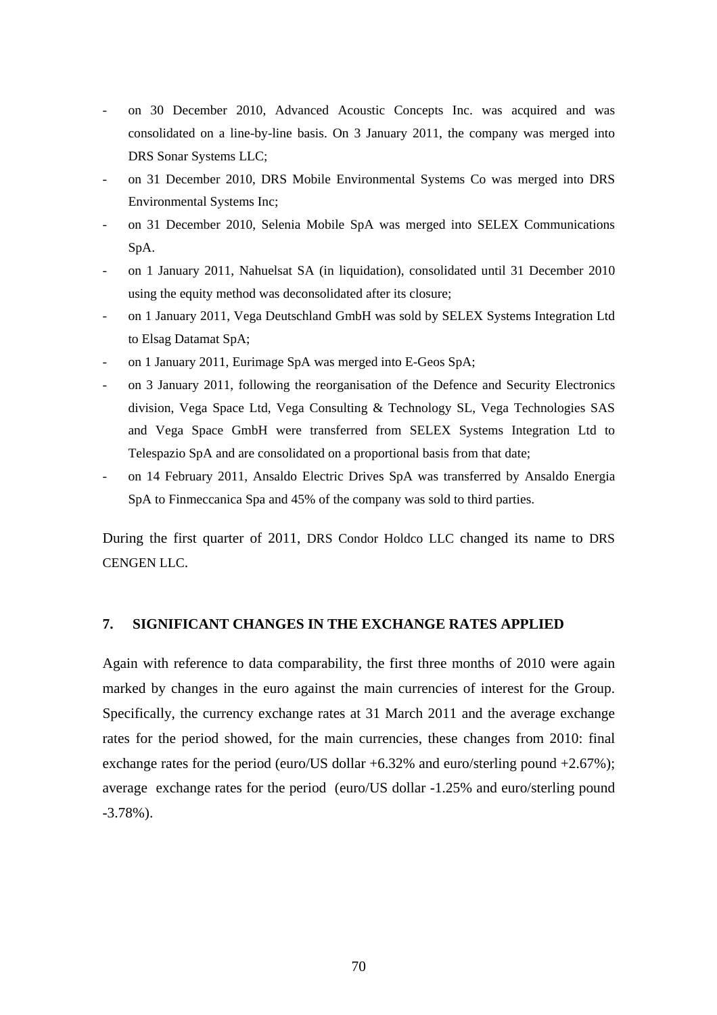- on 30 December 2010, Advanced Acoustic Concepts Inc. was acquired and was consolidated on a line-by-line basis. On 3 January 2011, the company was merged into DRS Sonar Systems LLC;
- on 31 December 2010, DRS Mobile Environmental Systems Co was merged into DRS Environmental Systems Inc;
- on 31 December 2010, Selenia Mobile SpA was merged into SELEX Communications SpA.
- on 1 January 2011, Nahuelsat SA (in liquidation), consolidated until 31 December 2010 using the equity method was deconsolidated after its closure;
- on 1 January 2011, Vega Deutschland GmbH was sold by SELEX Systems Integration Ltd to Elsag Datamat SpA;
- on 1 January 2011, Eurimage SpA was merged into E-Geos SpA;
- on 3 January 2011, following the reorganisation of the Defence and Security Electronics division, Vega Space Ltd, Vega Consulting & Technology SL, Vega Technologies SAS and Vega Space GmbH were transferred from SELEX Systems Integration Ltd to Telespazio SpA and are consolidated on a proportional basis from that date;
- on 14 February 2011, Ansaldo Electric Drives SpA was transferred by Ansaldo Energia SpA to Finmeccanica Spa and 45% of the company was sold to third parties.

During the first quarter of 2011, DRS Condor Holdco LLC changed its name to DRS CENGEN LLC.

#### **7. SIGNIFICANT CHANGES IN THE EXCHANGE RATES APPLIED**

Again with reference to data comparability, the first three months of 2010 were again marked by changes in the euro against the main currencies of interest for the Group. Specifically, the currency exchange rates at 31 March 2011 and the average exchange rates for the period showed, for the main currencies, these changes from 2010: final exchange rates for the period (euro/US dollar  $+6.32\%$  and euro/sterling pound  $+2.67\%$ ); average exchange rates for the period (euro/US dollar -1.25% and euro/sterling pound -3.78%).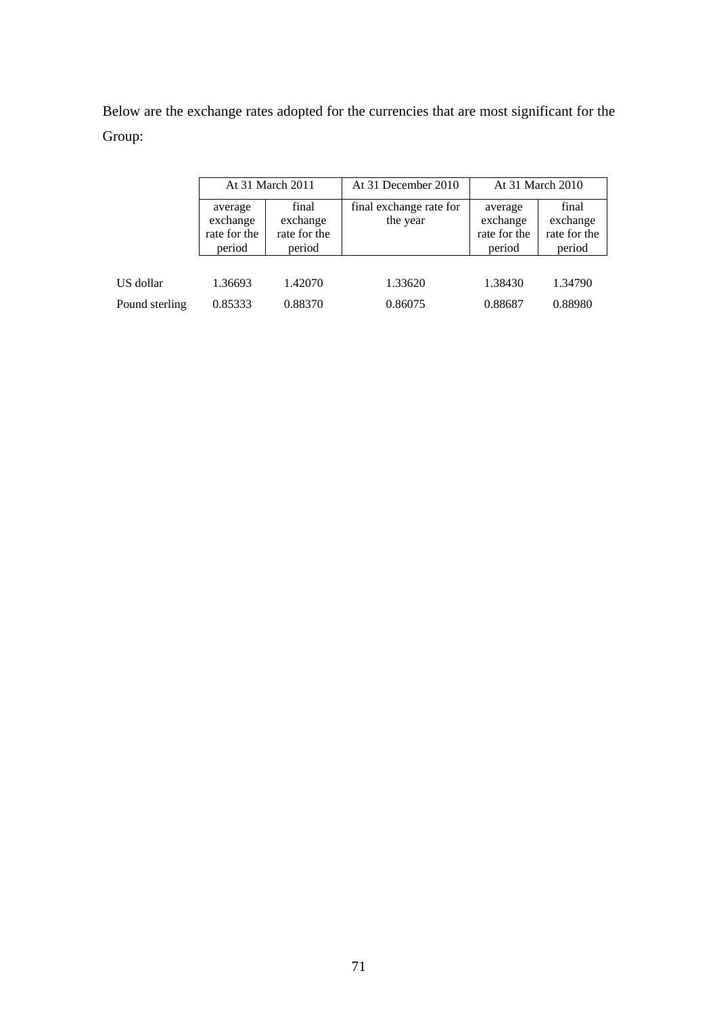Below are the exchange rates adopted for the currencies that are most significant for the Group:

|                |                                               | At 31 March 2011                            | At 31 December 2010                 |                                               | At 31 March 2010                            |
|----------------|-----------------------------------------------|---------------------------------------------|-------------------------------------|-----------------------------------------------|---------------------------------------------|
|                | average<br>exchange<br>rate for the<br>period | final<br>exchange<br>rate for the<br>period | final exchange rate for<br>the year | average<br>exchange<br>rate for the<br>period | final<br>exchange<br>rate for the<br>period |
|                |                                               |                                             |                                     |                                               |                                             |
| US dollar      | 1.36693                                       | 1.42070                                     | 1.33620                             | 1.38430                                       | 1.34790                                     |
| Pound sterling | 0.85333                                       | 0.88370                                     | 0.86075                             | 0.88687                                       | 0.88980                                     |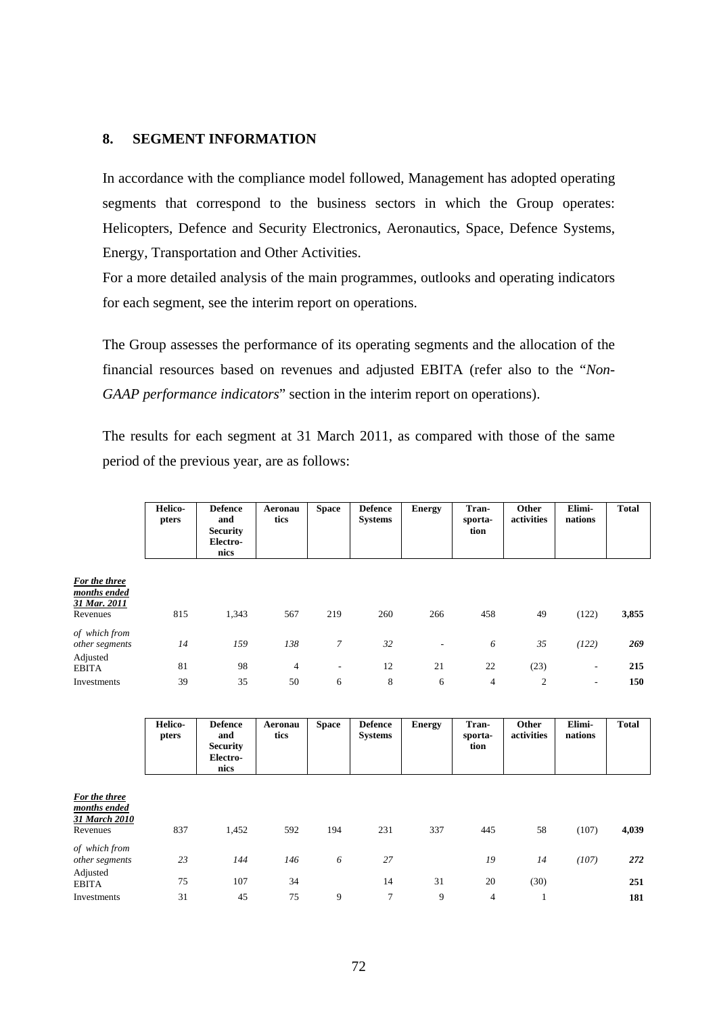# **8. SEGMENT INFORMATION**

In accordance with the compliance model followed, Management has adopted operating segments that correspond to the business sectors in which the Group operates: Helicopters, Defence and Security Electronics, Aeronautics, Space, Defence Systems, Energy, Transportation and Other Activities.

For a more detailed analysis of the main programmes, outlooks and operating indicators for each segment, see the interim report on operations.

The Group assesses the performance of its operating segments and the allocation of the financial resources based on revenues and adjusted EBITA (refer also to the "*Non-GAAP performance indicators*" section in the interim report on operations).

The results for each segment at 31 March 2011, as compared with those of the same period of the previous year, are as follows:

|                                                            | Helico-<br>pters | <b>Defence</b><br>and<br><b>Security</b><br>Electro-<br>nics | Aeronau<br>tics | <b>Space</b>             | <b>Defence</b><br><b>Systems</b> | <b>Energy</b>            | Tran-<br>sporta-<br>tion | Other<br>activities | Elimi-<br>nations        | <b>Total</b> |
|------------------------------------------------------------|------------------|--------------------------------------------------------------|-----------------|--------------------------|----------------------------------|--------------------------|--------------------------|---------------------|--------------------------|--------------|
| <b>For the three</b><br>months ended<br>31 Mar. 2011       |                  |                                                              |                 |                          |                                  |                          |                          |                     |                          |              |
| Revenues                                                   | 815              | 1,343                                                        | 567             | 219                      | 260                              | 266                      | 458                      | 49                  | (122)                    | 3,855        |
| of which from<br>other segments                            | 14               | 159                                                          | 138             | $\overline{7}$           | 32                               | $\overline{\phantom{a}}$ | 6                        | 35                  | (122)                    | 269          |
| Adjusted<br><b>EBITA</b>                                   | 81               | 98                                                           | $\overline{4}$  | $\overline{\phantom{a}}$ | 12                               | 21                       | 22                       | (23)                | $\overline{\phantom{a}}$ | 215          |
| Investments                                                | 39               | 35                                                           | 50              | 6                        | $\,$ 8 $\,$                      | 6                        | $\overline{4}$           | $\sqrt{2}$          | $\overline{\phantom{a}}$ | 150          |
|                                                            | Helico-<br>pters | <b>Defence</b><br>and<br><b>Security</b><br>Electro-<br>nics | Aeronau<br>tics | <b>Space</b>             | <b>Defence</b><br><b>Systems</b> | <b>Energy</b>            | Tran-<br>sporta-<br>tion | Other<br>activities | Elimi-<br>nations        | <b>Total</b> |
| For the three<br>months ended<br>31 March 2010<br>Revenues | 837              | 1,452                                                        | 592             | 194                      | 231                              | 337                      | 445                      | 58                  | (107)                    | 4,039        |
| of which from                                              |                  |                                                              |                 |                          |                                  |                          |                          |                     |                          |              |
| other segments                                             | 23               | 144                                                          | 146             | 6                        | 27                               |                          | 19                       | 14                  | (107)                    | 272          |
| Adjusted<br><b>EBITA</b>                                   | 75               | 107                                                          | 34              |                          | 14                               | 31                       | 20                       | (30)                |                          | 251          |
| Investments                                                | 31               | 45                                                           | 75              | 9                        | $\overline{7}$                   | 9                        | $\overline{4}$           | $\mathbf{1}$        |                          | 181          |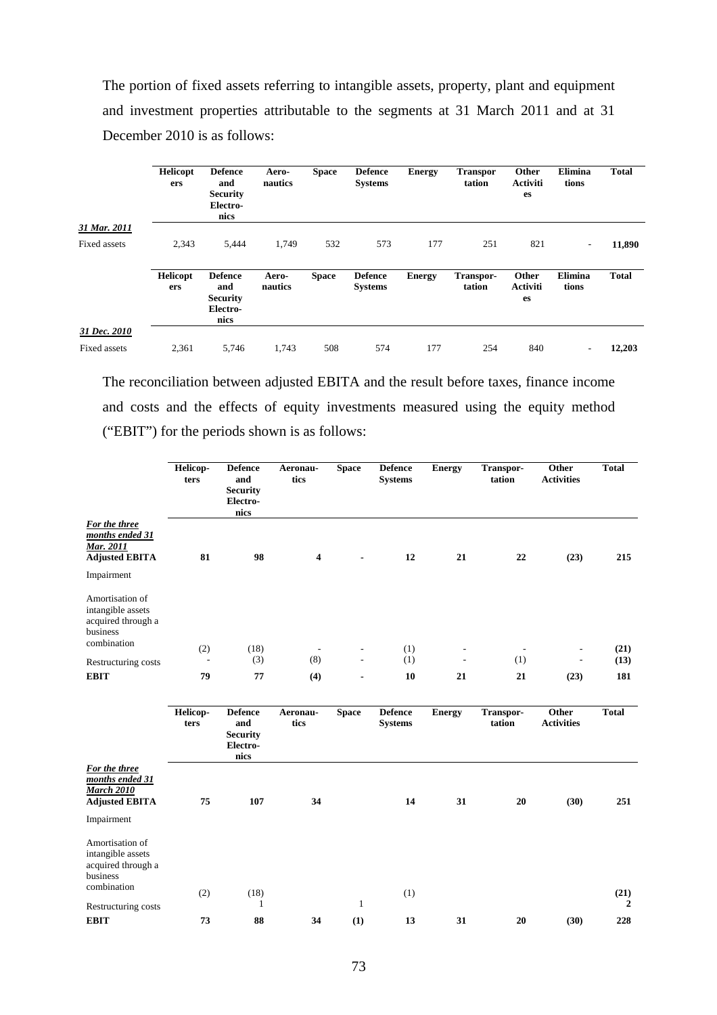The portion of fixed assets referring to intangible assets, property, plant and equipment and investment properties attributable to the segments at 31 March 2011 and at 31 December 2010 is as follows:

|              | <b>Helicopt</b><br>ers | <b>Defence</b><br>and<br><b>Security</b><br>Electro-<br>nics | Aero-<br>nautics | <b>Space</b> | <b>Defence</b><br><b>Systems</b> | <b>Energy</b> | <b>Transpor</b><br>tation | Other<br><b>Activiti</b><br>es | Elimina<br>tions         | <b>Total</b> |
|--------------|------------------------|--------------------------------------------------------------|------------------|--------------|----------------------------------|---------------|---------------------------|--------------------------------|--------------------------|--------------|
| 31 Mar. 2011 |                        |                                                              |                  |              |                                  |               |                           |                                |                          |              |
| Fixed assets | 2.343                  | 5,444                                                        | 1.749            | 532          | 573                              | 177           | 251                       | 821                            | $\overline{\phantom{a}}$ | 11,890       |
|              | <b>Helicopt</b><br>ers | <b>Defence</b><br>and<br><b>Security</b><br>Electro-<br>nics | Aero-<br>nautics | <b>Space</b> | <b>Defence</b><br><b>Systems</b> | <b>Energy</b> | Transpor-<br>tation       | Other<br><b>Activiti</b><br>es | Elimina<br>tions         | <b>Total</b> |
| 31 Dec. 2010 |                        |                                                              |                  |              |                                  |               |                           |                                |                          |              |
| Fixed assets | 2.361                  | 5.746                                                        | 1.743            | 508          | 574                              | 177           | 254                       | 840                            | ۰.                       | 12,203       |

The reconciliation between adjusted EBITA and the result before taxes, finance income and costs and the effects of equity investments measured using the equity method ("EBIT") for the periods shown is as follows:

|                                                                                                                             | Helicop-<br>ters                      | <b>Defence</b><br>and<br><b>Security</b><br>Electro-<br>nics | Aeronau-<br>tics                       | <b>Space</b>             | <b>Defence</b><br><b>Systems</b> | <b>Energy</b>                  | Transpor-<br>tation                   | Other<br><b>Activities</b> | <b>Total</b>           |
|-----------------------------------------------------------------------------------------------------------------------------|---------------------------------------|--------------------------------------------------------------|----------------------------------------|--------------------------|----------------------------------|--------------------------------|---------------------------------------|----------------------------|------------------------|
| For the three<br>months ended 31<br>Mar. 2011<br><b>Adjusted EBITA</b><br>Impairment                                        | 81                                    | 98                                                           | $\overline{\mathbf{4}}$                |                          | 12                               | 21                             | 22                                    | (23)                       | 215                    |
| Amortisation of<br>intangible assets<br>acquired through a<br>business<br>combination<br>Restructuring costs<br><b>EBIT</b> | (2)<br>$\overline{\phantom{a}}$<br>79 | (18)<br>(3)<br>77                                            | $\overline{\phantom{a}}$<br>(8)<br>(4) | $\overline{\phantom{a}}$ | (1)<br>(1)<br>10                 | $\overline{\phantom{a}}$<br>21 | $\overline{\phantom{a}}$<br>(1)<br>21 | $\overline{a}$<br>(23)     | (21)<br>(13)<br>181    |
|                                                                                                                             | Helicop-<br>ters                      | <b>Defence</b><br>and<br><b>Security</b><br>Electro-<br>nics | Aeronau-<br>tics                       | <b>Space</b>             | <b>Defence</b><br><b>Systems</b> | <b>Energy</b>                  | Transpor-<br>tation                   | Other<br><b>Activities</b> | <b>Total</b>           |
| For the three<br>months ended 31<br><b>March 2010</b><br><b>Adjusted EBITA</b><br>Impairment                                | 75                                    | 107                                                          | 34                                     |                          | 14                               | 31                             | 20                                    | (30)                       | 251                    |
| Amortisation of<br>intangible assets<br>acquired through a<br>business<br>combination<br>Restructuring costs                | (2)                                   | (18)<br>1                                                    |                                        | 1                        | (1)                              |                                |                                       |                            | (21)<br>$\overline{2}$ |
| <b>EBIT</b>                                                                                                                 | 73                                    | 88                                                           | 34                                     | (1)                      | 13                               | 31                             | 20                                    | (30)                       | 228                    |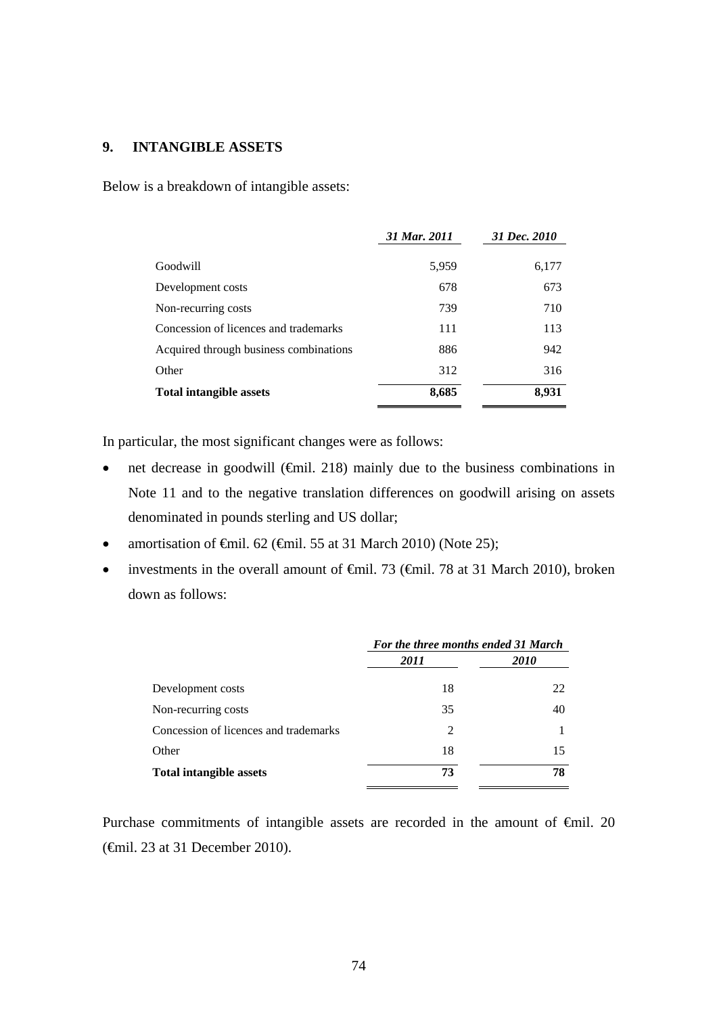### **9. INTANGIBLE ASSETS**

Below is a breakdown of intangible assets:

|                                        | 31 Mar. 2011 | 31 Dec. 2010 |
|----------------------------------------|--------------|--------------|
|                                        |              |              |
| Goodwill                               | 5,959        | 6,177        |
| Development costs                      | 678          | 673          |
| Non-recurring costs                    | 739          | 710          |
| Concession of licences and trademarks  | 111          | 113          |
| Acquired through business combinations | 886          | 942          |
| Other                                  | 312          | 316          |
| <b>Total intangible assets</b>         | 8,685        | 8,931        |

In particular, the most significant changes were as follows:

- net decrease in goodwill (€mil. 218) mainly due to the business combinations in Note 11 and to the negative translation differences on goodwill arising on assets denominated in pounds sterling and US dollar;
- amortisation of  $\epsilon$ mil. 62 ( $\epsilon$ mil. 55 at 31 March 2010) (Note 25);
- investments in the overall amount of  $\oplus$ mil. 73 ( $\oplus$ mil. 78 at 31 March 2010), broken down as follows:

| <i>2010</i> |
|-------------|
|             |
| 22          |
| 40          |
|             |
| 15          |
| 78          |
|             |

Purchase commitments of intangible assets are recorded in the amount of €mil. 20 (€mil. 23 at 31 December 2010).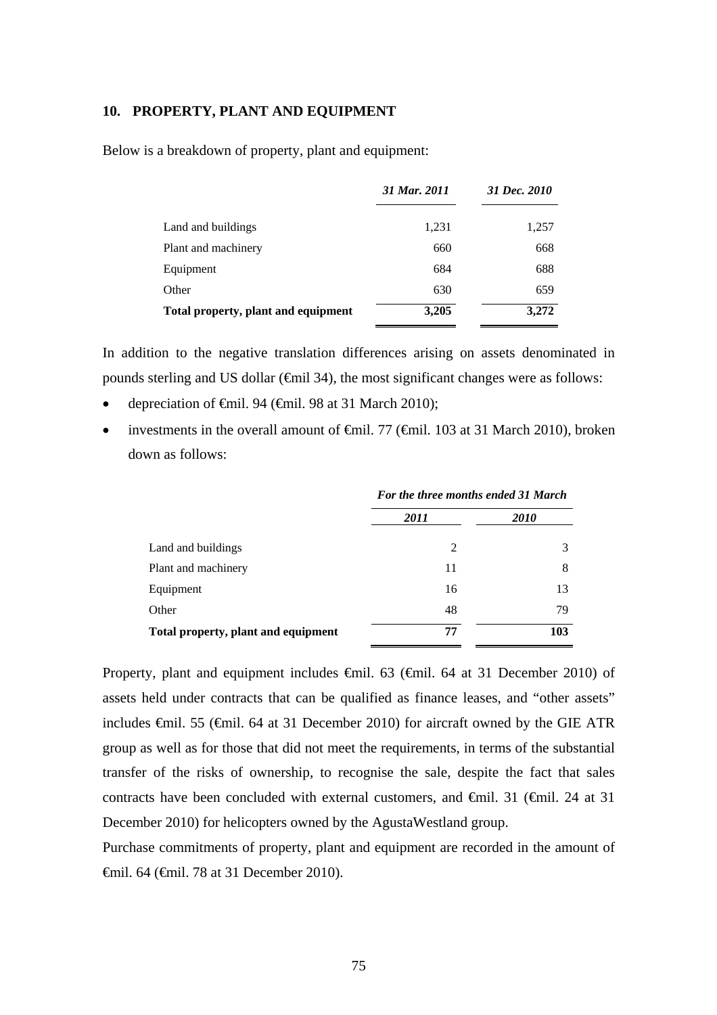#### **10. PROPERTY, PLANT AND EQUIPMENT**

Below is a breakdown of property, plant and equipment:

|                                     | 31 Mar. 2011 | 31 Dec. 2010 |
|-------------------------------------|--------------|--------------|
| Land and buildings                  | 1,231        | 1,257        |
| Plant and machinery                 | 660          | 668          |
| Equipment                           | 684          | 688          |
| Other                               | 630          | 659          |
| Total property, plant and equipment | 3,205        | 3,272        |

In addition to the negative translation differences arising on assets denominated in pounds sterling and US dollar  $(\oplus$ mil 34), the most significant changes were as follows:

- depreciation of €mil. 94 (€mil. 98 at 31 March 2010);
- investments in the overall amount of €mil. 77 (€mil. 103 at 31 March 2010), broken down as follows:

|                                     |      | For the three months ended 31 March |  |  |  |
|-------------------------------------|------|-------------------------------------|--|--|--|
|                                     | 2011 | <i>2010</i>                         |  |  |  |
| Land and buildings                  | 2    | 3                                   |  |  |  |
| Plant and machinery                 | 11   | 8                                   |  |  |  |
| Equipment                           | 16   | 13                                  |  |  |  |
| Other                               | 48   | 79                                  |  |  |  |
| Total property, plant and equipment | 77   | 103                                 |  |  |  |

Property, plant and equipment includes €mil. 63 (€mil. 64 at 31 December 2010) of assets held under contracts that can be qualified as finance leases, and "other assets" includes  $\epsilon$ mil. 55 ( $\epsilon$ mil. 64 at 31 December 2010) for aircraft owned by the GIE ATR group as well as for those that did not meet the requirements, in terms of the substantial transfer of the risks of ownership, to recognise the sale, despite the fact that sales contracts have been concluded with external customers, and  $\theta$ mil. 31 ( $\theta$ mil. 24 at 31 December 2010) for helicopters owned by the AgustaWestland group.

Purchase commitments of property, plant and equipment are recorded in the amount of €mil. 64 (€mil. 78 at 31 December 2010).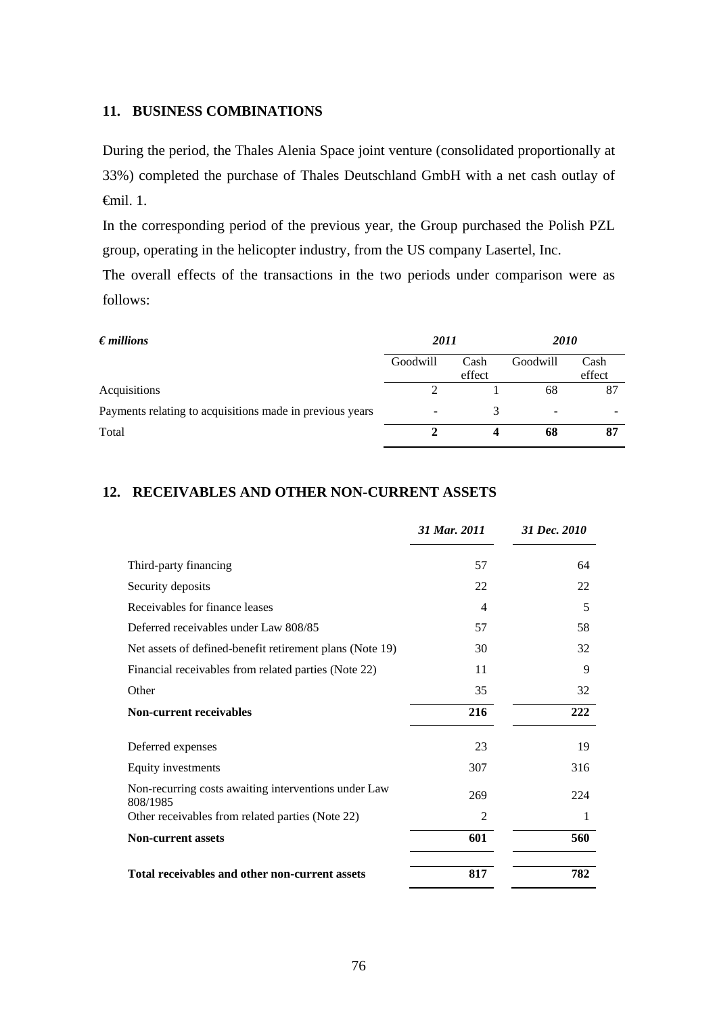### **11. BUSINESS COMBINATIONS**

During the period, the Thales Alenia Space joint venture (consolidated proportionally at 33%) completed the purchase of Thales Deutschland GmbH with a net cash outlay of €mil. 1.

In the corresponding period of the previous year, the Group purchased the Polish PZL group, operating in the helicopter industry, from the US company Lasertel, Inc.

The overall effects of the transactions in the two periods under comparison were as follows:

| $\bm{\epsilon}$ millions                                 | 2011     |                | <i>2010</i> |                |
|----------------------------------------------------------|----------|----------------|-------------|----------------|
|                                                          | Goodwill | Cash<br>effect | Goodwill    | Cash<br>effect |
| Acquisitions                                             |          |                | 68          | 87             |
| Payments relating to acquisitions made in previous years |          | 3              | -           |                |
| Total                                                    |          |                | 68          | 87             |

### **12. RECEIVABLES AND OTHER NON-CURRENT ASSETS**

|                                                                  | 31 Mar. 2011   | 31 Dec. 2010 |
|------------------------------------------------------------------|----------------|--------------|
| Third-party financing                                            | 57             | 64           |
| Security deposits                                                | 22             | 22           |
| Receivables for finance leases                                   | $\overline{4}$ | 5            |
| Deferred receivables under Law 808/85                            | 57             | 58           |
| Net assets of defined-benefit retirement plans (Note 19)         | 30             | 32           |
| Financial receivables from related parties (Note 22)             | 11             | 9            |
| Other                                                            | 35             | 32           |
| <b>Non-current receivables</b>                                   | 216            | 222          |
| Deferred expenses                                                | 23             | 19           |
| Equity investments                                               | 307            | 316          |
| Non-recurring costs awaiting interventions under Law<br>808/1985 | 269            | 224          |
| Other receivables from related parties (Note 22)                 | 2              | 1            |
| <b>Non-current assets</b>                                        | 601            | 560          |
| Total receivables and other non-current assets                   | 817            | 782          |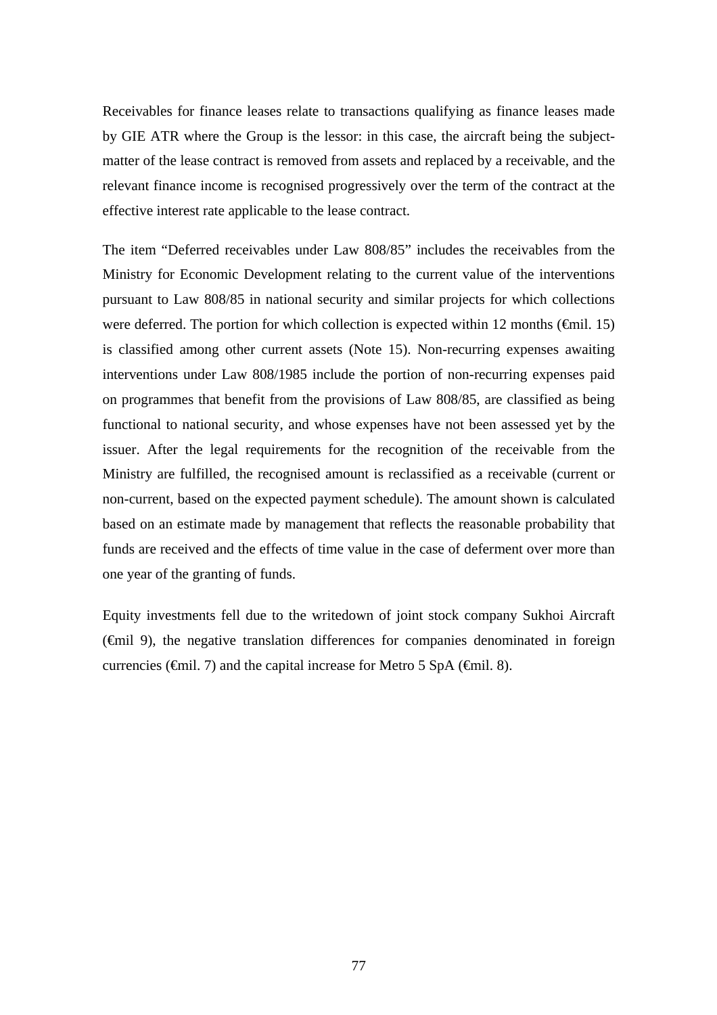Receivables for finance leases relate to transactions qualifying as finance leases made by GIE ATR where the Group is the lessor: in this case, the aircraft being the subjectmatter of the lease contract is removed from assets and replaced by a receivable, and the relevant finance income is recognised progressively over the term of the contract at the effective interest rate applicable to the lease contract.

The item "Deferred receivables under Law 808/85" includes the receivables from the Ministry for Economic Development relating to the current value of the interventions pursuant to Law 808/85 in national security and similar projects for which collections were deferred. The portion for which collection is expected within 12 months ( $\epsilon$ mil. 15) is classified among other current assets (Note 15). Non-recurring expenses awaiting interventions under Law 808/1985 include the portion of non-recurring expenses paid on programmes that benefit from the provisions of Law 808/85, are classified as being functional to national security, and whose expenses have not been assessed yet by the issuer. After the legal requirements for the recognition of the receivable from the Ministry are fulfilled, the recognised amount is reclassified as a receivable (current or non-current, based on the expected payment schedule). The amount shown is calculated based on an estimate made by management that reflects the reasonable probability that funds are received and the effects of time value in the case of deferment over more than one year of the granting of funds.

Equity investments fell due to the writedown of joint stock company Sukhoi Aircraft (€mil 9), the negative translation differences for companies denominated in foreign currencies ( $\epsilon$ mil. 7) and the capital increase for Metro 5 SpA ( $\epsilon$ mil. 8).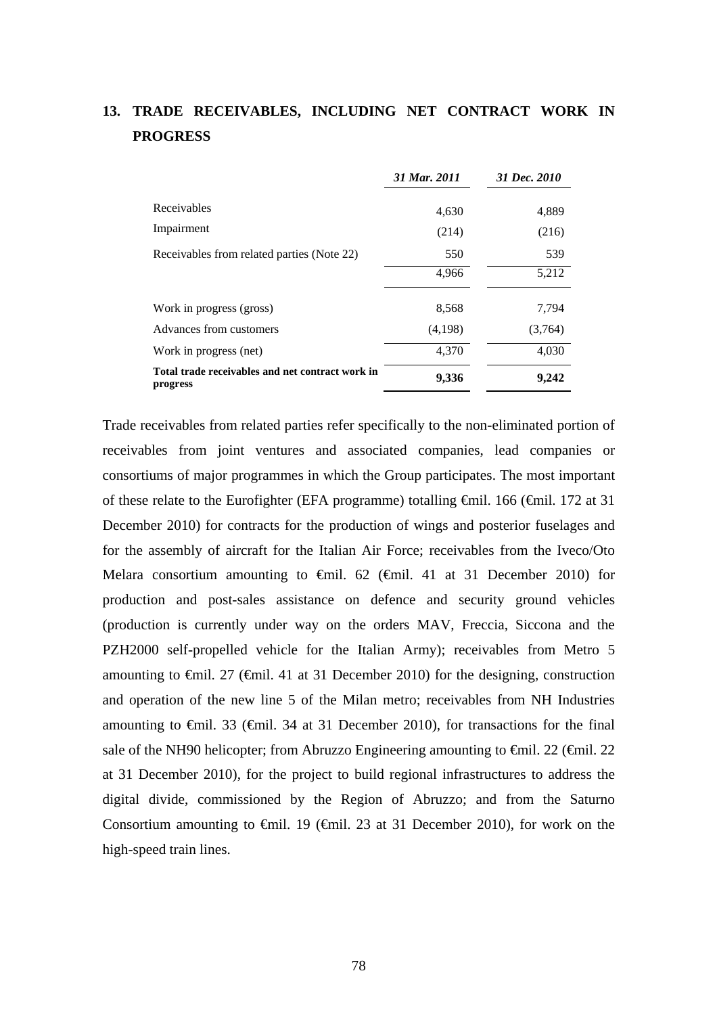|                                                              | 31 Mar. 2011 | 31 Dec. 2010 |
|--------------------------------------------------------------|--------------|--------------|
| Receivables                                                  | 4,630        | 4,889        |
| Impairment                                                   | (214)        | (216)        |
| Receivables from related parties (Note 22)                   | 550          | 539          |
|                                                              | 4,966        | 5,212        |
| Work in progress (gross)                                     | 8,568        | 7,794        |
| Advances from customers                                      | (4,198)      | (3,764)      |
| Work in progress (net)                                       | 4.370        | 4,030        |
| Total trade receivables and net contract work in<br>progress | 9,336        | 9,242        |

# **13. TRADE RECEIVABLES, INCLUDING NET CONTRACT WORK IN PROGRESS**

Trade receivables from related parties refer specifically to the non-eliminated portion of receivables from joint ventures and associated companies, lead companies or consortiums of major programmes in which the Group participates. The most important of these relate to the Eurofighter (EFA programme) totalling €mil. 166 (€mil. 172 at 31 December 2010) for contracts for the production of wings and posterior fuselages and for the assembly of aircraft for the Italian Air Force; receivables from the Iveco/Oto Melara consortium amounting to  $\theta$ mil. 62 ( $\theta$ mil. 41 at 31 December 2010) for production and post-sales assistance on defence and security ground vehicles (production is currently under way on the orders MAV, Freccia, Siccona and the PZH2000 self-propelled vehicle for the Italian Army); receivables from Metro 5 amounting to  $\epsilon$ mil. 27 ( $\epsilon$ mil. 41 at 31 December 2010) for the designing, construction and operation of the new line 5 of the Milan metro; receivables from NH Industries amounting to  $\epsilon$ mil. 33 ( $\epsilon$ mil. 34 at 31 December 2010), for transactions for the final sale of the NH90 helicopter; from Abruzzo Engineering amounting to  $\epsilon$ mil. 22 ( $\epsilon$ mil. 22 at 31 December 2010), for the project to build regional infrastructures to address the digital divide, commissioned by the Region of Abruzzo; and from the Saturno Consortium amounting to  $\oplus$  mil. 19 ( $\oplus$  mil. 23 at 31 December 2010), for work on the high-speed train lines.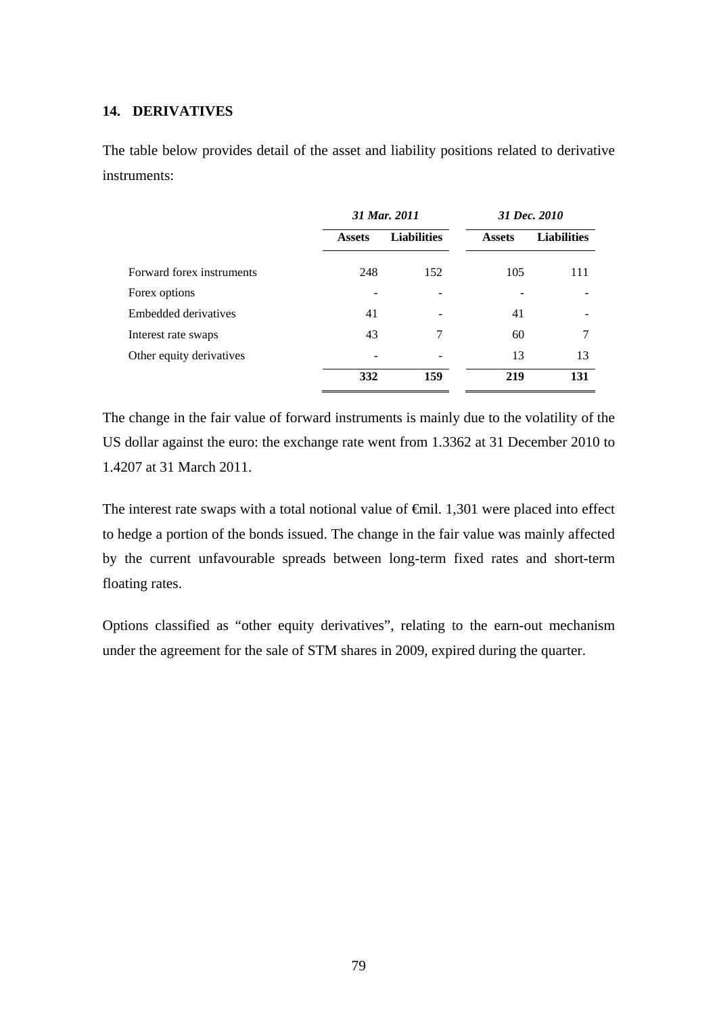#### **14. DERIVATIVES**

The table below provides detail of the asset and liability positions related to derivative instruments:

|                           | 31 Mar. 2011  |                    |               | 31 Dec. 2010       |
|---------------------------|---------------|--------------------|---------------|--------------------|
|                           | <b>Assets</b> | <b>Liabilities</b> | <b>Assets</b> | <b>Liabilities</b> |
| Forward forex instruments | 248           | 152                | 105           | 111                |
| Forex options             |               |                    |               |                    |
| Embedded derivatives      | 41            |                    | 41            |                    |
| Interest rate swaps       | 43            | 7                  | 60            | 7                  |
| Other equity derivatives  |               |                    | 13            | 13                 |
|                           | 332           | 159                | 219           | 131                |

The change in the fair value of forward instruments is mainly due to the volatility of the US dollar against the euro: the exchange rate went from 1.3362 at 31 December 2010 to 1.4207 at 31 March 2011.

The interest rate swaps with a total notional value of  $\epsilon$ mil. 1,301 were placed into effect to hedge a portion of the bonds issued. The change in the fair value was mainly affected by the current unfavourable spreads between long-term fixed rates and short-term floating rates.

Options classified as "other equity derivatives", relating to the earn-out mechanism under the agreement for the sale of STM shares in 2009, expired during the quarter.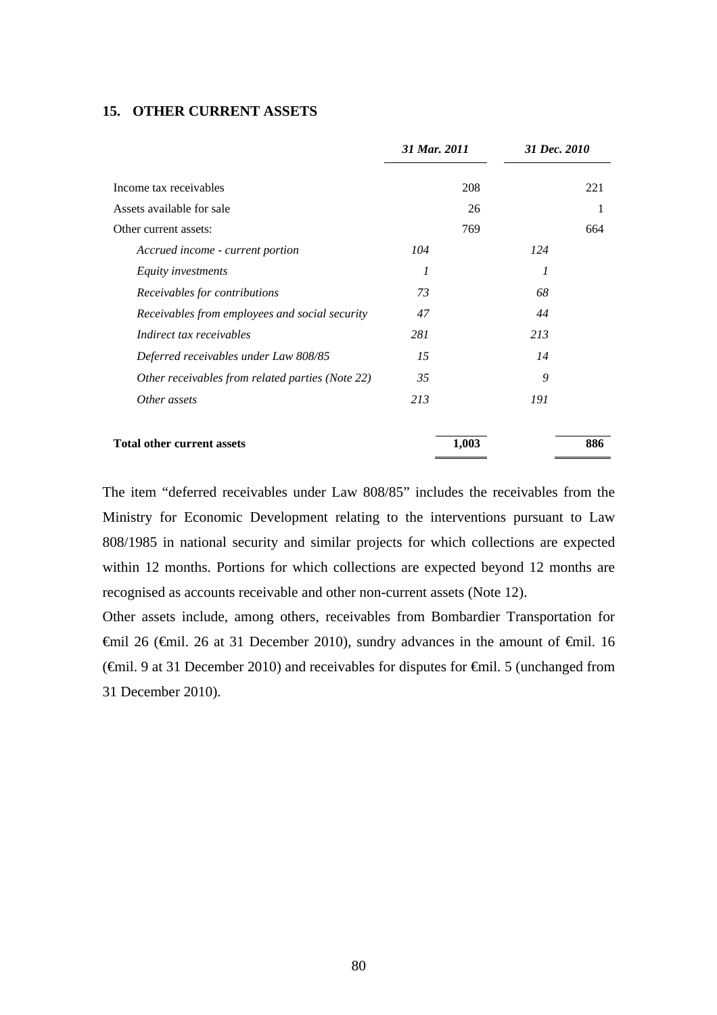#### **15. OTHER CURRENT ASSETS**

|                                                  | 31 Mar. 2011 | 31 Dec. 2010 |     |
|--------------------------------------------------|--------------|--------------|-----|
| Income tax receivables                           | 208          |              | 221 |
| Assets available for sale                        | 26           |              | 1   |
| Other current assets:                            | 769          |              | 664 |
| Accrued income - current portion                 | 104          | 124          |     |
| Equity investments                               |              |              |     |
| Receivables for contributions                    | 73           | 68           |     |
| Receivables from employees and social security   | 47           | 44           |     |
| Indirect tax receivables                         | 281          | 213          |     |
| Deferred receivables under Law 808/85            | 15           | 14           |     |
| Other receivables from related parties (Note 22) | 35           | 9            |     |
| Other assets                                     | 213          | 191          |     |
| <b>Total other current assets</b>                | 1,003        |              | 886 |

The item "deferred receivables under Law 808/85" includes the receivables from the Ministry for Economic Development relating to the interventions pursuant to Law 808/1985 in national security and similar projects for which collections are expected within 12 months. Portions for which collections are expected beyond 12 months are recognised as accounts receivable and other non-current assets (Note 12).

Other assets include, among others, receivables from Bombardier Transportation for €mil 26 (€mil. 26 at 31 December 2010), sundry advances in the amount of €mil. 16 ( $\theta$ mil. 9 at 31 December 2010) and receivables for disputes for  $\theta$ mil. 5 (unchanged from 31 December 2010).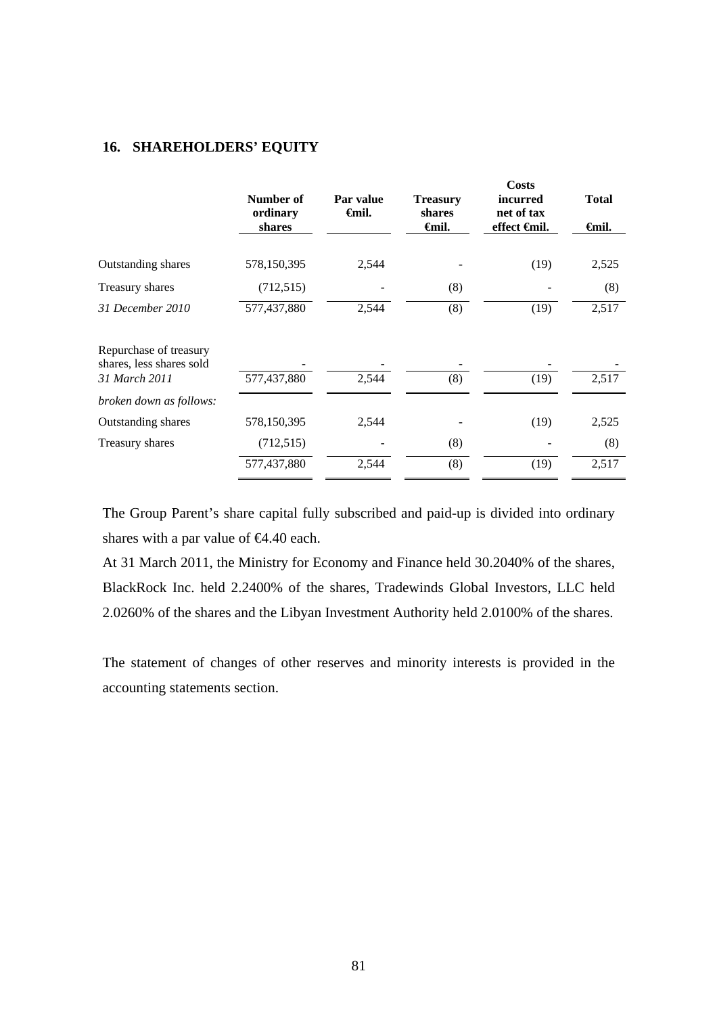## **16. SHAREHOLDERS' EQUITY**

|                                                    | Number of<br>ordinary<br>shares | Par value<br><b>∈</b> mil. | <b>Treasury</b><br>shares<br><del>∈</del> mil. | Costs<br><i>incurred</i><br>net of tax<br>effect <del>C</del> mil. | <b>Total</b><br><del>€</del> mil. |
|----------------------------------------------------|---------------------------------|----------------------------|------------------------------------------------|--------------------------------------------------------------------|-----------------------------------|
|                                                    |                                 |                            |                                                |                                                                    |                                   |
| Outstanding shares                                 | 578,150,395                     | 2,544                      |                                                | (19)                                                               | 2,525                             |
| Treasury shares                                    | (712, 515)                      |                            | (8)                                            |                                                                    | (8)                               |
| 31 December 2010                                   | 577,437,880                     | 2,544                      | (8)                                            | (19)                                                               | 2,517                             |
| Repurchase of treasury<br>shares, less shares sold |                                 |                            |                                                |                                                                    |                                   |
| 31 March 2011                                      | 577,437,880                     | 2,544                      | (8)                                            | (19)                                                               | 2,517                             |
| broken down as follows:                            |                                 |                            |                                                |                                                                    |                                   |
| <b>Outstanding shares</b>                          | 578,150,395                     | 2,544                      |                                                | (19)                                                               | 2,525                             |
| Treasury shares                                    | (712, 515)                      |                            | (8)                                            |                                                                    | (8)                               |
|                                                    | 577,437,880                     | 2,544                      | (8)                                            | (19)                                                               | 2,517                             |

The Group Parent's share capital fully subscribed and paid-up is divided into ordinary shares with a par value of €4.40 each.

At 31 March 2011, the Ministry for Economy and Finance held 30.2040% of the shares, BlackRock Inc. held 2.2400% of the shares, Tradewinds Global Investors, LLC held 2.0260% of the shares and the Libyan Investment Authority held 2.0100% of the shares.

The statement of changes of other reserves and minority interests is provided in the accounting statements section.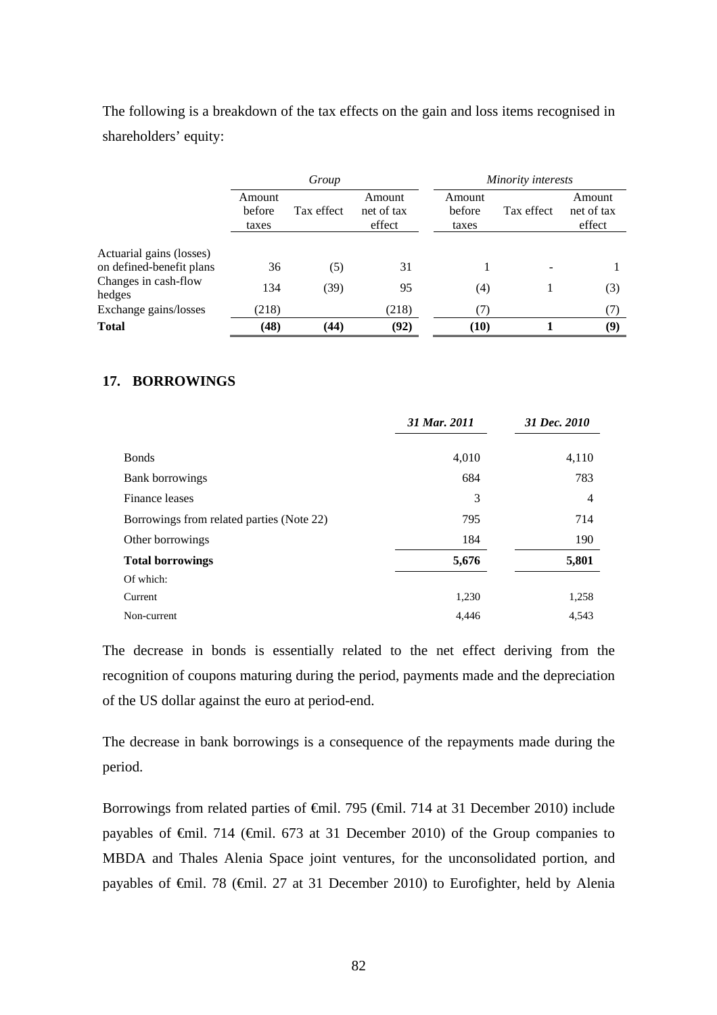The following is a breakdown of the tax effects on the gain and loss items recognised in shareholders' equity:

|                                | Group                     |            |                                |                           | Minority interests |                                |  |  |
|--------------------------------|---------------------------|------------|--------------------------------|---------------------------|--------------------|--------------------------------|--|--|
|                                | Amount<br>before<br>taxes | Tax effect | Amount<br>net of tax<br>effect | Amount<br>before<br>taxes | Tax effect         | Amount<br>net of tax<br>effect |  |  |
| Actuarial gains (losses)       |                           |            |                                |                           |                    |                                |  |  |
| on defined-benefit plans       | 36                        | (5)        | 31                             |                           |                    |                                |  |  |
| Changes in cash-flow<br>hedges | 134                       | (39)       | 95                             | (4)                       |                    | (3)                            |  |  |
| Exchange gains/losses          | (218)                     |            | (218)                          | (7)                       |                    | (7)                            |  |  |
| <b>Total</b>                   | (48)                      | (44)       | (92)                           | (10)                      |                    | (9)                            |  |  |

### **17. BORROWINGS**

|                                           | 31 Mar. 2011 | 31 Dec. 2010 |
|-------------------------------------------|--------------|--------------|
| <b>Bonds</b>                              | 4,010        | 4,110        |
| Bank borrowings                           | 684          | 783          |
| Finance leases                            | 3            | 4            |
| Borrowings from related parties (Note 22) | 795          | 714          |
| Other borrowings                          | 184          | 190          |
| <b>Total borrowings</b>                   | 5,676        | 5,801        |
| Of which:                                 |              |              |
| Current                                   | 1,230        | 1,258        |
| Non-current                               | 4,446        | 4,543        |

The decrease in bonds is essentially related to the net effect deriving from the recognition of coupons maturing during the period, payments made and the depreciation of the US dollar against the euro at period-end.

The decrease in bank borrowings is a consequence of the repayments made during the period.

Borrowings from related parties of <del>€</del>mil. 795 (€mil. 714 at 31 December 2010) include payables of €mil. 714 (€mil. 673 at 31 December 2010) of the Group companies to MBDA and Thales Alenia Space joint ventures, for the unconsolidated portion, and payables of €mil. 78 (€mil. 27 at 31 December 2010) to Eurofighter, held by Alenia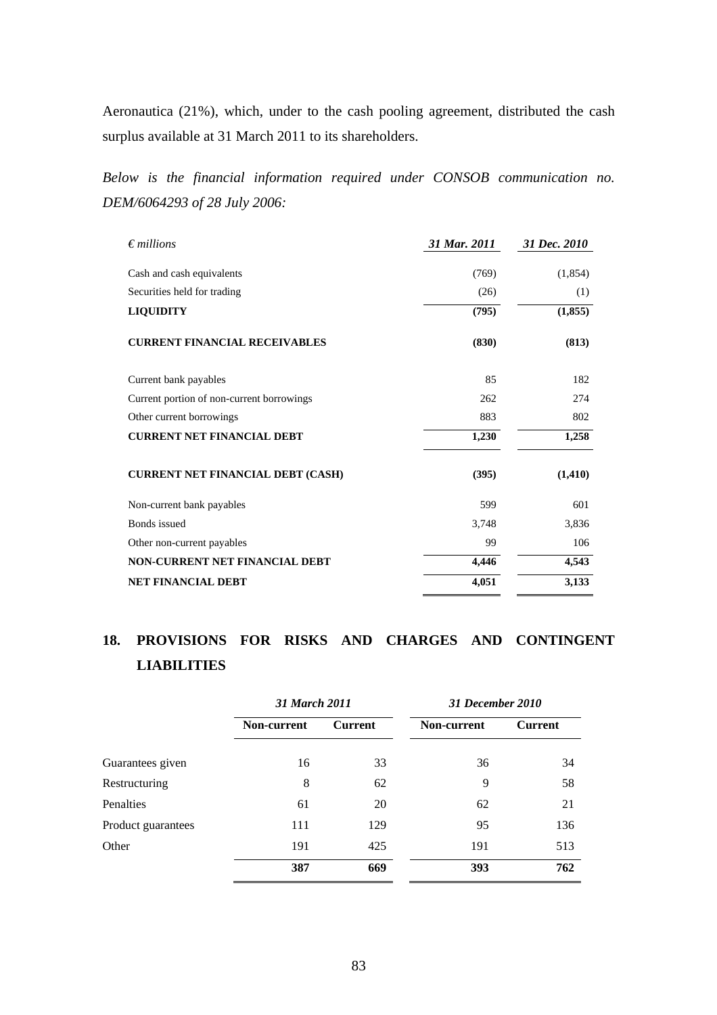Aeronautica (21%), which, under to the cash pooling agreement, distributed the cash surplus available at 31 March 2011 to its shareholders.

*Below is the financial information required under CONSOB communication no. DEM/6064293 of 28 July 2006:* 

| $\epsilon$ millions                       | 31 Mar. 2011 | 31 Dec. 2010 |
|-------------------------------------------|--------------|--------------|
|                                           |              |              |
| Cash and cash equivalents                 | (769)        | (1,854)      |
| Securities held for trading               | (26)         | (1)          |
| <b>LIQUIDITY</b>                          | (795)        | (1, 855)     |
| <b>CURRENT FINANCIAL RECEIVABLES</b>      | (830)        | (813)        |
| Current bank payables                     | 85           | 182          |
| Current portion of non-current borrowings | 262          | 274          |
| Other current borrowings                  | 883          | 802          |
| <b>CURRENT NET FINANCIAL DEBT</b>         | 1,230        | 1,258        |
| <b>CURRENT NET FINANCIAL DEBT (CASH)</b>  | (395)        | (1, 410)     |
| Non-current bank payables                 | 599          | 601          |
| Bonds issued                              | 3,748        | 3,836        |
| Other non-current payables                | 99           | 106          |
| NON-CURRENT NET FINANCIAL DEBT            | 4,446        | 4,543        |
| <b>NET FINANCIAL DEBT</b>                 | 4,051        | 3,133        |

# **18. PROVISIONS FOR RISKS AND CHARGES AND CONTINGENT LIABILITIES**

|                    | 31 March 2011 |                | 31 December 2010 |                |  |  |
|--------------------|---------------|----------------|------------------|----------------|--|--|
|                    | Non-current   | <b>Current</b> | Non-current      | <b>Current</b> |  |  |
| Guarantees given   | 16            | 33             | 36               | 34             |  |  |
| Restructuring      | 8             | 62             | 9                | 58             |  |  |
| Penalties          | 61            | 20             | 62               | 21             |  |  |
| Product guarantees | 111           | 129            | 95               | 136            |  |  |
| Other              | 191           | 425            | 191              | 513            |  |  |
|                    | 387           | 669            | 393              | 762            |  |  |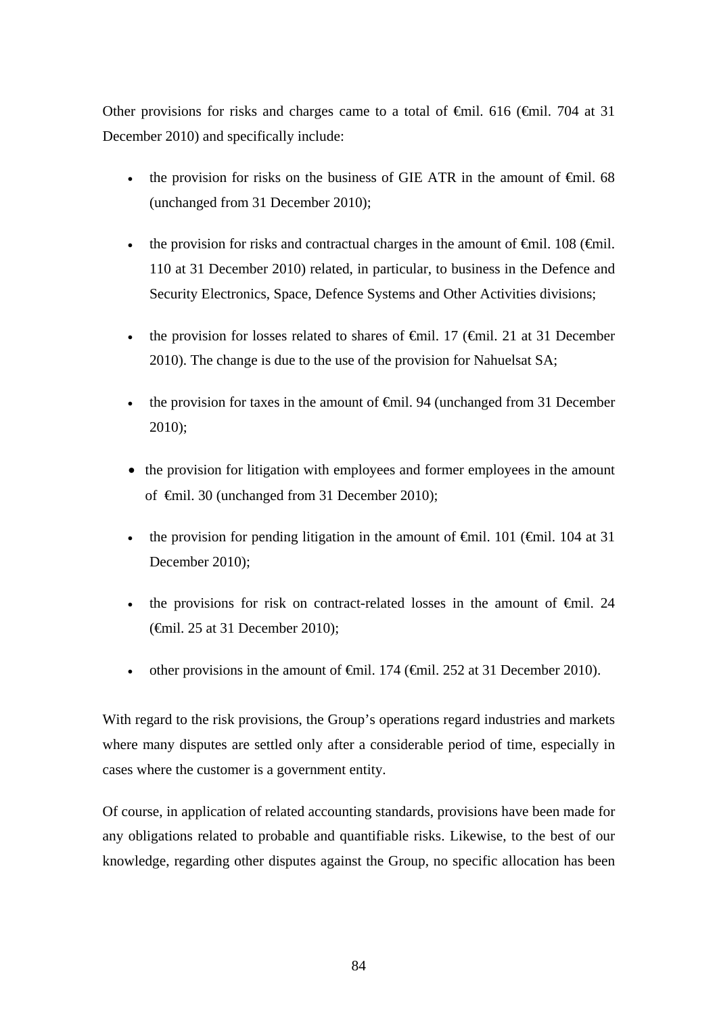Other provisions for risks and charges came to a total of  $\theta$ mil. 616 ( $\theta$ mil. 704 at 31 December 2010) and specifically include:

- the provision for risks on the business of GIE ATR in the amount of  $\epsilon$ mil. 68 (unchanged from 31 December 2010);
- the provision for risks and contractual charges in the amount of  $\epsilon$ mil. 108 ( $\epsilon$ mil. 110 at 31 December 2010) related, in particular, to business in the Defence and Security Electronics, Space, Defence Systems and Other Activities divisions;
- the provision for losses related to shares of  $\epsilon$ mil. 17 ( $\epsilon$ mil. 21 at 31 December 2010). The change is due to the use of the provision for Nahuelsat SA;
- the provision for taxes in the amount of  $\epsilon$ mil. 94 (unchanged from 31 December 2010);
- the provision for litigation with employees and former employees in the amount of €mil. 30 (unchanged from 31 December 2010);
- the provision for pending litigation in the amount of  $\oplus$ mil. 101 ( $\oplus$ mil. 104 at 31 December 2010);
- the provisions for risk on contract-related losses in the amount of  $\epsilon$ mil. 24 (€mil. 25 at 31 December 2010);
- other provisions in the amount of  $\oplus$ mil. 174 ( $\oplus$ mil. 252 at 31 December 2010).

With regard to the risk provisions, the Group's operations regard industries and markets where many disputes are settled only after a considerable period of time, especially in cases where the customer is a government entity.

Of course, in application of related accounting standards, provisions have been made for any obligations related to probable and quantifiable risks. Likewise, to the best of our knowledge, regarding other disputes against the Group, no specific allocation has been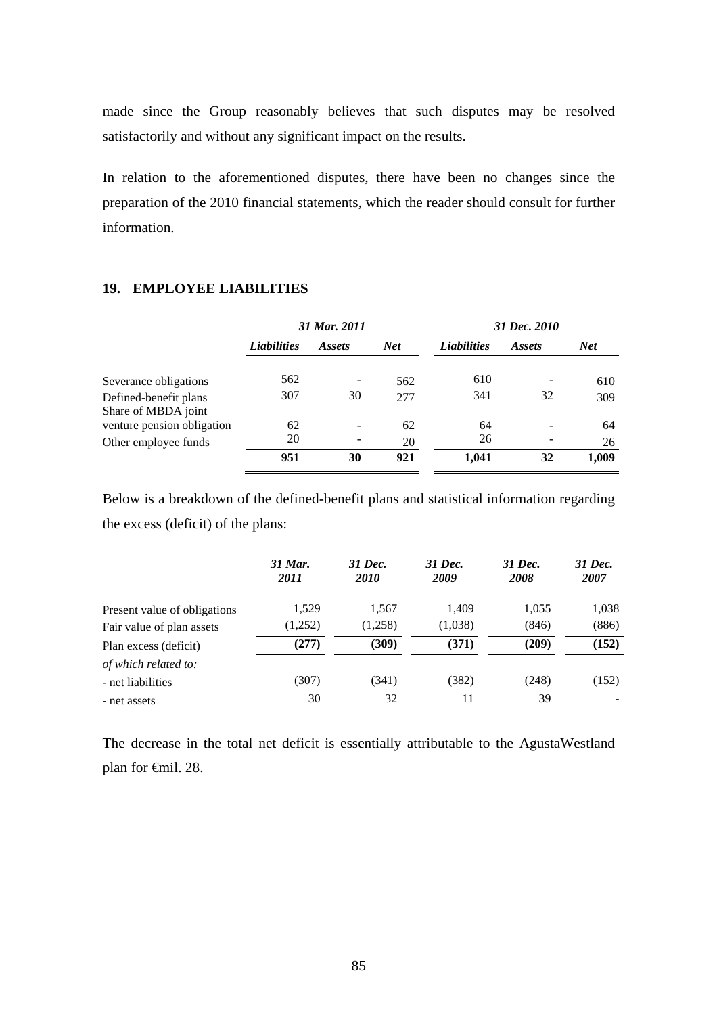made since the Group reasonably believes that such disputes may be resolved satisfactorily and without any significant impact on the results.

In relation to the aforementioned disputes, there have been no changes since the preparation of the 2010 financial statements, which the reader should consult for further information.

### **19. EMPLOYEE LIABILITIES**

|                            | 31 Mar. 2011       |        |            | 31 Dec. 2010       |               |            |  |
|----------------------------|--------------------|--------|------------|--------------------|---------------|------------|--|
| Share of MBDA joint        | <b>Liabilities</b> | Assets | <b>Net</b> | <b>Liabilities</b> | <i>Assets</i> | <b>Net</b> |  |
| Severance obligations      | 562                |        | 562        | 610                |               | 610        |  |
| Defined-benefit plans      | 307                | 30     | 277        | 341                | 32            | 309        |  |
| venture pension obligation | 62                 |        | 62         | 64                 |               | 64         |  |
| Other employee funds       | 20                 |        | 20         | 26                 |               | 26         |  |
|                            | 951                | 30     | 921        | 1,041              | 32            | 1,009      |  |

Below is a breakdown of the defined-benefit plans and statistical information regarding the excess (deficit) of the plans:

|                              | 31 Mar.<br>2011 | 31 Dec.<br><i>2010</i> | 31 Dec.<br>2009 | 31 Dec.<br>2008 | 31 Dec.<br>2007 |
|------------------------------|-----------------|------------------------|-----------------|-----------------|-----------------|
| Present value of obligations | 1,529           | 1,567                  | 1.409           | 1,055           | 1,038           |
| Fair value of plan assets    | (1,252)         | (1,258)                | (1,038)         | (846)           | (886)           |
| Plan excess (deficit)        | (277)           | (309)                  | (371)           | (209)           | (152)           |
| of which related to:         |                 |                        |                 |                 |                 |
| - net liabilities            | (307)           | (341)                  | (382)           | (248)           | (152)           |
| - net assets                 | 30              | 32                     | 11              | 39              |                 |

The decrease in the total net deficit is essentially attributable to the AgustaWestland plan for €mil. 28.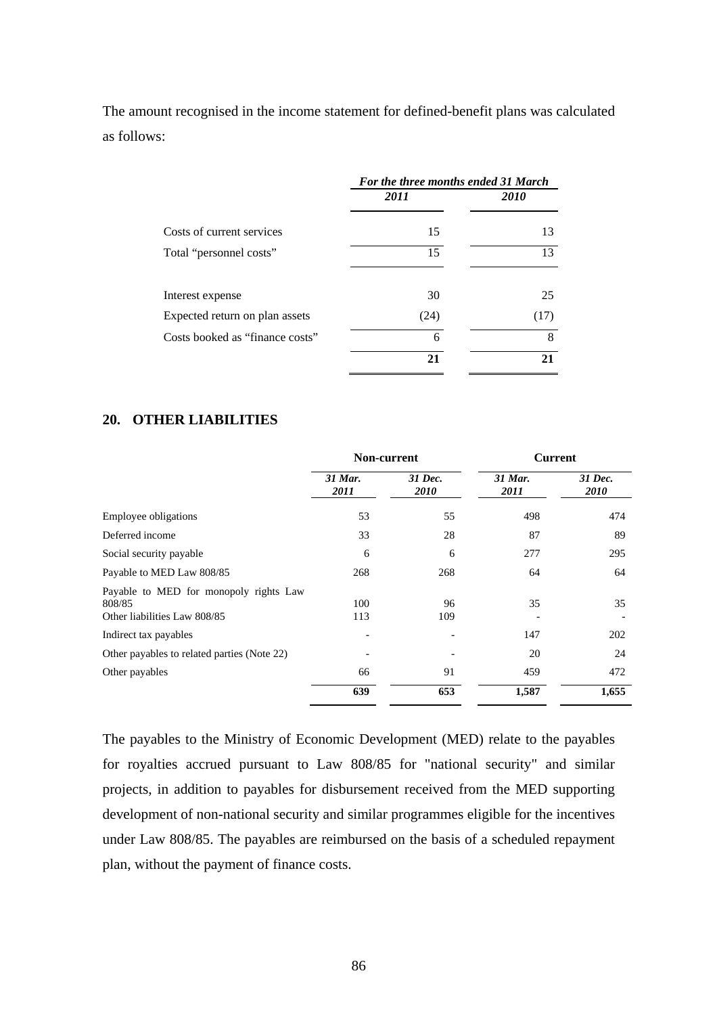The amount recognised in the income statement for defined-benefit plans was calculated as follows:

|                                 | For the three months ended 31 March |      |  |  |
|---------------------------------|-------------------------------------|------|--|--|
|                                 | 2011                                | 2010 |  |  |
| Costs of current services       | 15                                  | 13   |  |  |
| Total "personnel costs"         | 15                                  | 13   |  |  |
| Interest expense                | 30                                  | 25   |  |  |
| Expected return on plan assets  | (24)                                | (17) |  |  |
| Costs booked as "finance costs" | 6                                   | 8    |  |  |
|                                 | 21                                  | 21   |  |  |

### **20. OTHER LIABILITIES**

|                                                                                  | Non-current     |                 | <b>Current</b>  |                        |
|----------------------------------------------------------------------------------|-----------------|-----------------|-----------------|------------------------|
|                                                                                  | 31 Mar.<br>2011 | 31 Dec.<br>2010 | 31 Mar.<br>2011 | 31 Dec.<br><i>2010</i> |
| Employee obligations                                                             | 53              | 55              | 498             | 474                    |
| Deferred income                                                                  | 33              | 28              | 87              | 89                     |
| Social security payable                                                          | 6               | 6               | 277             | 295                    |
| Payable to MED Law 808/85                                                        | 268             | 268             | 64              | 64                     |
| Payable to MED for monopoly rights Law<br>808/85<br>Other liabilities Law 808/85 | 100<br>113      | 96<br>109       | 35              | 35                     |
| Indirect tax payables                                                            |                 |                 | 147             | 202                    |
| Other payables to related parties (Note 22)                                      |                 |                 | 20              | 24                     |
| Other payables                                                                   | 66              | 91              | 459             | 472                    |
|                                                                                  | 639             | 653             | 1,587           | 1,655                  |

The payables to the Ministry of Economic Development (MED) relate to the payables for royalties accrued pursuant to Law 808/85 for "national security" and similar projects, in addition to payables for disbursement received from the MED supporting development of non-national security and similar programmes eligible for the incentives under Law 808/85. The payables are reimbursed on the basis of a scheduled repayment plan, without the payment of finance costs.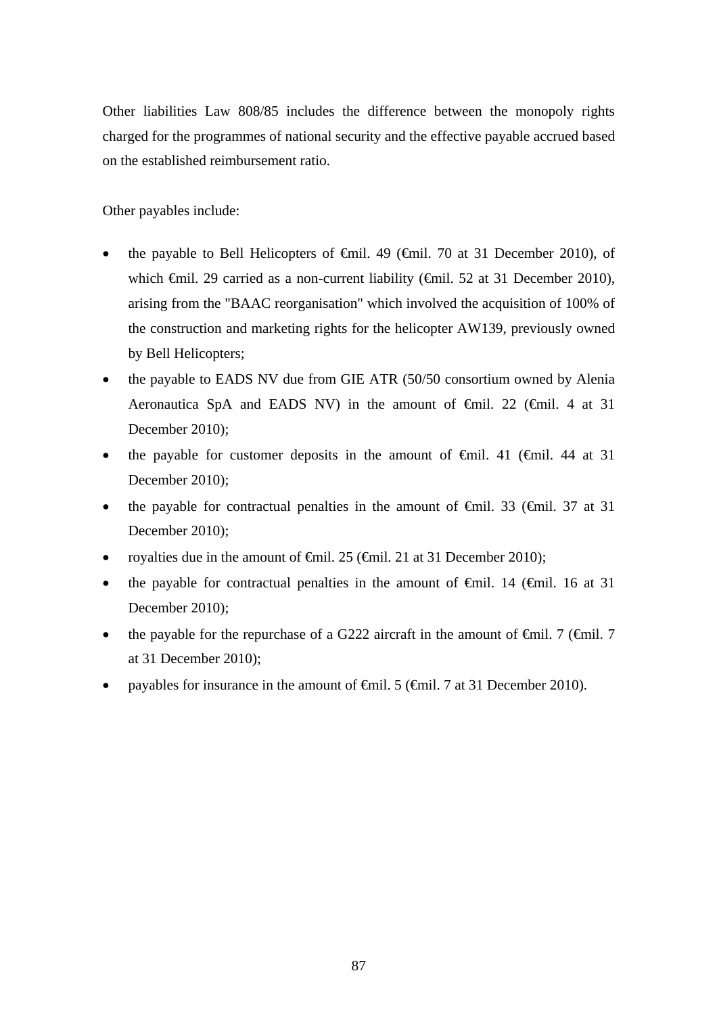Other liabilities Law 808/85 includes the difference between the monopoly rights charged for the programmes of national security and the effective payable accrued based on the established reimbursement ratio.

Other payables include:

- the payable to Bell Helicopters of  $\epsilon$ mil. 49 ( $\epsilon$ mil. 70 at 31 December 2010), of which €mil. 29 carried as a non-current liability (€mil. 52 at 31 December 2010), arising from the "BAAC reorganisation" which involved the acquisition of 100% of the construction and marketing rights for the helicopter AW139, previously owned by Bell Helicopters;
- the payable to EADS NV due from GIE ATR (50/50 consortium owned by Alenia Aeronautica SpA and EADS NV) in the amount of  $\theta$ mil. 22 ( $\theta$ mil. 4 at 31 December 2010);
- the payable for customer deposits in the amount of  $\theta$ mil. 41 ( $\theta$ mil. 44 at 31 December 2010);
- the payable for contractual penalties in the amount of  $\theta$ mil. 33 ( $\theta$ mil. 37 at 31 December 2010);
- royalties due in the amount of €mil. 25 (€mil. 21 at 31 December 2010);
- the payable for contractual penalties in the amount of  $\theta$ mil. 14 ( $\theta$ mil. 16 at 31 December 2010);
- the payable for the repurchase of a G222 aircraft in the amount of  $\theta$ mil. 7 ( $\theta$ mil. 7 at 31 December 2010);
- payables for insurance in the amount of €mil. 5 (€mil. 7 at 31 December 2010).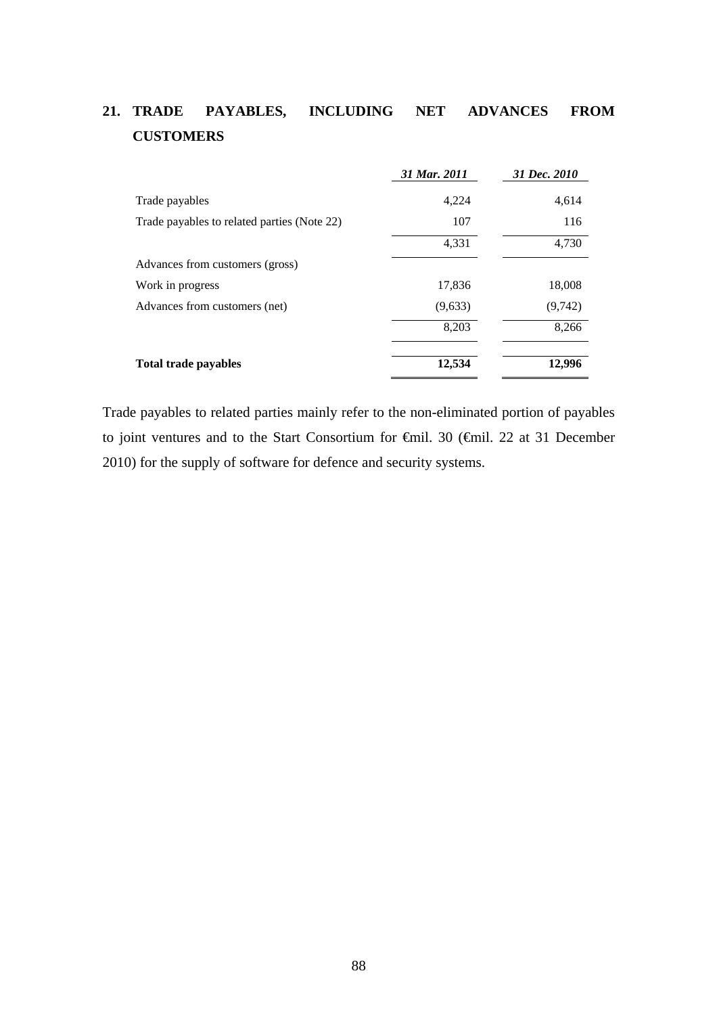# **21. TRADE PAYABLES, INCLUDING NET ADVANCES FROM CUSTOMERS**

|                                             | 31 Mar. 2011 | 31 Dec. 2010 |
|---------------------------------------------|--------------|--------------|
| Trade payables                              | 4,224        | 4,614        |
| Trade payables to related parties (Note 22) | 107          | 116          |
|                                             | 4,331        | 4,730        |
| Advances from customers (gross)             |              |              |
| Work in progress                            | 17,836       | 18,008       |
| Advances from customers (net)               | (9,633)      | (9,742)      |
|                                             | 8,203        | 8,266        |
| <b>Total trade payables</b>                 | 12,534       | 12,996       |

Trade payables to related parties mainly refer to the non-eliminated portion of payables to joint ventures and to the Start Consortium for €mil. 30 (€mil. 22 at 31 December 2010) for the supply of software for defence and security systems.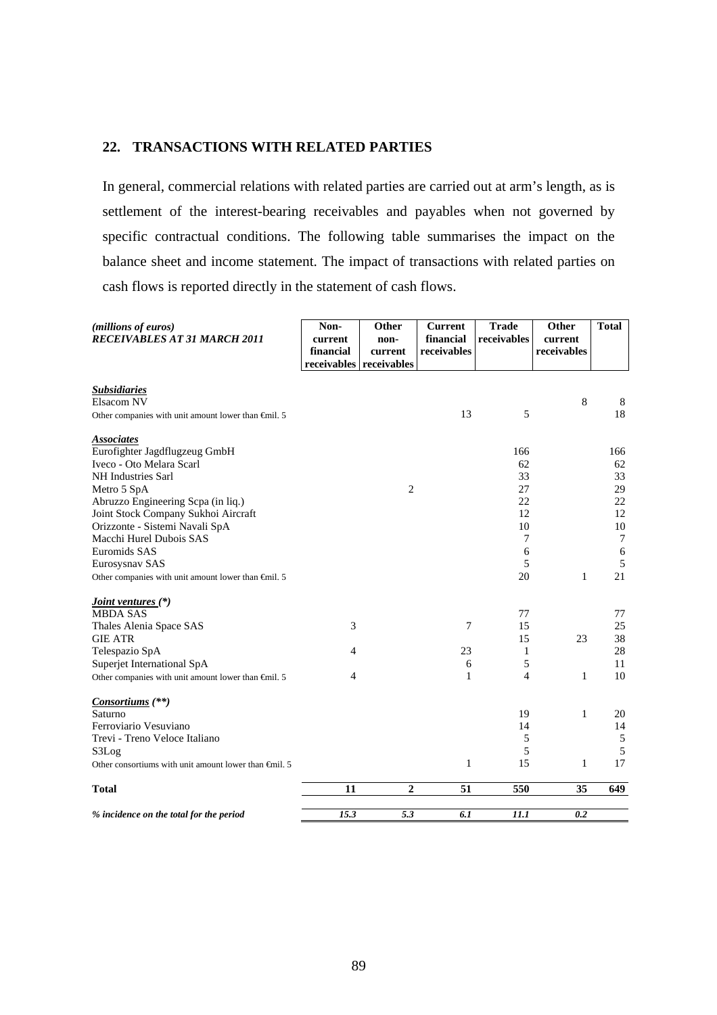### **22. TRANSACTIONS WITH RELATED PARTIES**

In general, commercial relations with related parties are carried out at arm's length, as is settlement of the interest-bearing receivables and payables when not governed by specific contractual conditions. The following table summarises the impact on the balance sheet and income statement. The impact of transactions with related parties on cash flows is reported directly in the statement of cash flows.

| (millions of euros)<br><b>RECEIVABLES AT 31 MARCH 2011</b>      | Non-<br>current<br>financial<br>receivables | Other<br>non-<br>current<br>receivables | <b>Current</b><br>financial<br>receivables | <b>Trade</b><br>receivables | Other<br>current<br>receivables | <b>Total</b> |
|-----------------------------------------------------------------|---------------------------------------------|-----------------------------------------|--------------------------------------------|-----------------------------|---------------------------------|--------------|
|                                                                 |                                             |                                         |                                            |                             |                                 |              |
| <b>Subsidiaries</b>                                             |                                             |                                         |                                            |                             |                                 |              |
| Elsacom NV                                                      |                                             |                                         |                                            |                             | $\,8\,$                         | 8            |
| Other companies with unit amount lower than $\epsilon$ mil. 5   |                                             |                                         | 13                                         | 5                           |                                 | 18           |
| <b>Associates</b>                                               |                                             |                                         |                                            |                             |                                 |              |
| Eurofighter Jagdflugzeug GmbH                                   |                                             |                                         |                                            | 166                         |                                 | 166          |
| Iveco - Oto Melara Scarl                                        |                                             |                                         |                                            | 62                          |                                 | 62           |
| <b>NH</b> Industries Sarl                                       |                                             |                                         |                                            | 33                          |                                 | 33           |
| Metro 5 SpA                                                     |                                             | 2                                       |                                            | 27                          |                                 | 29           |
| Abruzzo Engineering Scpa (in liq.)                              |                                             |                                         |                                            | 22                          |                                 | 22           |
| Joint Stock Company Sukhoi Aircraft                             |                                             |                                         |                                            | 12                          |                                 | 12           |
| Orizzonte - Sistemi Navali SpA                                  |                                             |                                         |                                            | 10                          |                                 | 10           |
| Macchi Hurel Dubois SAS                                         |                                             |                                         |                                            | 7                           |                                 | $\tau$       |
| Euromids SAS                                                    |                                             |                                         |                                            | 6                           |                                 | 6            |
| Eurosysnav SAS                                                  |                                             |                                         |                                            | 5                           |                                 | 5            |
| Other companies with unit amount lower than $\epsilon$ mil. 5   |                                             |                                         |                                            | 20                          | $\mathbf{1}$                    | 21           |
| <i><u><b>Joint ventures</b></u></i> (*)                         |                                             |                                         |                                            |                             |                                 |              |
| <b>MBDA SAS</b>                                                 |                                             |                                         |                                            | 77                          |                                 | 77           |
| Thales Alenia Space SAS                                         | 3                                           |                                         | 7                                          | 15                          |                                 | 25           |
| <b>GIE ATR</b>                                                  |                                             |                                         |                                            | 15                          | 23                              | 38           |
| Telespazio SpA                                                  | 4                                           |                                         | 23                                         | 1                           |                                 | 28           |
| Superjet International SpA                                      |                                             |                                         | 6                                          | 5                           |                                 | 11           |
| Other companies with unit amount lower than $\oplus$ mil. 5     | 4                                           |                                         | $\mathbf{1}$                               | $\overline{4}$              | $\mathbf{1}$                    | 10           |
| Consortiums (**)                                                |                                             |                                         |                                            |                             |                                 |              |
| Saturno                                                         |                                             |                                         |                                            | 19                          | $\mathbf{1}$                    | 20           |
| Ferroviario Vesuviano                                           |                                             |                                         |                                            | 14                          |                                 | 14           |
| Trevi - Treno Veloce Italiano                                   |                                             |                                         |                                            | 5                           |                                 | 5            |
| S3Log                                                           |                                             |                                         |                                            | 5                           |                                 | 5            |
| Other consortiums with unit amount lower than $\epsilon$ mil. 5 |                                             |                                         | 1                                          | 15                          | 1                               | 17           |
| <b>Total</b>                                                    | 11                                          | $\boldsymbol{2}$                        | 51                                         | 550                         | 35                              | 649          |
| % incidence on the total for the period                         | 15.3                                        | 5.3                                     | 6.1                                        | 11.1                        | 0.2                             |              |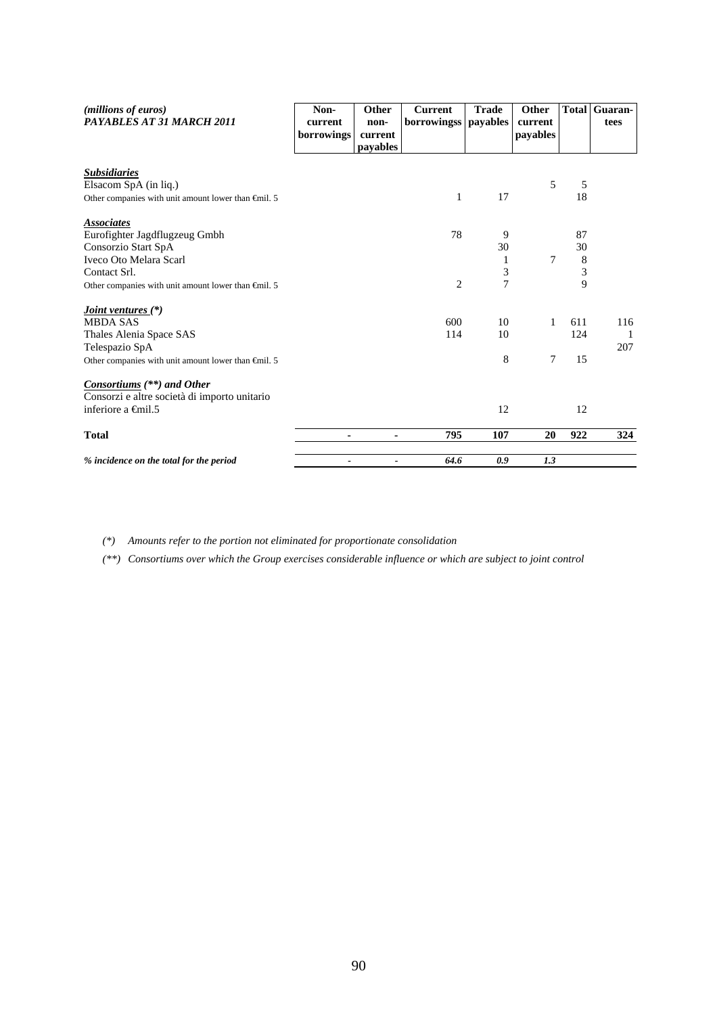| (millions of euros)<br>PAYABLES AT 31 MARCH 2011              | Non-<br>current<br>borrowings | Other<br>non-<br>current<br>payables | <b>Current</b><br>borrowingss | <b>Trade</b><br>payables | Other<br>current<br>payables |     | <b>Total Guaran-</b><br>tees |
|---------------------------------------------------------------|-------------------------------|--------------------------------------|-------------------------------|--------------------------|------------------------------|-----|------------------------------|
| <b>Subsidiaries</b>                                           |                               |                                      |                               |                          |                              |     |                              |
| Elsacom SpA (in liq.)                                         |                               |                                      |                               |                          | 5                            | 5   |                              |
| Other companies with unit amount lower than $\epsilon$ mil. 5 |                               |                                      | $\mathbf{1}$                  | 17                       |                              | 18  |                              |
| <b>Associates</b>                                             |                               |                                      |                               |                          |                              |     |                              |
| Eurofighter Jagdflugzeug Gmbh                                 |                               |                                      | 78                            | 9                        |                              | 87  |                              |
| Consorzio Start SpA                                           |                               |                                      |                               | 30                       |                              | 30  |                              |
| Iveco Oto Melara Scarl                                        |                               |                                      |                               | 1                        | 7                            | 8   |                              |
| Contact Srl.                                                  |                               |                                      |                               | 3                        |                              | 3   |                              |
| Other companies with unit amount lower than $\epsilon$ mil. 5 |                               |                                      | $\overline{2}$                | $\overline{7}$           |                              | 9   |                              |
| <i><u><b>Joint ventures</b></u></i> (*)                       |                               |                                      |                               |                          |                              |     |                              |
| <b>MBDA SAS</b>                                               |                               |                                      | 600                           | 10                       | 1                            | 611 | 116                          |
| Thales Alenia Space SAS                                       |                               |                                      | 114                           | 10                       |                              | 124 | 1                            |
| Telespazio SpA                                                |                               |                                      |                               |                          |                              |     | 207                          |
| Other companies with unit amount lower than $\epsilon$ mil. 5 |                               |                                      |                               | 8                        | 7                            | 15  |                              |
| Consortiums $(**)$ and Other                                  |                               |                                      |                               |                          |                              |     |                              |
| Consorzi e altre società di importo unitario                  |                               |                                      |                               |                          |                              |     |                              |
| inferiore a $\epsilon$ mil.5                                  |                               |                                      |                               | 12                       |                              | 12  |                              |
| <b>Total</b>                                                  | $\sim$                        | ٠                                    | 795                           | 107                      | 20                           | 922 | 324                          |
| % incidence on the total for the period                       | $\blacksquare$                | $\blacksquare$                       | 64.6                          | 0.9                      | 1.3                          |     |                              |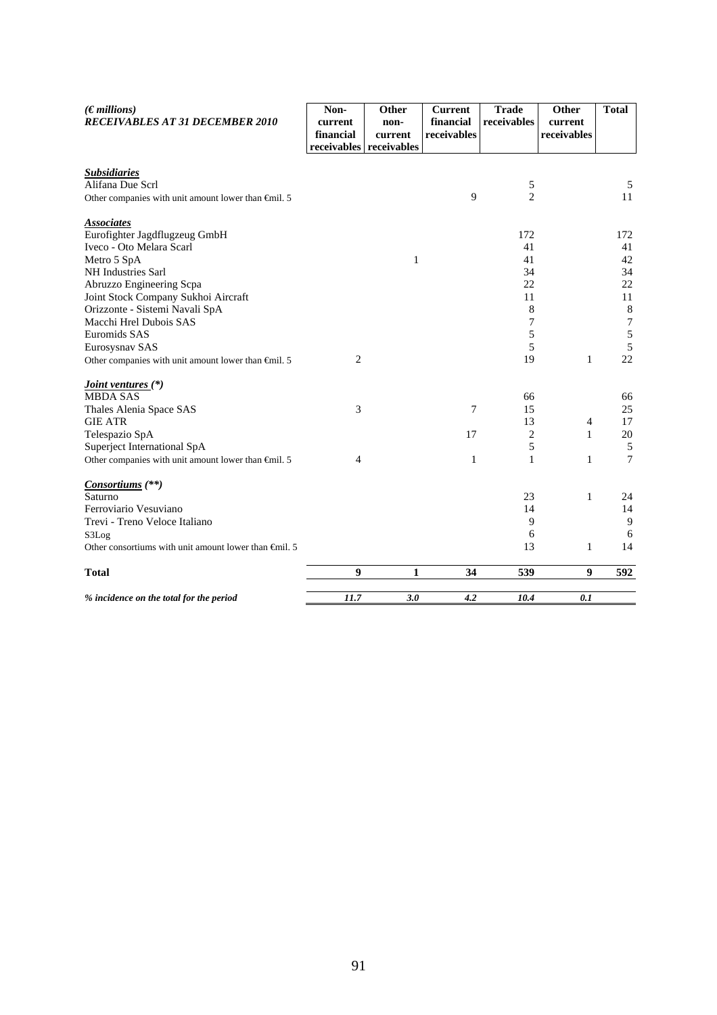| $(\epsilon$ millions)<br><b>RECEIVABLES AT 31 DECEMBER 2010</b> | Non-<br>current<br>financial<br>receivables receivables | Other<br>non-<br>current | <b>Current</b><br>financial<br>receivables | <b>Trade</b><br>receivables | Other<br>current<br>receivables | <b>Total</b>     |
|-----------------------------------------------------------------|---------------------------------------------------------|--------------------------|--------------------------------------------|-----------------------------|---------------------------------|------------------|
| <b>Subsidiaries</b>                                             |                                                         |                          |                                            |                             |                                 |                  |
| Alifana Due Scrl                                                |                                                         |                          |                                            | $\sqrt{5}$                  |                                 | 5                |
| Other companies with unit amount lower than $\epsilon$ mil. 5   |                                                         |                          | 9                                          | $\overline{2}$              |                                 | 11               |
| <b>Associates</b>                                               |                                                         |                          |                                            |                             |                                 |                  |
| Eurofighter Jagdflugzeug GmbH                                   |                                                         |                          |                                            | 172                         |                                 | 172              |
| Iveco - Oto Melara Scarl                                        |                                                         |                          |                                            | 41                          |                                 | 41               |
| Metro 5 SpA                                                     |                                                         | 1                        |                                            | 41                          |                                 | 42               |
| NH Industries Sarl                                              |                                                         |                          |                                            | 34                          |                                 | 34               |
| Abruzzo Engineering Scpa                                        |                                                         |                          |                                            | 22                          |                                 | 22               |
| Joint Stock Company Sukhoi Aircraft                             |                                                         |                          |                                            | 11                          |                                 | 11               |
| Orizzonte - Sistemi Navali SpA                                  |                                                         |                          |                                            | 8                           |                                 | $\,8\,$          |
| Macchi Hrel Dubois SAS                                          |                                                         |                          |                                            | 7                           |                                 | $\boldsymbol{7}$ |
| Euromids SAS                                                    |                                                         |                          |                                            | 5                           |                                 | $\sqrt{5}$       |
| Eurosysnav SAS                                                  |                                                         |                          |                                            | 5                           |                                 | $\sqrt{5}$       |
| Other companies with unit amount lower than $\epsilon$ mil. 5   | 2                                                       |                          |                                            | 19                          | $\mathbf{1}$                    | 22               |
| <i><u><b>Joint ventures</b></u></i> (*)                         |                                                         |                          |                                            |                             |                                 |                  |
| <b>MBDA SAS</b>                                                 |                                                         |                          |                                            | 66                          |                                 | 66               |
| Thales Alenia Space SAS                                         | 3                                                       |                          | 7                                          | 15                          |                                 | 25               |
| <b>GIE ATR</b>                                                  |                                                         |                          |                                            | 13                          | 4                               | 17               |
| Telespazio SpA                                                  |                                                         |                          | 17                                         | 2                           | 1                               | 20               |
| Superject International SpA                                     |                                                         |                          |                                            | 5                           |                                 | $\sqrt{5}$       |
| Other companies with unit amount lower than $\oplus$ nil. 5     | 4                                                       |                          | 1                                          | 1                           | 1                               | $\overline{7}$   |
| <i>Consortiums</i> (**)                                         |                                                         |                          |                                            |                             |                                 |                  |
| Saturno                                                         |                                                         |                          |                                            | 23                          | $\mathbf{1}$                    | 24               |
| Ferroviario Vesuviano                                           |                                                         |                          |                                            | 14                          |                                 | 14               |
| Trevi - Treno Veloce Italiano                                   |                                                         |                          |                                            | 9                           |                                 | 9                |
| S3Log                                                           |                                                         |                          |                                            | 6                           |                                 | 6                |
| Other consortiums with unit amount lower than €mil. 5           |                                                         |                          |                                            | 13                          | 1                               | 14               |
| <b>Total</b>                                                    | $\boldsymbol{9}$                                        | $\mathbf{1}$             | 34                                         | 539                         | $\boldsymbol{9}$                | 592              |
| % incidence on the total for the period                         | 11.7                                                    | 3.0                      | 4.2                                        | 10.4                        | 0.1                             |                  |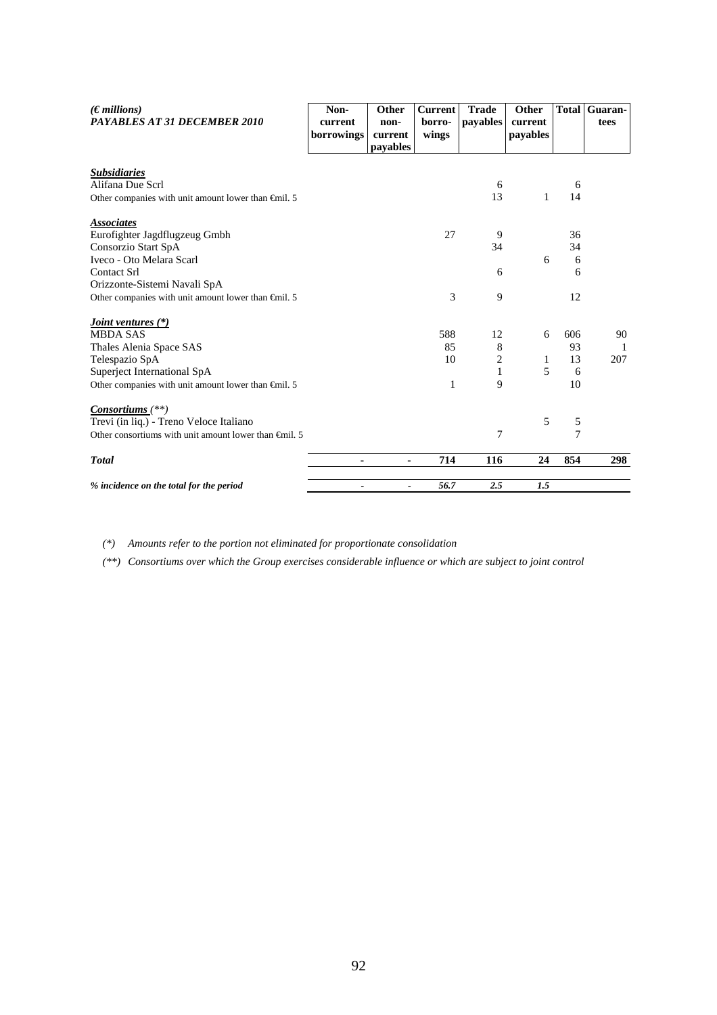| $(\epsilon$ <i>millions</i> )<br><b>PAYABLES AT 31 DECEMBER 2010</b> | Non-<br>current<br>borrowings | Other<br>non-<br>current<br>payables | <b>Current</b><br>borro-<br>wings | <b>Trade</b><br>payables | Other<br>current<br>payables |                | <b>Total Guaran-</b><br>tees |
|----------------------------------------------------------------------|-------------------------------|--------------------------------------|-----------------------------------|--------------------------|------------------------------|----------------|------------------------------|
| <b>Subsidiaries</b>                                                  |                               |                                      |                                   |                          |                              |                |                              |
| Alifana Due Scrl                                                     |                               |                                      |                                   | 6                        |                              | 6              |                              |
| Other companies with unit amount lower than $\oplus$ nil. 5          |                               |                                      |                                   | 13                       | 1                            | 14             |                              |
| <b>Associates</b>                                                    |                               |                                      |                                   |                          |                              |                |                              |
| Eurofighter Jagdflugzeug Gmbh                                        |                               |                                      | 27                                | 9                        |                              | 36             |                              |
| Consorzio Start SpA                                                  |                               |                                      |                                   | 34                       |                              | 34             |                              |
| Iveco - Oto Melara Scarl                                             |                               |                                      |                                   |                          | 6                            | 6              |                              |
| Contact Srl                                                          |                               |                                      |                                   | 6                        |                              | 6              |                              |
| Orizzonte-Sistemi Navali SpA                                         |                               |                                      |                                   |                          |                              |                |                              |
| Other companies with unit amount lower than $\epsilon$ mil. 5        |                               |                                      | 3                                 | 9                        |                              | 12             |                              |
| <i><u><b>Joint ventures (*)</b></u></i>                              |                               |                                      |                                   |                          |                              |                |                              |
| <b>MBDA SAS</b>                                                      |                               |                                      | 588                               | 12                       | 6                            | 606            | 90                           |
| Thales Alenia Space SAS                                              |                               |                                      | 85                                | 8                        |                              | 93             | 1                            |
| Telespazio SpA                                                       |                               |                                      | 10                                | $\overline{c}$           | 1                            | 13             | 207                          |
| Superject International SpA                                          |                               |                                      |                                   | $\mathbf{1}$             | 5                            | 6              |                              |
| Other companies with unit amount lower than $\bigoplus$ nil. 5       |                               |                                      | 1                                 | 9                        |                              | 10             |                              |
| Consortiums (**)                                                     |                               |                                      |                                   |                          |                              |                |                              |
| Trevi (in liq.) - Treno Veloce Italiano                              |                               |                                      |                                   |                          | 5                            | 5              |                              |
| Other consortiums with unit amount lower than $\oplus$ nil. 5        |                               |                                      |                                   | 7                        |                              | $\overline{7}$ |                              |
| <b>Total</b>                                                         | ۰                             | ٠                                    | 714                               | 116                      | 24                           | 854            | 298                          |
| % incidence on the total for the period                              | $\tilde{\phantom{a}}$         | $\blacksquare$                       | 56.7                              | 2.5                      | 1.5                          |                |                              |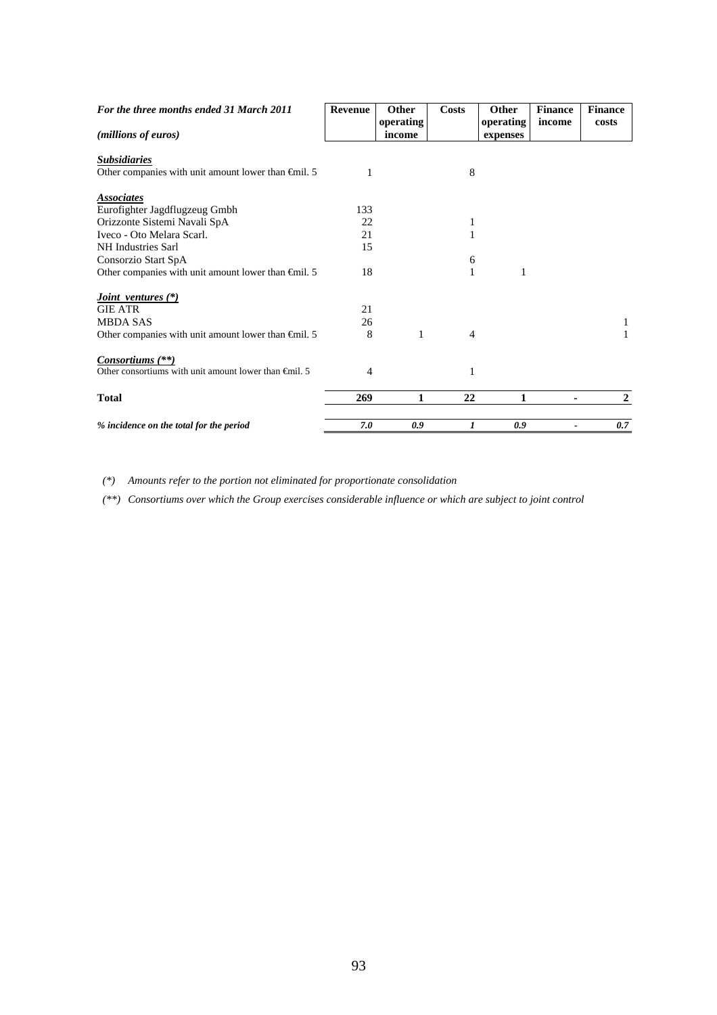| For the three months ended 31 March 2011                      | <b>Revenue</b> | Other     | <b>Costs</b> | Other     | <b>Finance</b> | <b>Finance</b> |
|---------------------------------------------------------------|----------------|-----------|--------------|-----------|----------------|----------------|
|                                                               |                | operating |              | operating | income         | costs          |
| ( <i>millions of euros</i> )                                  |                | income    |              | expenses  |                |                |
| <b>Subsidiaries</b>                                           |                |           |              |           |                |                |
| Other companies with unit amount lower than $\epsilon$ mil. 5 | 1              |           | 8            |           |                |                |
| <b>Associates</b>                                             |                |           |              |           |                |                |
| Eurofighter Jagdflugzeug Gmbh                                 | 133            |           |              |           |                |                |
| Orizzonte Sistemi Navali SpA                                  | 22             |           | 1            |           |                |                |
| Iveco - Oto Melara Scarl.                                     | 21             |           | 1            |           |                |                |
| NH Industries Sarl                                            | 15             |           |              |           |                |                |
| Consorzio Start SpA                                           |                |           | 6            |           |                |                |
| Other companies with unit amount lower than $\epsilon$ mil. 5 | 18             |           | $\mathbf{1}$ | 1         |                |                |
| <i>Joint ventures</i> $(*)$                                   |                |           |              |           |                |                |
| <b>GIE ATR</b>                                                | 21             |           |              |           |                |                |
| <b>MBDA SAS</b>                                               | 26             |           |              |           |                | 1              |
| Other companies with unit amount lower than $\epsilon$ mil. 5 | 8              | 1         | 4            |           |                | 1              |
| Consortiums $(**)$                                            |                |           |              |           |                |                |
| Other consortiums with unit amount lower than $\oplus$ nil. 5 | 4              |           | 1            |           |                |                |
| <b>Total</b>                                                  | 269            | 1         | 22           | 1         | ٠              | $\mathbf{2}$   |
| % incidence on the total for the period                       | 7.0            | 0.9       | 1            | 0.9       |                | 0.7            |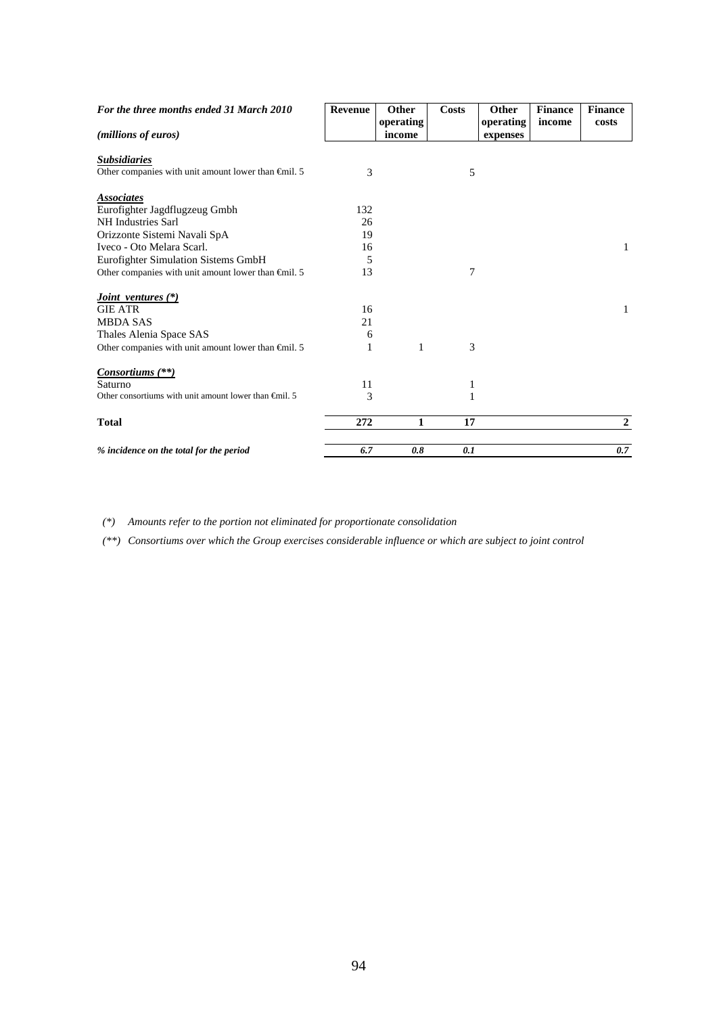| For the three months ended 31 March 2010                        | <b>Revenue</b> | Other     | <b>Costs</b> | Other     | <b>Finance</b> | <b>Finance</b> |
|-----------------------------------------------------------------|----------------|-----------|--------------|-----------|----------------|----------------|
|                                                                 |                | operating |              | operating | income         | costs          |
| (millions of euros)                                             |                | income    |              | expenses  |                |                |
| <b>Subsidiaries</b>                                             |                |           |              |           |                |                |
| Other companies with unit amount lower than $\epsilon$ mil. 5   | 3              |           | 5            |           |                |                |
|                                                                 |                |           |              |           |                |                |
| <b>Associates</b>                                               |                |           |              |           |                |                |
| Eurofighter Jagdflugzeug Gmbh                                   | 132            |           |              |           |                |                |
| NH Industries Sarl                                              | 26             |           |              |           |                |                |
| Orizzonte Sistemi Navali SpA                                    | 19             |           |              |           |                |                |
| Iveco - Oto Melara Scarl.                                       | 16             |           |              |           |                | 1              |
| Eurofighter Simulation Sistems GmbH                             | 5              |           |              |           |                |                |
| Other companies with unit amount lower than $\epsilon$ mil. 5   | 13             |           | 7            |           |                |                |
| <i>Joint ventures</i> (*)                                       |                |           |              |           |                |                |
| <b>GIE ATR</b>                                                  | 16             |           |              |           |                | $\mathbf{1}$   |
| <b>MBDA SAS</b>                                                 | 21             |           |              |           |                |                |
| Thales Alenia Space SAS                                         | 6              |           |              |           |                |                |
| Other companies with unit amount lower than $\epsilon$ mil. 5   | 1              | 1         | 3            |           |                |                |
| Consortiums $(**)$                                              |                |           |              |           |                |                |
| Saturno                                                         | 11             |           | 1            |           |                |                |
| Other consortiums with unit amount lower than $\epsilon$ mil. 5 | 3              |           | 1            |           |                |                |
|                                                                 |                |           |              |           |                |                |
| <b>Total</b>                                                    | 272            | 1         | 17           |           |                | $\overline{2}$ |
| % incidence on the total for the period                         | 6.7            | 0.8       | 0.1          |           |                | 0.7            |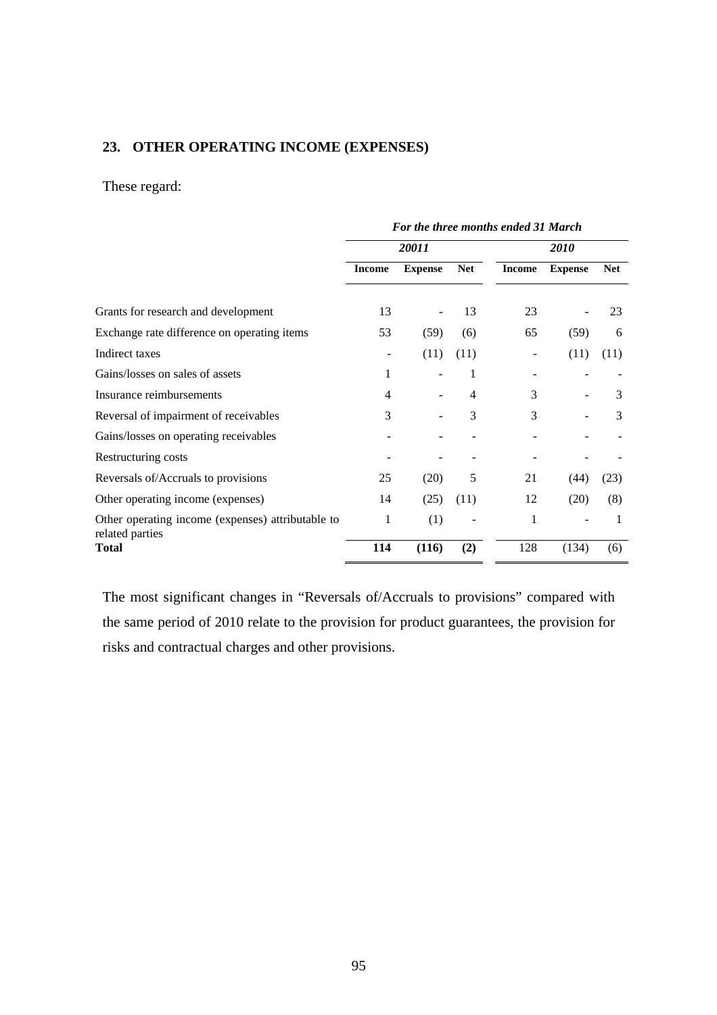### **23. OTHER OPERATING INCOME (EXPENSES)**

### These regard:

|                                                                      | For the three months ended 31 March |                |            |               |                |            |
|----------------------------------------------------------------------|-------------------------------------|----------------|------------|---------------|----------------|------------|
|                                                                      |                                     | 20011          |            | <b>2010</b>   |                |            |
|                                                                      | <b>Income</b>                       | <b>Expense</b> | <b>Net</b> | <b>Income</b> | <b>Expense</b> | <b>Net</b> |
| Grants for research and development                                  | 13                                  |                | 13         | 23            |                | 23         |
| Exchange rate difference on operating items                          | 53                                  | (59)           | (6)        | 65            | (59)           | 6          |
| Indirect taxes                                                       |                                     | (11)           | (11)       |               | (11)           | (11)       |
| Gains/losses on sales of assets                                      | 1                                   |                | 1          |               |                |            |
| Insurance reimbursements                                             | 4                                   |                | 4          | 3             |                | 3          |
| Reversal of impairment of receivables                                | 3                                   |                | 3          | 3             |                | 3          |
| Gains/losses on operating receivables                                |                                     |                |            |               |                |            |
| Restructuring costs                                                  |                                     |                |            |               |                |            |
| Reversals of/Accruals to provisions                                  | 25                                  | (20)           | 5          | 21            | (44)           | (23)       |
| Other operating income (expenses)                                    | 14                                  | (25)           | (11)       | 12            | (20)           | (8)        |
| Other operating income (expenses) attributable to<br>related parties | 1                                   | (1)            |            | 1             |                | 1          |
| <b>Total</b>                                                         | 114                                 | (116)          | (2)        | 128           | (134)          | (6)        |

The most significant changes in "Reversals of/Accruals to provisions" compared with the same period of 2010 relate to the provision for product guarantees, the provision for risks and contractual charges and other provisions.

95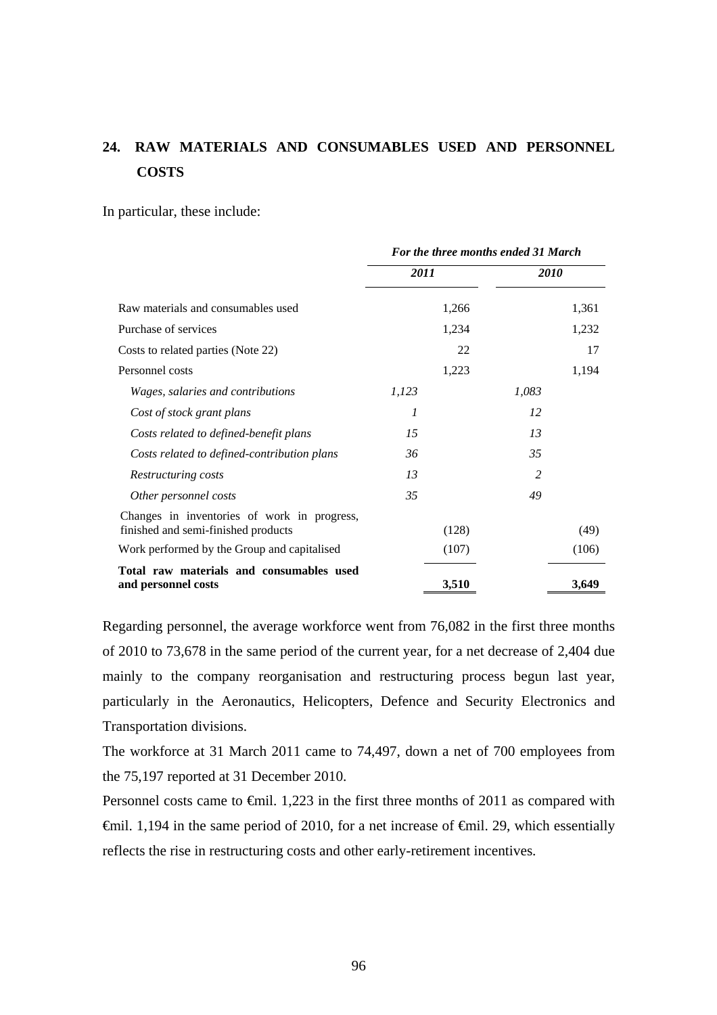# **24. RAW MATERIALS AND CONSUMABLES USED AND PERSONNEL COSTS**

In particular, these include:

|                                                                                    | For the three months ended 31 March |       |             |       |
|------------------------------------------------------------------------------------|-------------------------------------|-------|-------------|-------|
|                                                                                    | 2011                                |       | <i>2010</i> |       |
| Raw materials and consumables used                                                 |                                     | 1,266 |             | 1,361 |
| Purchase of services                                                               |                                     | 1,234 |             | 1,232 |
| Costs to related parties (Note 22)                                                 |                                     | 22    |             | 17    |
| Personnel costs                                                                    |                                     | 1,223 |             | 1,194 |
| Wages, salaries and contributions                                                  | 1,123                               |       | 1,083       |       |
| Cost of stock grant plans                                                          | 1                                   |       | 12          |       |
| Costs related to defined-benefit plans                                             | 15                                  |       | 13          |       |
| Costs related to defined-contribution plans                                        | 36                                  |       | 35          |       |
| Restructuring costs                                                                | 13                                  |       | 2           |       |
| Other personnel costs                                                              | 35                                  |       | 49          |       |
| Changes in inventories of work in progress,<br>finished and semi-finished products |                                     | (128) |             | (49)  |
| Work performed by the Group and capitalised                                        |                                     | (107) |             | (106) |
| Total raw materials and consumables used<br>and personnel costs                    |                                     | 3,510 |             | 3,649 |

Regarding personnel, the average workforce went from 76,082 in the first three months of 2010 to 73,678 in the same period of the current year, for a net decrease of 2,404 due mainly to the company reorganisation and restructuring process begun last year, particularly in the Aeronautics, Helicopters, Defence and Security Electronics and Transportation divisions.

The workforce at 31 March 2011 came to 74,497, down a net of 700 employees from the 75,197 reported at 31 December 2010.

Personnel costs came to  $\epsilon$ mil. 1,223 in the first three months of 2011 as compared with  $\theta$ mil. 1,194 in the same period of 2010, for a net increase of  $\theta$ mil. 29, which essentially reflects the rise in restructuring costs and other early-retirement incentives.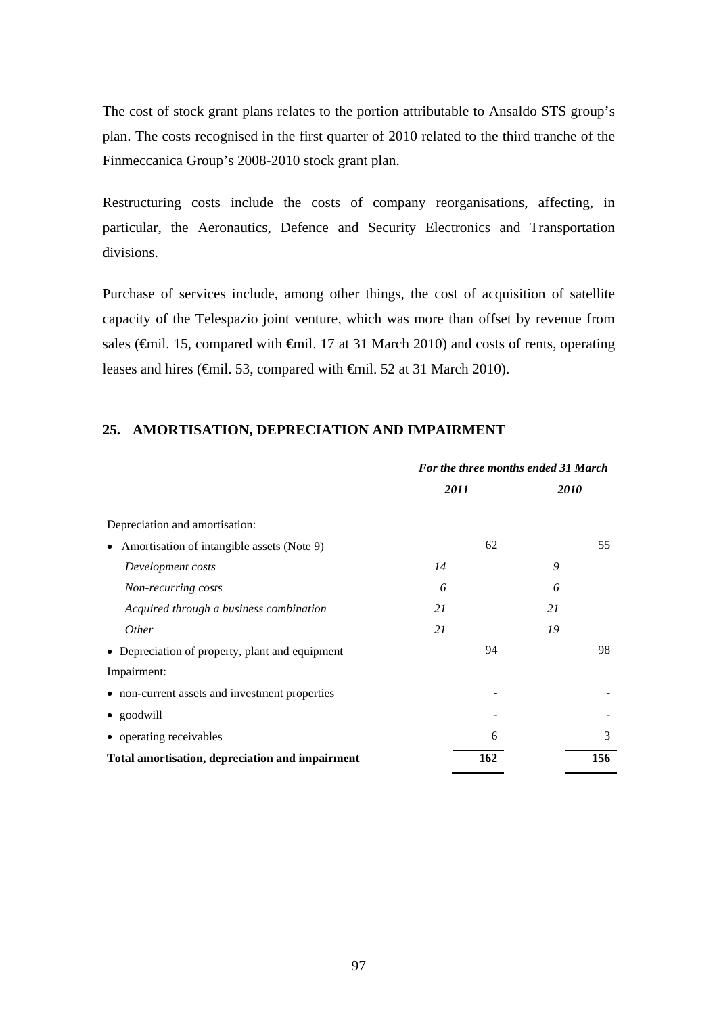The cost of stock grant plans relates to the portion attributable to Ansaldo STS group's plan. The costs recognised in the first quarter of 2010 related to the third tranche of the Finmeccanica Group's 2008-2010 stock grant plan.

Restructuring costs include the costs of company reorganisations, affecting, in particular, the Aeronautics, Defence and Security Electronics and Transportation divisions.

Purchase of services include, among other things, the cost of acquisition of satellite capacity of the Telespazio joint venture, which was more than offset by revenue from sales (€mil. 15, compared with €mil. 17 at 31 March 2010) and costs of rents, operating leases and hires (€mil. 53, compared with €mil. 52 at 31 March 2010).

### **25. AMORTISATION, DEPRECIATION AND IMPAIRMENT**

|                                                         | For the three months ended 31 March |     |             |     |
|---------------------------------------------------------|-------------------------------------|-----|-------------|-----|
|                                                         | 2011                                |     | <i>2010</i> |     |
| Depreciation and amortisation:                          |                                     |     |             |     |
| Amortisation of intangible assets (Note 9)<br>$\bullet$ |                                     | 62  |             | 55  |
| Development costs                                       | 14                                  |     | 9           |     |
| Non-recurring costs                                     | 6                                   |     | 6           |     |
| Acquired through a business combination                 | 21                                  |     | 21          |     |
| <i>Other</i>                                            | 21                                  |     | 19          |     |
| • Depreciation of property, plant and equipment         |                                     | 94  |             | 98  |
| Impairment:                                             |                                     |     |             |     |
| • non-current assets and investment properties          |                                     |     |             |     |
| • goodwill                                              |                                     |     |             |     |
| • operating receivables                                 |                                     | 6   |             | 3   |
| Total amortisation, depreciation and impairment         |                                     | 162 |             | 156 |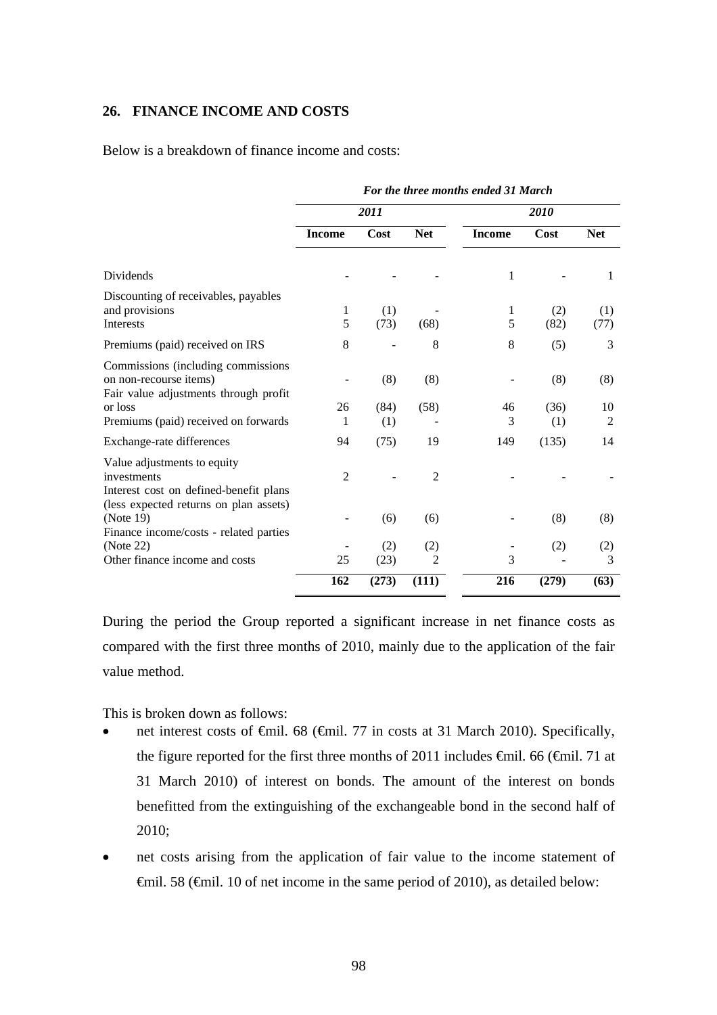#### **26. FINANCE INCOME AND COSTS**

Below is a breakdown of finance income and costs:

|                                                                                                       | For the three months ended 31 March |             |                       |                   |             |             |  |
|-------------------------------------------------------------------------------------------------------|-------------------------------------|-------------|-----------------------|-------------------|-------------|-------------|--|
|                                                                                                       |                                     | 2011        |                       |                   | 2010        |             |  |
|                                                                                                       | <b>Income</b>                       | Cost        | <b>Net</b>            | <b>Income</b>     | Cost        | <b>Net</b>  |  |
| Dividends                                                                                             |                                     |             |                       | 1                 |             | 1           |  |
| Discounting of receivables, payables<br>and provisions<br>Interests                                   | 1<br>5                              | (1)<br>(73) | (68)                  | $\mathbf{1}$<br>5 | (2)<br>(82) | (1)<br>(77) |  |
| Premiums (paid) received on IRS                                                                       | 8                                   |             | 8                     | 8                 | (5)         | 3           |  |
| Commissions (including commissions<br>on non-recourse items)<br>Fair value adjustments through profit |                                     | (8)         | (8)                   |                   | (8)         | (8)         |  |
| or loss<br>Premiums (paid) received on forwards                                                       | 26<br>1                             | (84)<br>(1) | (58)                  | 46<br>3           | (36)<br>(1) | 10<br>2     |  |
| Exchange-rate differences                                                                             | 94                                  | (75)        | 19                    | 149               | (135)       | 14          |  |
| Value adjustments to equity<br>investments<br>Interest cost on defined-benefit plans                  | $\overline{2}$                      |             | $\overline{2}$        |                   |             |             |  |
| (less expected returns on plan assets)<br>(Note 19)<br>Finance income/costs - related parties         |                                     | (6)         | (6)                   |                   | (8)         | (8)         |  |
| (Note 22)<br>Other finance income and costs                                                           | 25                                  | (2)<br>(23) | (2)<br>$\overline{2}$ | 3                 | (2)         | (2)<br>3    |  |
|                                                                                                       | 162                                 | (273)       | (111)                 | 216               | (279)       | (63)        |  |

During the period the Group reported a significant increase in net finance costs as compared with the first three months of 2010, mainly due to the application of the fair value method.

This is broken down as follows:

- net interest costs of €mil. 68 (€mil. 77 in costs at 31 March 2010). Specifically, the figure reported for the first three months of 2011 includes €mil. 66 (€mil. 71 at 31 March 2010) of interest on bonds. The amount of the interest on bonds benefitted from the extinguishing of the exchangeable bond in the second half of 2010;
- net costs arising from the application of fair value to the income statement of €mil. 58 (€mil. 10 of net income in the same period of 2010), as detailed below: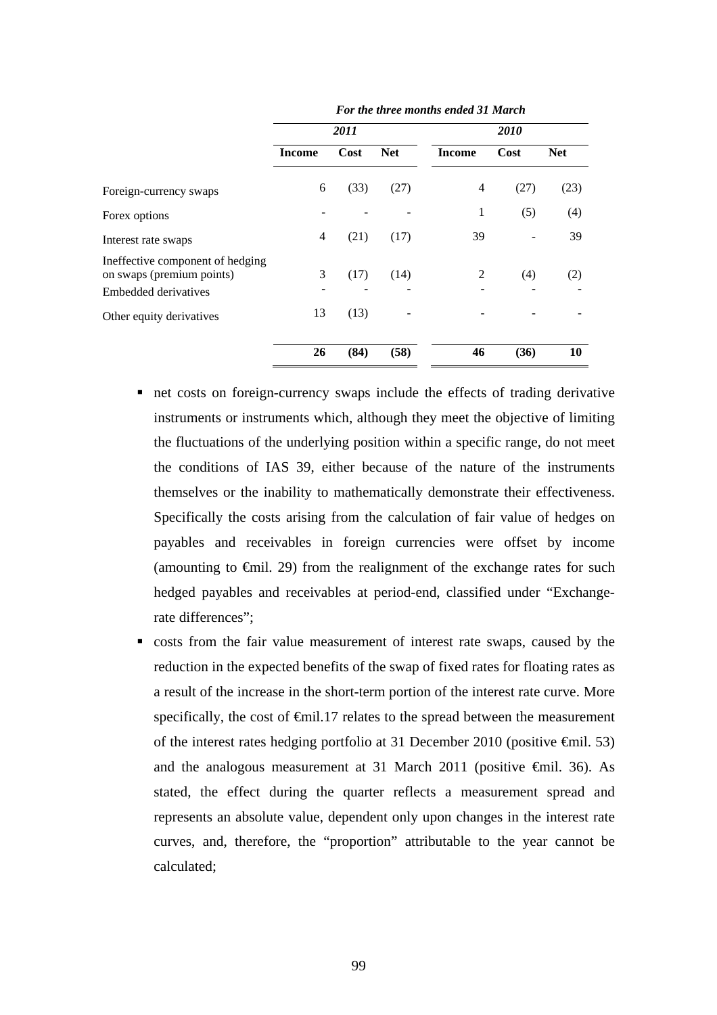|                                                                                       | 2011   |      |            | 2010           |      |            |  |
|---------------------------------------------------------------------------------------|--------|------|------------|----------------|------|------------|--|
|                                                                                       | Income | Cost | <b>Net</b> | <b>Income</b>  | Cost | <b>Net</b> |  |
| Foreign-currency swaps                                                                | 6      | (33) | (27)       | $\overline{4}$ | (27) | (23)       |  |
| Forex options                                                                         |        |      |            | 1              | (5)  | (4)        |  |
| Interest rate swaps                                                                   | 4      | (21) | (17)       | 39             |      | 39         |  |
| Ineffective component of hedging<br>on swaps (premium points)<br>Embedded derivatives | 3      | (17) | (14)       | 2              | (4)  | (2)        |  |
| Other equity derivatives                                                              | 13     | (13) |            |                |      |            |  |
|                                                                                       | 26     | (84) | (58)       | 46             | (36) | 10         |  |

*For the three months ended 31 March* 

- net costs on foreign-currency swaps include the effects of trading derivative instruments or instruments which, although they meet the objective of limiting the fluctuations of the underlying position within a specific range, do not meet the conditions of IAS 39, either because of the nature of the instruments themselves or the inability to mathematically demonstrate their effectiveness. Specifically the costs arising from the calculation of fair value of hedges on payables and receivables in foreign currencies were offset by income (amounting to  $\epsilon$ mil. 29) from the realignment of the exchange rates for such hedged payables and receivables at period-end, classified under "Exchangerate differences";
- costs from the fair value measurement of interest rate swaps, caused by the reduction in the expected benefits of the swap of fixed rates for floating rates as a result of the increase in the short-term portion of the interest rate curve. More specifically, the cost of  $\epsilon$ mil.17 relates to the spread between the measurement of the interest rates hedging portfolio at 31 December 2010 (positive  $\epsilon$ mil. 53) and the analogous measurement at 31 March 2011 (positive  $\theta$ mil. 36). As stated, the effect during the quarter reflects a measurement spread and represents an absolute value, dependent only upon changes in the interest rate curves, and, therefore, the "proportion" attributable to the year cannot be calculated;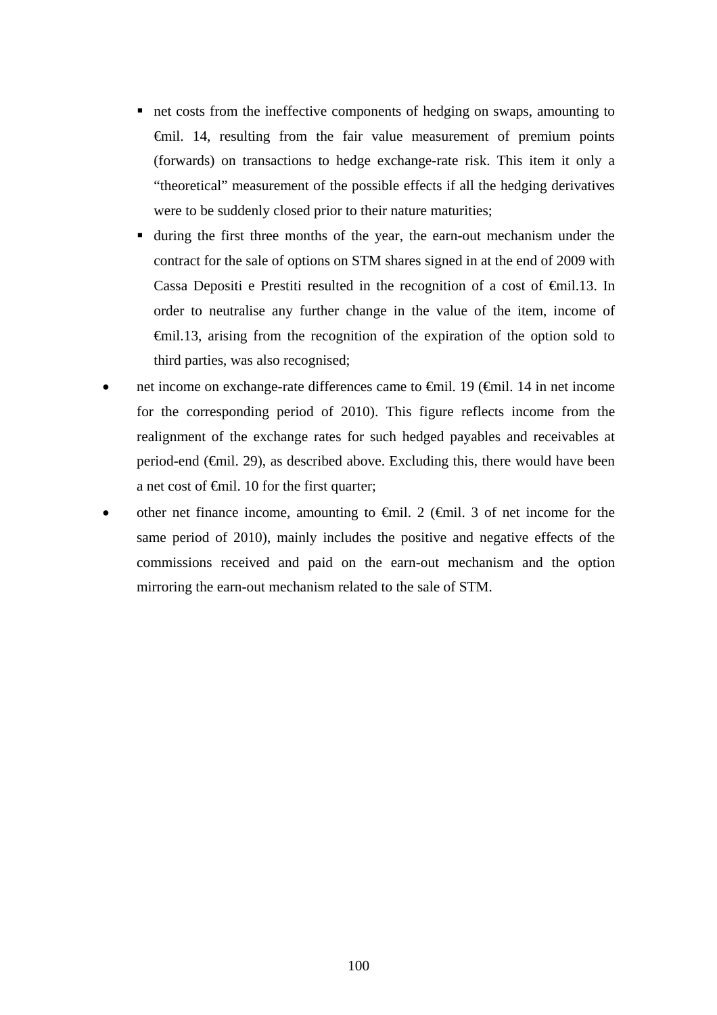- net costs from the ineffective components of hedging on swaps, amounting to €mil. 14, resulting from the fair value measurement of premium points (forwards) on transactions to hedge exchange-rate risk. This item it only a "theoretical" measurement of the possible effects if all the hedging derivatives were to be suddenly closed prior to their nature maturities;
- during the first three months of the year, the earn-out mechanism under the contract for the sale of options on STM shares signed in at the end of 2009 with Cassa Depositi e Prestiti resulted in the recognition of a cost of €mil.13. In order to neutralise any further change in the value of the item, income of €mil.13, arising from the recognition of the expiration of the option sold to third parties, was also recognised;
- net income on exchange-rate differences came to €mil. 19 (€mil. 14 in net income for the corresponding period of 2010). This figure reflects income from the realignment of the exchange rates for such hedged payables and receivables at period-end (€mil. 29), as described above. Excluding this, there would have been a net cost of €mil. 10 for the first quarter;
- other net finance income, amounting to  $\epsilon$ mil. 2 ( $\epsilon$ mil. 3 of net income for the same period of 2010), mainly includes the positive and negative effects of the commissions received and paid on the earn-out mechanism and the option mirroring the earn-out mechanism related to the sale of STM.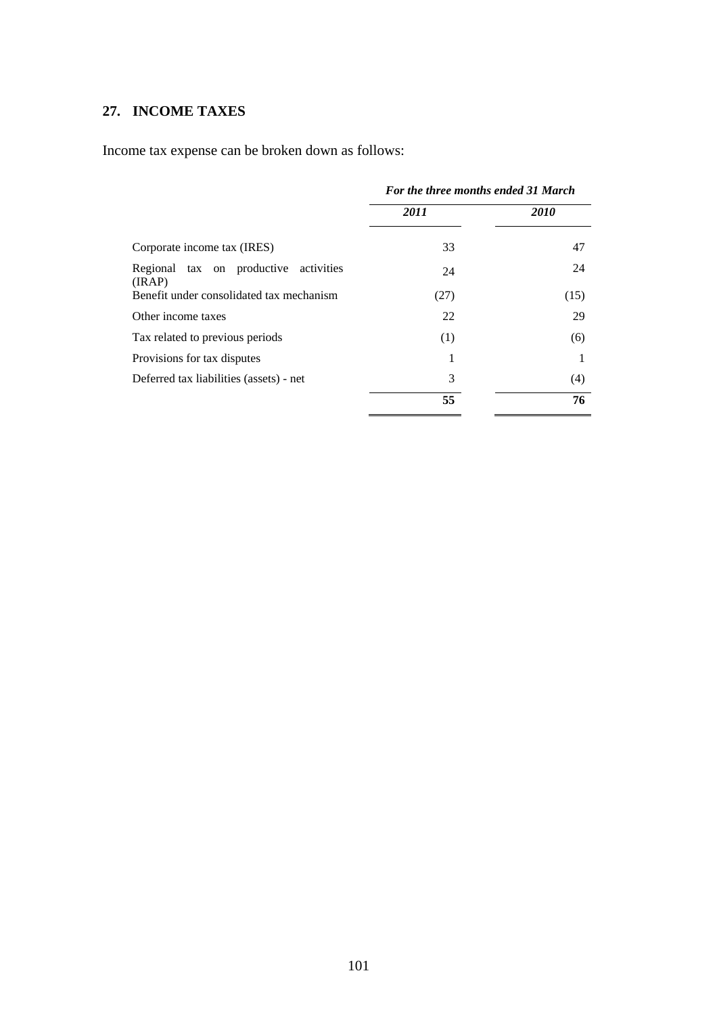### **27. INCOME TAXES**

Income tax expense can be broken down as follows:

|                                                 | For the three months ended 31 March |      |  |  |
|-------------------------------------------------|-------------------------------------|------|--|--|
|                                                 | 2011                                | 2010 |  |  |
| Corporate income tax (IRES)                     | 33                                  | 47   |  |  |
| Regional tax on productive activities<br>(IRAP) | 24                                  | 24   |  |  |
| Benefit under consolidated tax mechanism        | (27)                                | (15) |  |  |
| Other income taxes                              | 22                                  | 29   |  |  |
| Tax related to previous periods                 | (1)                                 | (6)  |  |  |
| Provisions for tax disputes                     | 1                                   |      |  |  |
| Deferred tax liabilities (assets) - net         | 3                                   | (4)  |  |  |
|                                                 | 55                                  | 76   |  |  |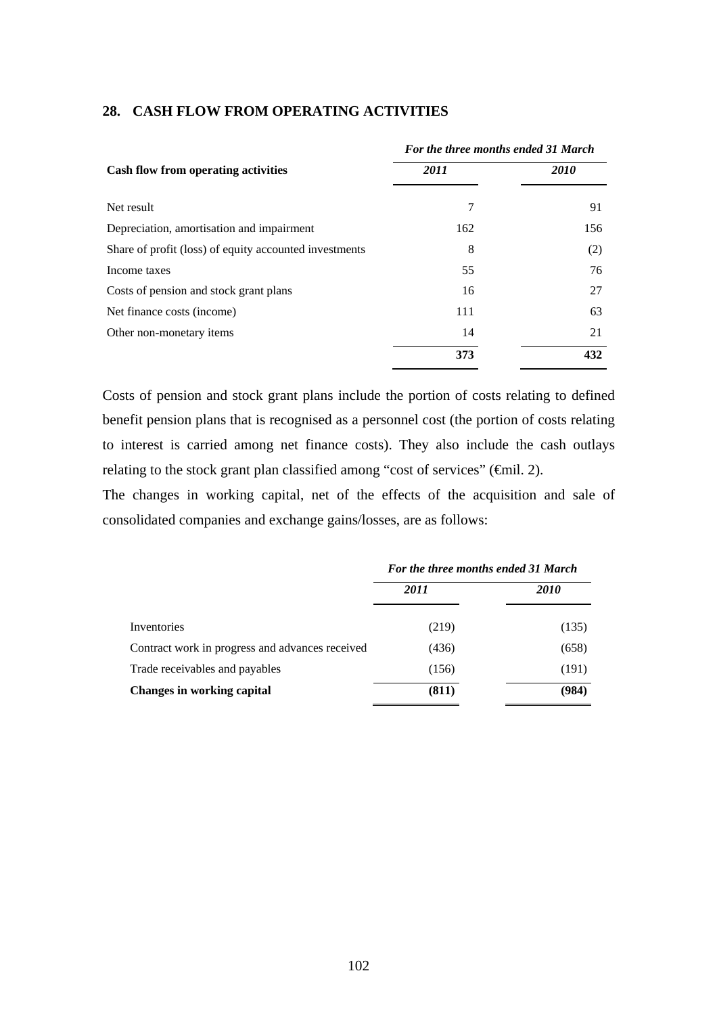|                                                        | For the three months ended 31 March |             |  |  |
|--------------------------------------------------------|-------------------------------------|-------------|--|--|
| Cash flow from operating activities                    | 2011                                | <i>2010</i> |  |  |
| Net result                                             | 7                                   | 91          |  |  |
| Depreciation, amortisation and impairment              | 162                                 | 156         |  |  |
| Share of profit (loss) of equity accounted investments | 8                                   | (2)         |  |  |
| Income taxes                                           | 55                                  | 76          |  |  |
| Costs of pension and stock grant plans                 | 16                                  | 27          |  |  |
| Net finance costs (income)                             | 111                                 | 63          |  |  |
| Other non-monetary items                               | 14                                  | 21          |  |  |
|                                                        | 373                                 | 432         |  |  |

### **28. CASH FLOW FROM OPERATING ACTIVITIES**

Costs of pension and stock grant plans include the portion of costs relating to defined benefit pension plans that is recognised as a personnel cost (the portion of costs relating to interest is carried among net finance costs). They also include the cash outlays relating to the stock grant plan classified among "cost of services" (€mil. 2).

The changes in working capital, net of the effects of the acquisition and sale of consolidated companies and exchange gains/losses, are as follows:

|                                                 | For the three months ended 31 March |             |  |  |
|-------------------------------------------------|-------------------------------------|-------------|--|--|
|                                                 | 2011                                | <i>2010</i> |  |  |
| Inventories                                     | (219)                               | (135)       |  |  |
| Contract work in progress and advances received | (436)                               | (658)       |  |  |
| Trade receivables and payables                  | (156)                               | (191)       |  |  |
| <b>Changes in working capital</b>               | (811)                               | (984)       |  |  |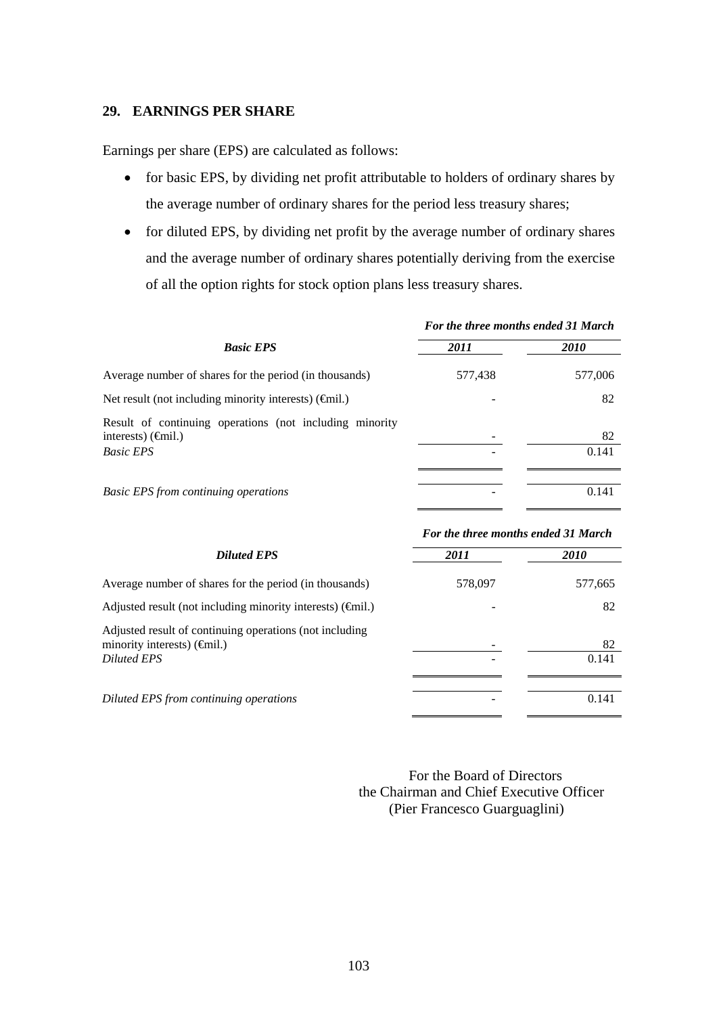### **29. EARNINGS PER SHARE**

Earnings per share (EPS) are calculated as follows:

- for basic EPS, by dividing net profit attributable to holders of ordinary shares by the average number of ordinary shares for the period less treasury shares;
- for diluted EPS, by dividing net profit by the average number of ordinary shares and the average number of ordinary shares potentially deriving from the exercise of all the option rights for stock option plans less treasury shares.

|                                                                                                         | For the three months ended 31 March |             |  |  |
|---------------------------------------------------------------------------------------------------------|-------------------------------------|-------------|--|--|
| <b>Basic EPS</b>                                                                                        | 2011                                | <i>2010</i> |  |  |
| Average number of shares for the period (in thousands)                                                  | 577,438                             | 577,006     |  |  |
| Net result (not including minority interests) $(\hat{\mathbf{q}}$ mil.)                                 |                                     | 82          |  |  |
| Result of continuing operations (not including minority<br>interests) $(\epsilon \hat{\mathbf{m}}$ il.) |                                     | 82          |  |  |
| <b>Basic EPS</b>                                                                                        |                                     | 0.141       |  |  |
| <b>Basic EPS from continuing operations</b>                                                             |                                     | 0.141       |  |  |

| <b>Diluted EPS</b>                                                                                             | For the three months ended 31 March |             |
|----------------------------------------------------------------------------------------------------------------|-------------------------------------|-------------|
|                                                                                                                | 2011                                | <i>2010</i> |
| Average number of shares for the period (in thousands)                                                         | 578,097                             | 577,665     |
| Adjusted result (not including minority interests) ( $\epsilon$ mil.)                                          |                                     | 82          |
| Adjusted result of continuing operations (not including<br>minority interests) $(\text{Gmil.})$<br>Diluted EPS |                                     | 82<br>0.141 |
| Diluted EPS from continuing operations                                                                         |                                     | 0.141       |

 For the Board of Directors the Chairman and Chief Executive Officer (Pier Francesco Guarguaglini)